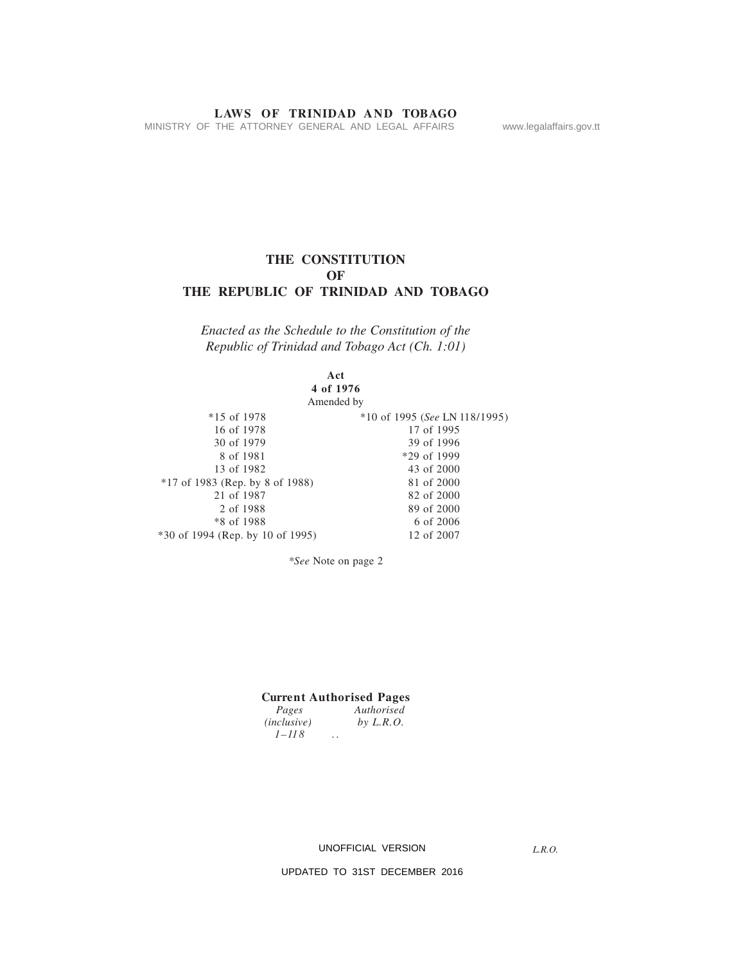MINISTRY OF THE ATTORNEY GENERAL AND LEGAL AFFAIRS www.legalaffairs.gov.tt

# **THE CONSTITUTION OF THE REPUBLIC OF TRINIDAD AND TOBAGO**

*Enacted as the Schedule to the Constitution of the Republic of Trinidad and Tobago Act (Ch. 1:01)*

**Act**

**4 of 1976**

| Amended by                        |                                 |
|-----------------------------------|---------------------------------|
| $*15$ of 1978                     | $*10$ of 1995 (See LN 118/1995) |
| 16 of 1978                        | 17 of 1995                      |
| 30 of 1979                        | 39 of 1996                      |
| 8 of 1981                         | *29 of 1999                     |
| 13 of 1982                        | 43 of 2000                      |
| $*17$ of 1983 (Rep. by 8 of 1988) | 81 of 2000                      |
| 21 of 1987                        | 82 of 2000                      |
| 2 of 1988                         | 89 of 2000                      |
| *8 of 1988                        | 6 of 2006                       |
| *30 of 1994 (Rep. by 10 of 1995)  | 12 of 2007                      |

*\*See* Note on page 2

**Current Authorised Pages** *Pages Authorised*<br>(*inclusive*) *by L.R.O. (inclusive) by L.R.O. 1–118 . .*

UNOFFICIAL VERSION

*L.R.O.*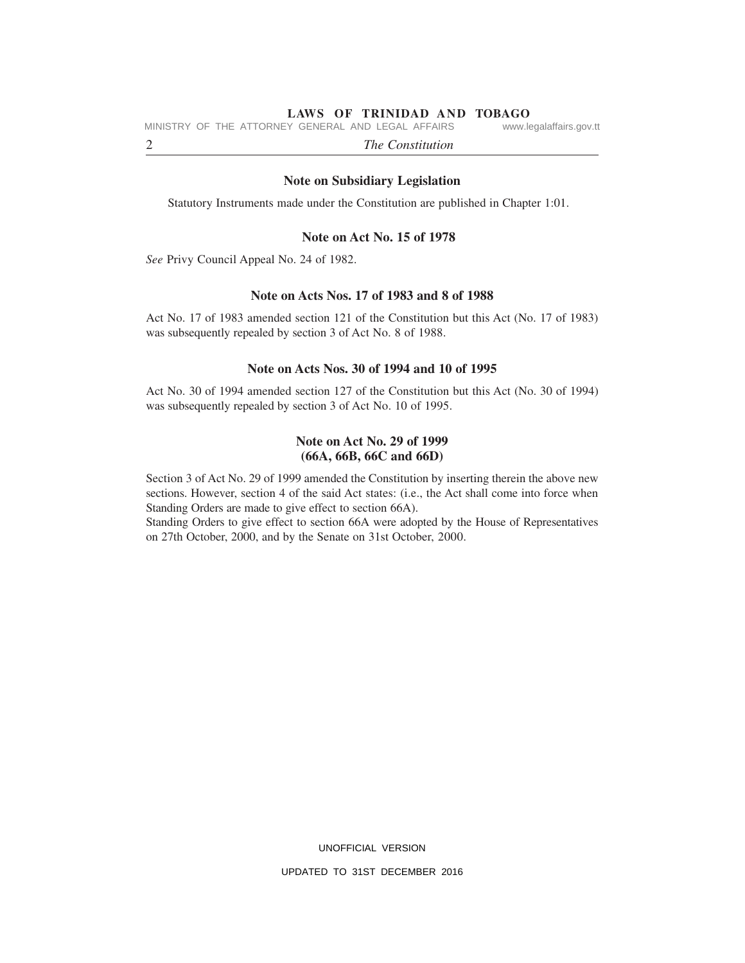MINISTRY OF THE ATTORNEY GENERAL AND LEGAL AFFAIRS www.legalaffairs.gov.tt

2 *The Constitution*

## **Note on Subsidiary Legislation**

Statutory Instruments made under the Constitution are published in Chapter 1:01.

## **Note on Act No. 15 of 1978**

*See* Privy Council Appeal No. 24 of 1982.

## **Note on Acts Nos. 17 of 1983 and 8 of 1988**

Act No. 17 of 1983 amended section 121 of the Constitution but this Act (No. 17 of 1983) was subsequently repealed by section 3 of Act No. 8 of 1988.

#### **Note on Acts Nos. 30 of 1994 and 10 of 1995**

Act No. 30 of 1994 amended section 127 of the Constitution but this Act (No. 30 of 1994) was subsequently repealed by section 3 of Act No. 10 of 1995.

## **Note on Act No. 29 of 1999 (66A, 66B, 66C and 66D)**

Section 3 of Act No. 29 of 1999 amended the Constitution by inserting therein the above new sections. However, section 4 of the said Act states: (i.e., the Act shall come into force when Standing Orders are made to give effect to section 66A).

Standing Orders to give effect to section 66A were adopted by the House of Representatives on 27th October, 2000, and by the Senate on 31st October, 2000.

UNOFFICIAL VERSION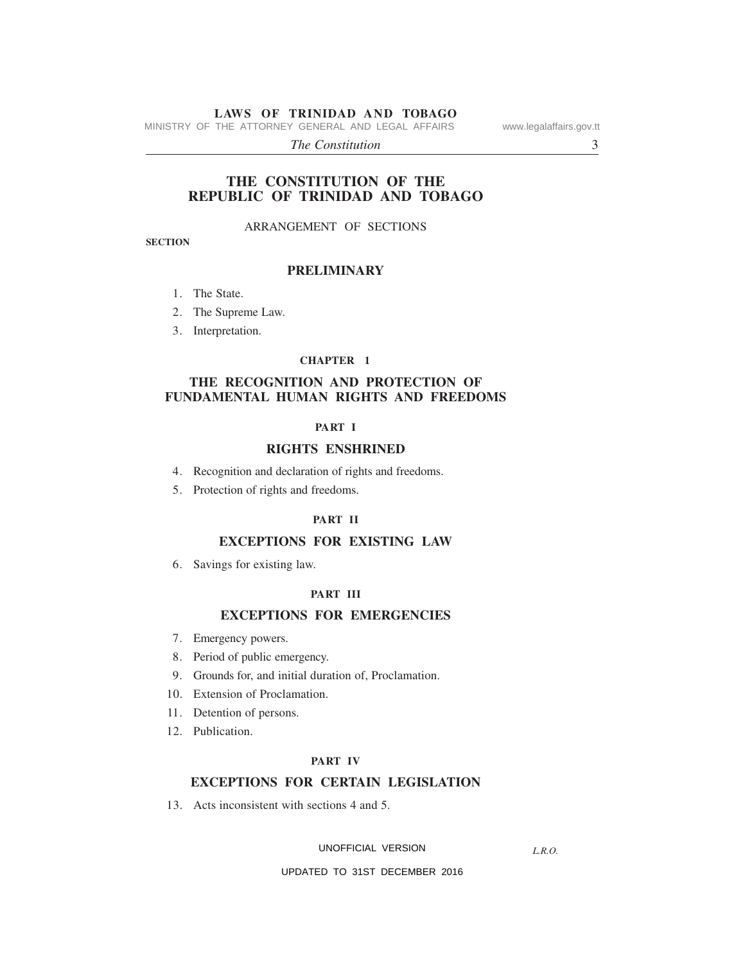MINISTRY OF THE ATTORNEY GENERAL AND LEGAL AFFAIRS www.legalaffairs.gov.tt

*The Constitution* 3

# **THE CONSTITUTION OF THE REPUBLIC OF TRINIDAD AND TOBAGO**

ARRANGEMENT OF SECTIONS

**SECTION**

## **PRELIMINARY**

- 1. The State.
- 2. The Supreme Law.
- 3. Interpretation.

#### **CHAPTER 1**

## **THE RECOGNITION AND PROTECTION OF FUNDAMENTAL HUMAN RIGHTS AND FREEDOMS**

## **PART I**

## **RIGHTS ENSHRINED**

- 4. Recognition and declaration of rights and freedoms.
- 5. Protection of rights and freedoms.

#### **PART II**

# **EXCEPTIONS FOR EXISTING LAW**

6. Savings for existing law.

#### **PART III**

# **EXCEPTIONS FOR EMERGENCIES**

- 7. Emergency powers.
- 8. Period of public emergency.
- 9. Grounds for, and initial duration of, Proclamation.
- 10. Extension of Proclamation.
- 11. Detention of persons.
- 12. Publication.

#### **PART IV**

## **EXCEPTIONS FOR CERTAIN LEGISLATION**

13. Acts inconsistent with sections 4 and 5.

UNOFFICIAL VERSION

*L.R.O.*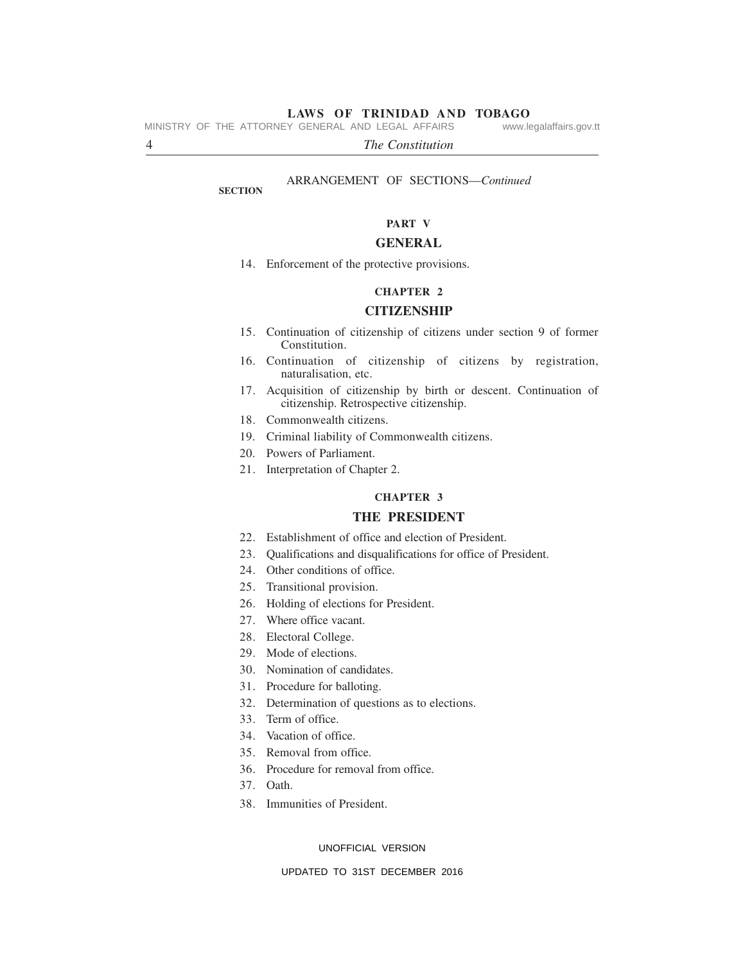MINISTRY OF THE ATTORNEY GENERAL AND LEGAL AFFAIRS www.legalaffairs.gov.tt

4 *The Constitution*

ARRANGEMENT OF SECTIONS—*Continued* **SECTION**

## **PART V**

#### **GENERAL**

14. Enforcement of the protective provisions.

#### **CHAPTER 2**

#### **CITIZENSHIP**

- 15. Continuation of citizenship of citizens under section 9 of former Constitution.
- 16. Continuation of citizenship of citizens by registration, naturalisation, etc.
- 17. Acquisition of citizenship by birth or descent. Continuation of citizenship. Retrospective citizenship.
- 18. Commonwealth citizens.
- 19. Criminal liability of Commonwealth citizens.
- 20. Powers of Parliament.
- 21. Interpretation of Chapter 2.

## **CHAPTER 3**

#### **THE PRESIDENT**

- 22. Establishment of office and election of President.
- 23. Qualifications and disqualifications for office of President.
- 24. Other conditions of office.
- 25. Transitional provision.
- 26. Holding of elections for President.
- 27. Where office vacant.
- 28. Electoral College.
- 29. Mode of elections.
- 30. Nomination of candidates.
- 31. Procedure for balloting.
- 32. Determination of questions as to elections.
- 33. Term of office.
- 34. Vacation of office.
- 35. Removal from office.
- 36. Procedure for removal from office.
- 37. Oath.
- 38. Immunities of President.

UNOFFICIAL VERSION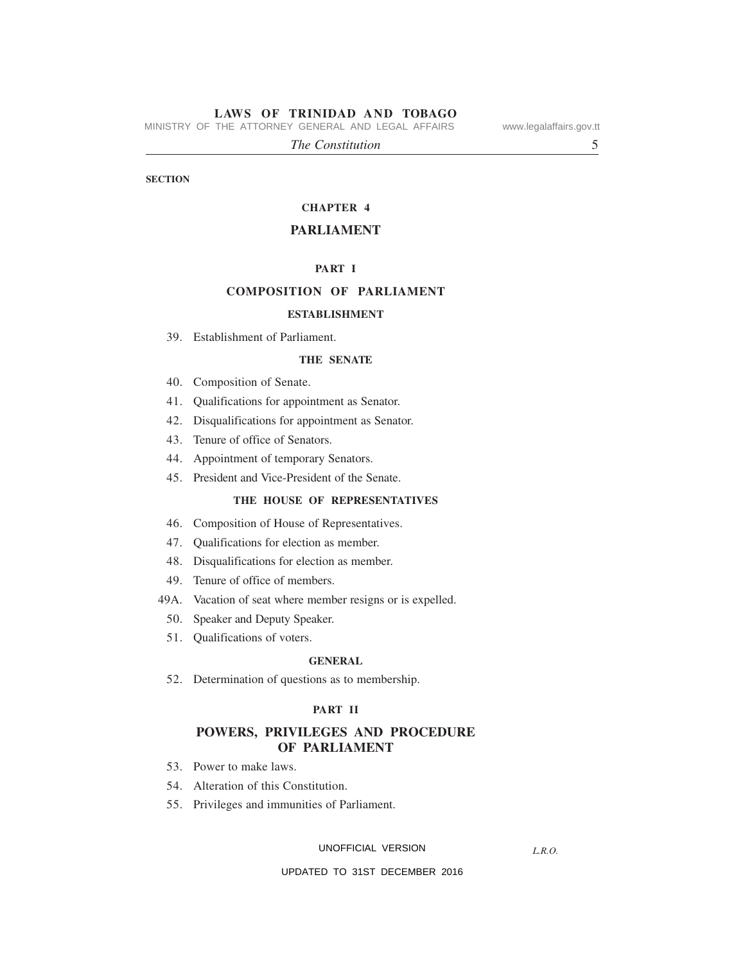MINISTRY OF THE ATTORNEY GENERAL AND LEGAL AFFAIRS www.legalaffairs.gov.tt

*The Constitution* 5

**SECTION**

# **CHAPTER 4**

# **PARLIAMENT**

#### **PART I**

## **COMPOSITION OF PARLIAMENT**

#### **ESTABLISHMENT**

39. Establishment of Parliament.

#### **THE SENATE**

- 40. Composition of Senate.
- 41. Qualifications for appointment as Senator.
- 42. Disqualifications for appointment as Senator.
- 43. Tenure of office of Senators.
- 44. Appointment of temporary Senators.
- 45. President and Vice-President of the Senate.

## **THE HOUSE OF REPRESENTATIVES**

- 46. Composition of House of Representatives.
- 47. Qualifications for election as member.
- 48. Disqualifications for election as member.
- 49. Tenure of office of members.
- 49A. Vacation of seat where member resigns or is expelled.
	- 50. Speaker and Deputy Speaker.
	- 51. Qualifications of voters.

#### **GENERAL**

52. Determination of questions as to membership.

#### **PART II**

## **POWERS, PRIVILEGES AND PROCEDURE OF PARLIAMENT**

- 53. Power to make laws.
- 54. Alteration of this Constitution.
- 55. Privileges and immunities of Parliament.

UNOFFICIAL VERSION

*L.R.O.*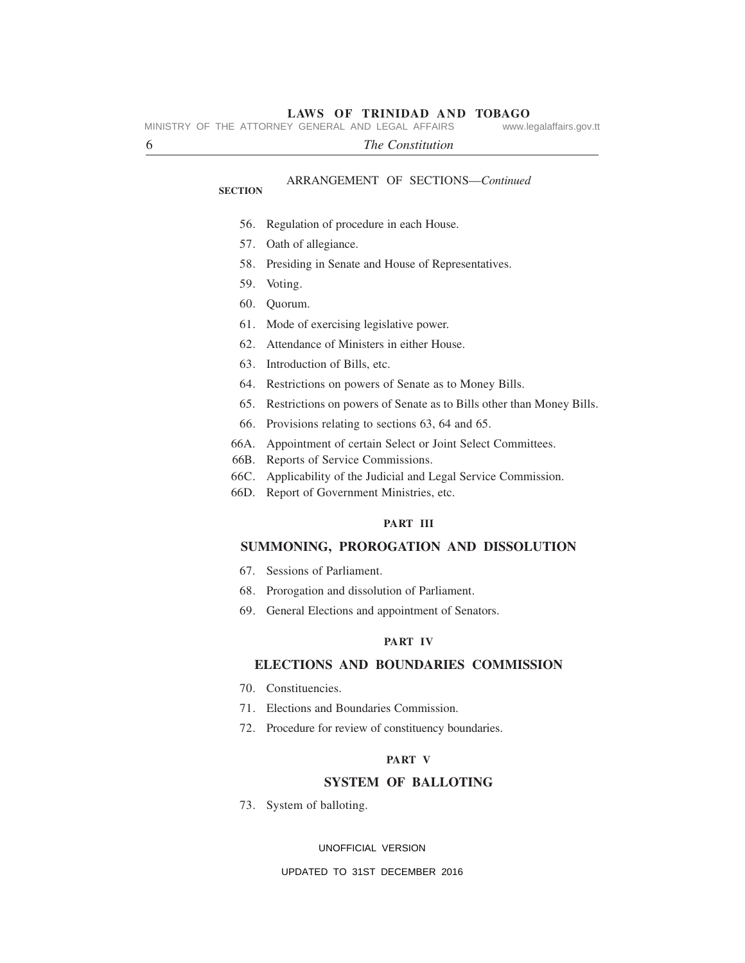MINISTRY OF THE ATTORNEY GENERAL AND LEGAL AFFAIRS www.legalaffairs.gov.tt

| 6 |                | The Constitution                                      |  |  |  |  |  |
|---|----------------|-------------------------------------------------------|--|--|--|--|--|
|   | <b>SECTION</b> | ARRANGEMENT OF SECTIONS-Continued                     |  |  |  |  |  |
|   |                | 56. Regulation of procedure in each House.            |  |  |  |  |  |
|   |                | 57. Oath of allegiance.                               |  |  |  |  |  |
|   |                | 58. Presiding in Senate and House of Representatives. |  |  |  |  |  |
|   |                | 59. Voting.                                           |  |  |  |  |  |
|   |                | 60. Quorum.                                           |  |  |  |  |  |
|   |                | 61. Mode of exercising legislative power.             |  |  |  |  |  |
|   |                | 62. Attendance of Ministers in either House.          |  |  |  |  |  |

- 63. Introduction of Bills, etc.
- 64. Restrictions on powers of Senate as to Money Bills.
- 65. Restrictions on powers of Senate as to Bills other than Money Bills.
- 66. Provisions relating to sections 63, 64 and 65.
- 66A. Appointment of certain Select or Joint Select Committees.
- 66B. Reports of Service Commissions.
- 66C. Applicability of the Judicial and Legal Service Commission.
- 66D. Report of Government Ministries, etc.

#### **PART III**

#### **SUMMONING, PROROGATION AND DISSOLUTION**

- 67. Sessions of Parliament.
- 68. Prorogation and dissolution of Parliament.
- 69. General Elections and appointment of Senators.

#### **PART IV**

#### **ELECTIONS AND BOUNDARIES COMMISSION**

- 70. Constituencies.
- 71. Elections and Boundaries Commission.
- 72. Procedure for review of constituency boundaries.

## **PART V**

#### **SYSTEM OF BALLOTING**

73. System of balloting.

#### UNOFFICIAL VERSION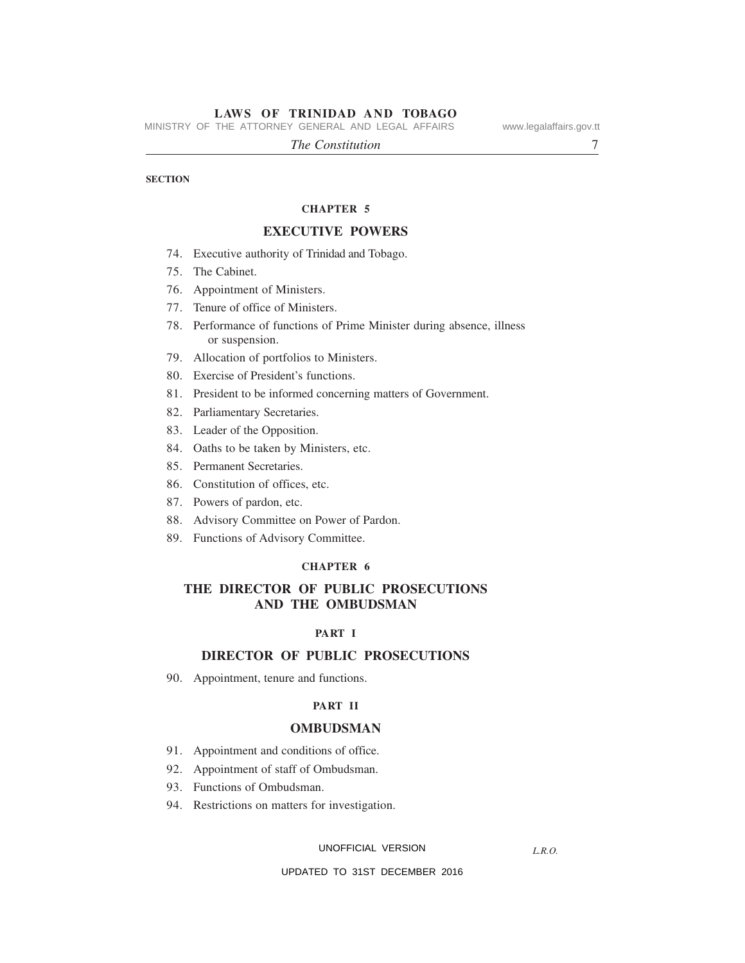MINISTRY OF THE ATTORNEY GENERAL AND LEGAL AFFAIRS www.legalaffairs.gov.tt

*The Constitution* 7

#### **SECTION**

# **CHAPTER 5**

## **EXECUTIVE POWERS**

- 74. Executive authority of Trinidad and Tobago.
- 75. The Cabinet.
- 76. Appointment of Ministers.
- 77. Tenure of office of Ministers.
- 78. Performance of functions of Prime Minister during absence, illness or suspension.
- 79. Allocation of portfolios to Ministers.
- 80. Exercise of President's functions.
- 81. President to be informed concerning matters of Government.
- 82. Parliamentary Secretaries.
- 83. Leader of the Opposition.
- 84. Oaths to be taken by Ministers, etc.
- 85. Permanent Secretaries.
- 86. Constitution of offices, etc.
- 87. Powers of pardon, etc.
- 88. Advisory Committee on Power of Pardon.
- 89. Functions of Advisory Committee.

#### **CHAPTER 6**

## **THE DIRECTOR OF PUBLIC PROSECUTIONS AND THE OMBUDSMAN**

#### **PART I**

## **DIRECTOR OF PUBLIC PROSECUTIONS**

90. Appointment, tenure and functions.

#### **PART II**

#### **OMBUDSMAN**

- 91. Appointment and conditions of office.
- 92. Appointment of staff of Ombudsman.
- 93. Functions of Ombudsman.
- 94. Restrictions on matters for investigation.

UNOFFICIAL VERSION

*L.R.O.*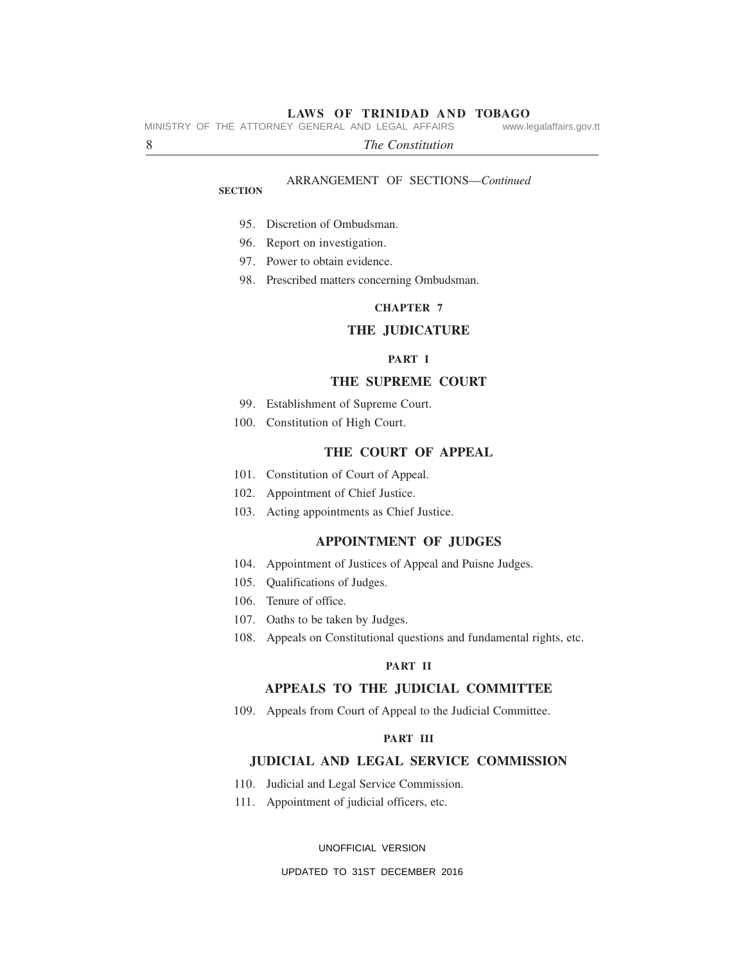MINISTRY OF THE ATTORNEY GENERAL AND LEGAL AFFAIRS www.legalaffairs.gov.tt

8 *The Constitution*

#### ARRANGEMENT OF SECTIONS—*Continued* **SECTION**

- 95. Discretion of Ombudsman.
- 96. Report on investigation.
- 97. Power to obtain evidence.
- 98. Prescribed matters concerning Ombudsman.

#### **CHAPTER 7**

#### **THE JUDICATURE**

#### **PART I**

## **THE SUPREME COURT**

- 99. Establishment of Supreme Court.
- 100. Constitution of High Court.

## **THE COURT OF APPEAL**

- 101. Constitution of Court of Appeal.
- 102. Appointment of Chief Justice.
- 103. Acting appointments as Chief Justice.

#### **APPOINTMENT OF JUDGES**

- 104. Appointment of Justices of Appeal and Puisne Judges.
- 105. Qualifications of Judges.
- 106. Tenure of office.
- 107. Oaths to be taken by Judges.
- 108. Appeals on Constitutional questions and fundamental rights, etc.

## **PART II**

## **APPEALS TO THE JUDICIAL COMMITTEE**

109. Appeals from Court of Appeal to the Judicial Committee.

#### **PART III**

## **JUDICIAL AND LEGAL SERVICE COMMISSION**

- 110. Judicial and Legal Service Commission.
- 111. Appointment of judicial officers, etc.

#### UNOFFICIAL VERSION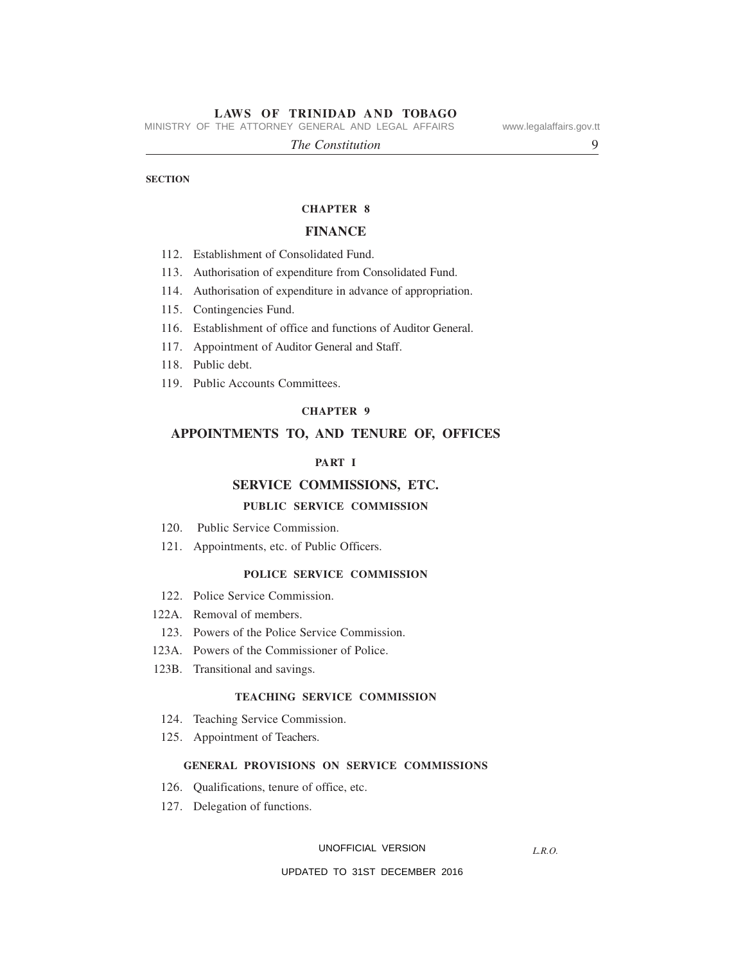MINISTRY OF THE ATTORNEY GENERAL AND LEGAL AFFAIRS www.legalaffairs.gov.tt

*The Constitution* 9

#### **SECTION**

# **CHAPTER 8**

#### **FINANCE**

- 112. Establishment of Consolidated Fund.
- 113. Authorisation of expenditure from Consolidated Fund.
- 114. Authorisation of expenditure in advance of appropriation.
- 115. Contingencies Fund.
- 116. Establishment of office and functions of Auditor General.
- 117. Appointment of Auditor General and Staff.
- 118. Public debt.
- 119. Public Accounts Committees.

#### **CHAPTER 9**

# **APPOINTMENTS TO, AND TENURE OF, OFFICES**

#### **PART I**

#### **SERVICE COMMISSIONS, ETC.**

## **PUBLIC SERVICE COMMISSION**

- 120. Public Service Commission.
- 121. Appointments, etc. of Public Officers.

#### **POLICE SERVICE COMMISSION**

- 122. Police Service Commission.
- 122A. Removal of members.
	- 123. Powers of the Police Service Commission.
- 123A. Powers of the Commissioner of Police.
- 123B. Transitional and savings.

#### **TEACHING SERVICE COMMISSION**

- 124. Teaching Service Commission.
- 125. Appointment of Teachers.

#### **GENERAL PROVISIONS ON SERVICE COMMISSIONS**

- 126. Qualifications, tenure of office, etc.
- 127. Delegation of functions.

#### UNOFFICIAL VERSION

*L.R.O.*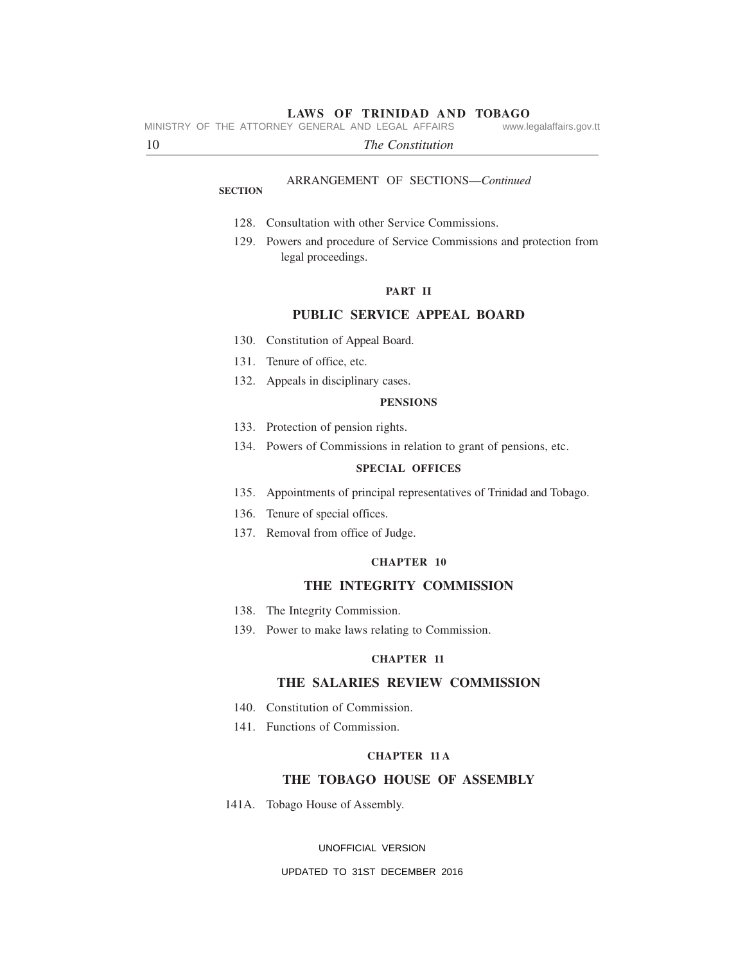MINISTRY OF THE ATTORNEY GENERAL AND LEGAL AFFAIRS www.legalaffairs.gov.tt

| 10             | <i>The Constitution</i>           |  |  |  |  |  |  |
|----------------|-----------------------------------|--|--|--|--|--|--|
| <b>SECTION</b> | ARRANGEMENT OF SECTIONS-Continued |  |  |  |  |  |  |

- 128. Consultation with other Service Commissions.
- 129. Powers and procedure of Service Commissions and protection from legal proceedings.

#### **PART II**

## **PUBLIC SERVICE APPEAL BOARD**

- 130. Constitution of Appeal Board.
- 131. Tenure of office, etc.
- 132. Appeals in disciplinary cases.

## **PENSIONS**

- 133. Protection of pension rights.
- 134. Powers of Commissions in relation to grant of pensions, etc.

## **SPECIAL OFFICES**

- 135. Appointments of principal representatives of Trinidad and Tobago.
- 136. Tenure of special offices.
- 137. Removal from office of Judge.

#### **CHAPTER 10**

# **THE INTEGRITY COMMISSION**

- 138. The Integrity Commission.
- 139. Power to make laws relating to Commission.

#### **CHAPTER 11**

## **THE SALARIES REVIEW COMMISSION**

- 140. Constitution of Commission.
- 141. Functions of Commission.

## **CHAPTER 11 A**

#### **THE TOBAGO HOUSE OF ASSEMBLY**

141A. Tobago House of Assembly.

#### UNOFFICIAL VERSION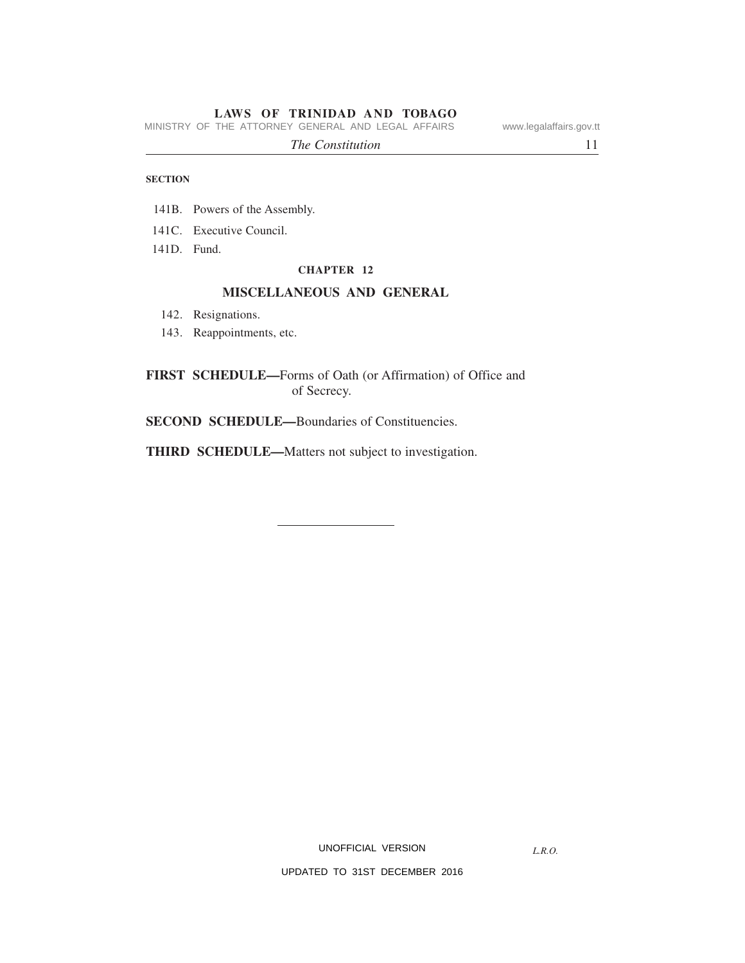MINISTRY OF THE ATTORNEY GENERAL AND LEGAL AFFAIRS www.legalaffairs.gov.tt

*The Constitution* 11

- 141B. Powers of the Assembly.
- 141C. Executive Council.
- 141D. Fund.

## **CHAPTER 12**

#### **MISCELLANEOUS AND GENERAL**

- 142. Resignations.
- 143. Reappointments, etc.

**FIRST SCHEDULE—**Forms of Oath (or Affirmation) of Office and of Secrecy.

**SECOND SCHEDULE—**Boundaries of Constituencies.

**THIRD SCHEDULE—**Matters not subject to investigation.

UNOFFICIAL VERSION

*L.R.O.*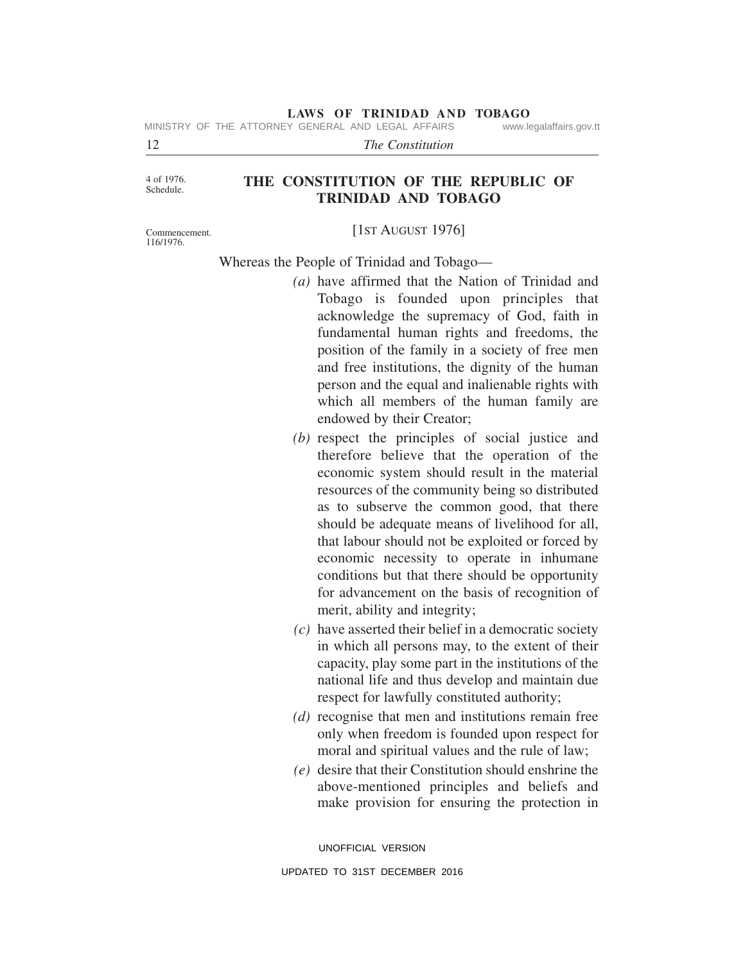# **LAWS OF TRINIDAD AND TOBAGO**<br>IY GENERAL AND LEGAL AFFAIRS www.legalaffairs.gov.tt

MINISTRY OF THE ATTORNEY GENERAL AND LEGAL AFFAIRS

4 of 1976. Schedule.

12 *The Constitution*

# **THE CONSTITUTION OF THE REPUBLIC OF TRINIDAD AND TOBAGO**

Commencement. 116/1976.

[1ST AUGUST 1976]

Whereas the People of Trinidad and Tobago—

- *(a)* have affirmed that the Nation of Trinidad and Tobago is founded upon principles that acknowledge the supremacy of God, faith in fundamental human rights and freedoms, the position of the family in a society of free men and free institutions, the dignity of the human person and the equal and inalienable rights with which all members of the human family are endowed by their Creator;
- *(b)* respect the principles of social justice and therefore believe that the operation of the economic system should result in the material resources of the community being so distributed as to subserve the common good, that there should be adequate means of livelihood for all, that labour should not be exploited or forced by economic necessity to operate in inhumane conditions but that there should be opportunity for advancement on the basis of recognition of merit, ability and integrity;
- *(c)* have asserted their belief in a democratic society in which all persons may, to the extent of their capacity, play some part in the institutions of the national life and thus develop and maintain due respect for lawfully constituted authority;
- *(d)* recognise that men and institutions remain free only when freedom is founded upon respect for moral and spiritual values and the rule of law;
- *(e)* desire that their Constitution should enshrine the above-mentioned principles and beliefs and make provision for ensuring the protection in

UNOFFICIAL VERSION UPDATED TO 31ST DECEMBER 2016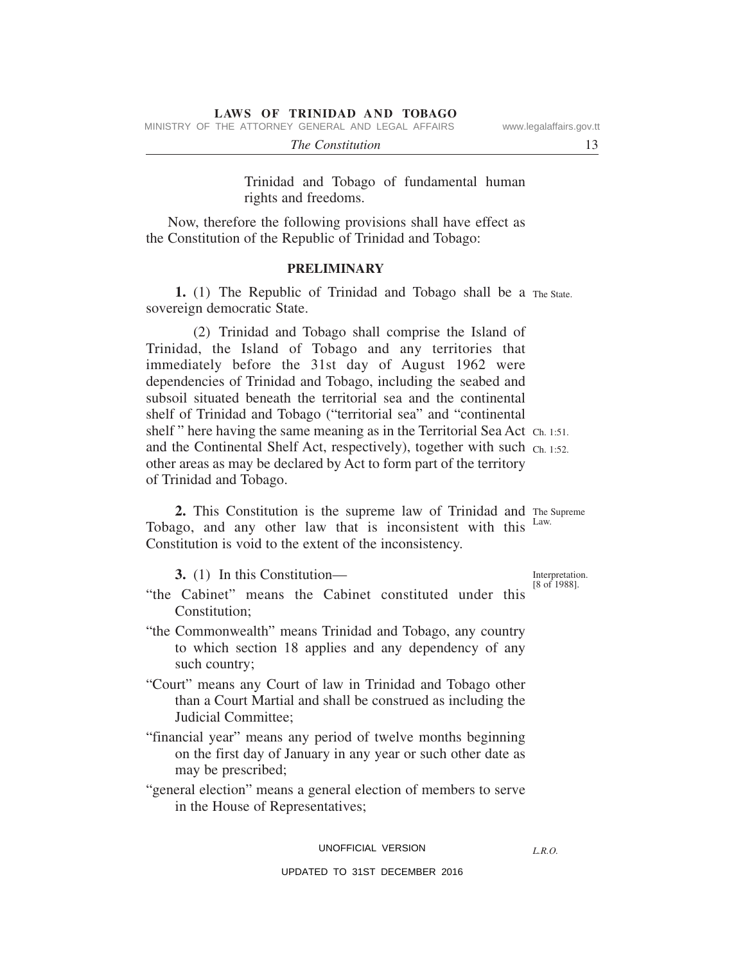MINISTRY OF THE ATTORNEY GENERAL AND LEGAL AFFAIRS www.legalaffairs.gov.tt

*The Constitution* 13

Trinidad and Tobago of fundamental human rights and freedoms.

Now, therefore the following provisions shall have effect as the Constitution of the Republic of Trinidad and Tobago:

## **PRELIMINARY**

1. (1) The Republic of Trinidad and Tobago shall be a The State. sovereign democratic State.

shelf" here having the same meaning as in the Territorial Sea Act Ch. 1:51. and the Continental Shelf Act, respectively), together with such Ch. 1:52. (2) Trinidad and Tobago shall comprise the Island of Trinidad, the Island of Tobago and any territories that immediately before the 31st day of August 1962 were dependencies of Trinidad and Tobago, including the seabed and subsoil situated beneath the territorial sea and the continental shelf of Trinidad and Tobago ("territorial sea" and "continental other areas as may be declared by Act to form part of the territory of Trinidad and Tobago.

2. This Constitution is the supreme law of Trinidad and The Supreme Law. Tobago, and any other law that is inconsistent with this Constitution is void to the extent of the inconsistency.

**3.** (1) In this Constitution—

Interpretation. [8 of 1988].

*L.R.O.* 

- "the Cabinet" means the Cabinet constituted under this Constitution:
- "the Commonwealth" means Trinidad and Tobago, any country to which section 18 applies and any dependency of any such country;
- "Court" means any Court of law in Trinidad and Tobago other than a Court Martial and shall be construed as including the Judicial Committee;
- "financial year" means any period of twelve months beginning on the first day of January in any year or such other date as may be prescribed;
- "general election" means a general election of members to serve in the House of Representatives;

#### UNOFFICIAL VERSION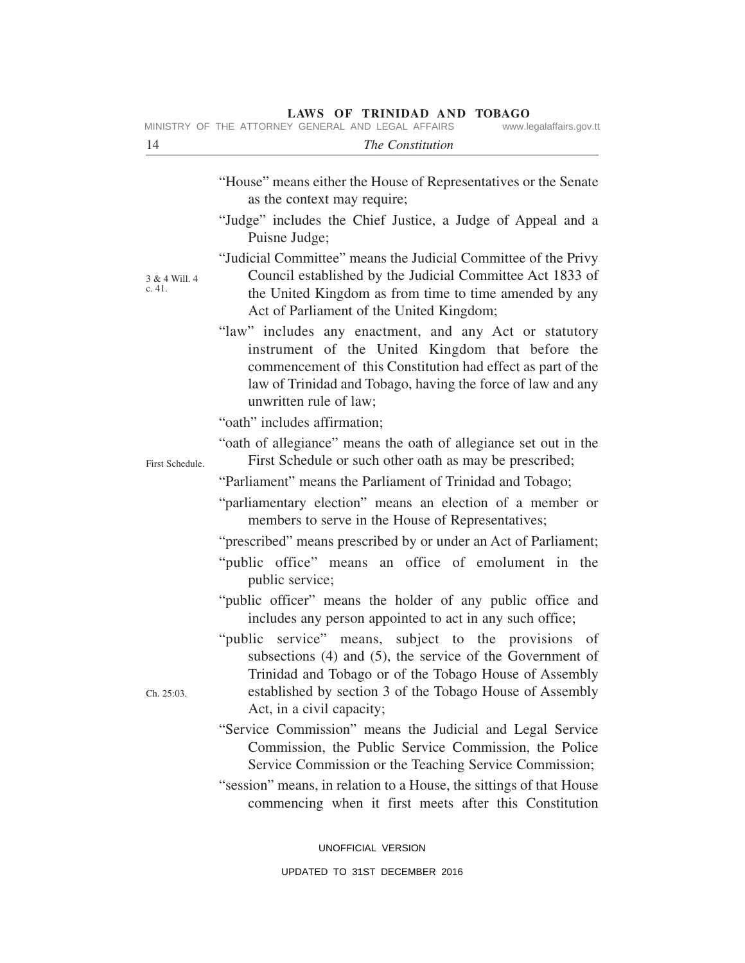MINISTRY OF THE ATTORNEY GENERAL AND LEGAL AFFAIRS www.legalaffairs.gov.tt

| 14                      | The Constitution                                                                                                                                                                                                                                                          |  |  |  |  |
|-------------------------|---------------------------------------------------------------------------------------------------------------------------------------------------------------------------------------------------------------------------------------------------------------------------|--|--|--|--|
|                         | "House" means either the House of Representatives or the Senate<br>as the context may require;                                                                                                                                                                            |  |  |  |  |
|                         | "Judge" includes the Chief Justice, a Judge of Appeal and a<br>Puisne Judge;                                                                                                                                                                                              |  |  |  |  |
| 3 & 4 Will. 4<br>c. 41. | "Judicial Committee" means the Judicial Committee of the Privy<br>Council established by the Judicial Committee Act 1833 of<br>the United Kingdom as from time to time amended by any<br>Act of Parliament of the United Kingdom;                                         |  |  |  |  |
|                         | "law" includes any enactment, and any Act or statutory<br>instrument of the United Kingdom that before the<br>commencement of this Constitution had effect as part of the<br>law of Trinidad and Tobago, having the force of law and any<br>unwritten rule of law;        |  |  |  |  |
|                         | "oath" includes affirmation;                                                                                                                                                                                                                                              |  |  |  |  |
| First Schedule.         | "oath of allegiance" means the oath of allegiance set out in the<br>First Schedule or such other oath as may be prescribed;                                                                                                                                               |  |  |  |  |
|                         | "Parliament" means the Parliament of Trinidad and Tobago;                                                                                                                                                                                                                 |  |  |  |  |
|                         | "parliamentary election" means an election of a member or<br>members to serve in the House of Representatives;                                                                                                                                                            |  |  |  |  |
|                         | "prescribed" means prescribed by or under an Act of Parliament;                                                                                                                                                                                                           |  |  |  |  |
|                         | "public office" means an office of emolument in the<br>public service;                                                                                                                                                                                                    |  |  |  |  |
|                         | "public officer" means the holder of any public office and<br>includes any person appointed to act in any such office;                                                                                                                                                    |  |  |  |  |
| Ch. 25:03.              | "public service" means, subject to the provisions of<br>subsections $(4)$ and $(5)$ , the service of the Government of<br>Trinidad and Tobago or of the Tobago House of Assembly<br>established by section 3 of the Tobago House of Assembly<br>Act, in a civil capacity; |  |  |  |  |
|                         | "Service Commission" means the Judicial and Legal Service<br>Commission, the Public Service Commission, the Police<br>Service Commission or the Teaching Service Commission;                                                                                              |  |  |  |  |
|                         | "session" means, in relation to a House, the sittings of that House<br>commencing when it first meets after this Constitution                                                                                                                                             |  |  |  |  |

UNOFFICIAL VERSION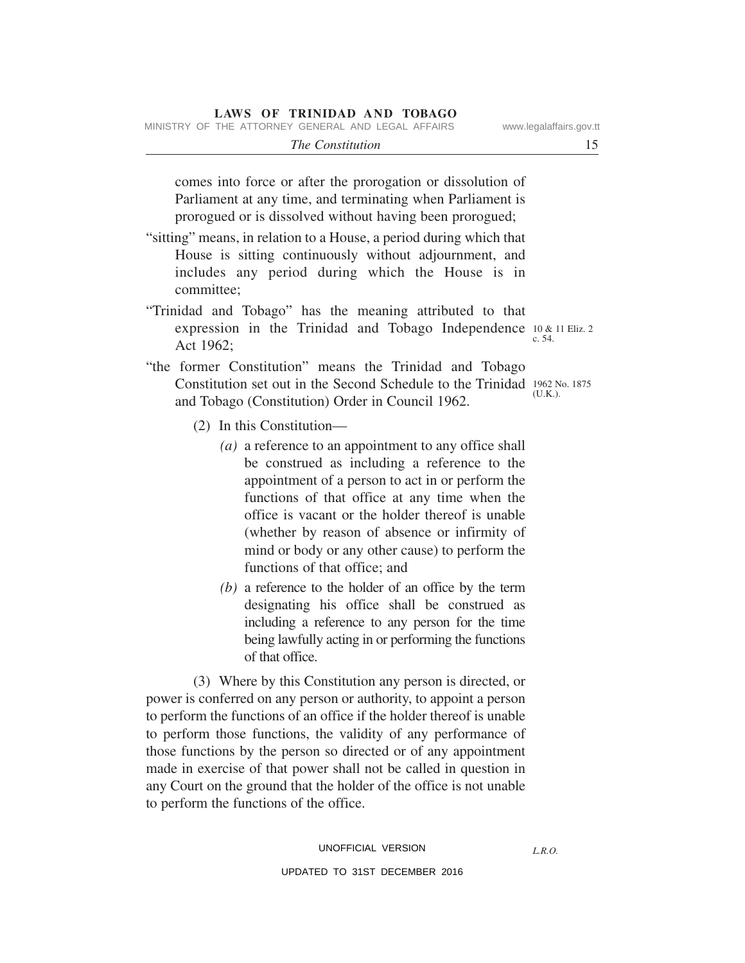MINISTRY OF THE ATTORNEY GENERAL AND LEGAL AFFAIRS www.legalaffairs.gov.tt

*The Constitution* 15

comes into force or after the prorogation or dissolution of Parliament at any time, and terminating when Parliament is prorogued or is dissolved without having been prorogued;

- "sitting" means, in relation to a House, a period during which that House is sitting continuously without adjournment, and includes any period during which the House is in committee;
- expression in the Trinidad and Tobago Independence 10 & 11 Eliz. 2 c. 54. "Trinidad and Tobago" has the meaning attributed to that Act 1962;
- Constitution set out in the Second Schedule to the Trinidad 1962 No. 1875 (U.K.). "the former Constitution" means the Trinidad and Tobago and Tobago (Constitution) Order in Council 1962.
	- (2) In this Constitution—
		- *(a)* a reference to an appointment to any office shall be construed as including a reference to the appointment of a person to act in or perform the functions of that office at any time when the office is vacant or the holder thereof is unable (whether by reason of absence or infirmity of mind or body or any other cause) to perform the functions of that office; and
		- *(b)* a reference to the holder of an office by the term designating his office shall be construed as including a reference to any person for the time being lawfully acting in or performing the functions of that office.

(3) Where by this Constitution any person is directed, or power is conferred on any person or authority, to appoint a person to perform the functions of an office if the holder thereof is unable to perform those functions, the validity of any performance of those functions by the person so directed or of any appointment made in exercise of that power shall not be called in question in any Court on the ground that the holder of the office is not unable to perform the functions of the office.

*L.R.O.*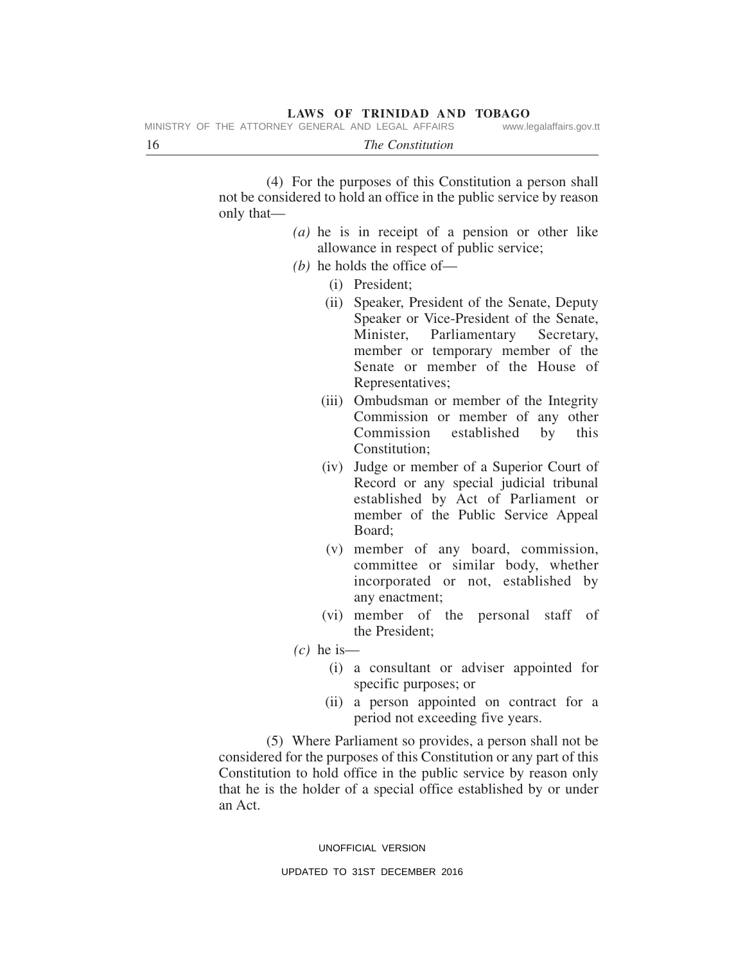MINISTRY OF THE ATTORNEY GENERAL AND LEGAL AFFAIRS www.legalaffairs.gov.tt

#### 16 *The Constitution*

(4) For the purposes of this Constitution a person shall not be considered to hold an office in the public service by reason only that—

- *(a)* he is in receipt of a pension or other like allowance in respect of public service;
- *(b)* he holds the office of—
	- (i) President;
	- (ii) Speaker, President of the Senate, Deputy Speaker or Vice-President of the Senate, Minister, Parliamentary Secretary, member or temporary member of the Senate or member of the House of Representatives;
	- (iii) Ombudsman or member of the Integrity Commission or member of any other Commission established by this Constitution;
	- (iv) Judge or member of a Superior Court of Record or any special judicial tribunal established by Act of Parliament or member of the Public Service Appeal Board;
	- (v) member of any board, commission, committee or similar body, whether incorporated or not, established by any enactment;
	- (vi) member of the personal staff of the President;
- *(c)* he is—
	- (i) a consultant or adviser appointed for specific purposes; or
	- (ii) a person appointed on contract for a period not exceeding five years.

(5) Where Parliament so provides, a person shall not be considered for the purposes of this Constitution or any part of this Constitution to hold office in the public service by reason only that he is the holder of a special office established by or under an Act.

#### UNOFFICIAL VERSION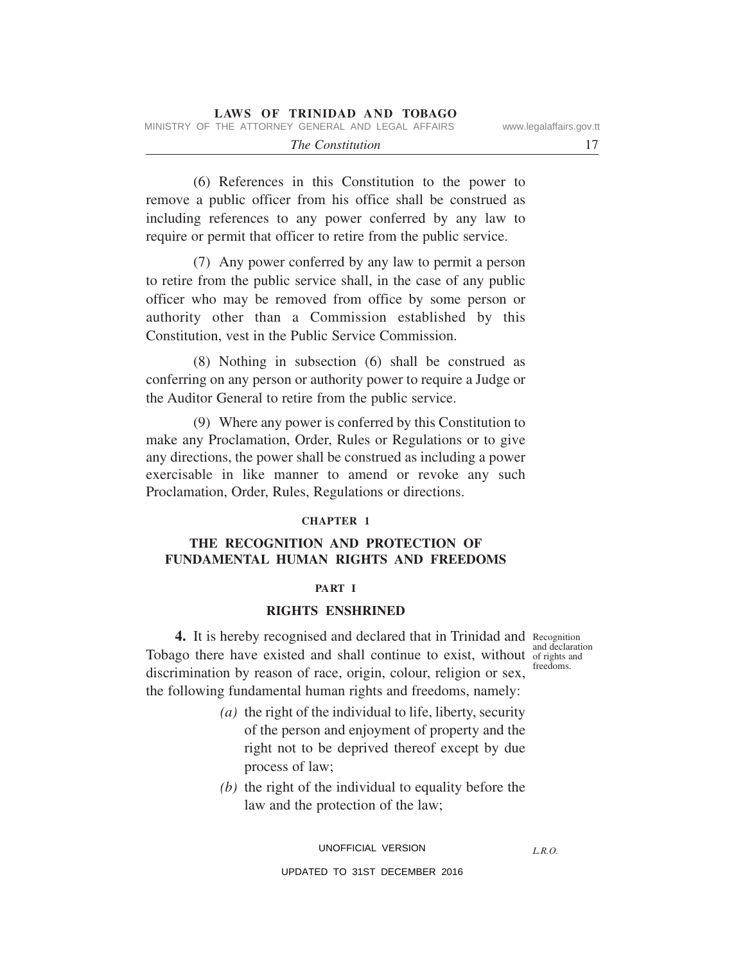MINISTRY OF THE ATTORNEY GENERAL AND LEGAL AFFAIRS www.legalaffairs.gov.tt

*The Constitution* 17

(6) References in this Constitution to the power to remove a public officer from his office shall be construed as including references to any power conferred by any law to require or permit that officer to retire from the public service.

(7) Any power conferred by any law to permit a person to retire from the public service shall, in the case of any public officer who may be removed from office by some person or authority other than a Commission established by this Constitution, vest in the Public Service Commission.

(8) Nothing in subsection (6) shall be construed as conferring on any person or authority power to require a Judge or the Auditor General to retire from the public service.

(9) Where any power is conferred by this Constitution to make any Proclamation, Order, Rules or Regulations or to give any directions, the power shall be construed as including a power exercisable in like manner to amend or revoke any such Proclamation, Order, Rules, Regulations or directions.

## **CHAPTER 1**

# **THE RECOGNITION AND PROTECTION OF FUNDAMENTAL HUMAN RIGHTS AND FREEDOMS**

## **PART I**

#### **RIGHTS ENSHRINED**

4. It is hereby recognised and declared that in Trinidad and Recognition Tobago there have existed and shall continue to exist, without of rights and discrimination by reason of race, origin, colour, religion or sex, the following fundamental human rights and freedoms, namely:

- and declaration freedoms.
- *(a)* the right of the individual to life, liberty, security of the person and enjoyment of property and the right not to be deprived thereof except by due process of law;
- *(b)* the right of the individual to equality before the law and the protection of the law;

UNOFFICIAL VERSION UPDATED TO 31ST DECEMBER 2016

*L.R.O.*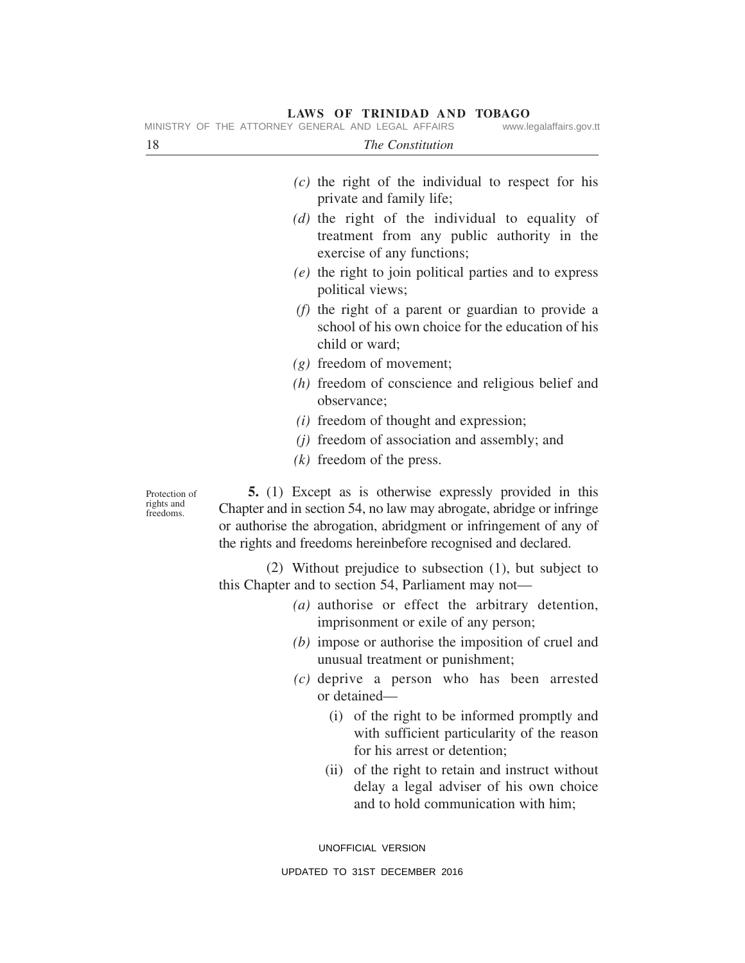| 18                                       | The Constitution                                                                                                                                                                                                                                                             |
|------------------------------------------|------------------------------------------------------------------------------------------------------------------------------------------------------------------------------------------------------------------------------------------------------------------------------|
|                                          | $(c)$ the right of the individual to respect for his<br>private and family life;                                                                                                                                                                                             |
|                                          | (d) the right of the individual to equality of<br>treatment from any public authority in the<br>exercise of any functions;                                                                                                                                                   |
|                                          | (e) the right to join political parties and to express<br>political views;                                                                                                                                                                                                   |
|                                          | (f) the right of a parent or guardian to provide a<br>school of his own choice for the education of his<br>child or ward;                                                                                                                                                    |
|                                          | $(g)$ freedom of movement;                                                                                                                                                                                                                                                   |
|                                          | $(h)$ freedom of conscience and religious belief and<br>observance;                                                                                                                                                                                                          |
|                                          | ( <i>i</i> ) freedom of thought and expression;                                                                                                                                                                                                                              |
|                                          | ( <i>i</i> ) freedom of association and assembly; and                                                                                                                                                                                                                        |
|                                          | $(k)$ freedom of the press.                                                                                                                                                                                                                                                  |
| Protection of<br>rights and<br>freedoms. | <b>5.</b> (1) Except as is otherwise expressly provided in this<br>Chapter and in section 54, no law may abrogate, abridge or infringe<br>or authorise the abrogation, abridgment or infringement of any of<br>the rights and freedoms hereinbefore recognised and declared. |
|                                          | (2) Without prejudice to subsection (1), but subject to<br>this Chapter and to section 54, Parliament may not-                                                                                                                                                               |
|                                          | (a) authorise or effect the arbitrary detention,<br>imprisonment or exile of any person;                                                                                                                                                                                     |
|                                          | $(b)$ impose or authorise the imposition of cruel and<br>unusual treatment or punishment;                                                                                                                                                                                    |

- *(c)* deprive a person who has been arrested or detained—
	- (i) of the right to be informed promptly and with sufficient particularity of the reason for his arrest or detention;
	- (ii) of the right to retain and instruct without delay a legal adviser of his own choice and to hold communication with him;

UNOFFICIAL VERSION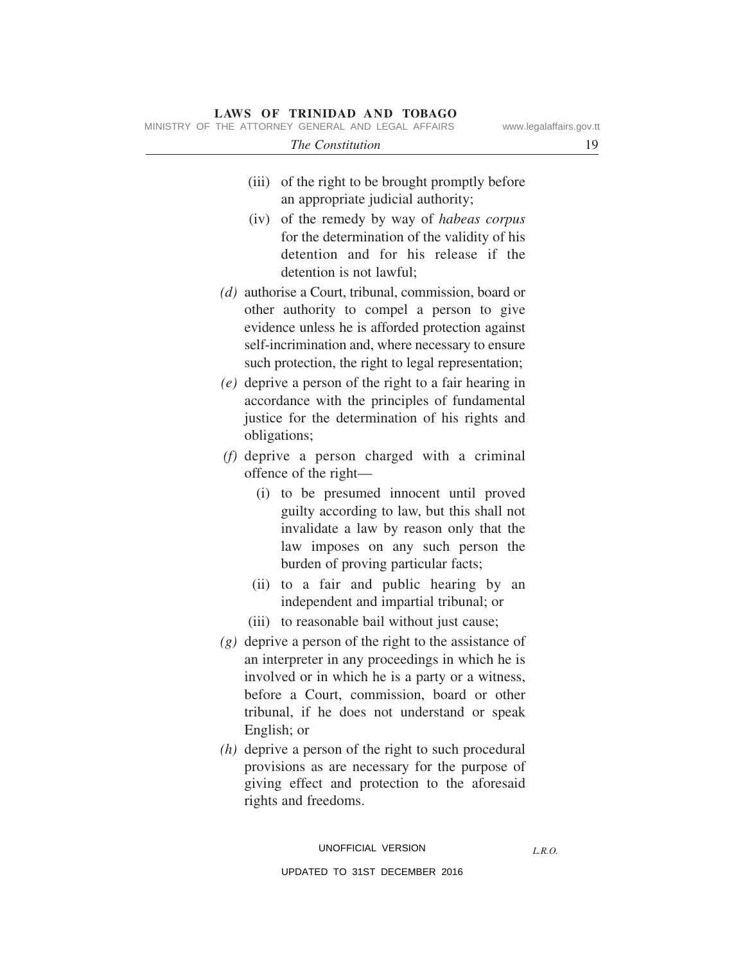| The Constitution                                                                                                                                                                                                                                                                                                                                                                                                                     | 19 |
|--------------------------------------------------------------------------------------------------------------------------------------------------------------------------------------------------------------------------------------------------------------------------------------------------------------------------------------------------------------------------------------------------------------------------------------|----|
| (iii) of the right to be brought promptly before<br>an appropriate judicial authority;<br>(iv) of the remedy by way of <i>habeas corpus</i><br>for the determination of the validity of his<br>detention and for his release if the<br>detention is not lawful;                                                                                                                                                                      |    |
| (d) authorise a Court, tribunal, commission, board or<br>other authority to compel a person to give<br>evidence unless he is afforded protection against<br>self-incrimination and, where necessary to ensure<br>such protection, the right to legal representation;<br>$(e)$ deprive a person of the right to a fair hearing in<br>accordance with the principles of fundamental<br>justice for the determination of his rights and |    |
| obligations;<br>(f) deprive a person charged with a criminal<br>offence of the right-<br>to be presumed innocent until proved<br>(i)<br>guilty according to law, but this shall not<br>invalidate a law by reason only that the<br>law imposes on any such person the<br>burden of proving particular facts;                                                                                                                         |    |
| to a fair and public hearing by an<br>(ii)<br>independent and impartial tribunal; or<br>(iii) to reasonable bail without just cause;<br>deprive a person of the right to the assistance of<br>(g)<br>an interpreter in any proceedings in which he is<br>involved or in which he is a party or a witness,<br>before a Court, commission, board or other<br>tribunal, if he does not understand or speak<br>English; or               |    |
| $(h)$ deprive a person of the right to such procedural<br>provisions as are necessary for the purpose of<br>giving effect and protection to the aforesaid<br>rights and freedoms.                                                                                                                                                                                                                                                    |    |

*L.R.O.*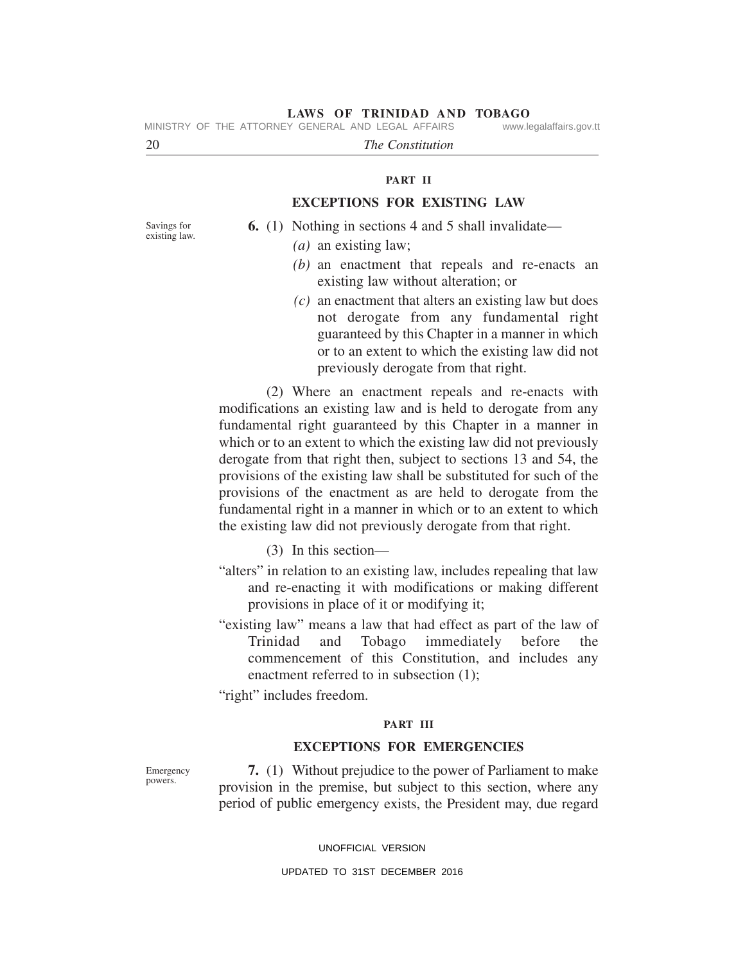MINISTRY OF THE ATTORNEY GENERAL AND LEGAL AFFAIRS www.legalaffairs.gov.tt

20 *The Constitution*

# **PART II**

## **EXCEPTIONS FOR EXISTING LAW**

Savings for existing law.

- **6.** (1) Nothing in sections 4 and 5 shall invalidate—
	- *(a)* an existing law;
	- *(b)* an enactment that repeals and re-enacts an existing law without alteration; or
	- *(c)* an enactment that alters an existing law but does not derogate from any fundamental right guaranteed by this Chapter in a manner in which or to an extent to which the existing law did not previously derogate from that right.

(2) Where an enactment repeals and re-enacts with modifications an existing law and is held to derogate from any fundamental right guaranteed by this Chapter in a manner in which or to an extent to which the existing law did not previously derogate from that right then, subject to sections 13 and 54, the provisions of the existing law shall be substituted for such of the provisions of the enactment as are held to derogate from the fundamental right in a manner in which or to an extent to which the existing law did not previously derogate from that right.

(3) In this section—

- "alters" in relation to an existing law, includes repealing that law and re-enacting it with modifications or making different provisions in place of it or modifying it;
- "existing law" means a law that had effect as part of the law of Trinidad and Tobago immediately before the commencement of this Constitution, and includes any enactment referred to in subsection (1);

"right" includes freedom.

#### **PART III**

# **EXCEPTIONS FOR EMERGENCIES**

Emergency powers.

**7.** (1) Without prejudice to the power of Parliament to make provision in the premise, but subject to this section, where any period of public emergency exists, the President may, due regard

UNOFFICIAL VERSION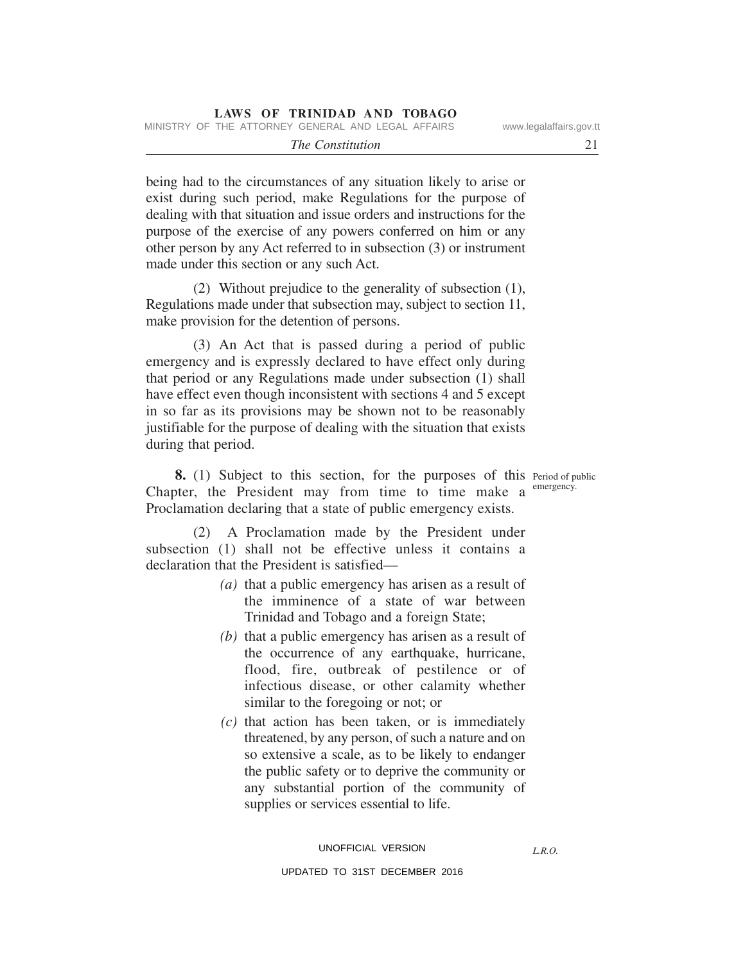MINISTRY OF THE ATTORNEY GENERAL AND LEGAL AFFAIRS www.legalaffairs.gov.tt

*The Constitution* 21

being had to the circumstances of any situation likely to arise or exist during such period, make Regulations for the purpose of dealing with that situation and issue orders and instructions for the purpose of the exercise of any powers conferred on him or any other person by any Act referred to in subsection (3) or instrument made under this section or any such Act.

(2) Without prejudice to the generality of subsection (1), Regulations made under that subsection may, subject to section 11, make provision for the detention of persons.

(3) An Act that is passed during a period of public emergency and is expressly declared to have effect only during that period or any Regulations made under subsection (1) shall have effect even though inconsistent with sections 4 and 5 except in so far as its provisions may be shown not to be reasonably justifiable for the purpose of dealing with the situation that exists during that period.

8. (1) Subject to this section, for the purposes of this Period of public Chapter, the President may from time to time make a emergency. Proclamation declaring that a state of public emergency exists.

(2) A Proclamation made by the President under subsection (1) shall not be effective unless it contains a declaration that the President is satisfied—

- *(a)* that a public emergency has arisen as a result of the imminence of a state of war between Trinidad and Tobago and a foreign State;
- *(b)* that a public emergency has arisen as a result of the occurrence of any earthquake, hurricane, flood, fire, outbreak of pestilence or of infectious disease, or other calamity whether similar to the foregoing or not; or
- *(c)* that action has been taken, or is immediately threatened, by any person, of such a nature and on so extensive a scale, as to be likely to endanger the public safety or to deprive the community or any substantial portion of the community of supplies or services essential to life.

UNOFFICIAL VERSION

UPDATED TO 31ST DECEMBER 2016

*L.R.O.*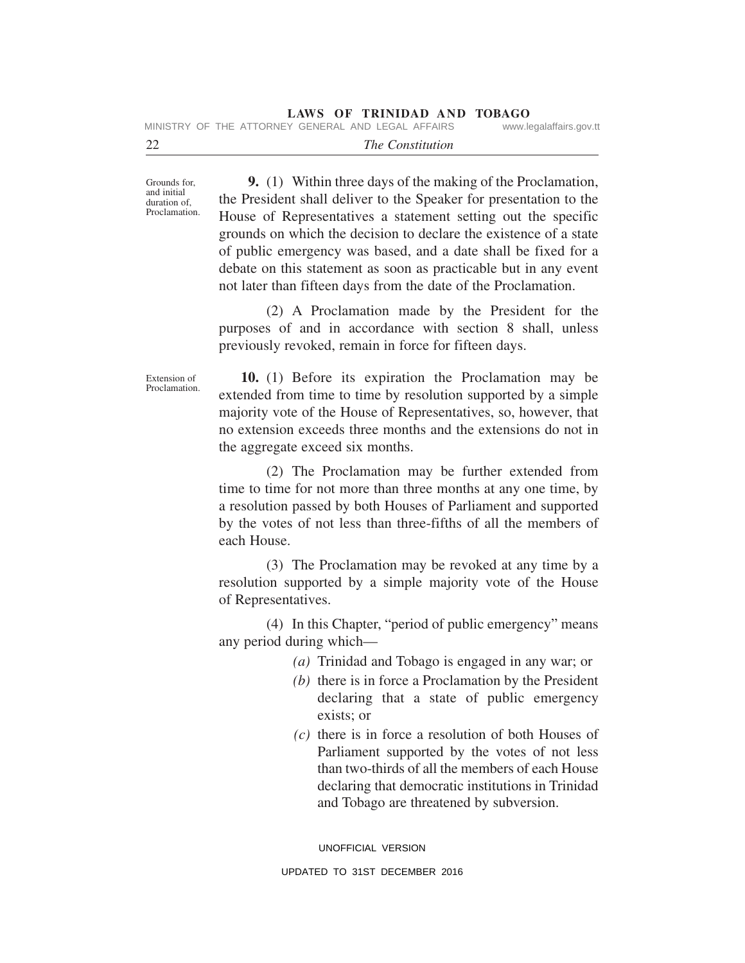MINISTRY OF THE ATTORNEY GENERAL AND LEGAL AFFAIRS www.legalaffairs.gov.tt

#### 22 *The Constitution*

Grounds for, and initial duration of, Proclamation.

**9.** (1) Within three days of the making of the Proclamation, the President shall deliver to the Speaker for presentation to the House of Representatives a statement setting out the specific grounds on which the decision to declare the existence of a state of public emergency was based, and a date shall be fixed for a debate on this statement as soon as practicable but in any event not later than fifteen days from the date of the Proclamation.

(2) A Proclamation made by the President for the purposes of and in accordance with section 8 shall, unless previously revoked, remain in force for fifteen days.

Extension of Proclamation.

**10.** (1) Before its expiration the Proclamation may be extended from time to time by resolution supported by a simple majority vote of the House of Representatives, so, however, that no extension exceeds three months and the extensions do not in the aggregate exceed six months.

(2) The Proclamation may be further extended from time to time for not more than three months at any one time, by a resolution passed by both Houses of Parliament and supported by the votes of not less than three-fifths of all the members of each House.

(3) The Proclamation may be revoked at any time by a resolution supported by a simple majority vote of the House of Representatives.

(4) In this Chapter, "period of public emergency" means any period during which—

*(a)* Trinidad and Tobago is engaged in any war; or

- *(b)* there is in force a Proclamation by the President declaring that a state of public emergency exists; or
- *(c)* there is in force a resolution of both Houses of Parliament supported by the votes of not less than two-thirds of all the members of each House declaring that democratic institutions in Trinidad and Tobago are threatened by subversion.

UNOFFICIAL VERSION UPDATED TO 31ST DECEMBER 2016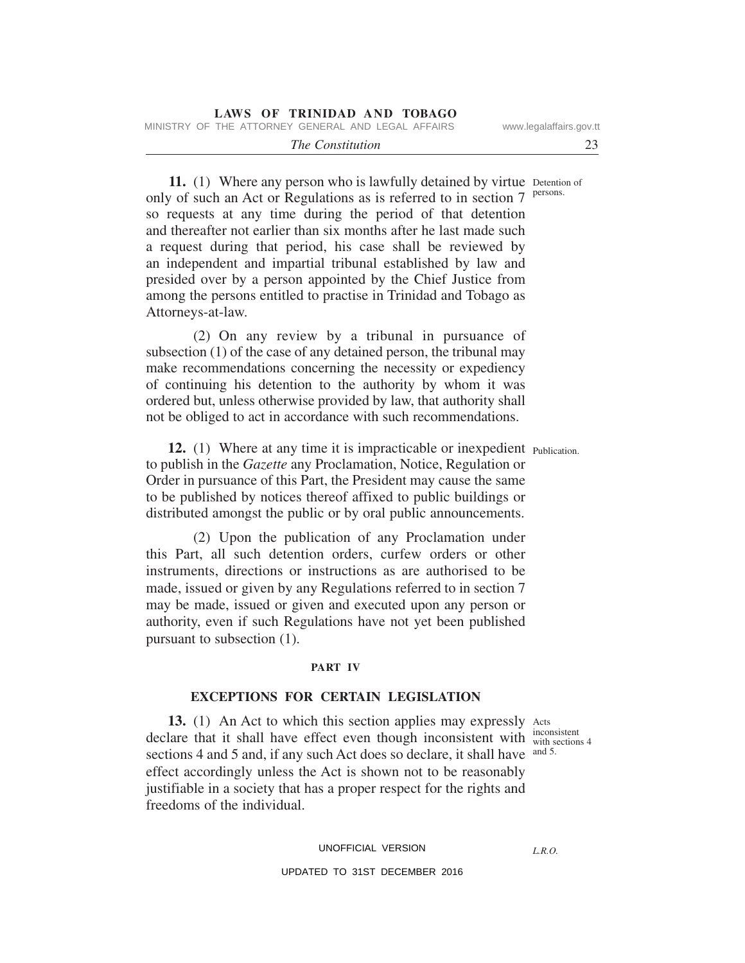MINISTRY OF THE ATTORNEY GENERAL AND LEGAL AFFAIRS www.legalaffairs.gov.tt

*The Constitution* 23

11. (1) Where any person who is lawfully detained by virtue Detention of only of such an Act or Regulations as is referred to in section 7 so requests at any time during the period of that detention and thereafter not earlier than six months after he last made such a request during that period, his case shall be reviewed by an independent and impartial tribunal established by law and presided over by a person appointed by the Chief Justice from among the persons entitled to practise in Trinidad and Tobago as Attorneys-at-law.

(2) On any review by a tribunal in pursuance of subsection (1) of the case of any detained person, the tribunal may make recommendations concerning the necessity or expediency of continuing his detention to the authority by whom it was ordered but, unless otherwise provided by law, that authority shall not be obliged to act in accordance with such recommendations.

12. (1) Where at any time it is impracticable or inexpedient Publication. to publish in the *Gazette* any Proclamation, Notice, Regulation or Order in pursuance of this Part, the President may cause the same to be published by notices thereof affixed to public buildings or distributed amongst the public or by oral public announcements.

(2) Upon the publication of any Proclamation under this Part, all such detention orders, curfew orders or other instruments, directions or instructions as are authorised to be made, issued or given by any Regulations referred to in section 7 may be made, issued or given and executed upon any person or authority, even if such Regulations have not yet been published pursuant to subsection (1).

#### **PART IV**

#### **EXCEPTIONS FOR CERTAIN LEGISLATION**

13. (1) An Act to which this section applies may expressly Acts declare that it shall have effect even though inconsistent with  $\frac{1}{1}$  with sections 4 sections 4 and 5 and, if any such Act does so declare, it shall have and 5. effect accordingly unless the Act is shown not to be reasonably justifiable in a society that has a proper respect for the rights and freedoms of the individual.

inconsistent

UNOFFICIAL VERSION

*L.R.O.*

UPDATED TO 31ST DECEMBER 2016

persons.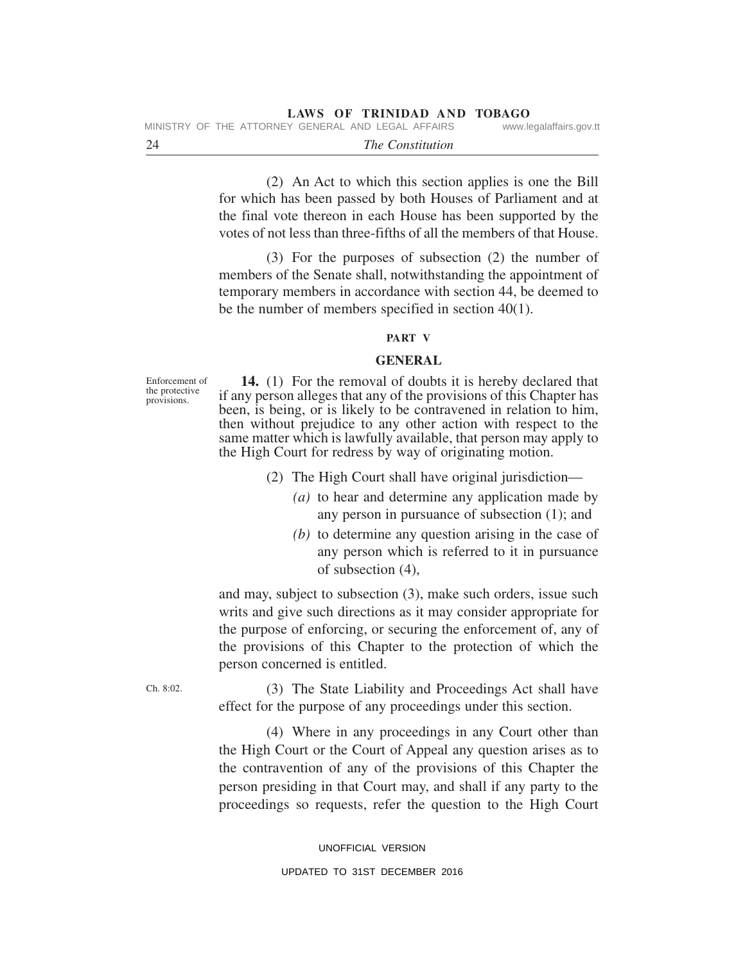MINISTRY OF THE ATTORNEY GENERAL AND LEGAL AFFAIRS www.legalaffairs.gov.tt

## 24 *The Constitution*

(2) An Act to which this section applies is one the Bill for which has been passed by both Houses of Parliament and at the final vote thereon in each House has been supported by the votes of not less than three-fifths of all the members of that House.

(3) For the purposes of subsection (2) the number of members of the Senate shall, notwithstanding the appointment of temporary members in accordance with section 44, be deemed to be the number of members specified in section 40(1).

#### **PART V**

# **GENERAL**

Enforcement of the protective provisions.

**14.** (1) For the removal of doubts it is hereby declared that if any person alleges that any of the provisions of this Chapter has been, is being, or is likely to be contravened in relation to him, then without prejudice to any other action with respect to the same matter which is lawfully available, that person may apply to the High Court for redress by way of originating motion.

- (2) The High Court shall have original jurisdiction—
	- *(a)* to hear and determine any application made by any person in pursuance of subsection (1); and
	- *(b)* to determine any question arising in the case of any person which is referred to it in pursuance of subsection (4),

and may, subject to subsection (3), make such orders, issue such writs and give such directions as it may consider appropriate for the purpose of enforcing, or securing the enforcement of, any of the provisions of this Chapter to the protection of which the person concerned is entitled.

Ch. 8:02.

(3) The State Liability and Proceedings Act shall have effect for the purpose of any proceedings under this section.

(4) Where in any proceedings in any Court other than the High Court or the Court of Appeal any question arises as to the contravention of any of the provisions of this Chapter the person presiding in that Court may, and shall if any party to the proceedings so requests, refer the question to the High Court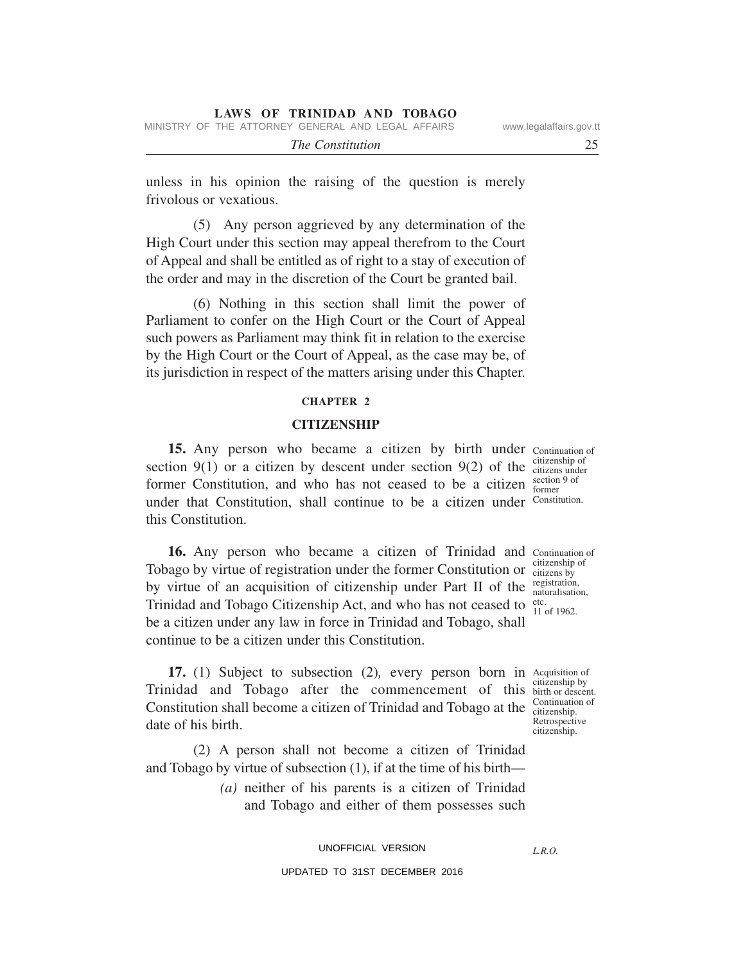MINISTRY OF THE ATTORNEY GENERAL AND LEGAL AFFAIRS www.legalaffairs.gov.tt

*The Constitution* 25

unless in his opinion the raising of the question is merely frivolous or vexatious.

(5) Any person aggrieved by any determination of the High Court under this section may appeal therefrom to the Court of Appeal and shall be entitled as of right to a stay of execution of the order and may in the discretion of the Court be granted bail.

(6) Nothing in this section shall limit the power of Parliament to confer on the High Court or the Court of Appeal such powers as Parliament may think fit in relation to the exercise by the High Court or the Court of Appeal, as the case may be, of its jurisdiction in respect of the matters arising under this Chapter.

## **CHAPTER 2**

#### **CITIZENSHIP**

15. Any person who became a citizen by birth under Continuation of section  $9(1)$  or a citizen by descent under section  $9(2)$  of the citizens under former Constitution, and who has not ceased to be a citizen section under that Constitution, shall continue to be a citizen under Constitution. this Constitution.

16. Any person who became a citizen of Trinidad and Continuation of Tobago by virtue of registration under the former Constitution or citizens by by virtue of an acquisition of citizenship under Part II of the  $\frac{regustration}{naturalisation}$ Trinidad and Tobago Citizenship Act, and who has not ceased to  $\frac{\text{etc.}}{11 \text{ of } 1962}$ . be a citizen under any law in force in Trinidad and Tobago, shall continue to be a citizen under this Constitution.

citizenship of section 9 of

citizenship of registration, etc.

17. (1) Subject to subsection (2), every person born in Acquisition of citizenship by Trinidad and Tobago after the commencement of this  $\frac{\text{t乐umers}}{\text{birth}}$  or descent. Continuation of Constitution shall become a citizen of Trinidad and Tobago at the Conunuality **Retrospective** citizenship. date of his birth.

(2) A person shall not become a citizen of Trinidad and Tobago by virtue of subsection (1), if at the time of his birth—

> *(a)* neither of his parents is a citizen of Trinidad and Tobago and either of them possesses such

> > UNOFFICIAL VERSION

*L.R.O.*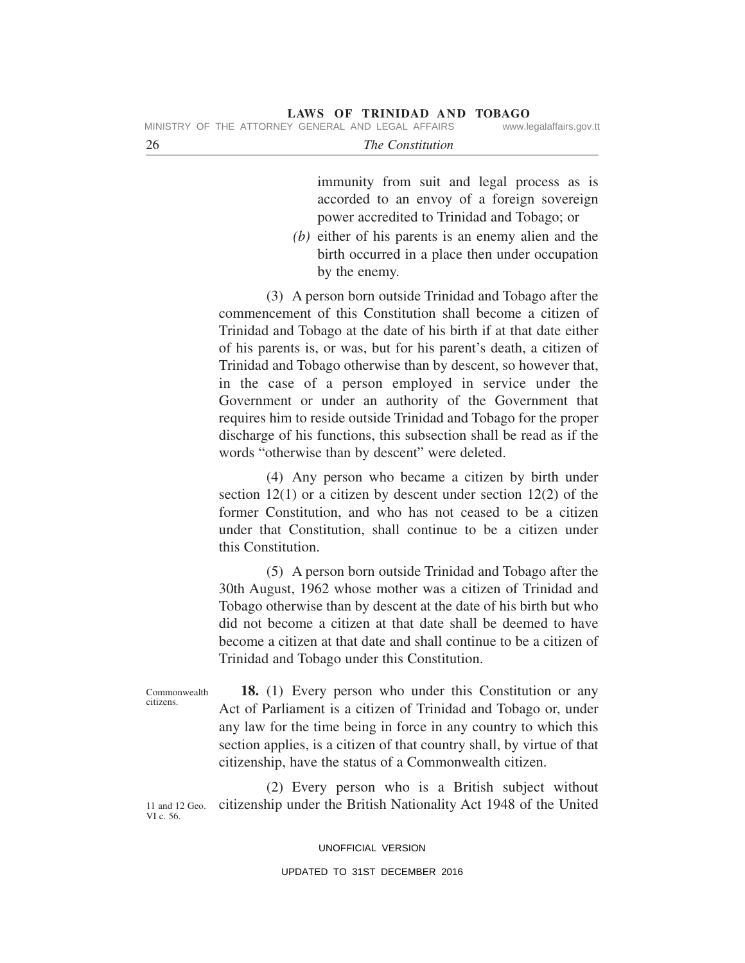MINISTRY OF THE ATTORNEY GENERAL AND LEGAL AFFAIRS www.legalaffairs.gov.tt

26 *The Constitution*

immunity from suit and legal process as is accorded to an envoy of a foreign sovereign power accredited to Trinidad and Tobago; or

*(b)* either of his parents is an enemy alien and the birth occurred in a place then under occupation by the enemy.

(3) A person born outside Trinidad and Tobago after the commencement of this Constitution shall become a citizen of Trinidad and Tobago at the date of his birth if at that date either of his parents is, or was, but for his parent's death, a citizen of Trinidad and Tobago otherwise than by descent, so however that, in the case of a person employed in service under the Government or under an authority of the Government that requires him to reside outside Trinidad and Tobago for the proper discharge of his functions, this subsection shall be read as if the words "otherwise than by descent" were deleted.

(4) Any person who became a citizen by birth under section 12(1) or a citizen by descent under section 12(2) of the former Constitution, and who has not ceased to be a citizen under that Constitution, shall continue to be a citizen under this Constitution.

(5) A person born outside Trinidad and Tobago after the 30th August, 1962 whose mother was a citizen of Trinidad and Tobago otherwise than by descent at the date of his birth but who did not become a citizen at that date shall be deemed to have become a citizen at that date and shall continue to be a citizen of Trinidad and Tobago under this Constitution.

Commonwealth citizens.

**18.** (1) Every person who under this Constitution or any Act of Parliament is a citizen of Trinidad and Tobago or, under any law for the time being in force in any country to which this section applies, is a citizen of that country shall, by virtue of that citizenship, have the status of a Commonwealth citizen.

11 and 12 Geo. VI c. 56. (2) Every person who is a British subject without citizenship under the British Nationality Act 1948 of the United

UNOFFICIAL VERSION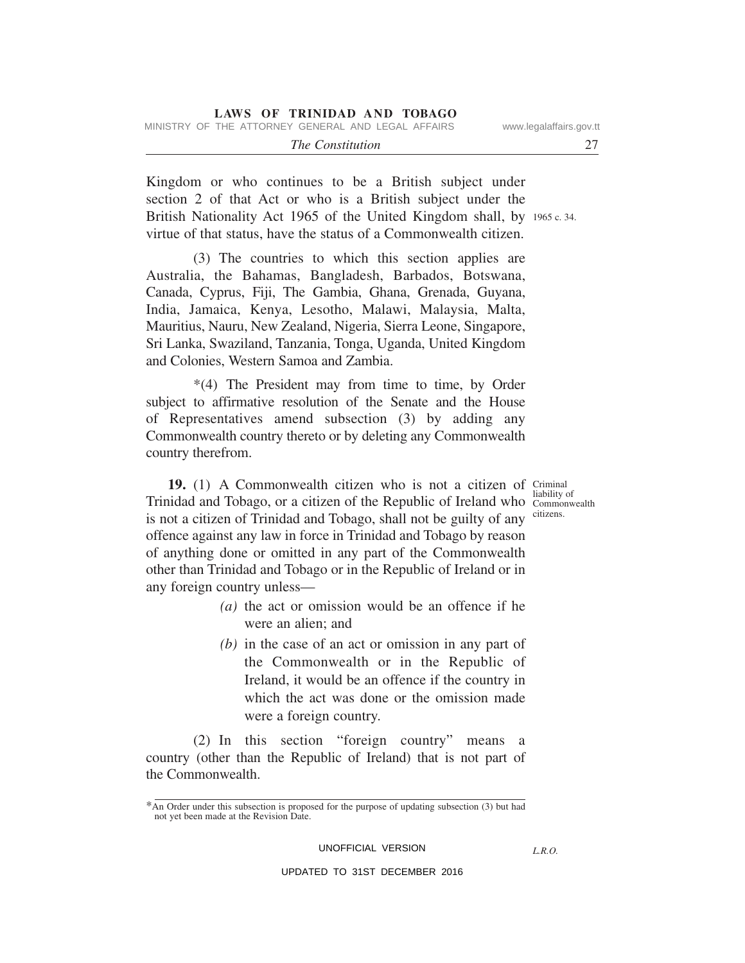MINISTRY OF THE ATTORNEY GENERAL AND LEGAL AFFAIRS www.legalaffairs.gov.tt

*The Constitution* 27

British Nationality Act 1965 of the United Kingdom shall, by 1965 c. 34. Kingdom or who continues to be a British subject under section 2 of that Act or who is a British subject under the virtue of that status, have the status of a Commonwealth citizen.

(3) The countries to which this section applies are Australia, the Bahamas, Bangladesh, Barbados, Botswana, Canada, Cyprus, Fiji, The Gambia, Ghana, Grenada, Guyana, India, Jamaica, Kenya, Lesotho, Malawi, Malaysia, Malta, Mauritius, Nauru, New Zealand, Nigeria, Sierra Leone, Singapore, Sri Lanka, Swaziland, Tanzania, Tonga, Uganda, United Kingdom and Colonies, Western Samoa and Zambia.

\*(4) The President may from time to time, by Order subject to affirmative resolution of the Senate and the House of Representatives amend subsection (3) by adding any Commonwealth country thereto or by deleting any Commonwealth country therefrom.

**19.** (1) A Commonwealth citizen who is not a citizen of Criminal Trinidad and Tobago, or a citizen of the Republic of Ireland who Commonwealth is not a citizen of Trinidad and Tobago, shall not be guilty of any offence against any law in force in Trinidad and Tobago by reason of anything done or omitted in any part of the Commonwealth other than Trinidad and Tobago or in the Republic of Ireland or in any foreign country unless—

- *(a)* the act or omission would be an offence if he were an alien; and
- *(b)* in the case of an act or omission in any part of the Commonwealth or in the Republic of Ireland, it would be an offence if the country in which the act was done or the omission made were a foreign country.

(2) In this section "foreign country" means a country (other than the Republic of Ireland) that is not part of the Commonwealth.

UNOFFICIAL VERSION

*L.R.O.*

liability of citizens.

<sup>\*</sup>An Order under this subsection is proposed for the purpose of updating subsection (3) but had not yet been made at the Revision Date.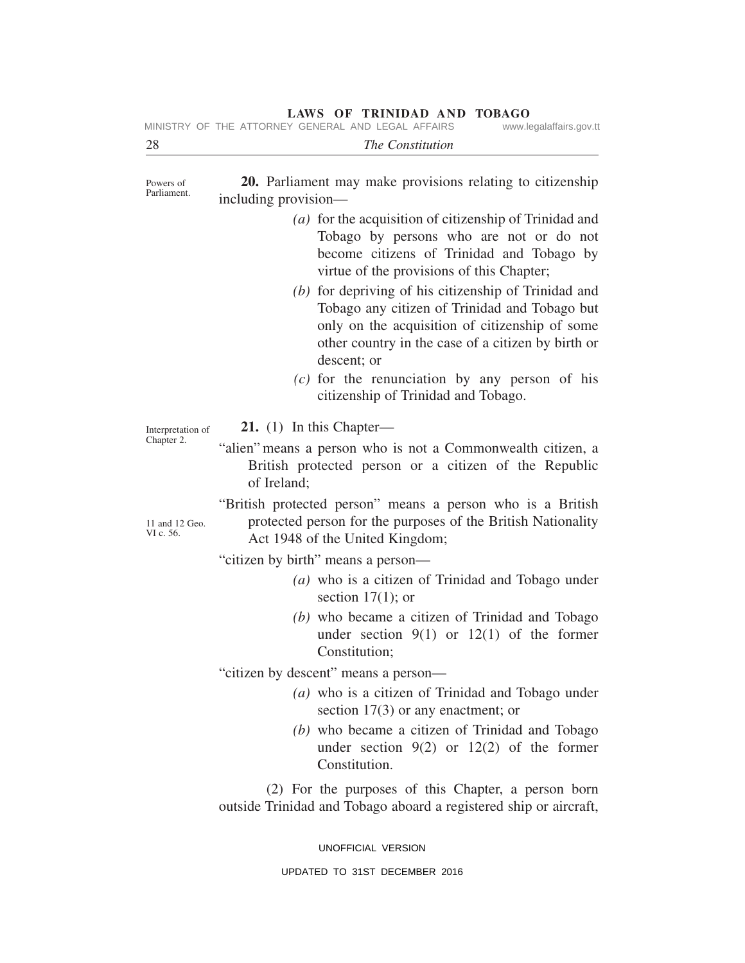|    | MINISTRY OF THE ATTORNEY GENERAL AND LEGAL AFFAIRS |  |                         | www.legalaffairs.gov.tt |
|----|----------------------------------------------------|--|-------------------------|-------------------------|
| 28 |                                                    |  | <i>The Constitution</i> |                         |

| Powers of<br>Parliament.    | <b>20.</b> Parliament may make provisions relating to citizenship<br>including provision—                                                                                                                                      |  |  |  |  |  |
|-----------------------------|--------------------------------------------------------------------------------------------------------------------------------------------------------------------------------------------------------------------------------|--|--|--|--|--|
|                             | (a) for the acquisition of citizenship of Trinidad and<br>Tobago by persons who are not or do not<br>become citizens of Trinidad and Tobago by<br>virtue of the provisions of this Chapter;                                    |  |  |  |  |  |
|                             | $(b)$ for depriving of his citizenship of Trinidad and<br>Tobago any citizen of Trinidad and Tobago but<br>only on the acquisition of citizenship of some<br>other country in the case of a citizen by birth or<br>descent; or |  |  |  |  |  |
|                             | $(c)$ for the renunciation by any person of his<br>citizenship of Trinidad and Tobago.                                                                                                                                         |  |  |  |  |  |
| Interpretation of           | <b>21.</b> (1) In this Chapter—                                                                                                                                                                                                |  |  |  |  |  |
| Chapter 2.                  | "alien" means a person who is not a Commonwealth citizen, a<br>British protected person or a citizen of the Republic<br>of Ireland;                                                                                            |  |  |  |  |  |
| 11 and 12 Geo.<br>VI c. 56. | "British protected person" means a person who is a British<br>protected person for the purposes of the British Nationality<br>Act 1948 of the United Kingdom;                                                                  |  |  |  |  |  |
|                             | "citizen by birth" means a person-                                                                                                                                                                                             |  |  |  |  |  |
|                             | $(a)$ who is a citizen of Trinidad and Tobago under<br>section $17(1)$ ; or                                                                                                                                                    |  |  |  |  |  |
|                             | (b) who became a citizen of Trinidad and Tobago<br>under section $9(1)$ or $12(1)$ of the former<br>Constitution;                                                                                                              |  |  |  |  |  |
|                             | "citizen by descent" means a person—                                                                                                                                                                                           |  |  |  |  |  |
|                             | $(a)$ who is a citizen of Trinidad and Tobago under<br>section $17(3)$ or any enactment; or                                                                                                                                    |  |  |  |  |  |
|                             | (b) who became a citizen of Trinidad and Tobago<br>under section $9(2)$ or $12(2)$ of the former<br>Constitution.                                                                                                              |  |  |  |  |  |
|                             | (2) For the purposes of this Chapter, a person born<br>outside Trinidad and Tobago aboard a registered ship or aircraft,                                                                                                       |  |  |  |  |  |

UNOFFICIAL VERSION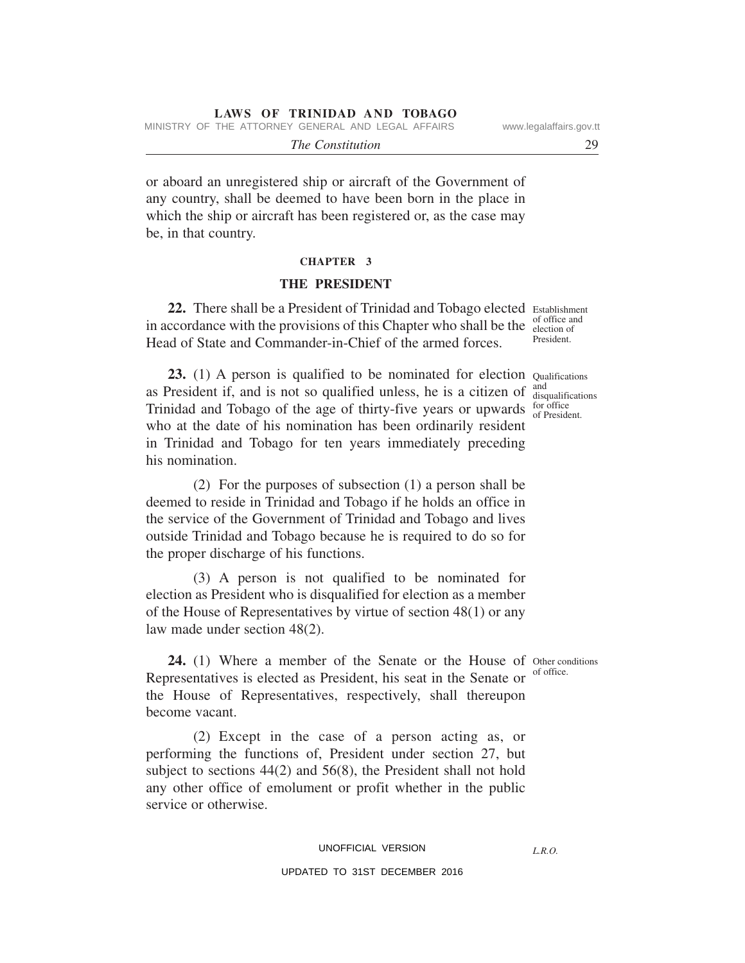MINISTRY OF THE ATTORNEY GENERAL AND LEGAL AFFAIRS www.legalaffairs.gov.tt

*The Constitution* 29

or aboard an unregistered ship or aircraft of the Government of any country, shall be deemed to have been born in the place in which the ship or aircraft has been registered or, as the case may be, in that country.

#### **CHAPTER 3**

#### **THE PRESIDENT**

22. There shall be a President of Trinidad and Tobago elected Establishment in accordance with the provisions of this Chapter who shall be the  $\frac{1}{\text{electron of}}$ Head of State and Commander-in-Chief of the armed forces.

23. (1) A person is qualified to be nominated for election Qualifications as President if, and is not so qualified unless, he is a citizen of and disqualifications Trinidad and Tobago of the age of thirty-five years or upwards  $\frac{\text{for office}}{\text{of President}}$ who at the date of his nomination has been ordinarily resident in Trinidad and Tobago for ten years immediately preceding his nomination.

(2) For the purposes of subsection (1) a person shall be deemed to reside in Trinidad and Tobago if he holds an office in the service of the Government of Trinidad and Tobago and lives outside Trinidad and Tobago because he is required to do so for the proper discharge of his functions.

(3) A person is not qualified to be nominated for election as President who is disqualified for election as a member of the House of Representatives by virtue of section 48(1) or any law made under section 48(2).

24. (1) Where a member of the Senate or the House of Other conditions Representatives is elected as President, his seat in the Senate or the House of Representatives, respectively, shall thereupon become vacant.

(2) Except in the case of a person acting as, or performing the functions of, President under section 27, but subject to sections 44(2) and 56(8), the President shall not hold any other office of emolument or profit whether in the public service or otherwise.

#### UNOFFICIAL VERSION

#### UPDATED TO 31ST DECEMBER 2016

of office and President.

for office

of office.

*L.R.O.*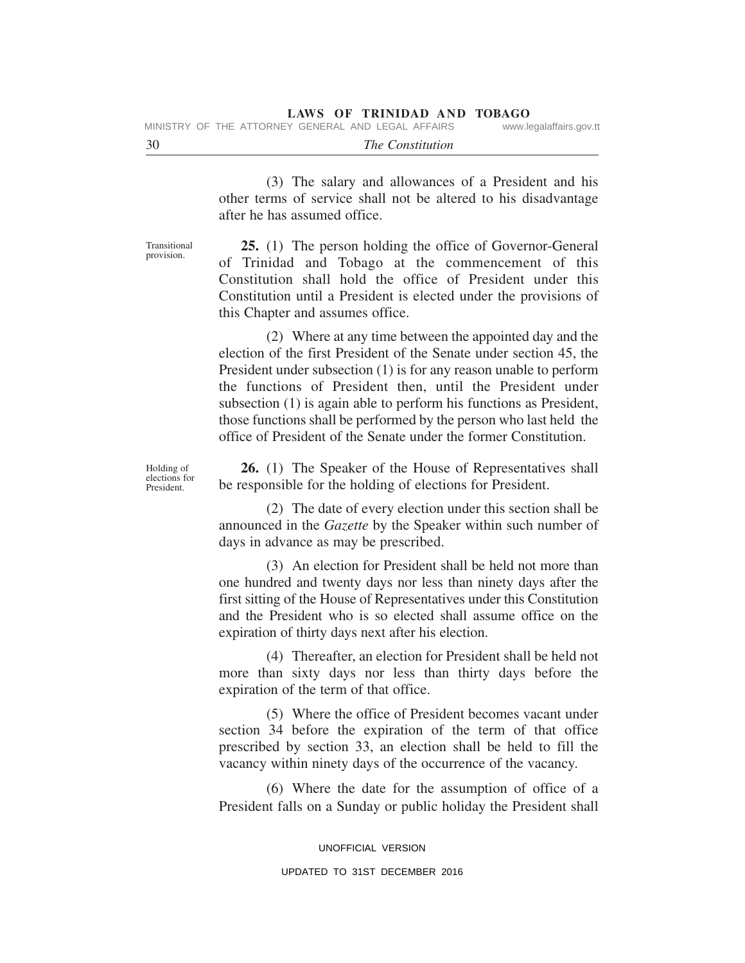MINISTRY OF THE ATTORNEY GENERAL AND LEGAL AFFAIRS www.legalaffairs.gov.tt

#### 30 *The Constitution*

(3) The salary and allowances of a President and his other terms of service shall not be altered to his disadvantage after he has assumed office.

Transitional provision.

**25.** (1) The person holding the office of Governor-General of Trinidad and Tobago at the commencement of this Constitution shall hold the office of President under this Constitution until a President is elected under the provisions of this Chapter and assumes office.

(2) Where at any time between the appointed day and the election of the first President of the Senate under section 45, the President under subsection (1) is for any reason unable to perform the functions of President then, until the President under subsection (1) is again able to perform his functions as President, those functions shall be performed by the person who last held the office of President of the Senate under the former Constitution.

Holding of elections for President.

**26.** (1) The Speaker of the House of Representatives shall be responsible for the holding of elections for President.

(2) The date of every election under this section shall be announced in the *Gazette* by the Speaker within such number of days in advance as may be prescribed.

(3) An election for President shall be held not more than one hundred and twenty days nor less than ninety days after the first sitting of the House of Representatives under this Constitution and the President who is so elected shall assume office on the expiration of thirty days next after his election.

(4) Thereafter, an election for President shall be held not more than sixty days nor less than thirty days before the expiration of the term of that office.

(5) Where the office of President becomes vacant under section 34 before the expiration of the term of that office prescribed by section 33, an election shall be held to fill the vacancy within ninety days of the occurrence of the vacancy.

(6) Where the date for the assumption of office of a President falls on a Sunday or public holiday the President shall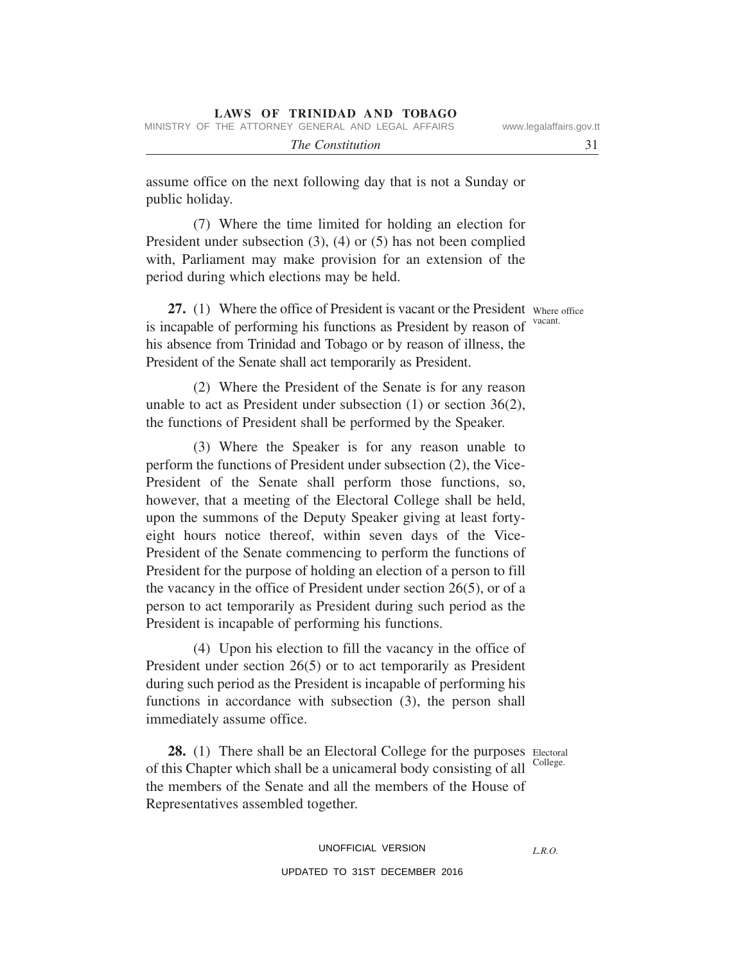MINISTRY OF THE ATTORNEY GENERAL AND LEGAL AFFAIRS www.legalaffairs.gov.tt

assume office on the next following day that is not a Sunday or public holiday.

(7) Where the time limited for holding an election for President under subsection (3), (4) or (5) has not been complied with, Parliament may make provision for an extension of the period during which elections may be held.

27. (1) Where the office of President is vacant or the President Where office is incapable of performing his functions as President by reason of his absence from Trinidad and Tobago or by reason of illness, the President of the Senate shall act temporarily as President.

(2) Where the President of the Senate is for any reason unable to act as President under subsection (1) or section 36(2), the functions of President shall be performed by the Speaker.

(3) Where the Speaker is for any reason unable to perform the functions of President under subsection (2), the Vice-President of the Senate shall perform those functions, so, however, that a meeting of the Electoral College shall be held, upon the summons of the Deputy Speaker giving at least fortyeight hours notice thereof, within seven days of the Vice-President of the Senate commencing to perform the functions of President for the purpose of holding an election of a person to fill the vacancy in the office of President under section 26(5), or of a person to act temporarily as President during such period as the President is incapable of performing his functions.

(4) Upon his election to fill the vacancy in the office of President under section 26(5) or to act temporarily as President during such period as the President is incapable of performing his functions in accordance with subsection (3), the person shall immediately assume office.

28. (1) There shall be an Electoral College for the purposes Electoral College. of this Chapter which shall be a unicameral body consisting of all the members of the Senate and all the members of the House of Representatives assembled together.

UNOFFICIAL VERSION

*L.R.O.*

UPDATED TO 31ST DECEMBER 2016

vacant.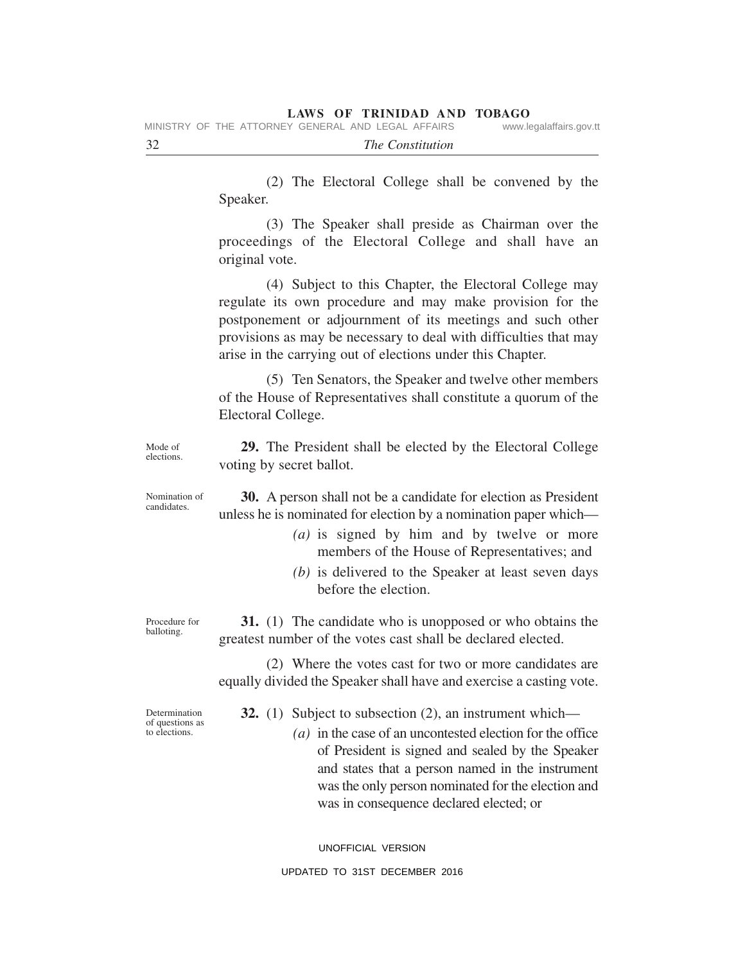MINISTRY OF THE ATTORNEY GENERAL AND LEGAL AFFAIRS www.legalaffairs.gov.tt

(2) The Electoral College shall be convened by the Speaker.

(3) The Speaker shall preside as Chairman over the proceedings of the Electoral College and shall have an original vote.

(4) Subject to this Chapter, the Electoral College may regulate its own procedure and may make provision for the postponement or adjournment of its meetings and such other provisions as may be necessary to deal with difficulties that may arise in the carrying out of elections under this Chapter.

(5) Ten Senators, the Speaker and twelve other members of the House of Representatives shall constitute a quorum of the Electoral College.

**29.** The President shall be elected by the Electoral College voting by secret ballot.

**30.** A person shall not be a candidate for election as President unless he is nominated for election by a nomination paper which—

- *(a)* is signed by him and by twelve or more members of the House of Representatives; and
- *(b)* is delivered to the Speaker at least seven days before the election.

**31.** (1) The candidate who is unopposed or who obtains the greatest number of the votes cast shall be declared elected.

(2) Where the votes cast for two or more candidates are equally divided the Speaker shall have and exercise a casting vote.

**32.** (1) Subject to subsection (2), an instrument which—

*(a)* in the case of an uncontested election for the office of President is signed and sealed by the Speaker and states that a person named in the instrument was the only person nominated for the election and was in consequence declared elected; or

UNOFFICIAL VERSION

Nomination of candidates.

Mode of elections.

Procedure for balloting.

Determination of questions as to elections.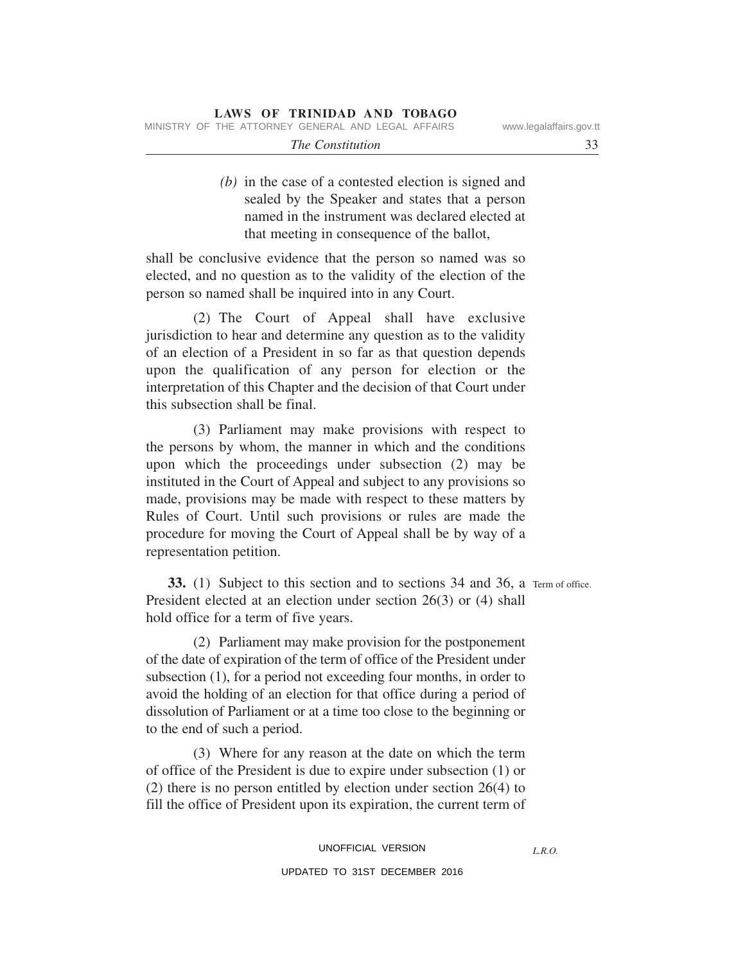MINISTRY OF THE ATTORNEY GENERAL AND LEGAL AFFAIRS www.legalaffairs.gov.tt

*(b)* in the case of a contested election is signed and sealed by the Speaker and states that a person named in the instrument was declared elected at that meeting in consequence of the ballot,

shall be conclusive evidence that the person so named was so elected, and no question as to the validity of the election of the person so named shall be inquired into in any Court.

(2) The Court of Appeal shall have exclusive jurisdiction to hear and determine any question as to the validity of an election of a President in so far as that question depends upon the qualification of any person for election or the interpretation of this Chapter and the decision of that Court under this subsection shall be final.

(3) Parliament may make provisions with respect to the persons by whom, the manner in which and the conditions upon which the proceedings under subsection (2) may be instituted in the Court of Appeal and subject to any provisions so made, provisions may be made with respect to these matters by Rules of Court. Until such provisions or rules are made the procedure for moving the Court of Appeal shall be by way of a representation petition.

33. (1) Subject to this section and to sections 34 and 36, a Term of office. President elected at an election under section 26(3) or (4) shall hold office for a term of five years.

(2) Parliament may make provision for the postponement of the date of expiration of the term of office of the President under subsection (1), for a period not exceeding four months, in order to avoid the holding of an election for that office during a period of dissolution of Parliament or at a time too close to the beginning or to the end of such a period.

(3) Where for any reason at the date on which the term of office of the President is due to expire under subsection (1) or (2) there is no person entitled by election under section 26(4) to fill the office of President upon its expiration, the current term of

*L.R.O.*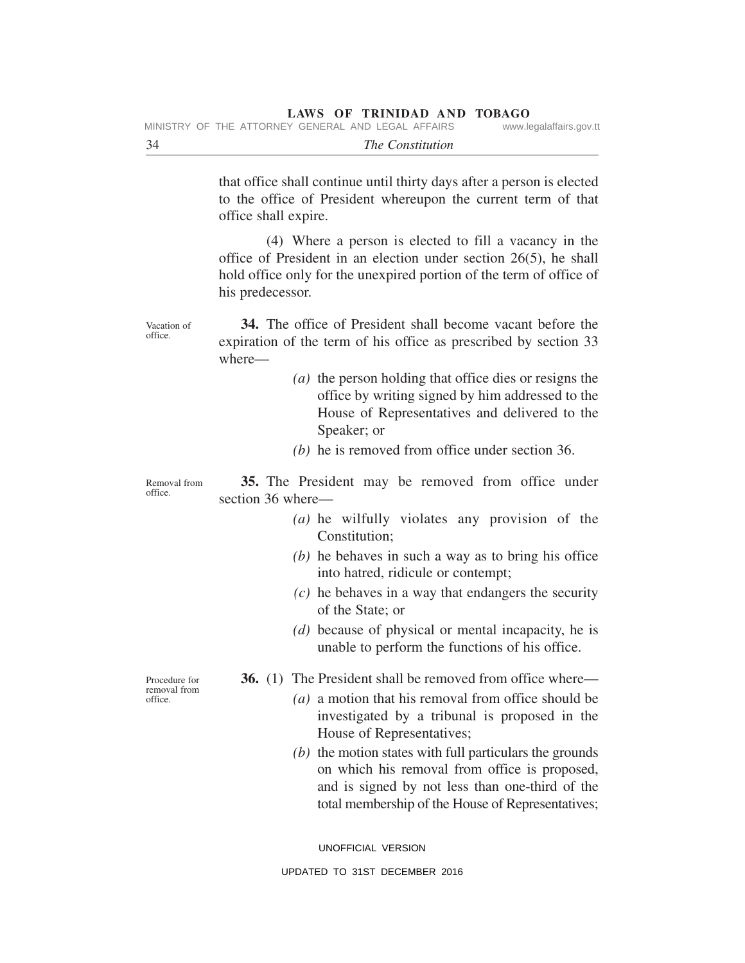**LAWS OF TRINIDAD AND TOBAGO**<br>IY GENERAL AND LEGAL AFFAIRS www.legalaffairs.gov.tt MINISTRY OF THE ATTORNEY GENERAL AND LEGAL AFFAIRS

| . . | <i>The</i><br>Constitution |
|-----|----------------------------|
|     |                            |

that office shall continue until thirty days after a person is elected to the office of President whereupon the current term of that office shall expire.

(4) Where a person is elected to fill a vacancy in the office of President in an election under section 26(5), he shall hold office only for the unexpired portion of the term of office of his predecessor.

Vacation of office. **34.** The office of President shall become vacant before the expiration of the term of his office as prescribed by section 33 where—

- *(a)* the person holding that office dies or resigns the office by writing signed by him addressed to the House of Representatives and delivered to the Speaker; or
- *(b)* he is removed from office under section 36.

Removal from office. **35.** The President may be removed from office under section 36 where—

- *(a)* he wilfully violates any provision of the Constitution;
- *(b)* he behaves in such a way as to bring his office into hatred, ridicule or contempt;
- *(c)* he behaves in a way that endangers the security of the State; or
- *(d)* because of physical or mental incapacity, he is unable to perform the functions of his office.

**36.** (1) The President shall be removed from office where—

- *(a)* a motion that his removal from office should be investigated by a tribunal is proposed in the House of Representatives;
- *(b)* the motion states with full particulars the grounds on which his removal from office is proposed, and is signed by not less than one-third of the total membership of the House of Representatives;

UNOFFICIAL VERSION

Procedure for removal from office.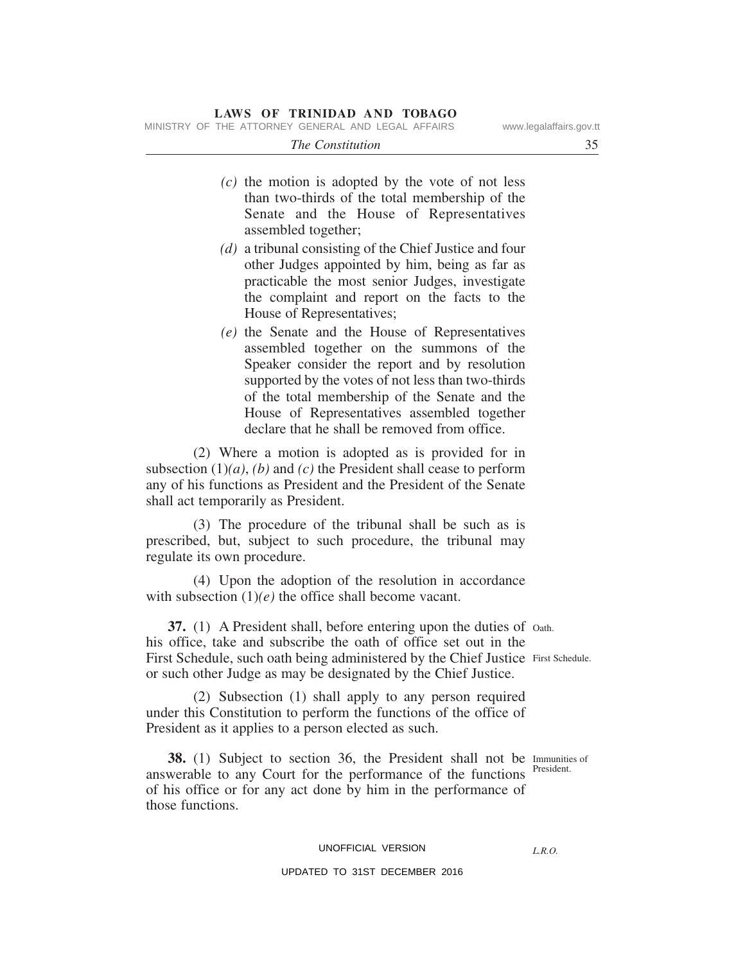MINISTRY OF THE ATTORNEY GENERAL AND LEGAL AFFAIRS www.legalaffairs.gov.tt

| The Constitution                                                                                                                                                                                                                                                                                                                                    | 35 |
|-----------------------------------------------------------------------------------------------------------------------------------------------------------------------------------------------------------------------------------------------------------------------------------------------------------------------------------------------------|----|
| $(c)$ the motion is adopted by the vote of not less<br>than two-thirds of the total membership of the<br>Senate and the House of Representatives<br>assembled together;                                                                                                                                                                             |    |
| $(d)$ a tribunal consisting of the Chief Justice and four<br>other Judges appointed by him, being as far as<br>practicable the most senior Judges, investigate<br>the complaint and report on the facts to the<br>House of Representatives;                                                                                                         |    |
| (e) the Senate and the House of Representatives<br>assembled together on the summons of the<br>Speaker consider the report and by resolution<br>supported by the votes of not less than two-thirds<br>of the total membership of the Senate and the<br>House of Representatives assembled together<br>declare that he shall be removed from office. |    |
| (2) Where a motion is adopted as is provided for in<br>subsection $(1)(a)$ , $(b)$ and $(c)$ the President shall cease to perform<br>any of his functions as President and the President of the Senate<br>shall act temporarily as President.                                                                                                       |    |
| (3) The procedure of the tribunal shall be such as is<br>prescribed, but, subject to such procedure, the tribunal may<br>regulate its own procedure.                                                                                                                                                                                                |    |
| (4) Upon the adoption of the resolution in accordance<br>with subsection $(1)(e)$ the office shall become vacant.                                                                                                                                                                                                                                   |    |

37. (1) A President shall, before entering upon the duties of Oath. First Schedule, such oath being administered by the Chief Justice First Schedule. his office, take and subscribe the oath of office set out in the or such other Judge as may be designated by the Chief Justice.

(2) Subsection (1) shall apply to any person required under this Constitution to perform the functions of the office of President as it applies to a person elected as such.

38. (1) Subject to section 36, the President shall not be Immunities of answerable to any Court for the performance of the functions President. of his office or for any act done by him in the performance of those functions.

## UNOFFICIAL VERSION

## UPDATED TO 31ST DECEMBER 2016

*L.R.O.*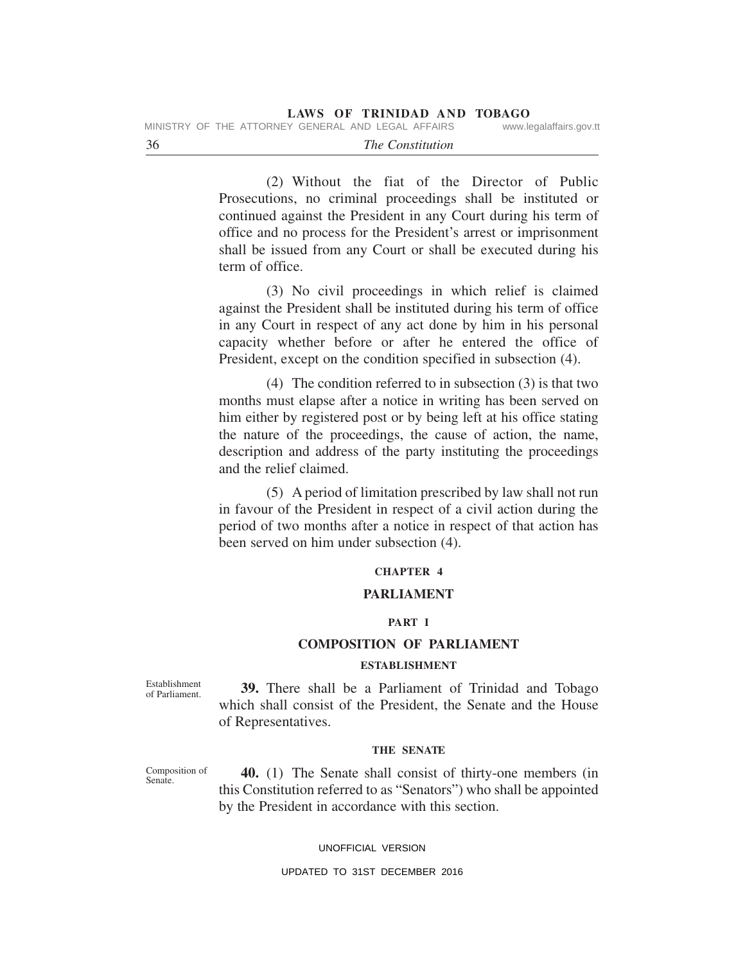MINISTRY OF THE ATTORNEY GENERAL AND LEGAL AFFAIRS www.legalaffairs.gov.tt

36 *The Constitution*

(2) Without the fiat of the Director of Public Prosecutions, no criminal proceedings shall be instituted or continued against the President in any Court during his term of office and no process for the President's arrest or imprisonment shall be issued from any Court or shall be executed during his term of office.

(3) No civil proceedings in which relief is claimed against the President shall be instituted during his term of office in any Court in respect of any act done by him in his personal capacity whether before or after he entered the office of President, except on the condition specified in subsection (4).

(4) The condition referred to in subsection (3) is that two months must elapse after a notice in writing has been served on him either by registered post or by being left at his office stating the nature of the proceedings, the cause of action, the name, description and address of the party instituting the proceedings and the relief claimed.

(5) A period of limitation prescribed by law shall not run in favour of the President in respect of a civil action during the period of two months after a notice in respect of that action has been served on him under subsection  $(4)$ .

## **CHAPTER 4**

#### **PARLIAMENT**

#### **PART I**

## **COMPOSITION OF PARLIAMENT**

#### **ESTABLISHMENT**

Establishment

**39.** There shall be a Parliament of Trinidad and Tobago which shall consist of the President, the Senate and the House of Representatives.

#### **THE SENATE**

**40.** (1) The Senate shall consist of thirty-one members (in this Constitution referred to as "Senators") who shall be appointed by the President in accordance with this section.

#### UNOFFICIAL VERSION

#### UPDATED TO 31ST DECEMBER 2016

of Parliament.

Composition of Senate.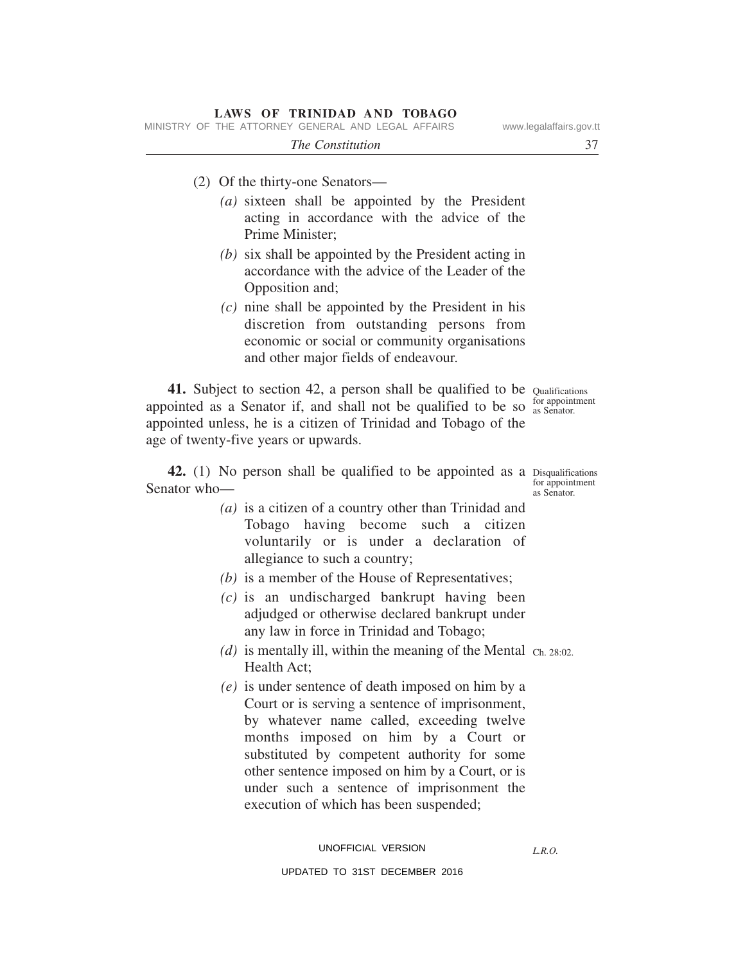- (2) Of the thirty-one Senators—
	- *(a)* sixteen shall be appointed by the President acting in accordance with the advice of the Prime Minister;
	- *(b)* six shall be appointed by the President acting in accordance with the advice of the Leader of the Opposition and;
	- *(c)* nine shall be appointed by the President in his discretion from outstanding persons from economic or social or community organisations and other major fields of endeavour.

41. Subject to section 42, a person shall be qualified to be Qualifications appointed as a Senator if, and shall not be qualified to be so  $\frac{\text{for } \text{append}}{\text{as } \text{Senator}}$ . appointed unless, he is a citizen of Trinidad and Tobago of the age of twenty-five years or upwards.

for appointment

42. (1) No person shall be qualified to be appointed as a Disqualifications Senator who—

- *(a)* is a citizen of a country other than Trinidad and Tobago having become such a citizen voluntarily or is under a declaration of allegiance to such a country;
- *(b)* is a member of the House of Representatives;
- *(c)* is an undischarged bankrupt having been adjudged or otherwise declared bankrupt under any law in force in Trinidad and Tobago;
- $(d)$  is mentally ill, within the meaning of the Mental  $\text{c}_h$ . 28:02. Health Act;
- *(e)* is under sentence of death imposed on him by a Court or is serving a sentence of imprisonment, by whatever name called, exceeding twelve months imposed on him by a Court or substituted by competent authority for some other sentence imposed on him by a Court, or is under such a sentence of imprisonment the execution of which has been suspended;

*L.R.O.*

for appointment as Senator.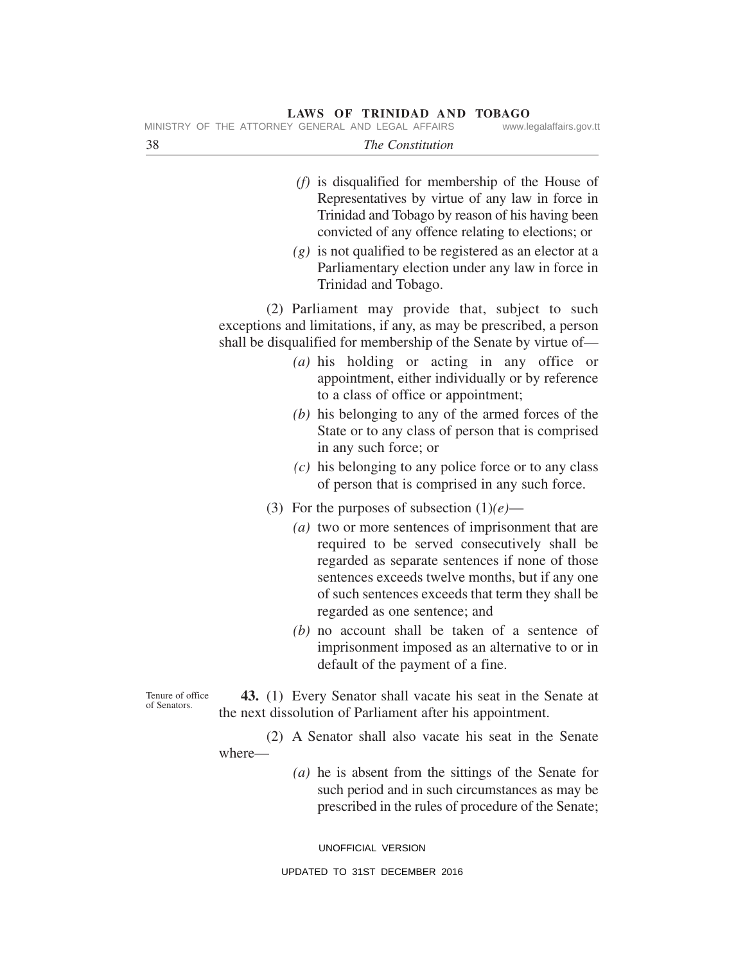| MINISTRY OF THE ATTORNEY GENERAL AND LEGAL AFFAIRS | www.legalaffairs.gov.tt |
|----------------------------------------------------|-------------------------|
|----------------------------------------------------|-------------------------|

| 38                               | The Constitution                                                                                                                                                                                                                                                                                                                                                                                                                                                            |
|----------------------------------|-----------------------------------------------------------------------------------------------------------------------------------------------------------------------------------------------------------------------------------------------------------------------------------------------------------------------------------------------------------------------------------------------------------------------------------------------------------------------------|
|                                  | $(f)$ is disqualified for membership of the House of<br>Representatives by virtue of any law in force in<br>Trinidad and Tobago by reason of his having been<br>convicted of any offence relating to elections; or<br>$(g)$ is not qualified to be registered as an elector at a<br>Parliamentary election under any law in force in<br>Trinidad and Tobago.                                                                                                                |
|                                  | (2) Parliament may provide that, subject to such<br>exceptions and limitations, if any, as may be prescribed, a person<br>shall be disqualified for membership of the Senate by virtue of—<br>$(a)$ his holding or acting in any office or<br>appointment, either individually or by reference<br>to a class of office or appointment;<br>(b) his belonging to any of the armed forces of the<br>State or to any class of person that is comprised<br>in any such force; or |
|                                  | $(c)$ his belonging to any police force or to any class<br>of person that is comprised in any such force.                                                                                                                                                                                                                                                                                                                                                                   |
|                                  | (3) For the purposes of subsection $(1)(e)$ —<br>(a) two or more sentences of imprisonment that are<br>required to be served consecutively shall be<br>regarded as separate sentences if none of those<br>sentences exceeds twelve months, but if any one<br>of such sentences exceeds that term they shall be<br>regarded as one sentence; and                                                                                                                             |
|                                  | $(b)$ no account shall be taken of a sentence of<br>imprisonment imposed as an alternative to or in<br>default of the payment of a fine.                                                                                                                                                                                                                                                                                                                                    |
| Tenure of office<br>of Senators. | 43. (1) Every Senator shall vacate his seat in the Senate at<br>the next dissolution of Parliament after his appointment.                                                                                                                                                                                                                                                                                                                                                   |
|                                  | (2) A Senator shall also vacate his seat in the Senate<br>where-                                                                                                                                                                                                                                                                                                                                                                                                            |
|                                  | $(a)$ he is absent from the sittings of the Senate for<br>such period and in such circumstances as may be<br>prescribed in the rules of procedure of the Senate;                                                                                                                                                                                                                                                                                                            |
|                                  | UNOFFICIAL VERSION                                                                                                                                                                                                                                                                                                                                                                                                                                                          |
|                                  | UPDATED TO 31ST DECEMBER 2016                                                                                                                                                                                                                                                                                                                                                                                                                                               |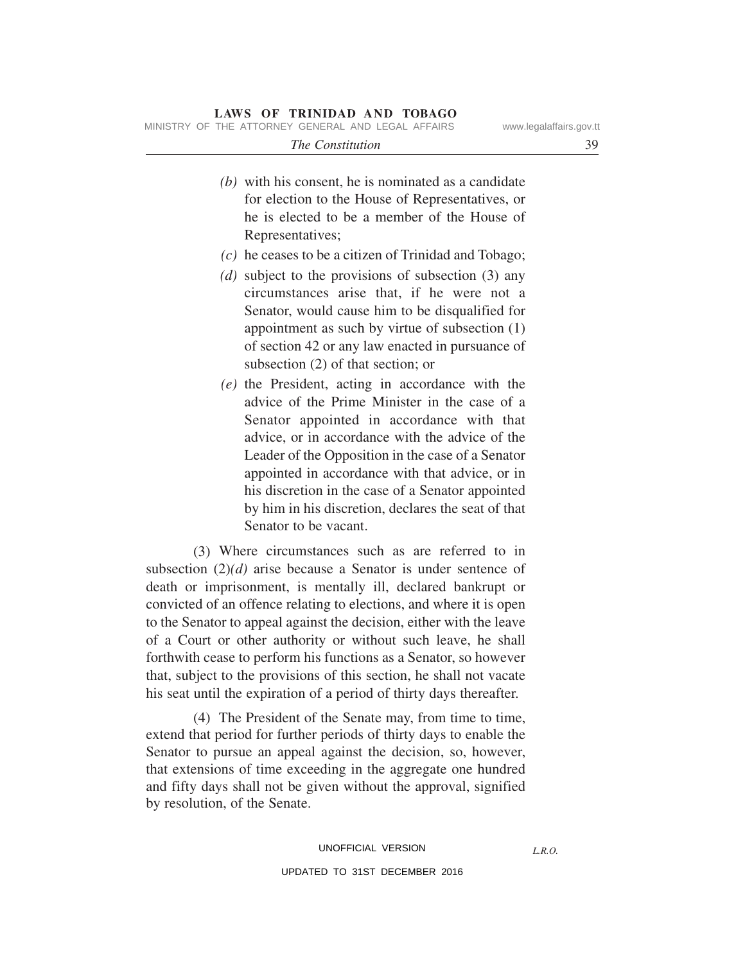| The Constitution                                                                                                                                                                                                                                                                                                                                                                                                      | 39 |
|-----------------------------------------------------------------------------------------------------------------------------------------------------------------------------------------------------------------------------------------------------------------------------------------------------------------------------------------------------------------------------------------------------------------------|----|
| $(b)$ with his consent, he is nominated as a candidate<br>for election to the House of Representatives, or<br>he is elected to be a member of the House of<br>Representatives;                                                                                                                                                                                                                                        |    |
| $(c)$ he ceases to be a citizen of Trinidad and Tobago;                                                                                                                                                                                                                                                                                                                                                               |    |
| (d) subject to the provisions of subsection $(3)$ any<br>circumstances arise that, if he were not a<br>Senator, would cause him to be disqualified for<br>appointment as such by virtue of subsection (1)<br>of section 42 or any law enacted in pursuance of<br>subsection (2) of that section; or                                                                                                                   |    |
| (e) the President, acting in accordance with the<br>advice of the Prime Minister in the case of a<br>Senator appointed in accordance with that<br>advice, or in accordance with the advice of the<br>Leader of the Opposition in the case of a Senator<br>appointed in accordance with that advice, or in<br>his discretion in the case of a Senator appointed<br>by him in his discretion, declares the seat of that |    |

(3) Where circumstances such as are referred to in subsection (2)*(d)* arise because a Senator is under sentence of death or imprisonment, is mentally ill, declared bankrupt or convicted of an offence relating to elections, and where it is open to the Senator to appeal against the decision, either with the leave of a Court or other authority or without such leave, he shall forthwith cease to perform his functions as a Senator, so however that, subject to the provisions of this section, he shall not vacate his seat until the expiration of a period of thirty days thereafter.

Senator to be vacant.

(4) The President of the Senate may, from time to time, extend that period for further periods of thirty days to enable the Senator to pursue an appeal against the decision, so, however, that extensions of time exceeding in the aggregate one hundred and fifty days shall not be given without the approval, signified by resolution, of the Senate.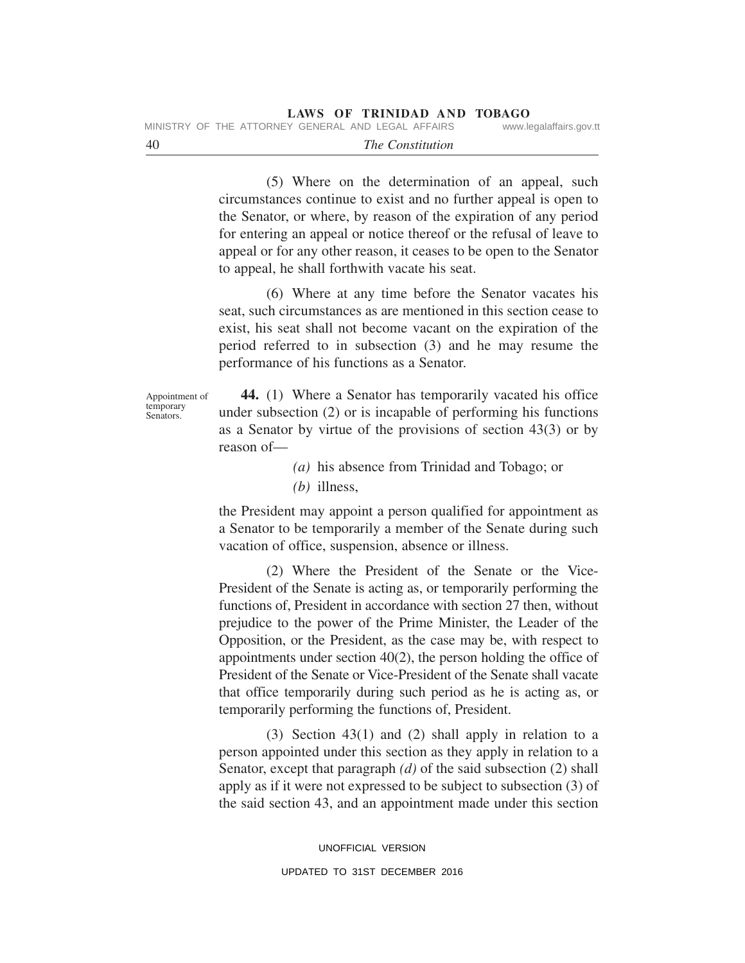MINISTRY OF THE ATTORNEY GENERAL AND LEGAL AFFAIRS www.legalaffairs.gov.tt

#### 40 *The Constitution*

(5) Where on the determination of an appeal, such circumstances continue to exist and no further appeal is open to the Senator, or where, by reason of the expiration of any period for entering an appeal or notice thereof or the refusal of leave to appeal or for any other reason, it ceases to be open to the Senator to appeal, he shall forthwith vacate his seat.

(6) Where at any time before the Senator vacates his seat, such circumstances as are mentioned in this section cease to exist, his seat shall not become vacant on the expiration of the period referred to in subsection (3) and he may resume the performance of his functions as a Senator.

Appointment of temporary **Senators**.

**44.** (1) Where a Senator has temporarily vacated his office under subsection (2) or is incapable of performing his functions as a Senator by virtue of the provisions of section 43(3) or by reason of—

- *(a)* his absence from Trinidad and Tobago; or
- *(b)* illness,

the President may appoint a person qualified for appointment as a Senator to be temporarily a member of the Senate during such vacation of office, suspension, absence or illness.

(2) Where the President of the Senate or the Vice-President of the Senate is acting as, or temporarily performing the functions of, President in accordance with section 27 then, without prejudice to the power of the Prime Minister, the Leader of the Opposition, or the President, as the case may be, with respect to appointments under section 40(2), the person holding the office of President of the Senate or Vice-President of the Senate shall vacate that office temporarily during such period as he is acting as, or temporarily performing the functions of, President.

(3) Section 43(1) and (2) shall apply in relation to a person appointed under this section as they apply in relation to a Senator, except that paragraph *(d)* of the said subsection (2) shall apply as if it were not expressed to be subject to subsection (3) of the said section 43, and an appointment made under this section

> UNOFFICIAL VERSION UPDATED TO 31ST DECEMBER 2016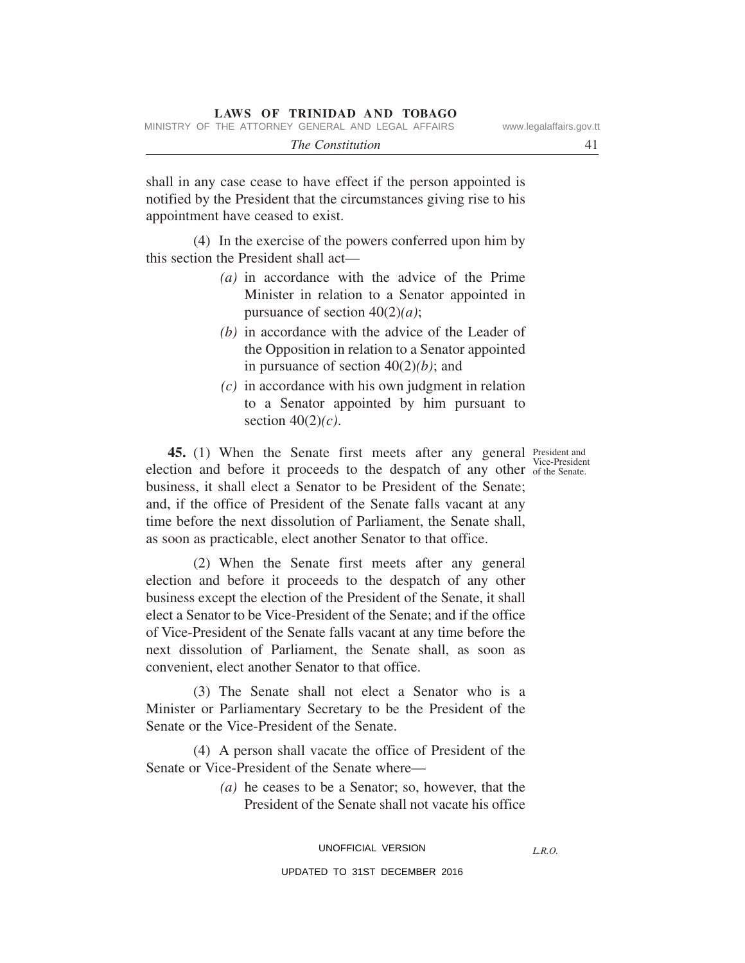*The Constitution* 41

shall in any case cease to have effect if the person appointed is notified by the President that the circumstances giving rise to his appointment have ceased to exist.

(4) In the exercise of the powers conferred upon him by this section the President shall act—

- *(a)* in accordance with the advice of the Prime Minister in relation to a Senator appointed in pursuance of section 40(2)*(a)*;
- *(b)* in accordance with the advice of the Leader of the Opposition in relation to a Senator appointed in pursuance of section 40(2)*(b)*; and
- *(c)* in accordance with his own judgment in relation to a Senator appointed by him pursuant to section 40(2)*(c)*.

**45.** (1) When the Senate first meets after any general President and election and before it proceeds to the despatch of any other  $\frac{1}{100}$  of the Senate. business, it shall elect a Senator to be President of the Senate; and, if the office of President of the Senate falls vacant at any time before the next dissolution of Parliament, the Senate shall, as soon as practicable, elect another Senator to that office.

(2) When the Senate first meets after any general election and before it proceeds to the despatch of any other business except the election of the President of the Senate, it shall elect a Senator to be Vice-President of the Senate; and if the office of Vice-President of the Senate falls vacant at any time before the next dissolution of Parliament, the Senate shall, as soon as convenient, elect another Senator to that office.

(3) The Senate shall not elect a Senator who is a Minister or Parliamentary Secretary to be the President of the Senate or the Vice-President of the Senate.

(4) A person shall vacate the office of President of the Senate or Vice-President of the Senate where—

> *(a)* he ceases to be a Senator; so, however, that the President of the Senate shall not vacate his office

Vice-President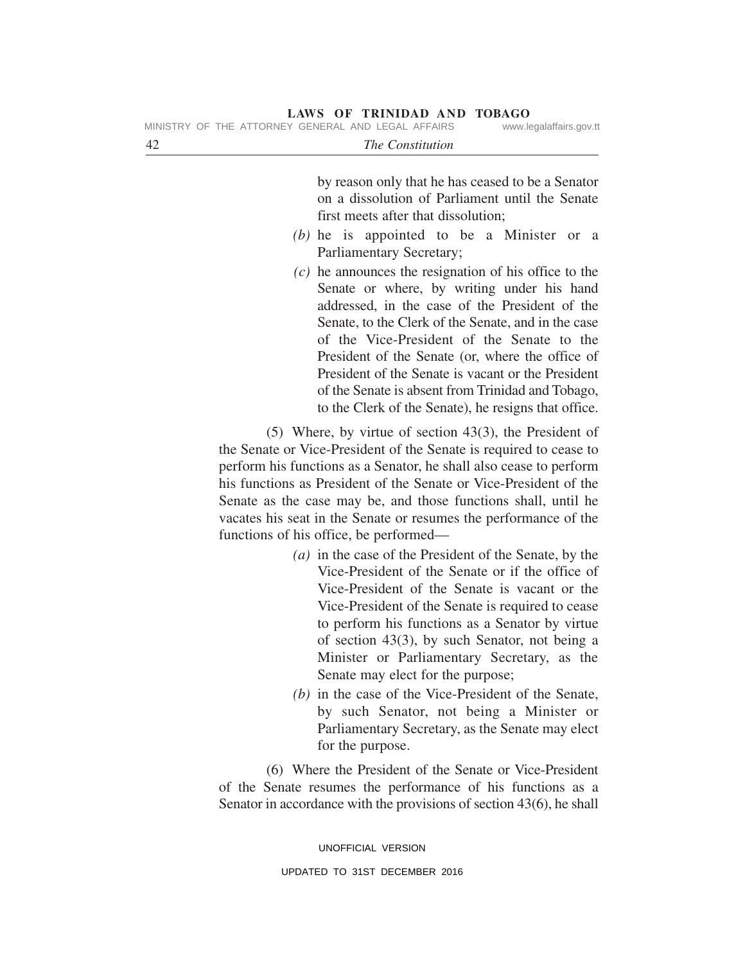| 42 | The Constitution                                                                                                                                                                                                                                                                                                                                                                                                                                                                    |
|----|-------------------------------------------------------------------------------------------------------------------------------------------------------------------------------------------------------------------------------------------------------------------------------------------------------------------------------------------------------------------------------------------------------------------------------------------------------------------------------------|
|    | by reason only that he has ceased to be a Senator<br>on a dissolution of Parliament until the Senate<br>first meets after that dissolution;                                                                                                                                                                                                                                                                                                                                         |
|    | (b) he is appointed to be a Minister or a<br>Parliamentary Secretary;                                                                                                                                                                                                                                                                                                                                                                                                               |
|    | $(c)$ he announces the resignation of his office to the<br>Senate or where, by writing under his hand<br>addressed, in the case of the President of the<br>Senate, to the Clerk of the Senate, and in the case<br>of the Vice-President of the Senate to the<br>President of the Senate (or, where the office of<br>President of the Senate is vacant or the President<br>of the Senate is absent from Trinidad and Tobago,<br>to the Clerk of the Senate), he resigns that office. |
|    | $(5)$ Where, by virtue of section 43(3), the President of<br>the Senate or Vice-President of the Senate is required to cease to<br>perform his functions as a Senator, he shall also cease to perform<br>his functions as President of the Senate or Vice-President of the                                                                                                                                                                                                          |

Senate as the case may be, and those functions shall, until he vacates his seat in the Senate or resumes the performance of the functions of his office, be performed—

- *(a)* in the case of the President of the Senate, by the Vice-President of the Senate or if the office of Vice-President of the Senate is vacant or the Vice-President of the Senate is required to cease to perform his functions as a Senator by virtue of section 43(3), by such Senator, not being a Minister or Parliamentary Secretary, as the Senate may elect for the purpose;
- *(b)* in the case of the Vice-President of the Senate, by such Senator, not being a Minister or Parliamentary Secretary, as the Senate may elect for the purpose.

(6) Where the President of the Senate or Vice-President of the Senate resumes the performance of his functions as a Senator in accordance with the provisions of section 43(6), he shall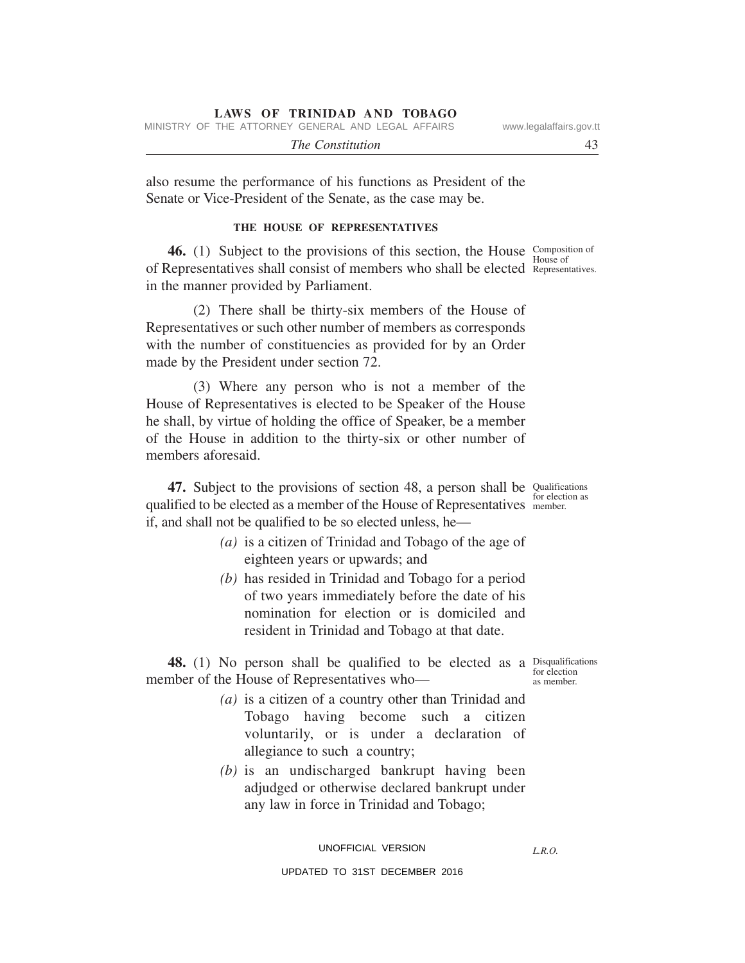MINISTRY OF THE ATTORNEY GENERAL AND LEGAL AFFAIRS www.legalaffairs.gov.tt

*The Constitution* 43

also resume the performance of his functions as President of the Senate or Vice-President of the Senate, as the case may be.

#### **THE HOUSE OF REPRESENTATIVES**

46. (1) Subject to the provisions of this section, the House Composition of House of of Representatives shall consist of members who shall be elected Representatives. in the manner provided by Parliament.

(2) There shall be thirty-six members of the House of Representatives or such other number of members as corresponds with the number of constituencies as provided for by an Order made by the President under section 72.

(3) Where any person who is not a member of the House of Representatives is elected to be Speaker of the House he shall, by virtue of holding the office of Speaker, be a member of the House in addition to the thirty-six or other number of members aforesaid.

47. Subject to the provisions of section 48, a person shall be Qualifications qualified to be elected as a member of the House of Representatives member. if, and shall not be qualified to be so elected unless, he—

- *(a)* is a citizen of Trinidad and Tobago of the age of eighteen years or upwards; and
- *(b)* has resided in Trinidad and Tobago for a period of two years immediately before the date of his nomination for election or is domiciled and resident in Trinidad and Tobago at that date.

48. (1) No person shall be qualified to be elected as a Disqualifications member of the House of Representatives who—

- *(a)* is a citizen of a country other than Trinidad and Tobago having become such a citizen voluntarily, or is under a declaration of allegiance to such a country;
- *(b)* is an undischarged bankrupt having been adjudged or otherwise declared bankrupt under any law in force in Trinidad and Tobago;

UNOFFICIAL VERSION

UPDATED TO 31ST DECEMBER 2016

for election as member.

for election as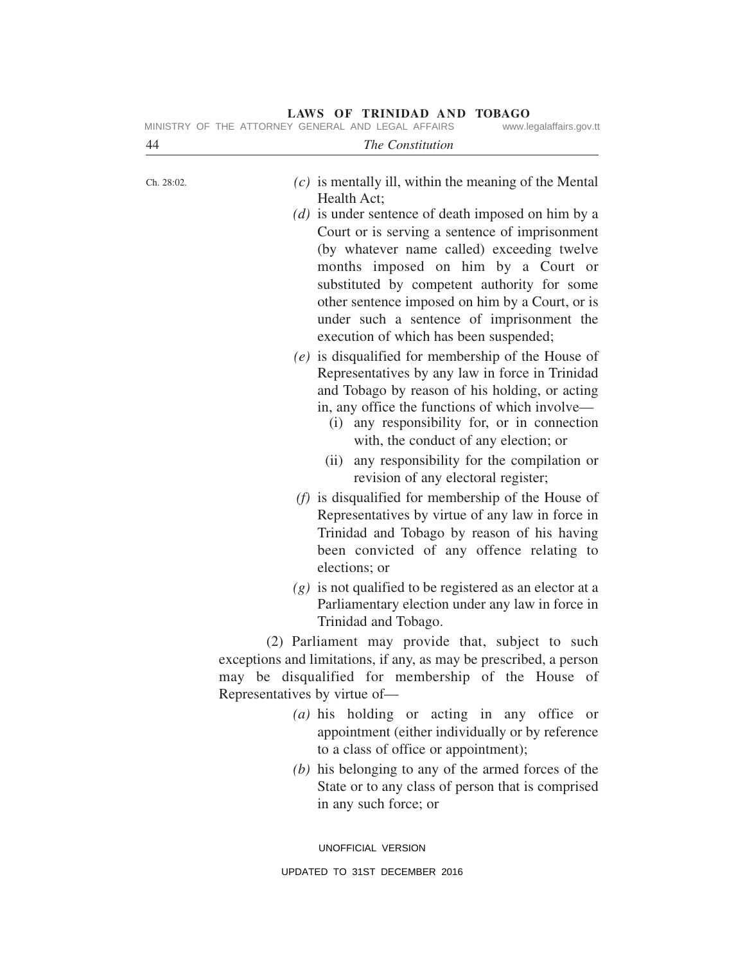| 44         | www.legalaffairs.gov.tt<br>The Constitution                                                                                                                                                                                                                                                                                                                                                                                                                                                                                                                                                                                                                                                                                                                                                                                                                                                                                                                                                                                                                                                                                                                                                                   |
|------------|---------------------------------------------------------------------------------------------------------------------------------------------------------------------------------------------------------------------------------------------------------------------------------------------------------------------------------------------------------------------------------------------------------------------------------------------------------------------------------------------------------------------------------------------------------------------------------------------------------------------------------------------------------------------------------------------------------------------------------------------------------------------------------------------------------------------------------------------------------------------------------------------------------------------------------------------------------------------------------------------------------------------------------------------------------------------------------------------------------------------------------------------------------------------------------------------------------------|
| Ch. 28:02. | $(c)$ is mentally ill, within the meaning of the Mental<br>Health Act;<br>$(d)$ is under sentence of death imposed on him by a<br>Court or is serving a sentence of imprisonment<br>(by whatever name called) exceeding twelve<br>months imposed on him by a Court or<br>substituted by competent authority for some<br>other sentence imposed on him by a Court, or is<br>under such a sentence of imprisonment the<br>execution of which has been suspended;<br>$(e)$ is disqualified for membership of the House of<br>Representatives by any law in force in Trinidad<br>and Tobago by reason of his holding, or acting<br>in, any office the functions of which involve—<br>any responsibility for, or in connection<br>(i)<br>with, the conduct of any election; or<br>(ii) any responsibility for the compilation or<br>revision of any electoral register;<br>$(f)$ is disqualified for membership of the House of<br>Representatives by virtue of any law in force in<br>Trinidad and Tobago by reason of his having<br>been convicted of any offence relating to<br>elections; or<br>$(g)$ is not qualified to be registered as an elector at a<br>Parliamentary election under any law in force in |
|            | Trinidad and Tobago.<br>(2) Parliament may provide that, subject to such<br>exceptions and limitations, if any, as may be prescribed, a person<br>may be disqualified for membership of the House of<br>Representatives by virtue of-<br>$(a)$ his holding or acting in any office<br><b>or</b><br>appointment (either individually or by reference<br>to a class of office or appointment);<br>(b) his belonging to any of the armed forces of the<br>State or to any class of person that is comprised<br>in any such force; or                                                                                                                                                                                                                                                                                                                                                                                                                                                                                                                                                                                                                                                                             |

UNOFFICIAL VERSION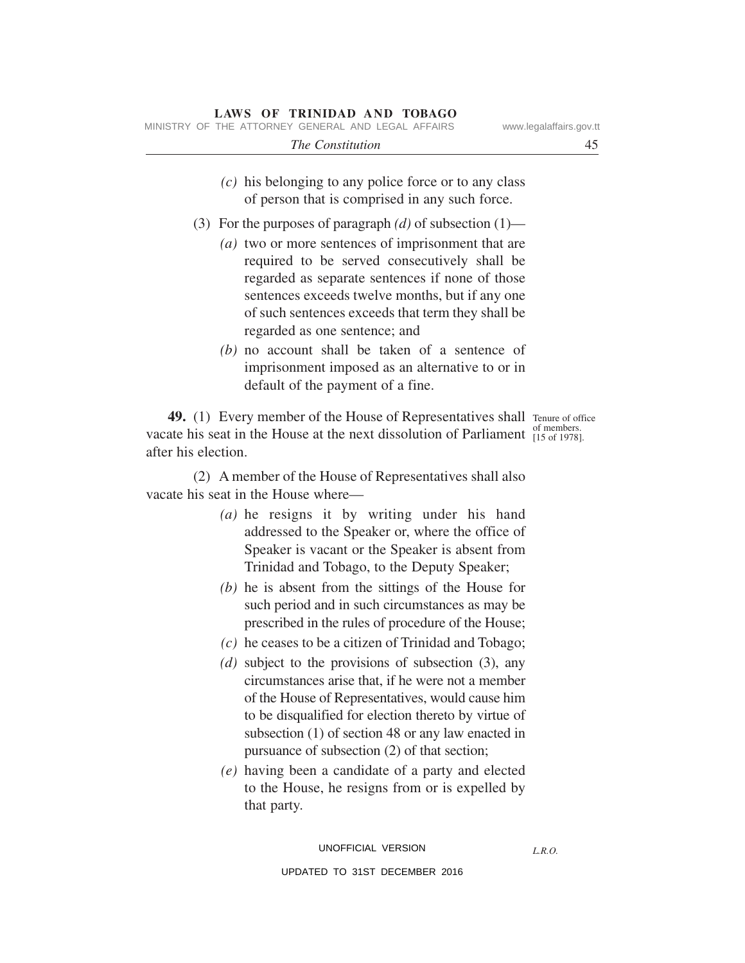|                     | MINISTRY OF THE ATTORNEY GENERAL AND LEGAL AFFAIRS                                                                                                                                                                                                                                                                                                                                                                                                                                                          | www.legalaffairs.gov.tt |
|---------------------|-------------------------------------------------------------------------------------------------------------------------------------------------------------------------------------------------------------------------------------------------------------------------------------------------------------------------------------------------------------------------------------------------------------------------------------------------------------------------------------------------------------|-------------------------|
|                     | The Constitution                                                                                                                                                                                                                                                                                                                                                                                                                                                                                            | 45                      |
|                     | $(c)$ his belonging to any police force or to any class<br>of person that is comprised in any such force.                                                                                                                                                                                                                                                                                                                                                                                                   |                         |
|                     | (3) For the purposes of paragraph $(d)$ of subsection $(1)$ —<br>(a) two or more sentences of imprisonment that are<br>required to be served consecutively shall be<br>regarded as separate sentences if none of those<br>sentences exceeds twelve months, but if any one<br>of such sentences exceeds that term they shall be<br>regarded as one sentence; and<br>$(b)$ no account shall be taken of a sentence of<br>imprisonment imposed as an alternative to or in<br>default of the payment of a fine. |                         |
| after his election. | 49. (1) Every member of the House of Representatives shall Tenure of office<br>vacate his seat in the House at the next dissolution of Parliament $_{[15 \text{ of } 1978]}^{in terms of }$                                                                                                                                                                                                                                                                                                                 | of members.             |
|                     | (2) A member of the House of Representatives shall also<br>vacate his seat in the House where—                                                                                                                                                                                                                                                                                                                                                                                                              |                         |
|                     | $(a)$ he resigns it by writing under his hand<br>addressed to the Speaker or, where the office of<br>Speaker is vacant or the Speaker is absent from<br>Trinidad and Tobago, to the Deputy Speaker;                                                                                                                                                                                                                                                                                                         |                         |
|                     | $(b)$ he is absent from the sittings of the House for<br>such period and in such circumstances as may be<br>prescribed in the rules of procedure of the House;                                                                                                                                                                                                                                                                                                                                              |                         |

- *(c)* he ceases to be a citizen of Trinidad and Tobago;
- *(d)* subject to the provisions of subsection (3), any circumstances arise that, if he were not a member of the House of Representatives, would cause him to be disqualified for election thereto by virtue of subsection (1) of section 48 or any law enacted in pursuance of subsection (2) of that section;
- *(e)* having been a candidate of a party and elected to the House, he resigns from or is expelled by that party.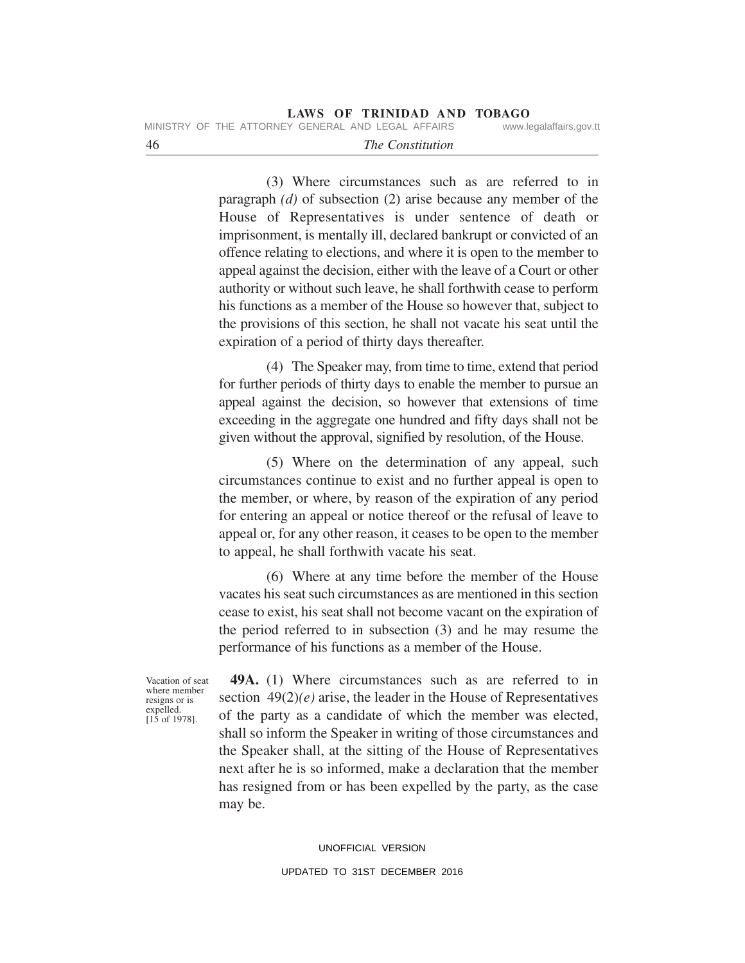MINISTRY OF THE ATTORNEY GENERAL AND LEGAL AFFAIRS www.legalaffairs.gov.tt

#### 46 *The Constitution*

(3) Where circumstances such as are referred to in paragraph *(d)* of subsection (2) arise because any member of the House of Representatives is under sentence of death or imprisonment, is mentally ill, declared bankrupt or convicted of an offence relating to elections, and where it is open to the member to appeal against the decision, either with the leave of a Court or other authority or without such leave, he shall forthwith cease to perform his functions as a member of the House so however that, subject to the provisions of this section, he shall not vacate his seat until the expiration of a period of thirty days thereafter.

(4) The Speaker may, from time to time, extend that period for further periods of thirty days to enable the member to pursue an appeal against the decision, so however that extensions of time exceeding in the aggregate one hundred and fifty days shall not be given without the approval, signified by resolution, of the House.

(5) Where on the determination of any appeal, such circumstances continue to exist and no further appeal is open to the member, or where, by reason of the expiration of any period for entering an appeal or notice thereof or the refusal of leave to appeal or, for any other reason, it ceases to be open to the member to appeal, he shall forthwith vacate his seat.

(6) Where at any time before the member of the House vacates his seat such circumstances as are mentioned in this section cease to exist, his seat shall not become vacant on the expiration of the period referred to in subsection (3) and he may resume the performance of his functions as a member of the House.

Vacation of seat where member resigns or is expelled. [15 of 1978].

**49A.** (1) Where circumstances such as are referred to in section 49(2)*(e)* arise, the leader in the House of Representatives of the party as a candidate of which the member was elected, shall so inform the Speaker in writing of those circumstances and the Speaker shall, at the sitting of the House of Representatives next after he is so informed, make a declaration that the member has resigned from or has been expelled by the party, as the case may be.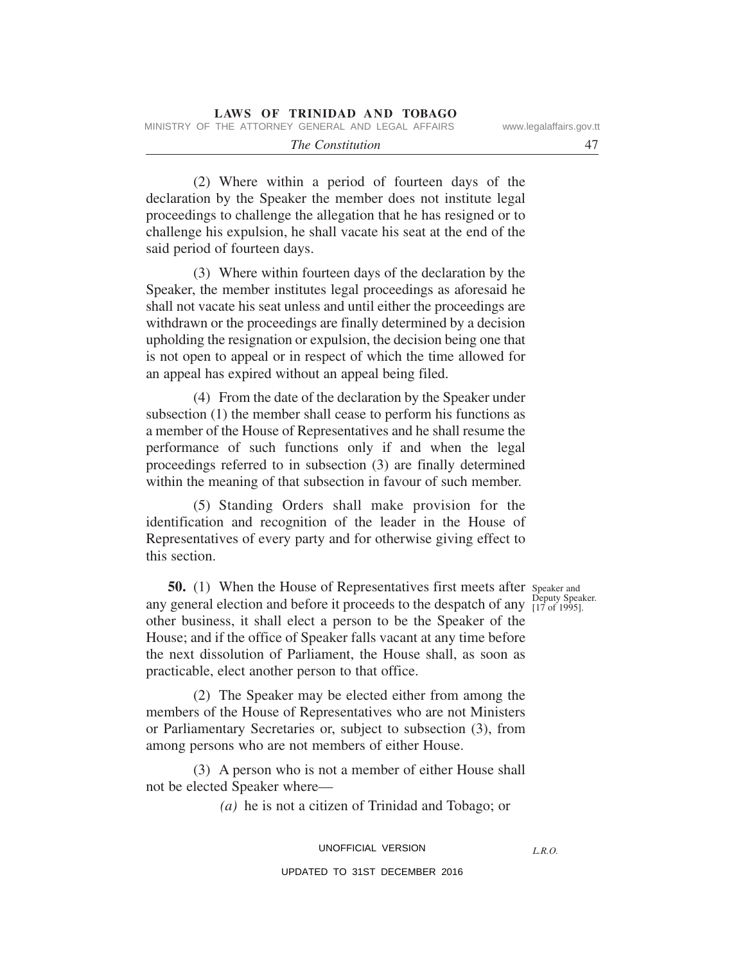MINISTRY OF THE ATTORNEY GENERAL AND LEGAL AFFAIRS www.legalaffairs.gov.tt

*The Constitution* 47

(2) Where within a period of fourteen days of the declaration by the Speaker the member does not institute legal proceedings to challenge the allegation that he has resigned or to challenge his expulsion, he shall vacate his seat at the end of the said period of fourteen days.

(3) Where within fourteen days of the declaration by the Speaker, the member institutes legal proceedings as aforesaid he shall not vacate his seat unless and until either the proceedings are withdrawn or the proceedings are finally determined by a decision upholding the resignation or expulsion, the decision being one that is not open to appeal or in respect of which the time allowed for an appeal has expired without an appeal being filed.

(4) From the date of the declaration by the Speaker under subsection (1) the member shall cease to perform his functions as a member of the House of Representatives and he shall resume the performance of such functions only if and when the legal proceedings referred to in subsection (3) are finally determined within the meaning of that subsection in favour of such member.

(5) Standing Orders shall make provision for the identification and recognition of the leader in the House of Representatives of every party and for otherwise giving effect to this section.

**50.** (1) When the House of Representatives first meets after any general election and before it proceeds to the despatch of any other business, it shall elect a person to be the Speaker of the House; and if the office of Speaker falls vacant at any time before the next dissolution of Parliament, the House shall, as soon as practicable, elect another person to that office.

(2) The Speaker may be elected either from among the members of the House of Representatives who are not Ministers or Parliamentary Secretaries or, subject to subsection (3), from among persons who are not members of either House.

(3) A person who is not a member of either House shall not be elected Speaker where—

*(a)* he is not a citizen of Trinidad and Tobago; or

#### UNOFFICIAL VERSION

#### UPDATED TO 31ST DECEMBER 2016

Deputy Speaker. [17 of 1995].

Speaker and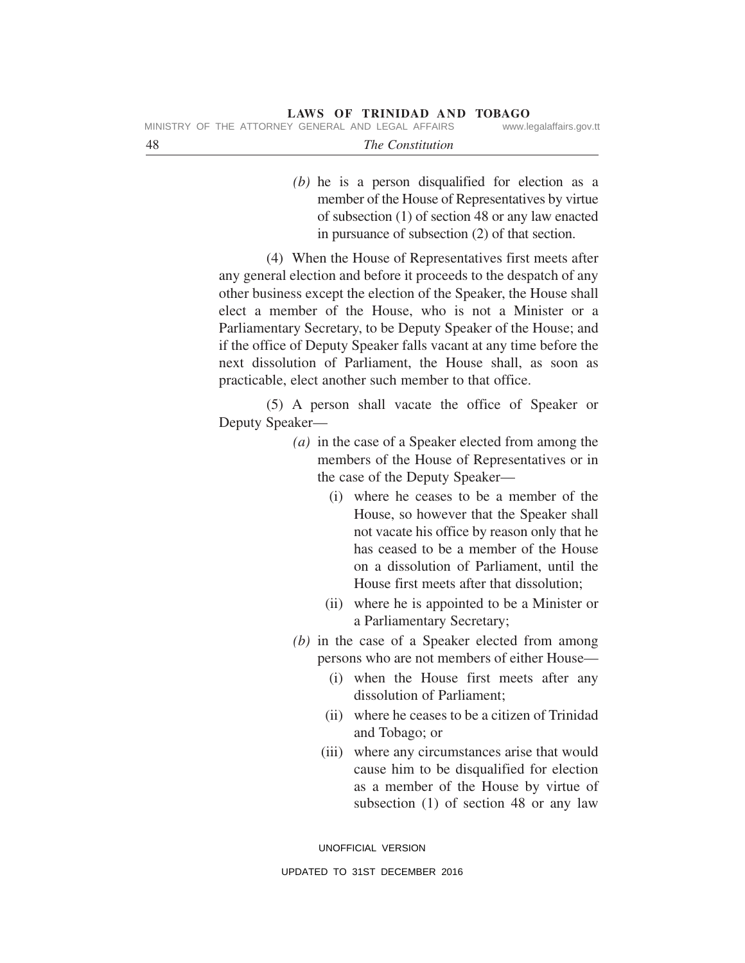| 48 | <i>The Constitution</i> |
|----|-------------------------|
|    |                         |

*(b)* he is a person disqualified for election as a member of the House of Representatives by virtue of subsection (1) of section 48 or any law enacted in pursuance of subsection (2) of that section.

(4) When the House of Representatives first meets after any general election and before it proceeds to the despatch of any other business except the election of the Speaker, the House shall elect a member of the House, who is not a Minister or a Parliamentary Secretary, to be Deputy Speaker of the House; and if the office of Deputy Speaker falls vacant at any time before the next dissolution of Parliament, the House shall, as soon as practicable, elect another such member to that office.

(5) A person shall vacate the office of Speaker or Deputy Speaker—

- *(a)* in the case of a Speaker elected from among the members of the House of Representatives or in the case of the Deputy Speaker—
	- (i) where he ceases to be a member of the House, so however that the Speaker shall not vacate his office by reason only that he has ceased to be a member of the House on a dissolution of Parliament, until the House first meets after that dissolution;
	- (ii) where he is appointed to be a Minister or a Parliamentary Secretary;
- *(b)* in the case of a Speaker elected from among persons who are not members of either House—
	- (i) when the House first meets after any dissolution of Parliament;
	- (ii) where he ceases to be a citizen of Trinidad and Tobago; or
	- (iii) where any circumstances arise that would cause him to be disqualified for election as a member of the House by virtue of subsection (1) of section 48 or any law

UNOFFICIAL VERSION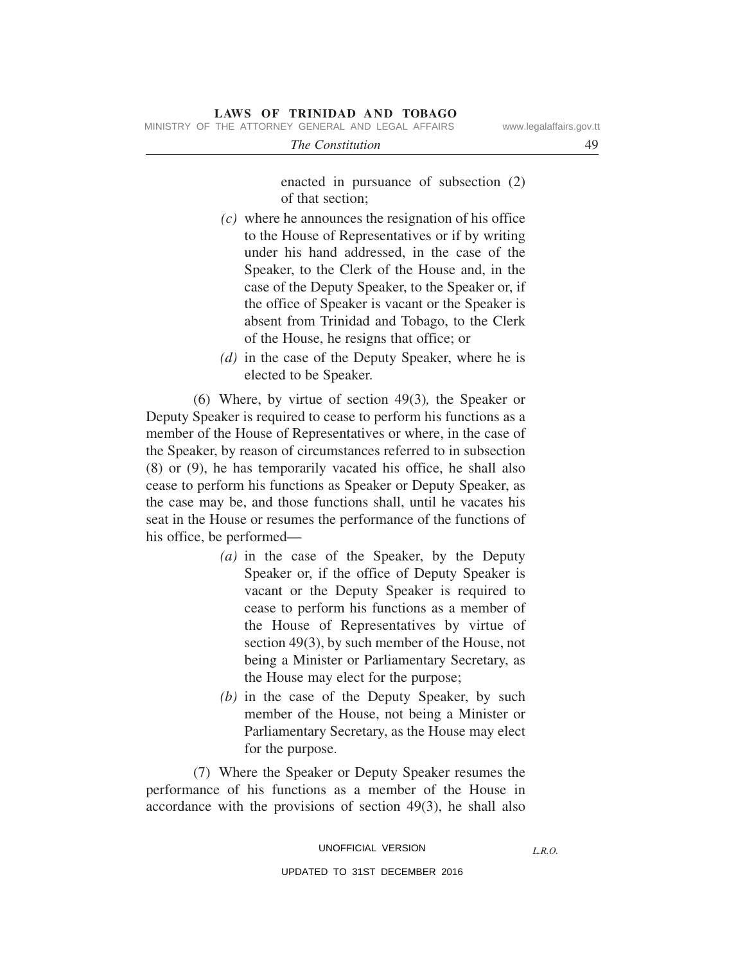*The Constitution* 49

enacted in pursuance of subsection (2) of that section;

- *(c)* where he announces the resignation of his office to the House of Representatives or if by writing under his hand addressed, in the case of the Speaker, to the Clerk of the House and, in the case of the Deputy Speaker, to the Speaker or, if the office of Speaker is vacant or the Speaker is absent from Trinidad and Tobago, to the Clerk of the House, he resigns that office; or
- *(d)* in the case of the Deputy Speaker, where he is elected to be Speaker.

(6) Where, by virtue of section 49(3)*,* the Speaker or Deputy Speaker is required to cease to perform his functions as a member of the House of Representatives or where, in the case of the Speaker, by reason of circumstances referred to in subsection (8) or (9), he has temporarily vacated his office, he shall also cease to perform his functions as Speaker or Deputy Speaker, as the case may be, and those functions shall, until he vacates his seat in the House or resumes the performance of the functions of his office, be performed—

- *(a)* in the case of the Speaker, by the Deputy Speaker or, if the office of Deputy Speaker is vacant or the Deputy Speaker is required to cease to perform his functions as a member of the House of Representatives by virtue of section 49(3), by such member of the House, not being a Minister or Parliamentary Secretary, as the House may elect for the purpose;
- *(b)* in the case of the Deputy Speaker, by such member of the House, not being a Minister or Parliamentary Secretary, as the House may elect for the purpose.

(7) Where the Speaker or Deputy Speaker resumes the performance of his functions as a member of the House in accordance with the provisions of section 49(3), he shall also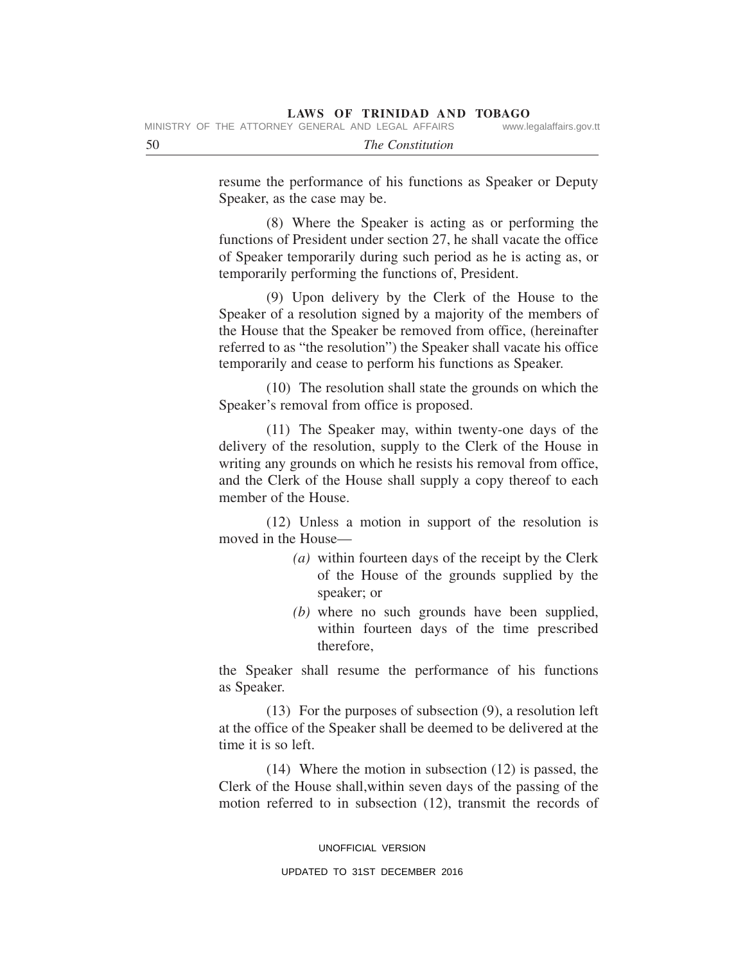resume the performance of his functions as Speaker or Deputy Speaker, as the case may be.

(8) Where the Speaker is acting as or performing the functions of President under section 27, he shall vacate the office of Speaker temporarily during such period as he is acting as, or temporarily performing the functions of, President.

(9) Upon delivery by the Clerk of the House to the Speaker of a resolution signed by a majority of the members of the House that the Speaker be removed from office, (hereinafter referred to as "the resolution") the Speaker shall vacate his office temporarily and cease to perform his functions as Speaker.

(10) The resolution shall state the grounds on which the Speaker's removal from office is proposed.

(11) The Speaker may, within twenty-one days of the delivery of the resolution, supply to the Clerk of the House in writing any grounds on which he resists his removal from office, and the Clerk of the House shall supply a copy thereof to each member of the House.

(12) Unless a motion in support of the resolution is moved in the House—

- *(a)* within fourteen days of the receipt by the Clerk of the House of the grounds supplied by the speaker; or
- *(b)* where no such grounds have been supplied, within fourteen days of the time prescribed therefore,

the Speaker shall resume the performance of his functions as Speaker.

(13) For the purposes of subsection (9), a resolution left at the office of the Speaker shall be deemed to be delivered at the time it is so left.

(14) Where the motion in subsection (12) is passed, the Clerk of the House shall,within seven days of the passing of the motion referred to in subsection (12), transmit the records of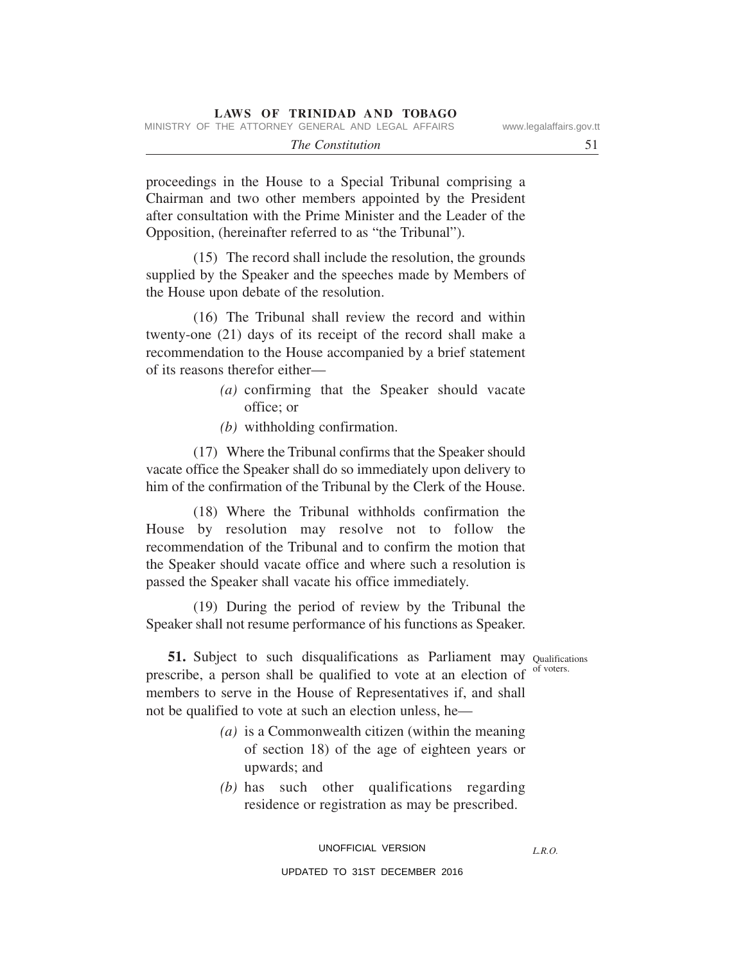proceedings in the House to a Special Tribunal comprising a Chairman and two other members appointed by the President after consultation with the Prime Minister and the Leader of the Opposition, (hereinafter referred to as "the Tribunal").

(15) The record shall include the resolution, the grounds supplied by the Speaker and the speeches made by Members of the House upon debate of the resolution.

(16) The Tribunal shall review the record and within twenty-one (21) days of its receipt of the record shall make a recommendation to the House accompanied by a brief statement of its reasons therefor either—

- *(a)* confirming that the Speaker should vacate office; or
- *(b)* withholding confirmation.

(17) Where the Tribunal confirms that the Speaker should vacate office the Speaker shall do so immediately upon delivery to him of the confirmation of the Tribunal by the Clerk of the House.

(18) Where the Tribunal withholds confirmation the House by resolution may resolve not to follow the recommendation of the Tribunal and to confirm the motion that the Speaker should vacate office and where such a resolution is passed the Speaker shall vacate his office immediately.

(19) During the period of review by the Tribunal the Speaker shall not resume performance of his functions as Speaker.

of voters.

51. Subject to such disqualifications as Parliament may Qualifications prescribe, a person shall be qualified to vote at an election of members to serve in the House of Representatives if, and shall not be qualified to vote at such an election unless, he—

- *(a)* is a Commonwealth citizen (within the meaning of section 18) of the age of eighteen years or upwards; and
- *(b)* has such other qualifications regarding residence or registration as may be prescribed.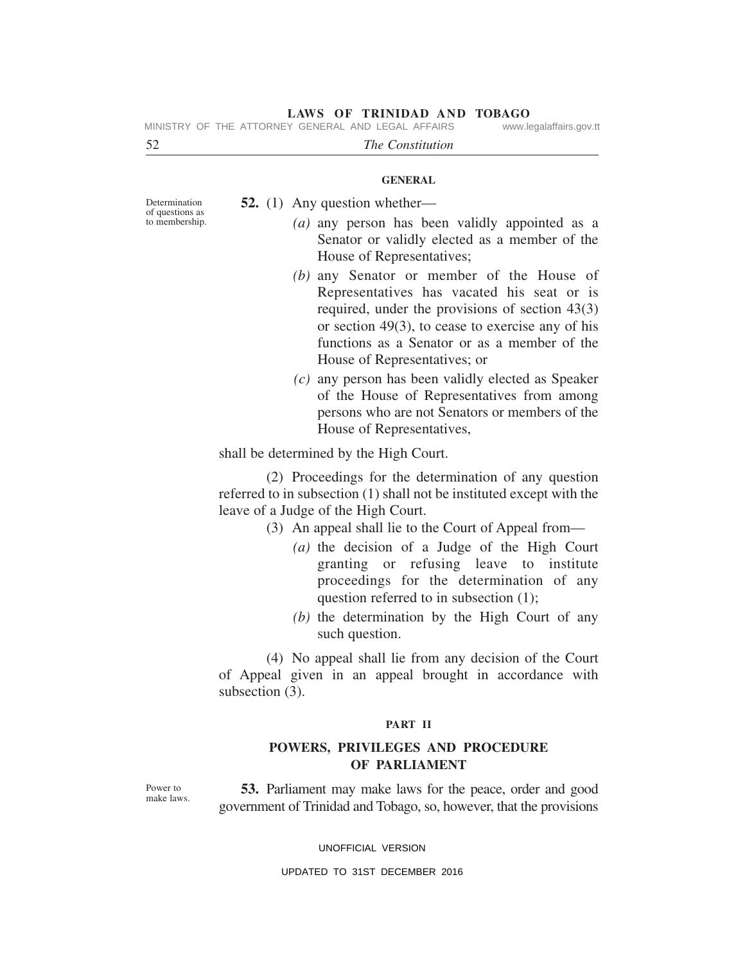MINISTRY OF THE ATTORNEY GENERAL AND LEGAL AFFAIRS www.legalaffairs.gov.tt

52 *The Constitution*

#### **GENERAL**

Determination of questions as to membership. **52.** (1) Any question whether—

- *(a)* any person has been validly appointed as a Senator or validly elected as a member of the House of Representatives;
- *(b)* any Senator or member of the House of Representatives has vacated his seat or is required, under the provisions of section 43(3) or section 49(3), to cease to exercise any of his functions as a Senator or as a member of the House of Representatives; or
- *(c)* any person has been validly elected as Speaker of the House of Representatives from among persons who are not Senators or members of the House of Representatives,

shall be determined by the High Court.

(2) Proceedings for the determination of any question referred to in subsection (1) shall not be instituted except with the leave of a Judge of the High Court.

- (3) An appeal shall lie to the Court of Appeal from—
	- *(a)* the decision of a Judge of the High Court granting or refusing leave to institute proceedings for the determination of any question referred to in subsection (1);
	- *(b)* the determination by the High Court of any such question.

(4) No appeal shall lie from any decision of the Court of Appeal given in an appeal brought in accordance with subsection (3).

# **PART II**

## **POWERS, PRIVILEGES AND PROCEDURE OF PARLIAMENT**

Power to make laws.

**53.** Parliament may make laws for the peace, order and good government of Trinidad and Tobago, so, however, that the provisions

UNOFFICIAL VERSION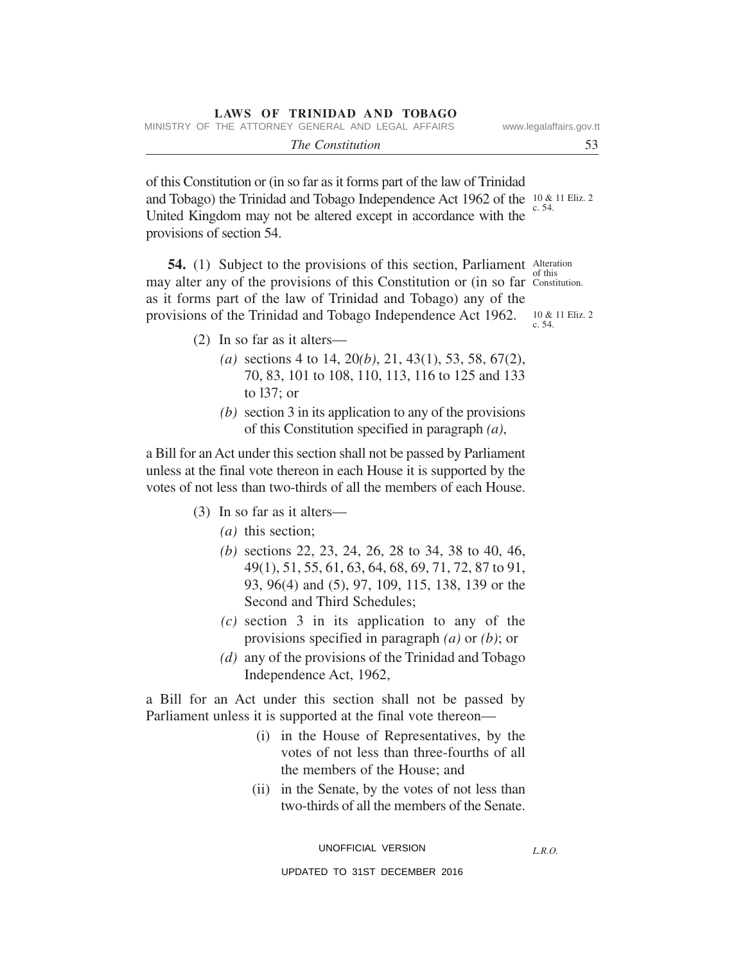| The Constitution |  |
|------------------|--|
|                  |  |

and Tobago) the Trinidad and Tobago Independence Act 1962 of the  $10 \& 11$  Eliz. 2 c. 54. of this Constitution or (in so far as it forms part of the law of Trinidad United Kingdom may not be altered except in accordance with the provisions of section 54.

**54.** (1) Subject to the provisions of this section, Parliament Alteration may alter any of the provisions of this Constitution or (in so far Constitution. as it forms part of the law of Trinidad and Tobago) any of the provisions of the Trinidad and Tobago Independence Act 1962.

- (2) In so far as it alters—
	- *(a)* sections 4 to 14, 20*(b)*, 21, 43(1), 53, 58, 67(2), 70, 83, 101 to 108, 110, 113, 116 to 125 and 133 to l37; or
	- *(b)* section 3 in its application to any of the provisions of this Constitution specified in paragraph *(a)*,

a Bill for an Act under this section shall not be passed by Parliament unless at the final vote thereon in each House it is supported by the votes of not less than two-thirds of all the members of each House.

- (3) In so far as it alters—
	- *(a)* this section;
	- *(b)* sections 22, 23, 24, 26, 28 to 34, 38 to 40, 46, 49(1), 51, 55, 61, 63, 64, 68, 69, 71, 72, 87 to 91, 93, 96(4) and (5), 97, 109, 115, 138, 139 or the Second and Third Schedules;
	- *(c)* section 3 in its application to any of the provisions specified in paragraph *(a)* or *(b)*; or
	- *(d)* any of the provisions of the Trinidad and Tobago Independence Act, 1962,

a Bill for an Act under this section shall not be passed by Parliament unless it is supported at the final vote thereon—

- (i) in the House of Representatives, by the votes of not less than three-fourths of all the members of the House; and
- (ii) in the Senate, by the votes of not less than two-thirds of all the members of the Senate.

UNOFFICIAL VERSION

*L.R.O.* 

UPDATED TO 31ST DECEMBER 2016

of this

10 & 11 Eliz. 2 c. 54.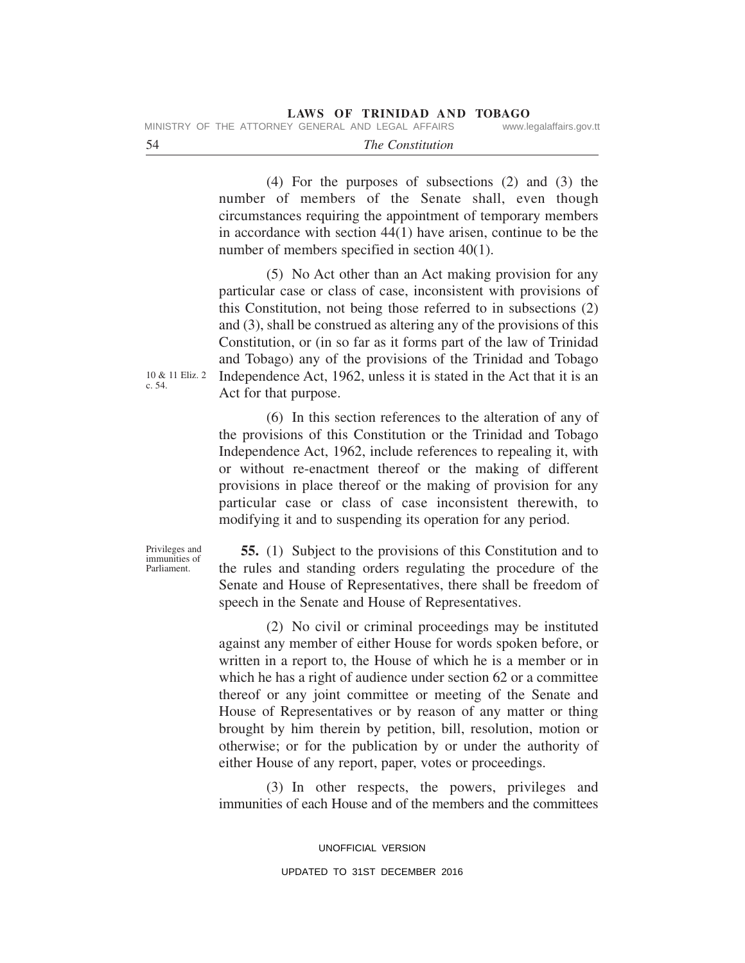MINISTRY OF THE ATTORNEY GENERAL AND LEGAL AFFAIRS www.legalaffairs.gov.tt

54 *The Constitution*

(4) For the purposes of subsections (2) and (3) the number of members of the Senate shall, even though circumstances requiring the appointment of temporary members in accordance with section 44(1) have arisen, continue to be the number of members specified in section 40(1).

(5) No Act other than an Act making provision for any particular case or class of case, inconsistent with provisions of this Constitution, not being those referred to in subsections (2) and (3), shall be construed as altering any of the provisions of this Constitution, or (in so far as it forms part of the law of Trinidad and Tobago) any of the provisions of the Trinidad and Tobago Independence Act, 1962, unless it is stated in the Act that it is an Act for that purpose.

(6) In this section references to the alteration of any of the provisions of this Constitution or the Trinidad and Tobago Independence Act, 1962, include references to repealing it, with or without re-enactment thereof or the making of different provisions in place thereof or the making of provision for any particular case or class of case inconsistent therewith, to modifying it and to suspending its operation for any period.

Privileges and immunities of Parliament.

**55.** (1) Subject to the provisions of this Constitution and to the rules and standing orders regulating the procedure of the Senate and House of Representatives, there shall be freedom of speech in the Senate and House of Representatives.

(2) No civil or criminal proceedings may be instituted against any member of either House for words spoken before, or written in a report to, the House of which he is a member or in which he has a right of audience under section 62 or a committee thereof or any joint committee or meeting of the Senate and House of Representatives or by reason of any matter or thing brought by him therein by petition, bill, resolution, motion or otherwise; or for the publication by or under the authority of either House of any report, paper, votes or proceedings.

(3) In other respects, the powers, privileges and immunities of each House and of the members and the committees

> UNOFFICIAL VERSION UPDATED TO 31ST DECEMBER 2016

10 & 11 Eliz. 2 c. 54.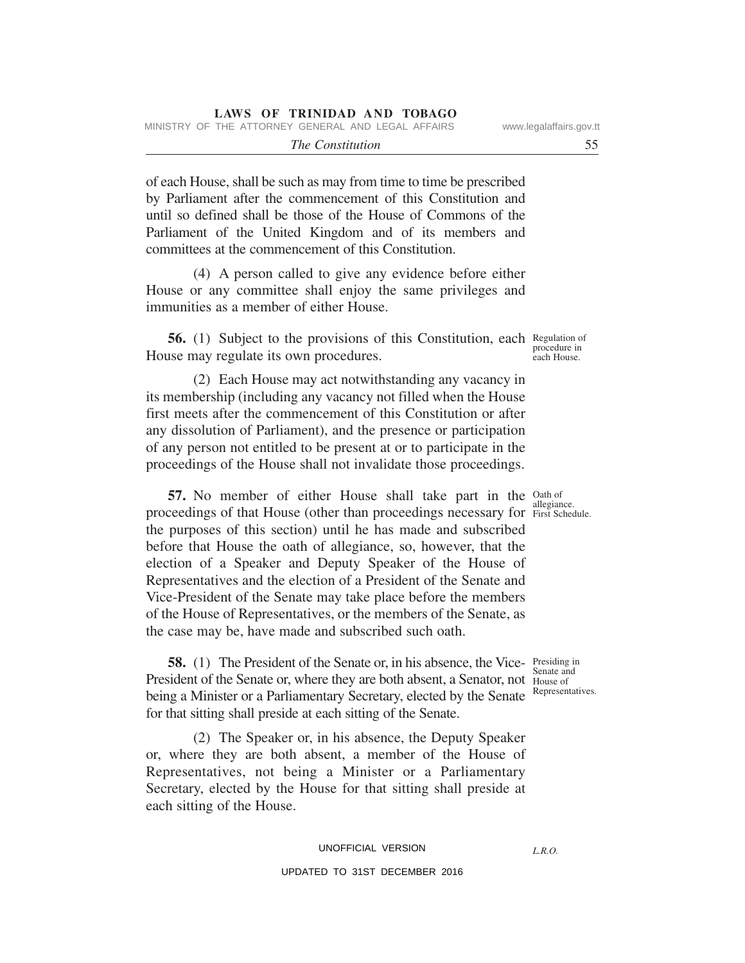MINISTRY OF THE ATTORNEY GENERAL AND LEGAL AFFAIRS www.legalaffairs.gov.tt

*The Constitution* 55

of each House, shall be such as may from time to time be prescribed by Parliament after the commencement of this Constitution and until so defined shall be those of the House of Commons of the Parliament of the United Kingdom and of its members and committees at the commencement of this Constitution.

(4) A person called to give any evidence before either House or any committee shall enjoy the same privileges and immunities as a member of either House.

**56.** (1) Subject to the provisions of this Constitution, each Regulation of procedure in each House. House may regulate its own procedures.

(2) Each House may act notwithstanding any vacancy in its membership (including any vacancy not filled when the House first meets after the commencement of this Constitution or after any dissolution of Parliament), and the presence or participation of any person not entitled to be present at or to participate in the proceedings of the House shall not invalidate those proceedings.

57. No member of either House shall take part in the **Oath of** proceedings of that House (other than proceedings necessary for First Schedule. the purposes of this section) until he has made and subscribed before that House the oath of allegiance, so, however, that the election of a Speaker and Deputy Speaker of the House of Representatives and the election of a President of the Senate and Vice-President of the Senate may take place before the members of the House of Representatives, or the members of the Senate, as the case may be, have made and subscribed such oath.

**58.** (1) The President of the Senate or, in his absence, the Vice-Presiding in President of the Senate or, where they are both absent, a Senator, not House of being a Minister or a Parliamentary Secretary, elected by the Senate for that sitting shall preside at each sitting of the Senate.

(2) The Speaker or, in his absence, the Deputy Speaker or, where they are both absent, a member of the House of Representatives, not being a Minister or a Parliamentary Secretary, elected by the House for that sitting shall preside at each sitting of the House.

# UNOFFICIAL VERSION

### UPDATED TO 31ST DECEMBER 2016

allegiance.

Senate and Representatives.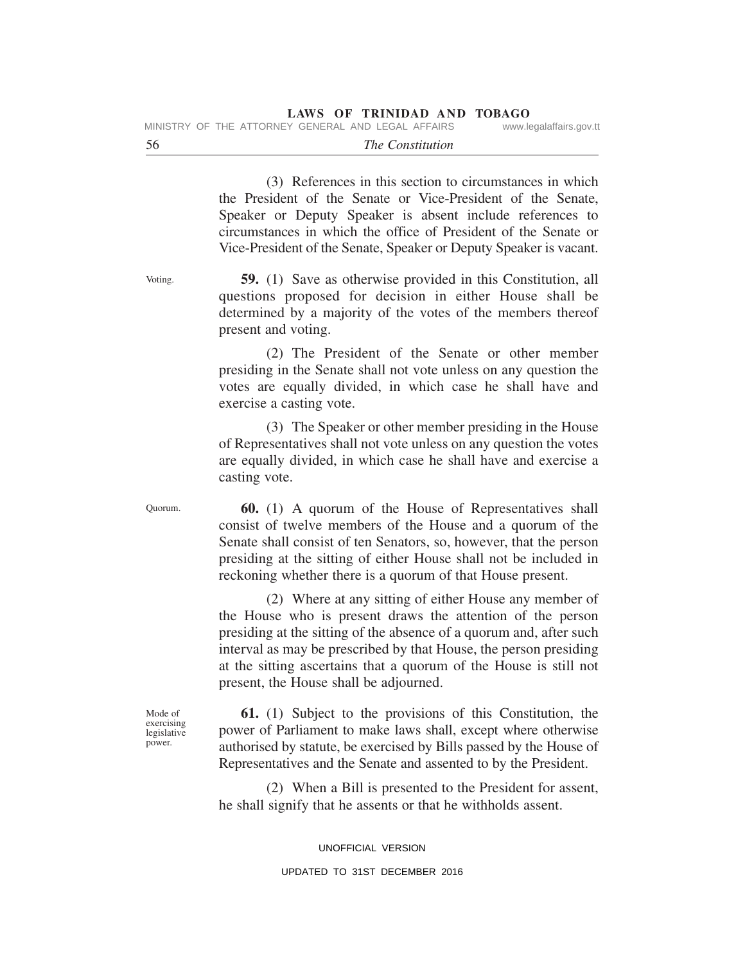MINISTRY OF THE ATTORNEY GENERAL AND LEGAL AFFAIRS www.legalaffairs.gov.tt

# 56 *The Constitution*

(3) References in this section to circumstances in which the President of the Senate or Vice-President of the Senate, Speaker or Deputy Speaker is absent include references to circumstances in which the office of President of the Senate or Vice-President of the Senate, Speaker or Deputy Speaker is vacant.

**59.** (1) Save as otherwise provided in this Constitution, all questions proposed for decision in either House shall be determined by a majority of the votes of the members thereof present and voting.

(2) The President of the Senate or other member presiding in the Senate shall not vote unless on any question the votes are equally divided, in which case he shall have and exercise a casting vote.

(3) The Speaker or other member presiding in the House of Representatives shall not vote unless on any question the votes are equally divided, in which case he shall have and exercise a casting vote.

**60.** (1) A quorum of the House of Representatives shall consist of twelve members of the House and a quorum of the Senate shall consist of ten Senators, so, however, that the person presiding at the sitting of either House shall not be included in reckoning whether there is a quorum of that House present.

(2) Where at any sitting of either House any member of the House who is present draws the attention of the person presiding at the sitting of the absence of a quorum and, after such interval as may be prescribed by that House, the person presiding at the sitting ascertains that a quorum of the House is still not present, the House shall be adjourned.

Mode of exercising legislative power.

**61.** (1) Subject to the provisions of this Constitution, the power of Parliament to make laws shall, except where otherwise authorised by statute, be exercised by Bills passed by the House of Representatives and the Senate and assented to by the President.

(2) When a Bill is presented to the President for assent, he shall signify that he assents or that he withholds assent.

UNOFFICIAL VERSION

Quorum.

Voting.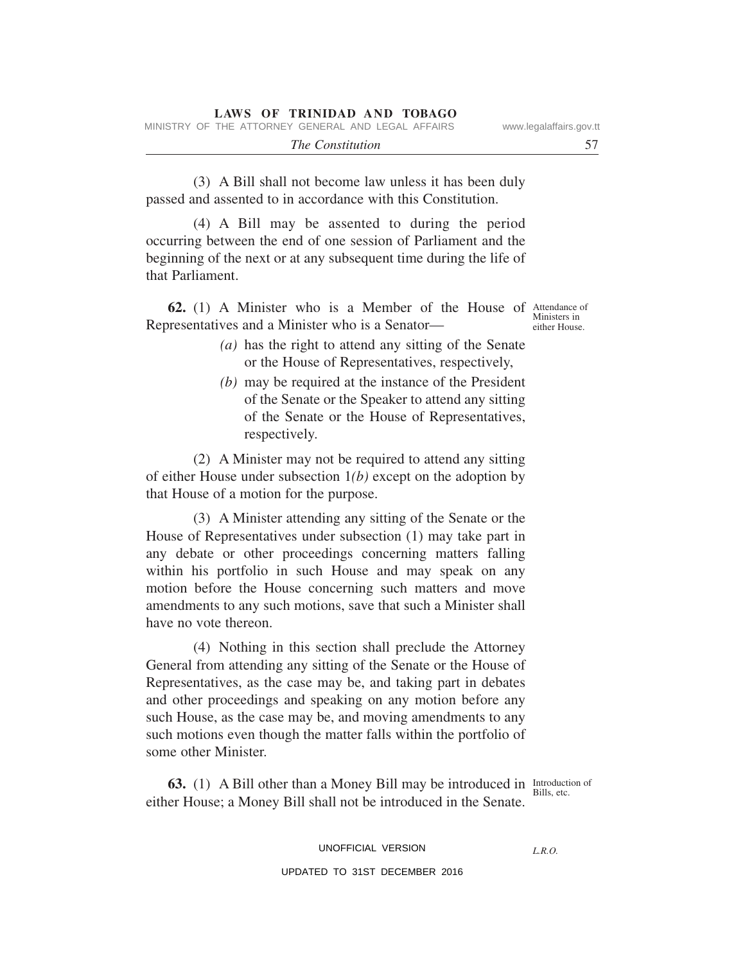*The Constitution* 57

(3) A Bill shall not become law unless it has been duly passed and assented to in accordance with this Constitution.

(4) A Bill may be assented to during the period occurring between the end of one session of Parliament and the beginning of the next or at any subsequent time during the life of that Parliament.

**62.** (1) A Minister who is a Member of the House of Attendance of Representatives and a Minister who is a Senator—

- *(a)* has the right to attend any sitting of the Senate or the House of Representatives, respectively,
- *(b)* may be required at the instance of the President of the Senate or the Speaker to attend any sitting of the Senate or the House of Representatives, respectively.

(2) A Minister may not be required to attend any sitting of either House under subsection 1*(b)* except on the adoption by that House of a motion for the purpose.

(3) A Minister attending any sitting of the Senate or the House of Representatives under subsection (1) may take part in any debate or other proceedings concerning matters falling within his portfolio in such House and may speak on any motion before the House concerning such matters and move amendments to any such motions, save that such a Minister shall have no vote thereon.

(4) Nothing in this section shall preclude the Attorney General from attending any sitting of the Senate or the House of Representatives, as the case may be, and taking part in debates and other proceedings and speaking on any motion before any such House, as the case may be, and moving amendments to any such motions even though the matter falls within the portfolio of some other Minister.

**63.** (1) A Bill other than a Money Bill may be introduced in Introduction of Bills, etc. either House; a Money Bill shall not be introduced in the Senate.

> UNOFFICIAL VERSION UPDATED TO 31ST DECEMBER 2016

*L.R.O.* 

Ministers in either House.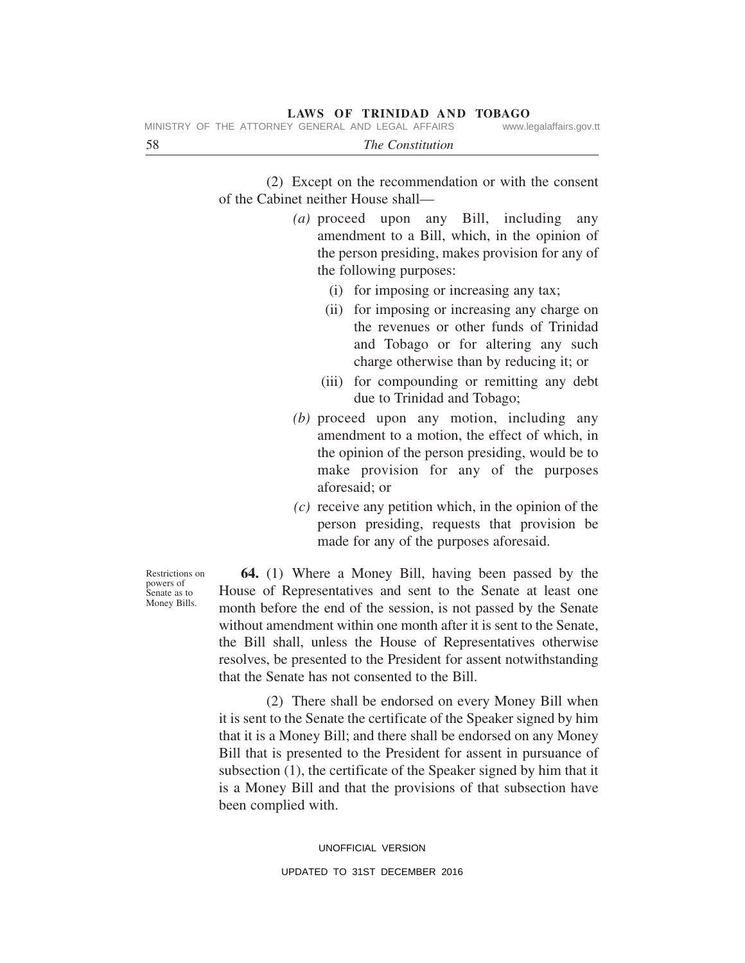| MINISTRY OF THE ATTORNEY GENERAL AND LEGAL AFFAIRS<br>www.legalaffairs.gov.tt |
|-------------------------------------------------------------------------------|
|-------------------------------------------------------------------------------|

58 *The Constitution*

(2) Except on the recommendation or with the consent of the Cabinet neither House shall—

- *(a)* proceed upon any Bill, including any amendment to a Bill, which, in the opinion of the person presiding, makes provision for any of the following purposes:
	- (i) for imposing or increasing any tax;
	- (ii) for imposing or increasing any charge on the revenues or other funds of Trinidad and Tobago or for altering any such charge otherwise than by reducing it; or
	- (iii) for compounding or remitting any debt due to Trinidad and Tobago;
- *(b)* proceed upon any motion, including any amendment to a motion, the effect of which, in the opinion of the person presiding, would be to make provision for any of the purposes aforesaid; or
- *(c)* receive any petition which, in the opinion of the person presiding, requests that provision be made for any of the purposes aforesaid.

**64.** (1) Where a Money Bill, having been passed by the House of Representatives and sent to the Senate at least one month before the end of the session, is not passed by the Senate without amendment within one month after it is sent to the Senate, the Bill shall, unless the House of Representatives otherwise resolves, be presented to the President for assent notwithstanding that the Senate has not consented to the Bill.

(2) There shall be endorsed on every Money Bill when it is sent to the Senate the certificate of the Speaker signed by him that it is a Money Bill; and there shall be endorsed on any Money Bill that is presented to the President for assent in pursuance of subsection (1), the certificate of the Speaker signed by him that it is a Money Bill and that the provisions of that subsection have been complied with.

> UNOFFICIAL VERSION UPDATED TO 31ST DECEMBER 2016

Restrictions on powers of Senate as to Money Bills.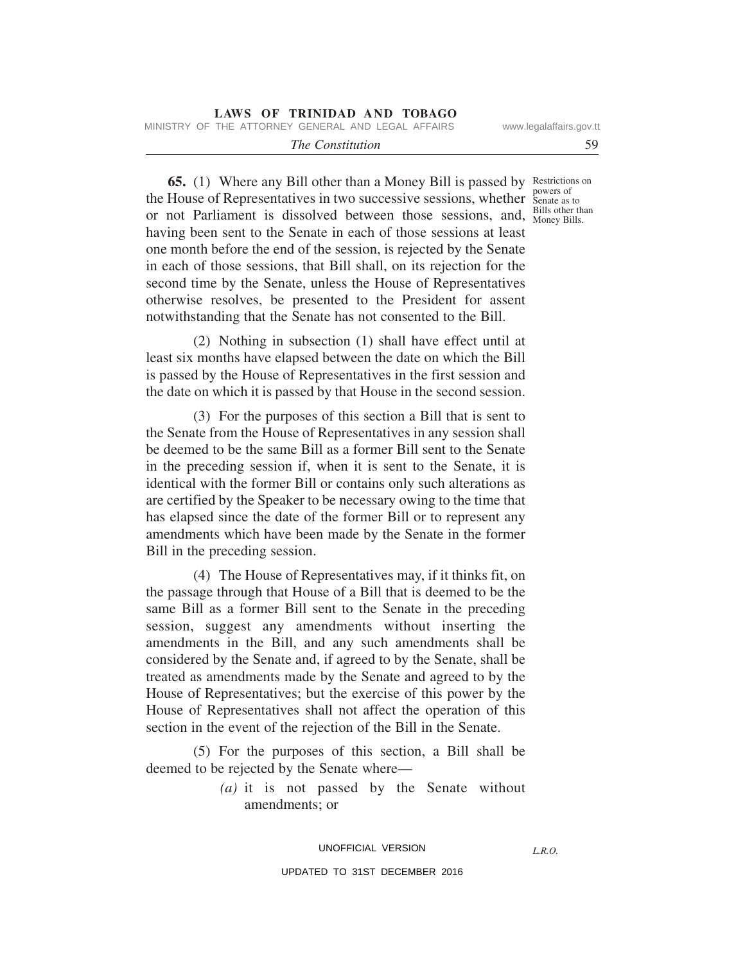MINISTRY OF THE ATTORNEY GENERAL AND LEGAL AFFAIRS www.legalaffairs.gov.tt

*The Constitution* 59

powers of Bills other than

**65.** (1) Where any Bill other than a Money Bill is passed by Restrictions on the House of Representatives in two successive sessions, whether Senate as to or not Parliament is dissolved between those sessions, and,  $_{\text{Money Bills}}^{\text{Bills other th}}$ having been sent to the Senate in each of those sessions at least one month before the end of the session, is rejected by the Senate in each of those sessions, that Bill shall, on its rejection for the second time by the Senate, unless the House of Representatives otherwise resolves, be presented to the President for assent notwithstanding that the Senate has not consented to the Bill.

(2) Nothing in subsection (1) shall have effect until at least six months have elapsed between the date on which the Bill is passed by the House of Representatives in the first session and the date on which it is passed by that House in the second session.

(3) For the purposes of this section a Bill that is sent to the Senate from the House of Representatives in any session shall be deemed to be the same Bill as a former Bill sent to the Senate in the preceding session if, when it is sent to the Senate, it is identical with the former Bill or contains only such alterations as are certified by the Speaker to be necessary owing to the time that has elapsed since the date of the former Bill or to represent any amendments which have been made by the Senate in the former Bill in the preceding session.

(4) The House of Representatives may, if it thinks fit, on the passage through that House of a Bill that is deemed to be the same Bill as a former Bill sent to the Senate in the preceding session, suggest any amendments without inserting the amendments in the Bill, and any such amendments shall be considered by the Senate and, if agreed to by the Senate, shall be treated as amendments made by the Senate and agreed to by the House of Representatives; but the exercise of this power by the House of Representatives shall not affect the operation of this section in the event of the rejection of the Bill in the Senate.

(5) For the purposes of this section, a Bill shall be deemed to be rejected by the Senate where—

> *(a)* it is not passed by the Senate without amendments; or

> > UNOFFICIAL VERSION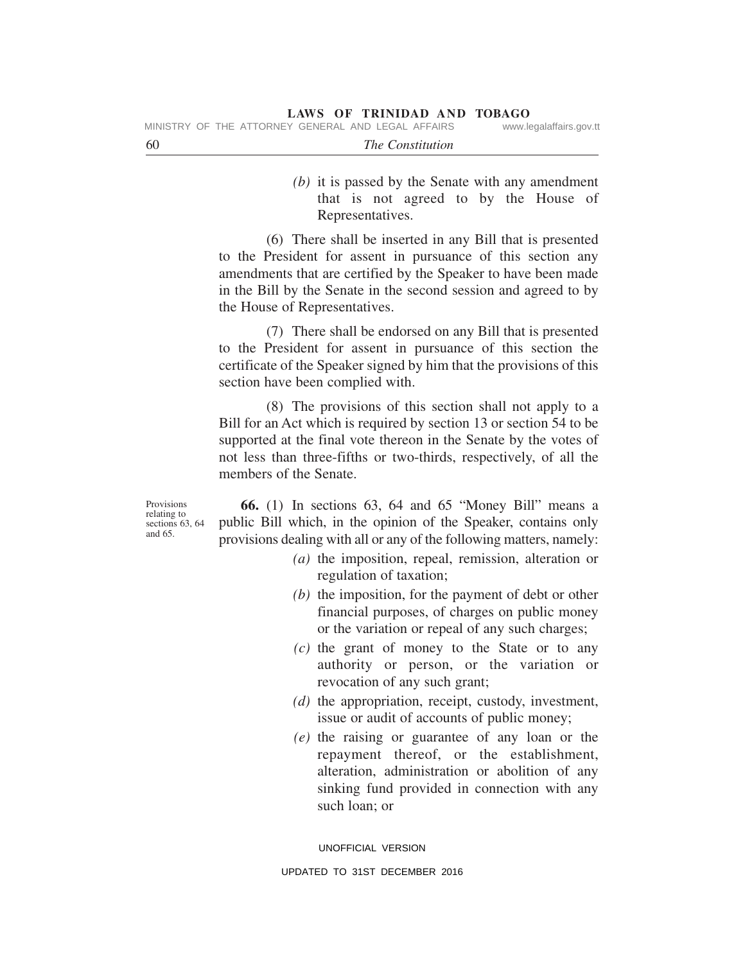*(b)* it is passed by the Senate with any amendment that is not agreed to by the House of Representatives.

(6) There shall be inserted in any Bill that is presented to the President for assent in pursuance of this section any amendments that are certified by the Speaker to have been made in the Bill by the Senate in the second session and agreed to by the House of Representatives.

(7) There shall be endorsed on any Bill that is presented to the President for assent in pursuance of this section the certificate of the Speaker signed by him that the provisions of this section have been complied with.

(8) The provisions of this section shall not apply to a Bill for an Act which is required by section 13 or section 54 to be supported at the final vote thereon in the Senate by the votes of not less than three-fifths or two-thirds, respectively, of all the members of the Senate.

Provisions relating to sections 63, 64 and 65.

**66.** (1) In sections 63, 64 and 65 "Money Bill" means a public Bill which, in the opinion of the Speaker, contains only provisions dealing with all or any of the following matters, namely:

- *(a)* the imposition, repeal, remission, alteration or regulation of taxation;
- *(b)* the imposition, for the payment of debt or other financial purposes, of charges on public money or the variation or repeal of any such charges;
- *(c)* the grant of money to the State or to any authority or person, or the variation or revocation of any such grant;
- *(d)* the appropriation, receipt, custody, investment, issue or audit of accounts of public money;
- *(e)* the raising or guarantee of any loan or the repayment thereof, or the establishment, alteration, administration or abolition of any sinking fund provided in connection with any such loan; or

UNOFFICIAL VERSION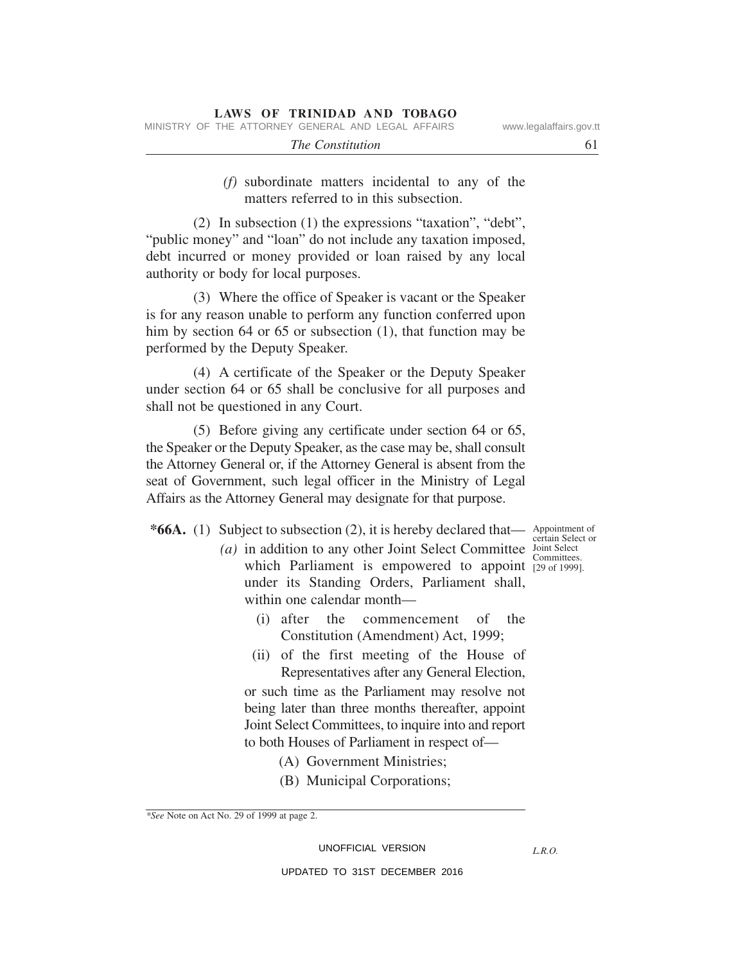# *(f)* subordinate matters incidental to any of the matters referred to in this subsection.

(2) In subsection (1) the expressions "taxation", "debt", "public money" and "loan" do not include any taxation imposed, debt incurred or money provided or loan raised by any local authority or body for local purposes.

(3) Where the office of Speaker is vacant or the Speaker is for any reason unable to perform any function conferred upon him by section 64 or 65 or subsection (1), that function may be performed by the Deputy Speaker.

(4) A certificate of the Speaker or the Deputy Speaker under section 64 or 65 shall be conclusive for all purposes and shall not be questioned in any Court.

(5) Before giving any certificate under section 64 or 65, the Speaker or the Deputy Speaker, as the case may be, shall consult the Attorney General or, if the Attorney General is absent from the seat of Government, such legal officer in the Ministry of Legal Affairs as the Attorney General may designate for that purpose.

\***66A.** (1) Subject to subsection (2), it is hereby declared that— Appointment of

- (a) in addition to any other Joint Select Committee Joint Select which Parliament is empowered to appoint  $[29 \text{ of } 1999]$ . under its Standing Orders, Parliament shall, within one calendar month—
	- (i) after the commencement of the Constitution (Amendment) Act, 1999;
	- (ii) of the first meeting of the House of Representatives after any General Election,

or such time as the Parliament may resolve not being later than three months thereafter, appoint Joint Select Committees, to inquire into and report to both Houses of Parliament in respect of—

- (A) Government Ministries;
- (B) Municipal Corporations;

UNOFFICIAL VERSION

*L.R.O.* 

certain Select or **Committees** 

*<sup>\*</sup>See* Note on Act No. 29 of 1999 at page 2.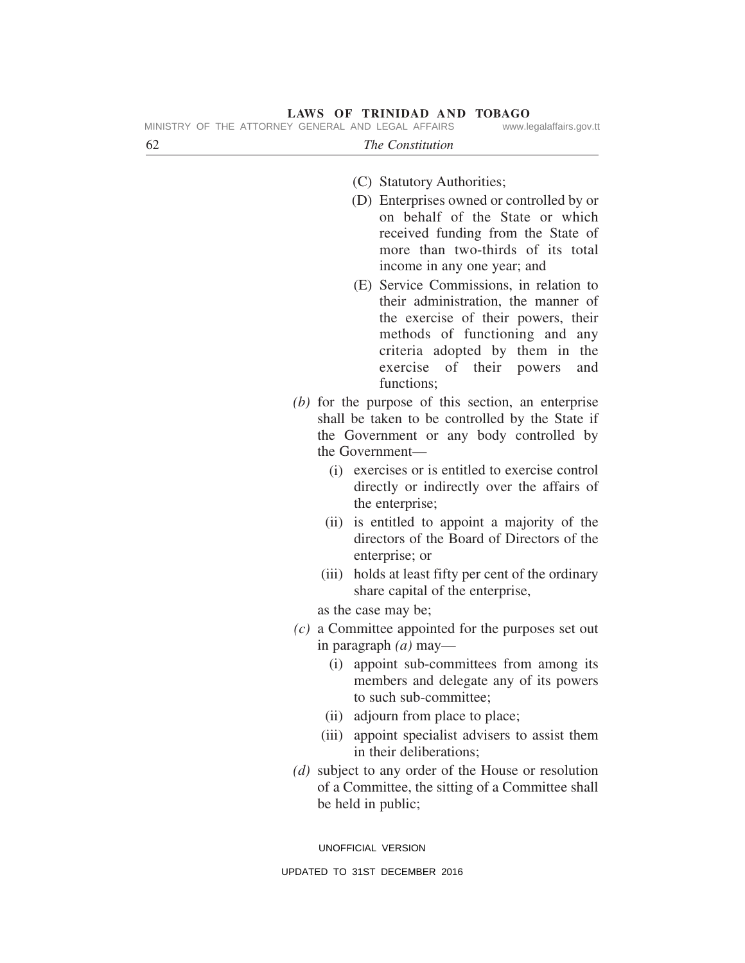| 62 | The Constitution                                                                                                                                                                                                                                                                                                                                                                                                                                                       |
|----|------------------------------------------------------------------------------------------------------------------------------------------------------------------------------------------------------------------------------------------------------------------------------------------------------------------------------------------------------------------------------------------------------------------------------------------------------------------------|
|    | (C) Statutory Authorities;<br>(D) Enterprises owned or controlled by or<br>on behalf of the State or which<br>received funding from the State of<br>more than two-thirds of its total<br>income in any one year; and<br>(E) Service Commissions, in relation to<br>their administration, the manner of<br>the exercise of their powers, their<br>methods of functioning and any<br>criteria adopted by them in the<br>exercise<br>of their powers<br>and<br>functions; |
|    | $(b)$ for the purpose of this section, an enterprise<br>shall be taken to be controlled by the State if<br>the Government or any body controlled by<br>the Government—<br>exercises or is entitled to exercise control<br>(i)                                                                                                                                                                                                                                          |
|    | directly or indirectly over the affairs of<br>the enterprise;<br>is entitled to appoint a majority of the<br>(ii)<br>directors of the Board of Directors of the<br>enterprise; or<br>holds at least fifty per cent of the ordinary<br>(iii)                                                                                                                                                                                                                            |
|    | share capital of the enterprise,<br>as the case may be;                                                                                                                                                                                                                                                                                                                                                                                                                |
|    | $(c)$ a Committee appointed for the purposes set out<br>in paragraph $(a)$ may—<br>(i) appoint sub-committees from among its<br>members and delegate any of its powers<br>to such sub-committee;<br>adjourn from place to place;<br>(ii)                                                                                                                                                                                                                               |
|    | appoint specialist advisers to assist them<br>(iii)<br>in their deliberations;<br>subject to any order of the House or resolution<br>(d)<br>of a Committee, the sitting of a Committee shall<br>be held in public;                                                                                                                                                                                                                                                     |
|    | UNOFFICIAL VERSION                                                                                                                                                                                                                                                                                                                                                                                                                                                     |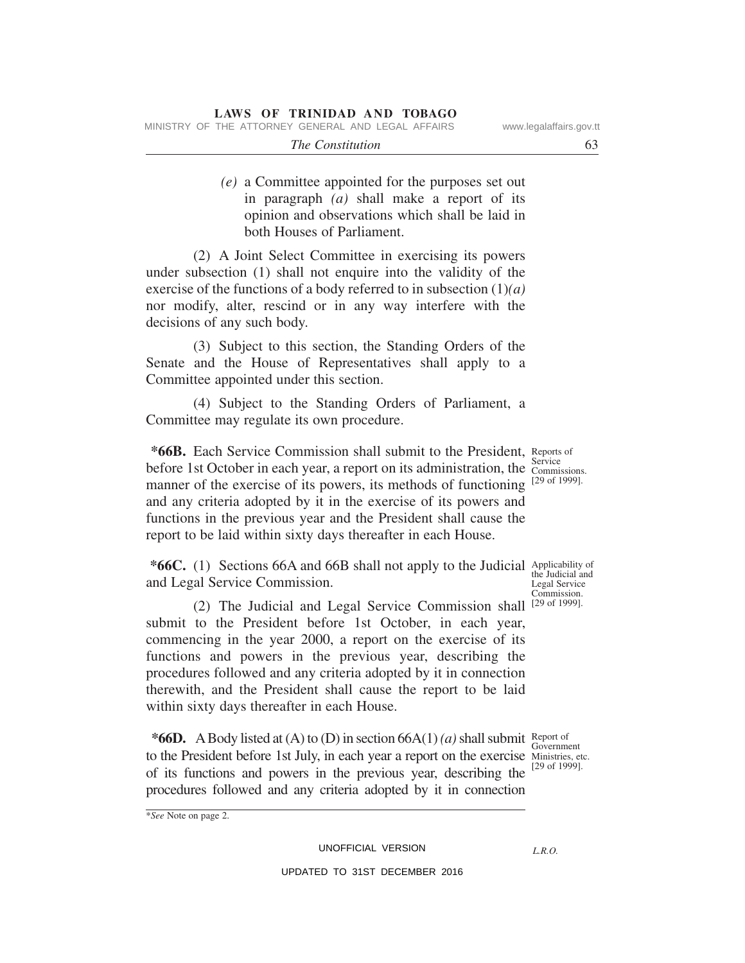*The Constitution* 63

*(e)* a Committee appointed for the purposes set out in paragraph *(a)* shall make a report of its opinion and observations which shall be laid in both Houses of Parliament.

(2) A Joint Select Committee in exercising its powers under subsection (1) shall not enquire into the validity of the exercise of the functions of a body referred to in subsection (1)*(a)* nor modify, alter, rescind or in any way interfere with the decisions of any such body.

(3) Subject to this section, the Standing Orders of the Senate and the House of Representatives shall apply to a Committee appointed under this section.

(4) Subject to the Standing Orders of Parliament, a Committee may regulate its own procedure.

\*66B. Each Service Commission shall submit to the President, Reports of Service before 1st October in each year, a report on its administration, the Commissions. manner of the exercise of its powers, its methods of functioning <sup>[29 of 1999].</sup> and any criteria adopted by it in the exercise of its powers and functions in the previous year and the President shall cause the report to be laid within sixty days thereafter in each House.

\*66C. (1) Sections 66A and 66B shall not apply to the Judicial Applicability of and Legal Service Commission.

(2) The Judicial and Legal Service Commission shall [29 of 1999]. submit to the President before 1st October, in each year, commencing in the year 2000, a report on the exercise of its functions and powers in the previous year, describing the procedures followed and any criteria adopted by it in connection therewith, and the President shall cause the report to be laid within sixty days thereafter in each House.

**\*66D.** A Body listed at (A) to (D) in section 66A(1) *(a)* shall submit Report of Government to the President before 1st July, in each year a report on the exercise Ministries, etc. [29 of 1999]. of its functions and powers in the previous year, describing the procedures followed and any criteria adopted by it in connection

\**See* Note on page 2.

UNOFFICIAL VERSION

*L.R.O.* 

the Judicial and Legal Service Commission.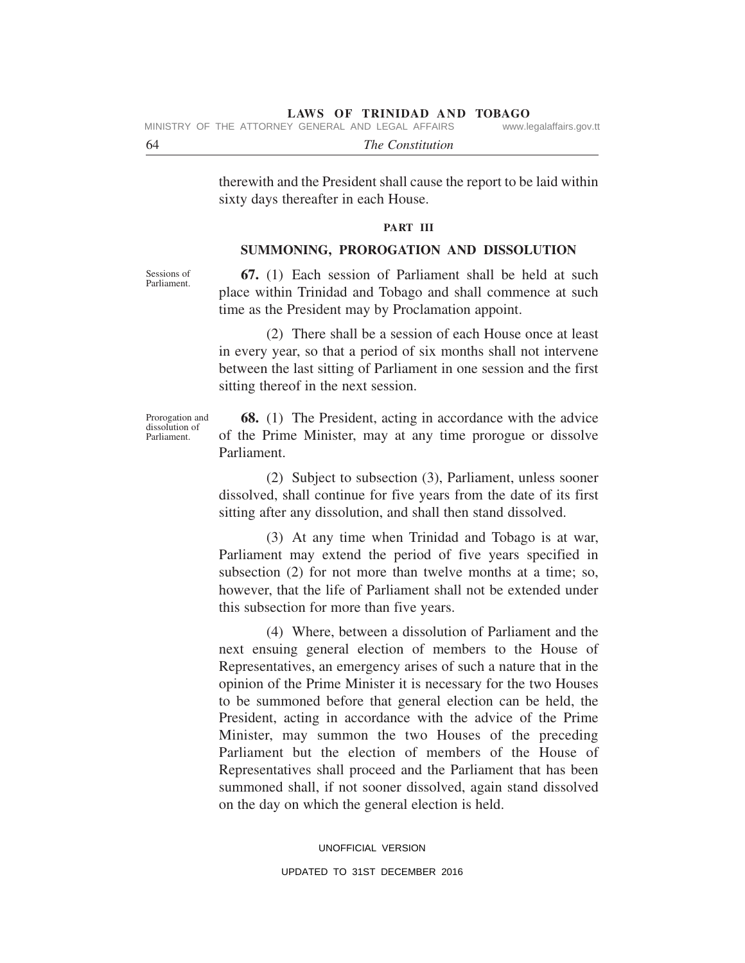MINISTRY OF THE ATTORNEY GENERAL AND LEGAL AFFAIRS www.legalaffairs.gov.tt

64 *The Constitution*

therewith and the President shall cause the report to be laid within sixty days thereafter in each House.

#### **PART III**

#### **SUMMONING, PROROGATION AND DISSOLUTION**

Sessions of Parliament.

**67.** (1) Each session of Parliament shall be held at such place within Trinidad and Tobago and shall commence at such time as the President may by Proclamation appoint.

(2) There shall be a session of each House once at least in every year, so that a period of six months shall not intervene between the last sitting of Parliament in one session and the first sitting thereof in the next session.

Prorogation and dissolution of Parliament.

**68.** (1) The President, acting in accordance with the advice of the Prime Minister, may at any time prorogue or dissolve Parliament.

(2) Subject to subsection (3), Parliament, unless sooner dissolved, shall continue for five years from the date of its first sitting after any dissolution, and shall then stand dissolved.

(3) At any time when Trinidad and Tobago is at war, Parliament may extend the period of five years specified in subsection (2) for not more than twelve months at a time; so, however, that the life of Parliament shall not be extended under this subsection for more than five years.

(4) Where, between a dissolution of Parliament and the next ensuing general election of members to the House of Representatives, an emergency arises of such a nature that in the opinion of the Prime Minister it is necessary for the two Houses to be summoned before that general election can be held, the President, acting in accordance with the advice of the Prime Minister, may summon the two Houses of the preceding Parliament but the election of members of the House of Representatives shall proceed and the Parliament that has been summoned shall, if not sooner dissolved, again stand dissolved on the day on which the general election is held.

> UNOFFICIAL VERSION UPDATED TO 31ST DECEMBER 2016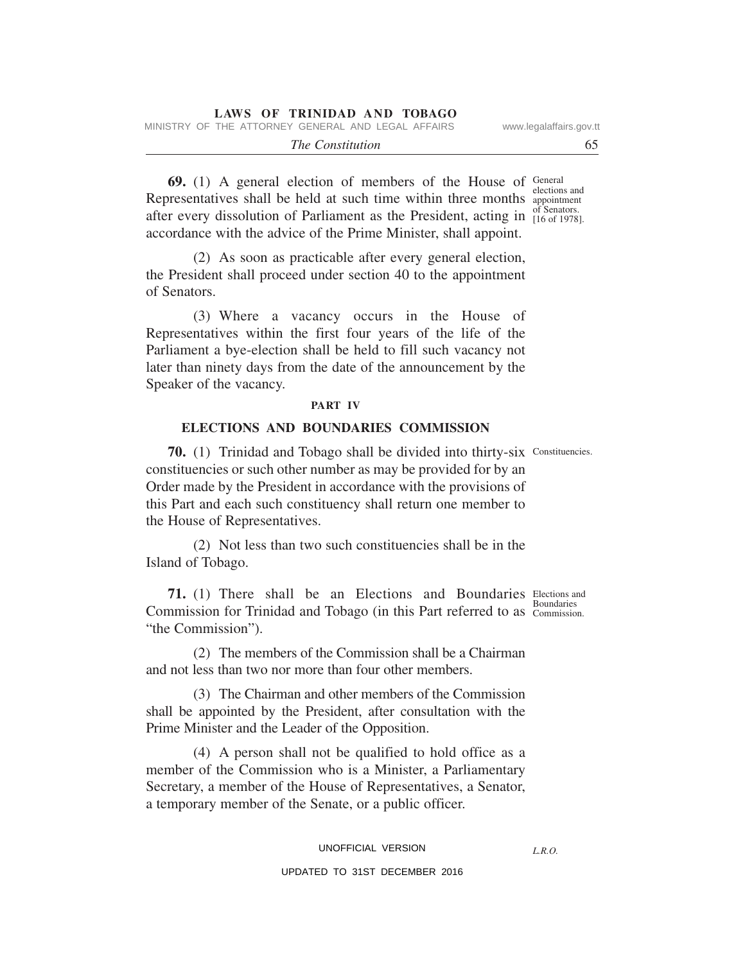MINISTRY OF THE ATTORNEY GENERAL AND LEGAL AFFAIRS www.legalaffairs.gov.tt

*The Constitution* 65

**69.** (1) A general election of members of the House of General of Senators. [16 of 1978]. Representatives shall be held at such time within three months after every dissolution of Parliament as the President, acting in accordance with the advice of the Prime Minister, shall appoint.

(2) As soon as practicable after every general election, the President shall proceed under section 40 to the appointment of Senators.

(3) Where a vacancy occurs in the House of Representatives within the first four years of the life of the Parliament a bye-election shall be held to fill such vacancy not later than ninety days from the date of the announcement by the Speaker of the vacancy.

#### **PART IV**

## **ELECTIONS AND BOUNDARIES COMMISSION**

70. (1) Trinidad and Tobago shall be divided into thirty-six Constituencies. constituencies or such other number as may be provided for by an Order made by the President in accordance with the provisions of this Part and each such constituency shall return one member to the House of Representatives.

(2) Not less than two such constituencies shall be in the Island of Tobago.

**71.** (1) There shall be an Elections and Boundaries Elections and Boundaries Commission for Trinidad and Tobago (in this Part referred to as Commission. "the Commission").

(2) The members of the Commission shall be a Chairman and not less than two nor more than four other members.

(3) The Chairman and other members of the Commission shall be appointed by the President, after consultation with the Prime Minister and the Leader of the Opposition.

(4) A person shall not be qualified to hold office as a member of the Commission who is a Minister, a Parliamentary Secretary, a member of the House of Representatives, a Senator, a temporary member of the Senate, or a public officer.

# UNOFFICIAL VERSION UPDATED TO 31ST DECEMBER 2016

*L.R.O.*

elections and appointment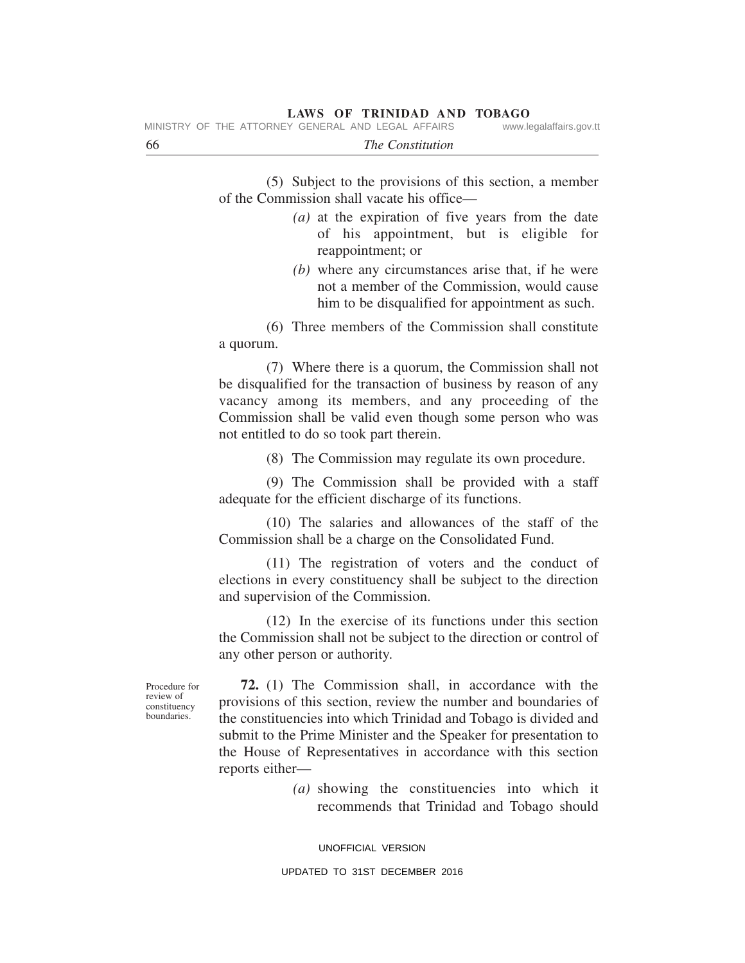66 *The Constitution*

(5) Subject to the provisions of this section, a member of the Commission shall vacate his office—

- *(a)* at the expiration of five years from the date of his appointment, but is eligible for reappointment; or
- *(b)* where any circumstances arise that, if he were not a member of the Commission, would cause him to be disqualified for appointment as such.

(6) Three members of the Commission shall constitute a quorum.

(7) Where there is a quorum, the Commission shall not be disqualified for the transaction of business by reason of any vacancy among its members, and any proceeding of the Commission shall be valid even though some person who was not entitled to do so took part therein.

(8) The Commission may regulate its own procedure.

(9) The Commission shall be provided with a staff adequate for the efficient discharge of its functions.

(10) The salaries and allowances of the staff of the Commission shall be a charge on the Consolidated Fund.

(11) The registration of voters and the conduct of elections in every constituency shall be subject to the direction and supervision of the Commission.

(12) In the exercise of its functions under this section the Commission shall not be subject to the direction or control of any other person or authority.

Procedure for review of constituency boundaries.

**72.** (1) The Commission shall, in accordance with the provisions of this section, review the number and boundaries of the constituencies into which Trinidad and Tobago is divided and submit to the Prime Minister and the Speaker for presentation to the House of Representatives in accordance with this section reports either—

> *(a)* showing the constituencies into which it recommends that Trinidad and Tobago should

UNOFFICIAL VERSION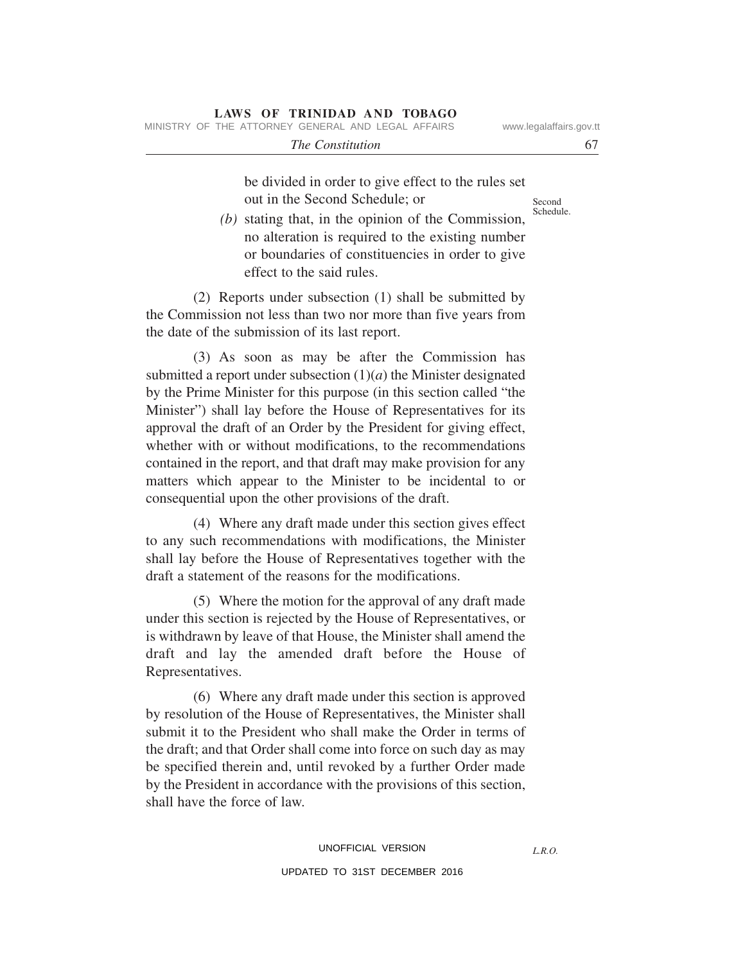be divided in order to give effect to the rules set out in the Second Schedule; or

Schedule. *(b)* stating that, in the opinion of the Commission, no alteration is required to the existing number or boundaries of constituencies in order to give effect to the said rules.

(2) Reports under subsection (1) shall be submitted by the Commission not less than two nor more than five years from the date of the submission of its last report.

(3) As soon as may be after the Commission has submitted a report under subsection  $(1)(a)$  the Minister designated by the Prime Minister for this purpose (in this section called "the Minister") shall lay before the House of Representatives for its approval the draft of an Order by the President for giving effect, whether with or without modifications, to the recommendations contained in the report, and that draft may make provision for any matters which appear to the Minister to be incidental to or consequential upon the other provisions of the draft.

(4) Where any draft made under this section gives effect to any such recommendations with modifications, the Minister shall lay before the House of Representatives together with the draft a statement of the reasons for the modifications.

(5) Where the motion for the approval of any draft made under this section is rejected by the House of Representatives, or is withdrawn by leave of that House, the Minister shall amend the draft and lay the amended draft before the House of Representatives.

(6) Where any draft made under this section is approved by resolution of the House of Representatives, the Minister shall submit it to the President who shall make the Order in terms of the draft; and that Order shall come into force on such day as may be specified therein and, until revoked by a further Order made by the President in accordance with the provisions of this section, shall have the force of law.

Second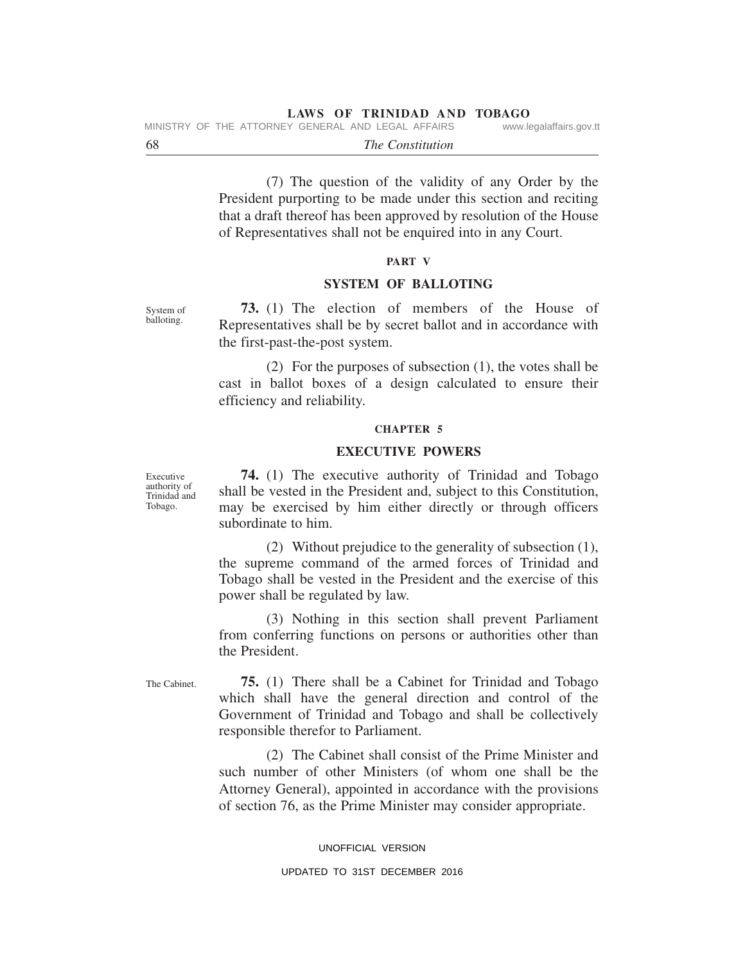68 *The Constitution*

(7) The question of the validity of any Order by the President purporting to be made under this section and reciting that a draft thereof has been approved by resolution of the House of Representatives shall not be enquired into in any Court.

#### **PART V**

#### **SYSTEM OF BALLOTING**

**73.** (1) The election of members of the House of Representatives shall be by secret ballot and in accordance with the first-past-the-post system.

(2) For the purposes of subsection (1), the votes shall be cast in ballot boxes of a design calculated to ensure their efficiency and reliability.

#### **CHAPTER 5**

#### **EXECUTIVE POWERS**

**74.** (1) The executive authority of Trinidad and Tobago shall be vested in the President and, subject to this Constitution, may be exercised by him either directly or through officers subordinate to him.

(2) Without prejudice to the generality of subsection (1), the supreme command of the armed forces of Trinidad and Tobago shall be vested in the President and the exercise of this power shall be regulated by law.

(3) Nothing in this section shall prevent Parliament from conferring functions on persons or authorities other than the President.

The Cabinet.

**75.** (1) There shall be a Cabinet for Trinidad and Tobago which shall have the general direction and control of the Government of Trinidad and Tobago and shall be collectively responsible therefor to Parliament.

(2) The Cabinet shall consist of the Prime Minister and such number of other Ministers (of whom one shall be the Attorney General), appointed in accordance with the provisions of section 76, as the Prime Minister may consider appropriate.

UNOFFICIAL VERSION

#### UPDATED TO 31ST DECEMBER 2016

System of balloting.

Executive authority of Trinidad and Tobago.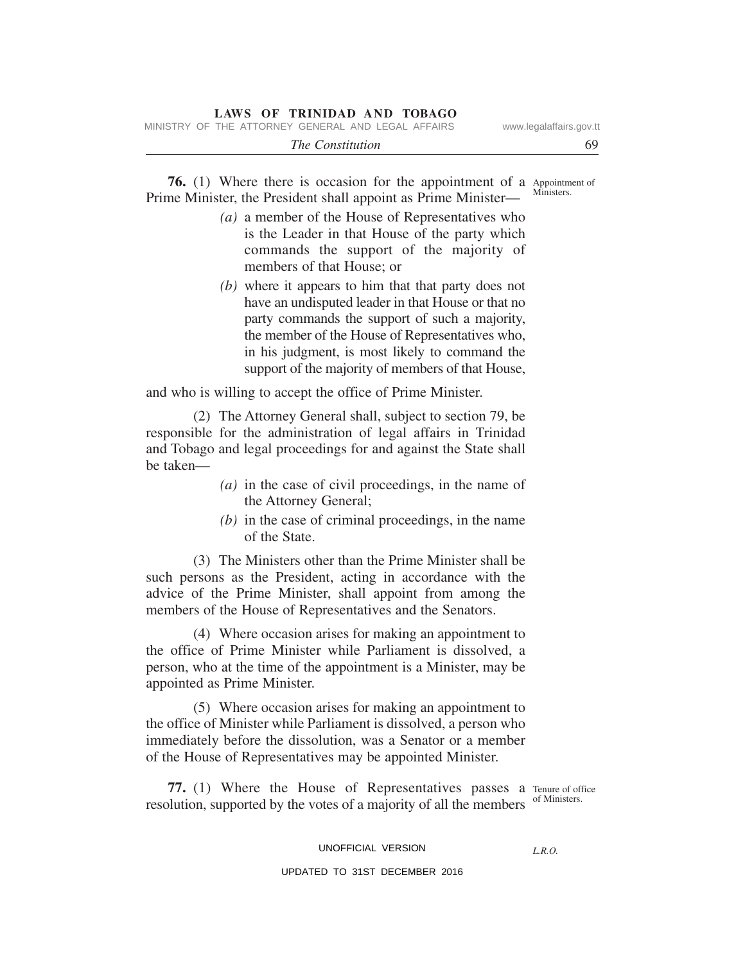MINISTRY OF THE ATTORNEY GENERAL AND LEGAL AFFAIRS www.legalaffairs.gov.tt

*The Constitution* 69

**76.** (1) Where there is occasion for the appointment of a Appointment of Ministers. Prime Minister, the President shall appoint as Prime Minister—

- *(a)* a member of the House of Representatives who is the Leader in that House of the party which commands the support of the majority of members of that House; or
- *(b)* where it appears to him that that party does not have an undisputed leader in that House or that no party commands the support of such a majority, the member of the House of Representatives who, in his judgment, is most likely to command the support of the majority of members of that House,

and who is willing to accept the office of Prime Minister.

(2) The Attorney General shall, subject to section 79, be responsible for the administration of legal affairs in Trinidad and Tobago and legal proceedings for and against the State shall be taken—

- *(a)* in the case of civil proceedings, in the name of the Attorney General;
- *(b)* in the case of criminal proceedings, in the name of the State.

(3) The Ministers other than the Prime Minister shall be such persons as the President, acting in accordance with the advice of the Prime Minister, shall appoint from among the members of the House of Representatives and the Senators.

(4) Where occasion arises for making an appointment to the office of Prime Minister while Parliament is dissolved, a person, who at the time of the appointment is a Minister, may be appointed as Prime Minister.

(5) Where occasion arises for making an appointment to the office of Minister while Parliament is dissolved, a person who immediately before the dissolution, was a Senator or a member of the House of Representatives may be appointed Minister.

77. (1) Where the House of Representatives passes a Tenure of office resolution, supported by the votes of a majority of all the members

of Ministers.

#### UNOFFICIAL VERSION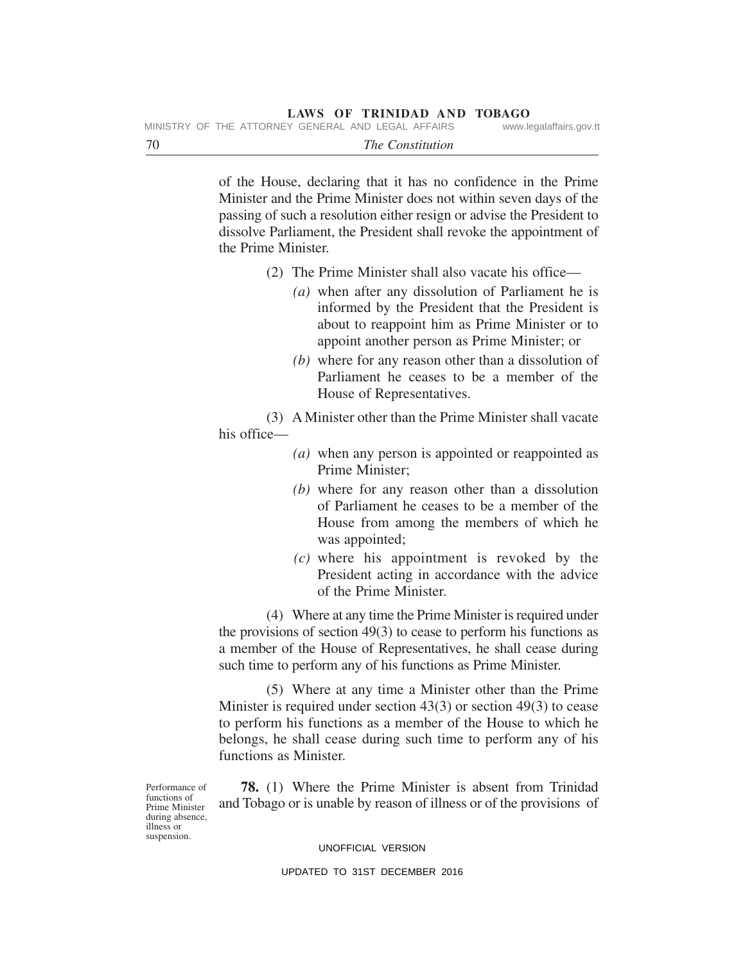**LAWS OF TRINIDAD AND TOBAGO**<br>IY GENERAL AND LEGAL AFFAIRS www.legalaffairs.gov.tt MINISTRY OF THE ATTORNEY GENERAL AND LEGAL AFFAIRS

| $\neg$ | The Constitution |
|--------|------------------|
|        |                  |

of the House, declaring that it has no confidence in the Prime Minister and the Prime Minister does not within seven days of the passing of such a resolution either resign or advise the President to dissolve Parliament, the President shall revoke the appointment of the Prime Minister.

- (2) The Prime Minister shall also vacate his office—
	- *(a)* when after any dissolution of Parliament he is informed by the President that the President is about to reappoint him as Prime Minister or to appoint another person as Prime Minister; or
	- *(b)* where for any reason other than a dissolution of Parliament he ceases to be a member of the House of Representatives.

(3) A Minister other than the Prime Minister shall vacate his office—

- *(a)* when any person is appointed or reappointed as Prime Minister;
- *(b)* where for any reason other than a dissolution of Parliament he ceases to be a member of the House from among the members of which he was appointed;
- *(c)* where his appointment is revoked by the President acting in accordance with the advice of the Prime Minister.

(4) Where at any time the Prime Minister is required under the provisions of section 49(3) to cease to perform his functions as a member of the House of Representatives, he shall cease during such time to perform any of his functions as Prime Minister.

(5) Where at any time a Minister other than the Prime Minister is required under section 43(3) or section 49(3) to cease to perform his functions as a member of the House to which he belongs, he shall cease during such time to perform any of his functions as Minister.

Performance of functions of Prime Minister during absence, illness or suspension.

**78.** (1) Where the Prime Minister is absent from Trinidad and Tobago or is unable by reason of illness or of the provisions of

UNOFFICIAL VERSION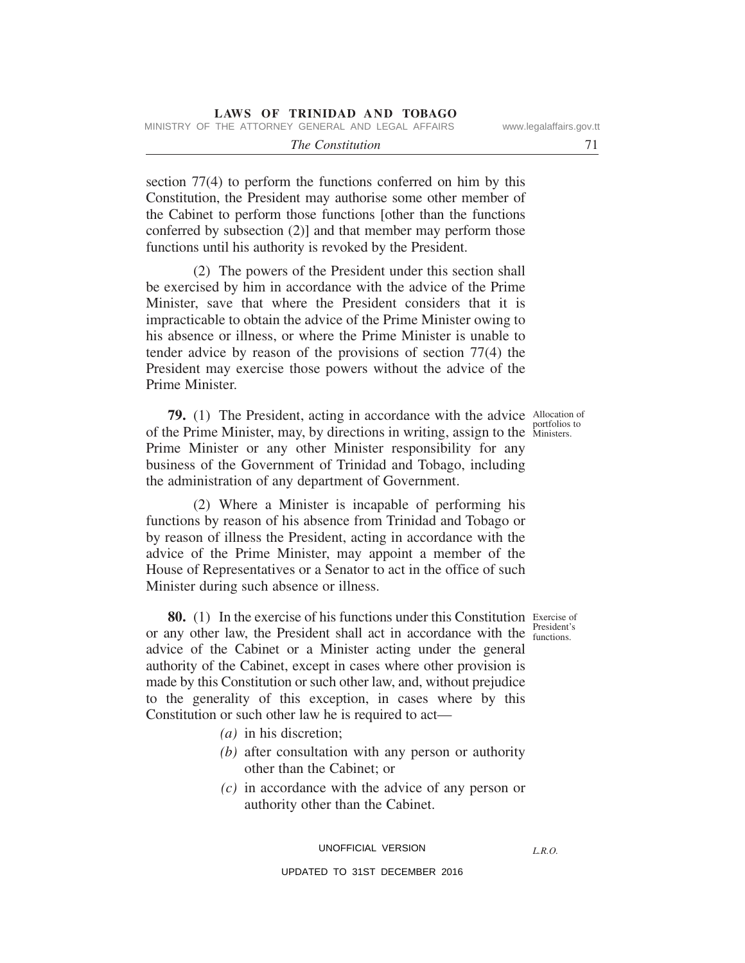MINISTRY OF THE ATTORNEY GENERAL AND LEGAL AFFAIRS www.legalaffairs.gov.tt

*The Constitution* 71

section 77(4) to perform the functions conferred on him by this Constitution, the President may authorise some other member of the Cabinet to perform those functions [other than the functions conferred by subsection (2)] and that member may perform those functions until his authority is revoked by the President.

(2) The powers of the President under this section shall be exercised by him in accordance with the advice of the Prime Minister, save that where the President considers that it is impracticable to obtain the advice of the Prime Minister owing to his absence or illness, or where the Prime Minister is unable to tender advice by reason of the provisions of section 77(4) the President may exercise those powers without the advice of the Prime Minister.

**79.** (1) The President, acting in accordance with the advice Allocation of of the Prime Minister, may, by directions in writing, assign to the  $\frac{N_{\text{th}}}{N_{\text{inisters}}}\$ Prime Minister or any other Minister responsibility for any business of the Government of Trinidad and Tobago, including the administration of any department of Government.

(2) Where a Minister is incapable of performing his functions by reason of his absence from Trinidad and Tobago or by reason of illness the President, acting in accordance with the advice of the Prime Minister, may appoint a member of the House of Representatives or a Senator to act in the office of such Minister during such absence or illness.

**80.** (1) In the exercise of his functions under this Constitution Exercise of or any other law, the President shall act in accordance with the  $f_{\text{functions}}^{resident}$ advice of the Cabinet or a Minister acting under the general authority of the Cabinet, except in cases where other provision is made by this Constitution or such other law, and, without prejudice to the generality of this exception, in cases where by this Constitution or such other law he is required to act—

- *(a)* in his discretion;
- *(b)* after consultation with any person or authority other than the Cabinet; or
- *(c)* in accordance with the advice of any person or authority other than the Cabinet.

UNOFFICIAL VERSION UPDATED TO 31ST DECEMBER 2016

*L.R.O.*

portfolios to

President's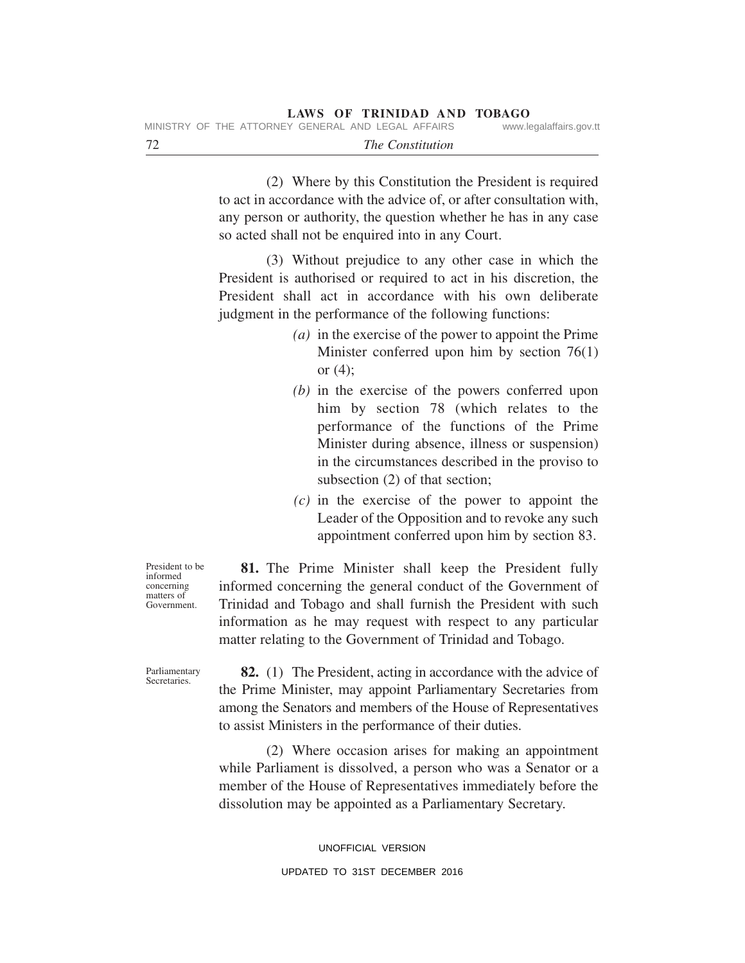72 *The Constitution* MINISTRY OF THE ATTORNEY GENERAL AND LEGAL AFFAIRS www.legalaffairs.gov.tt

> (2) Where by this Constitution the President is required to act in accordance with the advice of, or after consultation with, any person or authority, the question whether he has in any case so acted shall not be enquired into in any Court.

> (3) Without prejudice to any other case in which the President is authorised or required to act in his discretion, the President shall act in accordance with his own deliberate judgment in the performance of the following functions:

- *(a)* in the exercise of the power to appoint the Prime Minister conferred upon him by section 76(1) or (4);
- *(b)* in the exercise of the powers conferred upon him by section 78 (which relates to the performance of the functions of the Prime Minister during absence, illness or suspension) in the circumstances described in the proviso to subsection (2) of that section;
- *(c)* in the exercise of the power to appoint the Leader of the Opposition and to revoke any such appointment conferred upon him by section 83.

**81.** The Prime Minister shall keep the President fully informed concerning the general conduct of the Government of Trinidad and Tobago and shall furnish the President with such information as he may request with respect to any particular matter relating to the Government of Trinidad and Tobago.

**82.** (1) The President, acting in accordance with the advice of the Prime Minister, may appoint Parliamentary Secretaries from among the Senators and members of the House of Representatives to assist Ministers in the performance of their duties.

(2) Where occasion arises for making an appointment while Parliament is dissolved, a person who was a Senator or a member of the House of Representatives immediately before the dissolution may be appointed as a Parliamentary Secretary.

> UNOFFICIAL VERSION UPDATED TO 31ST DECEMBER 2016

President to be informed concerning matters of Government.

Parliamentary Secretaries.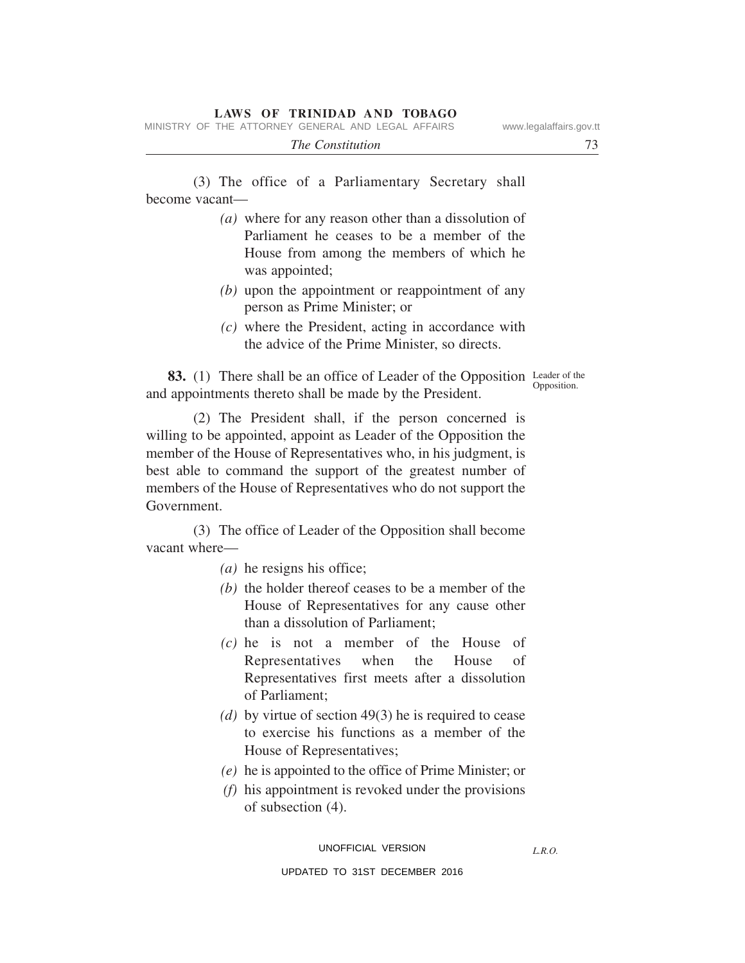MINISTRY OF THE ATTORNEY GENERAL AND LEGAL AFFAIRS www.legalaffairs.gov.tt

| <i>The Constitution</i>                                             | 73 |
|---------------------------------------------------------------------|----|
| (3) The office of a Parliamentary Secretary shall<br>become vacant— |    |

- *(a)* where for any reason other than a dissolution of Parliament he ceases to be a member of the House from among the members of which he was appointed;
- *(b)* upon the appointment or reappointment of any person as Prime Minister; or
- *(c)* where the President, acting in accordance with the advice of the Prime Minister, so directs.

83. (1) There shall be an office of Leader of the Opposition Leader of the Opposition. and appointments thereto shall be made by the President.

(2) The President shall, if the person concerned is willing to be appointed, appoint as Leader of the Opposition the member of the House of Representatives who, in his judgment, is best able to command the support of the greatest number of members of the House of Representatives who do not support the Government.

(3) The office of Leader of the Opposition shall become vacant where—

- *(a)* he resigns his office;
- *(b)* the holder thereof ceases to be a member of the House of Representatives for any cause other than a dissolution of Parliament;
- *(c)* he is not a member of the House of Representatives when the House of Representatives first meets after a dissolution of Parliament;
- *(d)* by virtue of section 49(3) he is required to cease to exercise his functions as a member of the House of Representatives;
- *(e)* he is appointed to the office of Prime Minister; or
- *(f)* his appointment is revoked under the provisions of subsection (4).

*L.R.O.*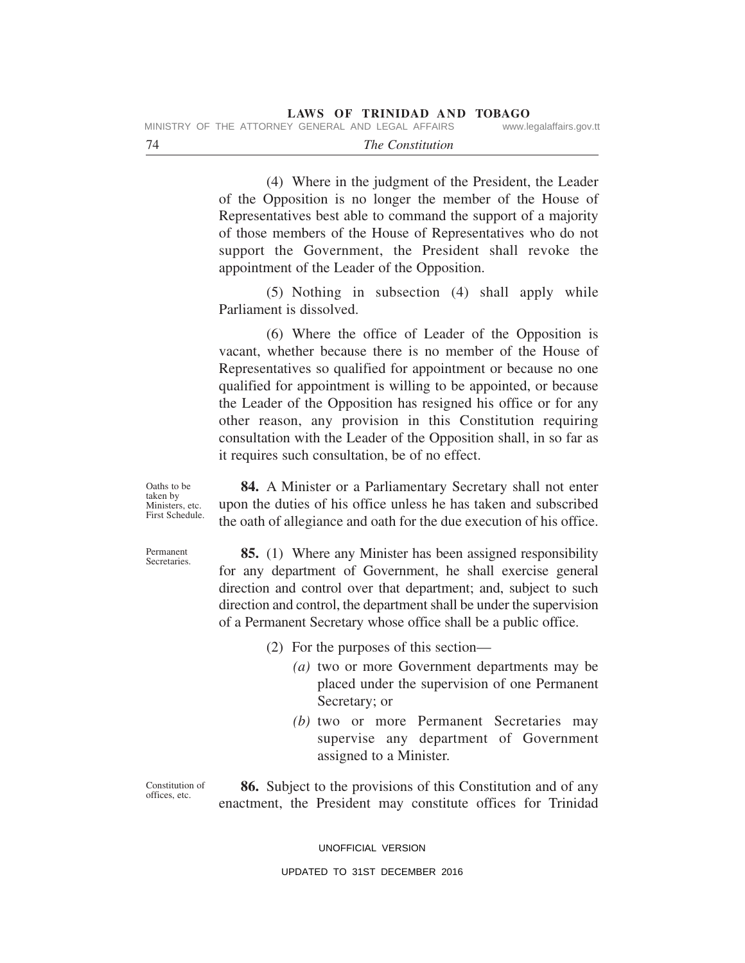MINISTRY OF THE ATTORNEY GENERAL AND LEGAL AFFAIRS www.legalaffairs.gov.tt

(4) Where in the judgment of the President, the Leader of the Opposition is no longer the member of the House of Representatives best able to command the support of a majority of those members of the House of Representatives who do not support the Government, the President shall revoke the appointment of the Leader of the Opposition.

(5) Nothing in subsection (4) shall apply while Parliament is dissolved.

(6) Where the office of Leader of the Opposition is vacant, whether because there is no member of the House of Representatives so qualified for appointment or because no one qualified for appointment is willing to be appointed, or because the Leader of the Opposition has resigned his office or for any other reason, any provision in this Constitution requiring consultation with the Leader of the Opposition shall, in so far as it requires such consultation, be of no effect.

**84.** A Minister or a Parliamentary Secretary shall not enter upon the duties of his office unless he has taken and subscribed the oath of allegiance and oath for the due execution of his office.

**85.** (1) Where any Minister has been assigned responsibility for any department of Government, he shall exercise general direction and control over that department; and, subject to such direction and control, the department shall be under the supervision of a Permanent Secretary whose office shall be a public office.

- (2) For the purposes of this section—
	- *(a)* two or more Government departments may be placed under the supervision of one Permanent Secretary; or
	- *(b)* two or more Permanent Secretaries may supervise any department of Government assigned to a Minister.

Constitution of offices, etc.

**86.** Subject to the provisions of this Constitution and of any enactment, the President may constitute offices for Trinidad

UNOFFICIAL VERSION

UPDATED TO 31ST DECEMBER 2016

Oaths to be taken by Ministers, etc. First Schedule.

Permanent Secretaries.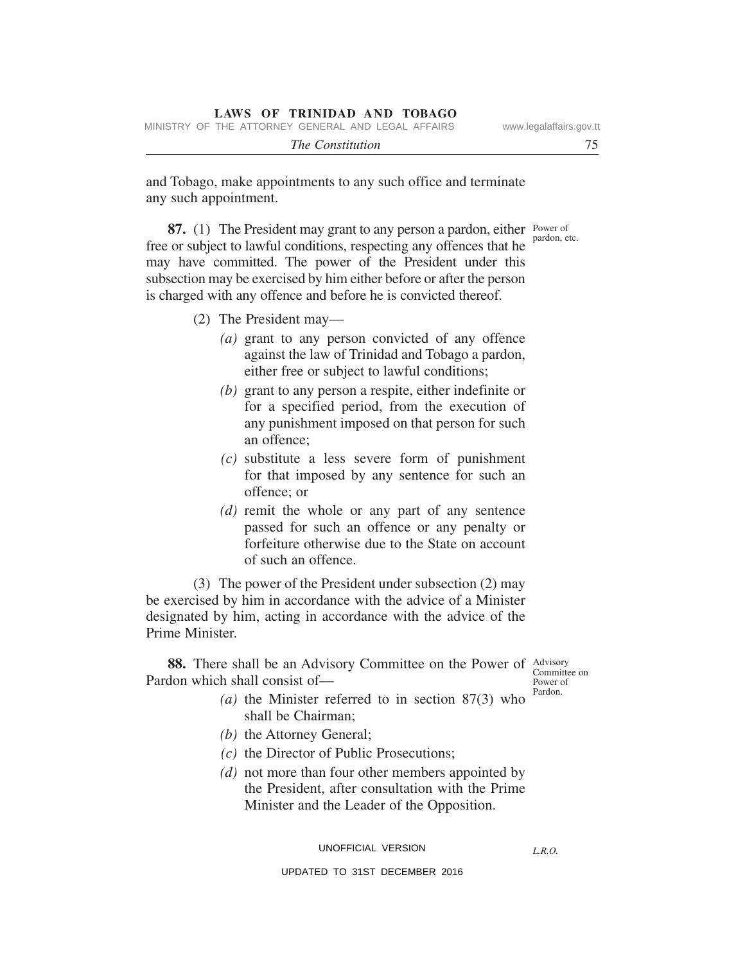and Tobago, make appointments to any such office and terminate any such appointment.

87. (1) The President may grant to any person a pardon, either Power of free or subject to lawful conditions, respecting any offences that he may have committed. The power of the President under this subsection may be exercised by him either before or after the person is charged with any offence and before he is convicted thereof.

- (2) The President may—
	- *(a)* grant to any person convicted of any offence against the law of Trinidad and Tobago a pardon, either free or subject to lawful conditions;
	- *(b)* grant to any person a respite, either indefinite or for a specified period, from the execution of any punishment imposed on that person for such an offence;
	- *(c)* substitute a less severe form of punishment for that imposed by any sentence for such an offence; or
	- *(d)* remit the whole or any part of any sentence passed for such an offence or any penalty or forfeiture otherwise due to the State on account of such an offence.

(3) The power of the President under subsection (2) may be exercised by him in accordance with the advice of a Minister designated by him, acting in accordance with the advice of the Prime Minister.

**88.** There shall be an Advisory Committee on the Power of Advisory Pardon which shall consist of—

Committee on Power of Pardon.

- *(a)* the Minister referred to in section 87(3) who shall be Chairman;
- *(b)* the Attorney General;
- *(c)* the Director of Public Prosecutions;
- *(d)* not more than four other members appointed by the President, after consultation with the Prime Minister and the Leader of the Opposition.

UNOFFICIAL VERSION

*L.R.O.* 

UPDATED TO 31ST DECEMBER 2016

pardon, etc.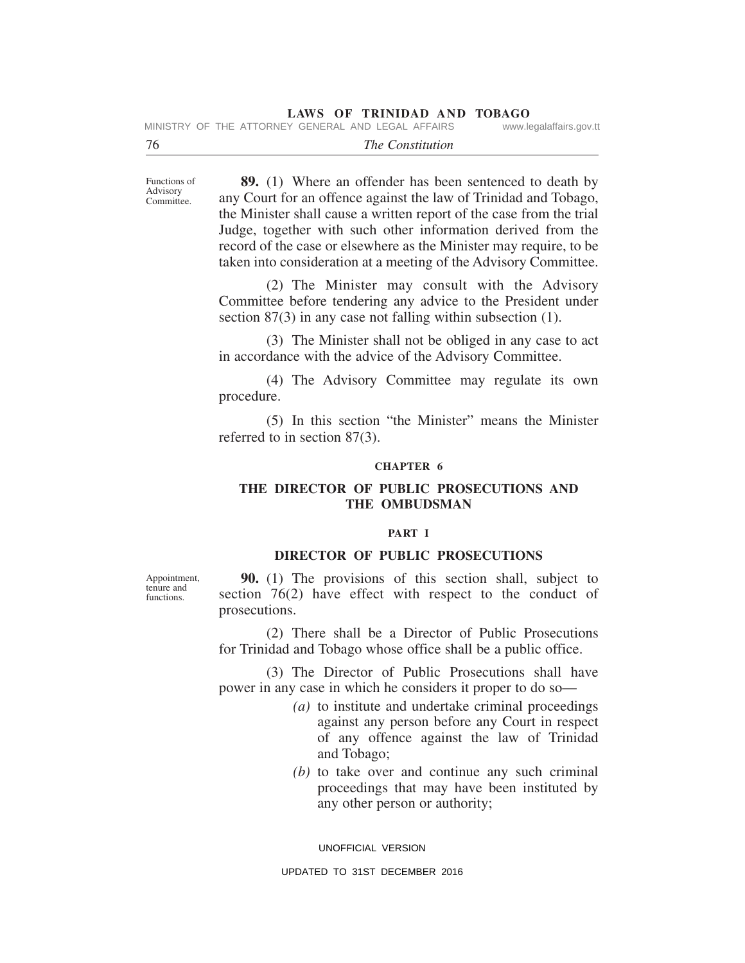MINISTRY OF THE ATTORNEY GENERAL AND LEGAL AFFAIRS www.legalaffairs.gov.tt

# 76 *The Constitution*

Functions of Advisory Committee.

**89.** (1) Where an offender has been sentenced to death by any Court for an offence against the law of Trinidad and Tobago, the Minister shall cause a written report of the case from the trial Judge, together with such other information derived from the record of the case or elsewhere as the Minister may require, to be taken into consideration at a meeting of the Advisory Committee.

(2) The Minister may consult with the Advisory Committee before tendering any advice to the President under section 87(3) in any case not falling within subsection (1).

(3) The Minister shall not be obliged in any case to act in accordance with the advice of the Advisory Committee.

(4) The Advisory Committee may regulate its own procedure.

(5) In this section "the Minister" means the Minister referred to in section 87(3).

#### **CHAPTER 6**

# **THE DIRECTOR OF PUBLIC PROSECUTIONS AND THE OMBUDSMAN**

#### **PART I**

# **DIRECTOR OF PUBLIC PROSECUTIONS**

Appointment, tenure and functions.

**90.** (1) The provisions of this section shall, subject to section 76(2) have effect with respect to the conduct of prosecutions.

(2) There shall be a Director of Public Prosecutions for Trinidad and Tobago whose office shall be a public office.

(3) The Director of Public Prosecutions shall have power in any case in which he considers it proper to do so—

- *(a)* to institute and undertake criminal proceedings against any person before any Court in respect of any offence against the law of Trinidad and Tobago;
- *(b)* to take over and continue any such criminal proceedings that may have been instituted by any other person or authority;

UNOFFICIAL VERSION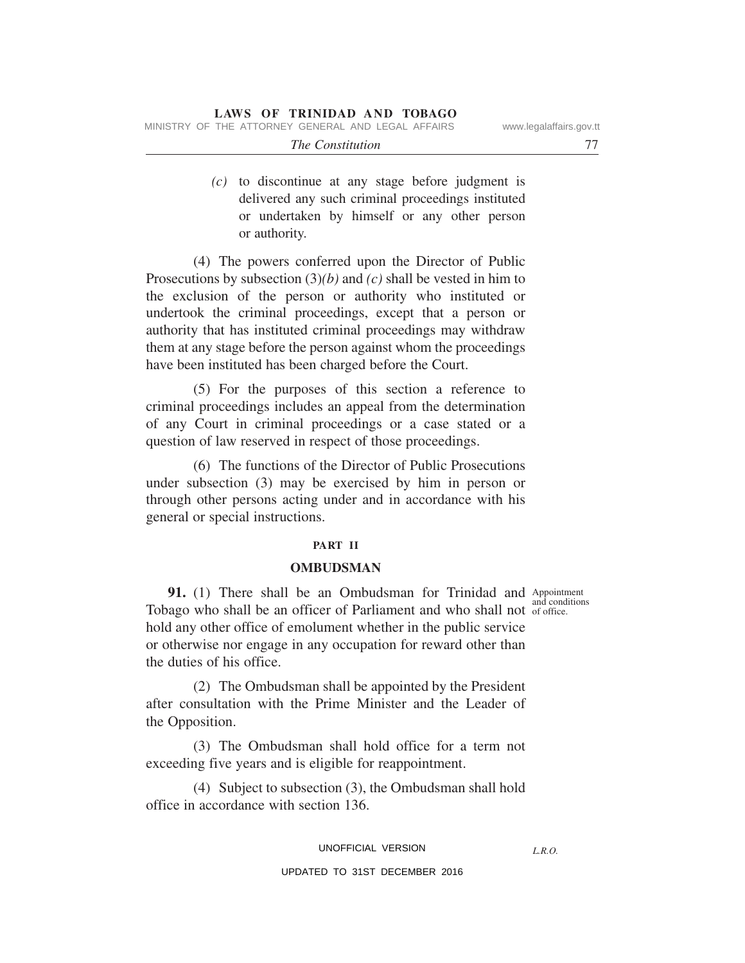*The Constitution* 77

*(c)* to discontinue at any stage before judgment is delivered any such criminal proceedings instituted or undertaken by himself or any other person or authority.

(4) The powers conferred upon the Director of Public Prosecutions by subsection (3)*(b)* and *(c)* shall be vested in him to the exclusion of the person or authority who instituted or undertook the criminal proceedings, except that a person or authority that has instituted criminal proceedings may withdraw them at any stage before the person against whom the proceedings have been instituted has been charged before the Court.

(5) For the purposes of this section a reference to criminal proceedings includes an appeal from the determination of any Court in criminal proceedings or a case stated or a question of law reserved in respect of those proceedings.

(6) The functions of the Director of Public Prosecutions under subsection (3) may be exercised by him in person or through other persons acting under and in accordance with his general or special instructions.

#### **PART II**

# **OMBUDSMAN**

and conditions

*L.R.O.* 

**91.** (1) There shall be an Ombudsman for Trinidad and Appointment Tobago who shall be an officer of Parliament and who shall not of office. hold any other office of emolument whether in the public service or otherwise nor engage in any occupation for reward other than the duties of his office.

(2) The Ombudsman shall be appointed by the President after consultation with the Prime Minister and the Leader of the Opposition.

(3) The Ombudsman shall hold office for a term not exceeding five years and is eligible for reappointment.

(4) Subject to subsection (3), the Ombudsman shall hold office in accordance with section 136.

# UNOFFICIAL VERSION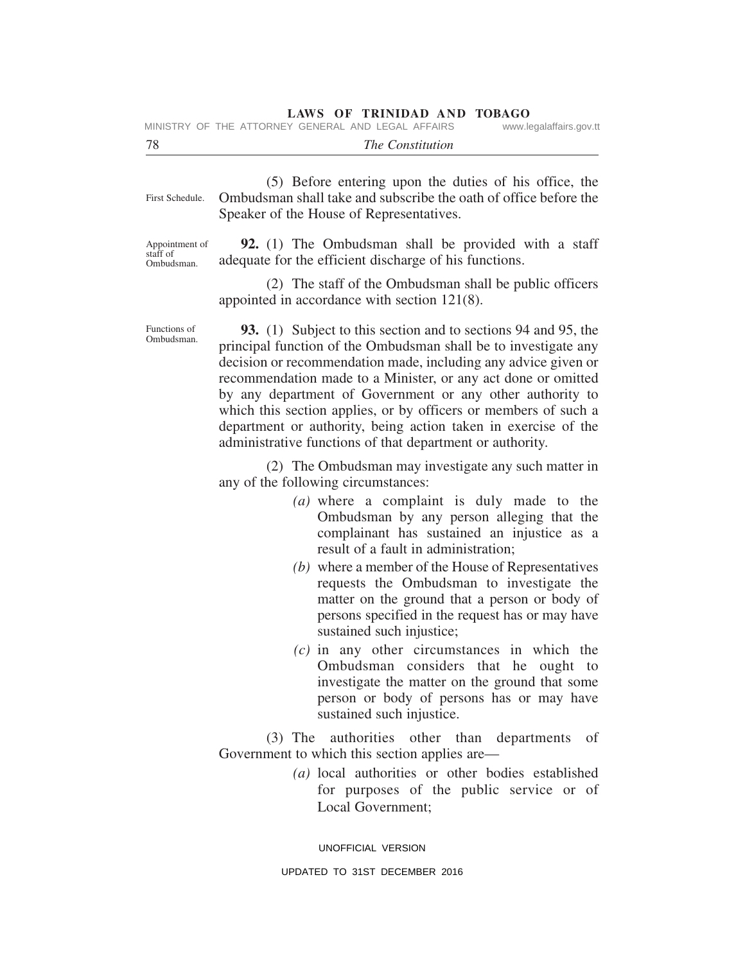**LAWS OF TRINIDAD AND TOBAGO**<br>IY GENERAL AND LEGAL AFFAIRS www.legalaffairs.gov.tt MINISTRY OF THE ATTORNEY GENERAL AND LEGAL AFFAIRS

| - 78 | <i>The Constitution</i>                                |  |  |  |
|------|--------------------------------------------------------|--|--|--|
|      |                                                        |  |  |  |
|      | (5) Before entering upon the duties of his office, the |  |  |  |

Speaker of the House of Representatives.

First Schedule.

Appointment of staff of Ombudsman.

Functions of Ombudsman.

**92.** (1) The Ombudsman shall be provided with a staff adequate for the efficient discharge of his functions.

Ombudsman shall take and subscribe the oath of office before the

(2) The staff of the Ombudsman shall be public officers appointed in accordance with section 121(8).

**93.** (1) Subject to this section and to sections 94 and 95, the principal function of the Ombudsman shall be to investigate any decision or recommendation made, including any advice given or recommendation made to a Minister, or any act done or omitted by any department of Government or any other authority to which this section applies, or by officers or members of such a department or authority, being action taken in exercise of the administrative functions of that department or authority.

(2) The Ombudsman may investigate any such matter in any of the following circumstances:

- *(a)* where a complaint is duly made to the Ombudsman by any person alleging that the complainant has sustained an injustice as a result of a fault in administration;
- *(b)* where a member of the House of Representatives requests the Ombudsman to investigate the matter on the ground that a person or body of persons specified in the request has or may have sustained such injustice;
- *(c)* in any other circumstances in which the Ombudsman considers that he ought to investigate the matter on the ground that some person or body of persons has or may have sustained such injustice.

(3) The authorities other than departments of Government to which this section applies are—

> *(a)* local authorities or other bodies established for purposes of the public service or of Local Government;

UNOFFICIAL VERSION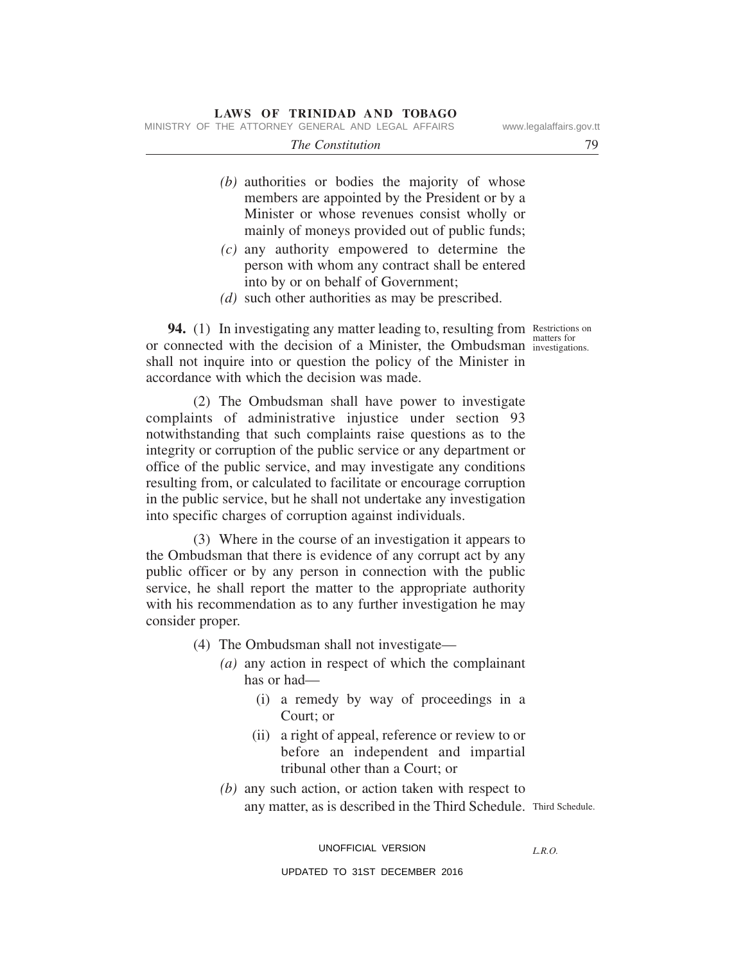MINISTRY OF THE ATTORNEY GENERAL AND LEGAL AFFAIRS www.legalaffairs.gov.tt

| <i>The Constitution</i>                                                                                                                           | 79 |
|---------------------------------------------------------------------------------------------------------------------------------------------------|----|
| (b) authorities or bodies the majority of whose<br>members are appointed by the President or by a<br>Minister or whose revenues consist wholly or |    |

*(c)* any authority empowered to determine the person with whom any contract shall be entered into by or on behalf of Government;

mainly of moneys provided out of public funds;

*(d)* such other authorities as may be prescribed.

matters for

**94.** (1) In investigating any matter leading to, resulting from Restrictions on or connected with the decision of a Minister, the Ombudsman investigations. shall not inquire into or question the policy of the Minister in accordance with which the decision was made.

(2) The Ombudsman shall have power to investigate complaints of administrative injustice under section 93 notwithstanding that such complaints raise questions as to the integrity or corruption of the public service or any department or office of the public service, and may investigate any conditions resulting from, or calculated to facilitate or encourage corruption in the public service, but he shall not undertake any investigation into specific charges of corruption against individuals.

(3) Where in the course of an investigation it appears to the Ombudsman that there is evidence of any corrupt act by any public officer or by any person in connection with the public service, he shall report the matter to the appropriate authority with his recommendation as to any further investigation he may consider proper.

(4) The Ombudsman shall not investigate—

- *(a)* any action in respect of which the complainant has or had—
	- (i) a remedy by way of proceedings in a Court; or
	- (ii) a right of appeal, reference or review to or before an independent and impartial tribunal other than a Court; or
- any matter, as is described in the Third Schedule. Third Schedule. *(b)* any such action, or action taken with respect to

UNOFFICIAL VERSION

*L.R.O.*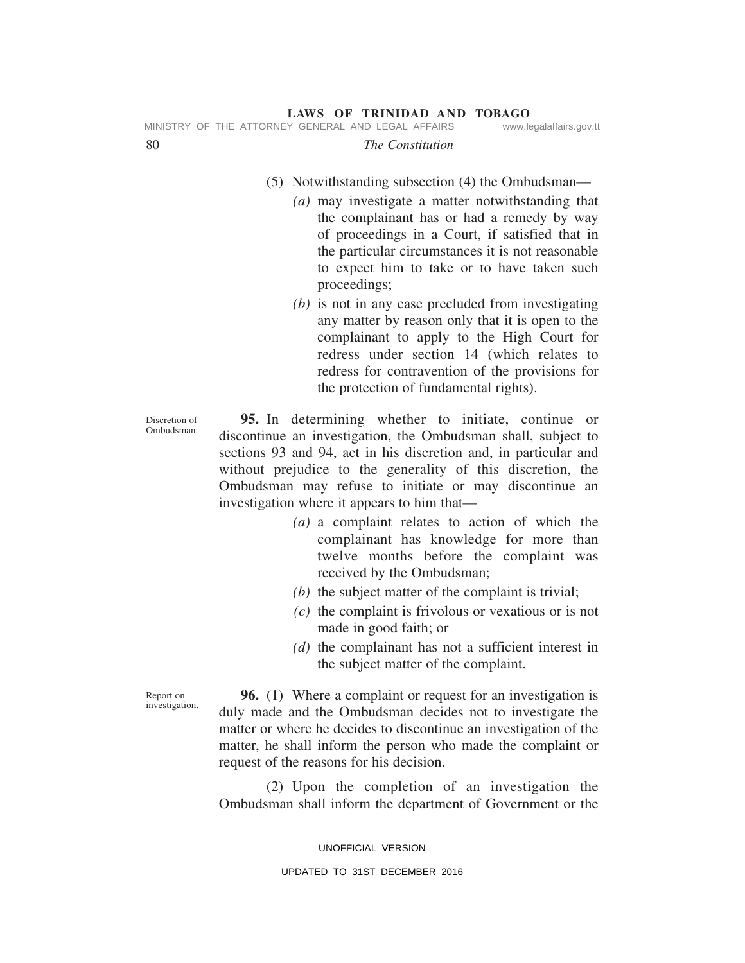MINISTRY OF THE ATTORNEY GENERAL AND LEGAL AFFAIRS www.legalaffairs.gov.tt

| 80                          | The Constitution                                                                                                                                                                                                                                                                                                            |  |  |  |  |
|-----------------------------|-----------------------------------------------------------------------------------------------------------------------------------------------------------------------------------------------------------------------------------------------------------------------------------------------------------------------------|--|--|--|--|
|                             | (5) Notwithstanding subsection (4) the Ombudsman—<br>(a) may investigate a matter notwithstanding that<br>the complainant has or had a remedy by way<br>of proceedings in a Court, if satisfied that in<br>the particular circumstances it is not reasonable<br>to expect him to take or to have taken such<br>proceedings; |  |  |  |  |
|                             | (b) is not in any case precluded from investigating<br>any matter by reason only that it is open to the<br>complainant to apply to the High Court for<br>redress under section 14 (which relates to<br>redress for contravention of the provisions for<br>the protection of fundamental rights).                            |  |  |  |  |
| Discretion of<br>Ombudsman. | 95. In determining whether to initiate, continue<br><sub>or</sub><br>discontinue an investigation, the Ombudsman shall, subject to                                                                                                                                                                                          |  |  |  |  |

sections 93 and 94, act in his discretion and, in particular and

without prejudice to the generality of this discretion, the Ombudsman may refuse to initiate or may discontinue an investigation where it appears to him that— *(a)* a complaint relates to action of which the

- complainant has knowledge for more than twelve months before the complaint was received by the Ombudsman;
- *(b)* the subject matter of the complaint is trivial;
- *(c)* the complaint is frivolous or vexatious or is not made in good faith; or
- *(d)* the complainant has not a sufficient interest in the subject matter of the complaint.

Report on investigation.

**96.** (1) Where a complaint or request for an investigation is duly made and the Ombudsman decides not to investigate the matter or where he decides to discontinue an investigation of the matter, he shall inform the person who made the complaint or request of the reasons for his decision.

(2) Upon the completion of an investigation the Ombudsman shall inform the department of Government or the

UNOFFICIAL VERSION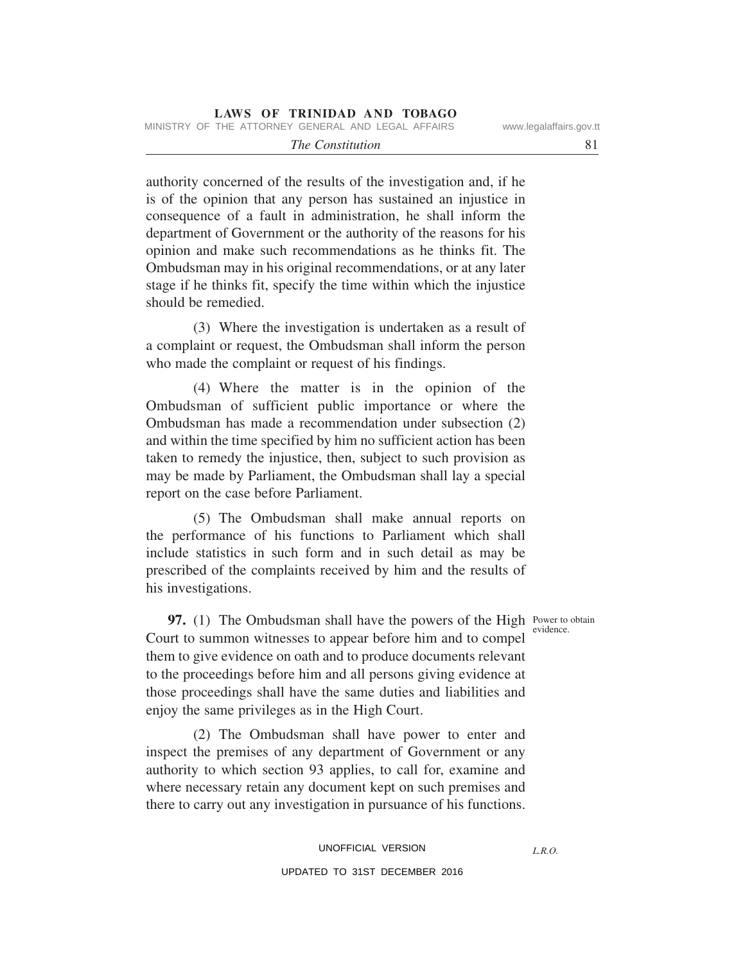MINISTRY OF THE ATTORNEY GENERAL AND LEGAL AFFAIRS www.legalaffairs.gov.tt

*The Constitution* 81

authority concerned of the results of the investigation and, if he is of the opinion that any person has sustained an injustice in consequence of a fault in administration, he shall inform the department of Government or the authority of the reasons for his opinion and make such recommendations as he thinks fit. The Ombudsman may in his original recommendations, or at any later stage if he thinks fit, specify the time within which the injustice should be remedied.

(3) Where the investigation is undertaken as a result of a complaint or request, the Ombudsman shall inform the person who made the complaint or request of his findings.

(4) Where the matter is in the opinion of the Ombudsman of sufficient public importance or where the Ombudsman has made a recommendation under subsection (2) and within the time specified by him no sufficient action has been taken to remedy the injustice, then, subject to such provision as may be made by Parliament, the Ombudsman shall lay a special report on the case before Parliament.

(5) The Ombudsman shall make annual reports on the performance of his functions to Parliament which shall include statistics in such form and in such detail as may be prescribed of the complaints received by him and the results of his investigations.

**97.** (1) The Ombudsman shall have the powers of the High Power to obtain Court to summon witnesses to appear before him and to compel them to give evidence on oath and to produce documents relevant to the proceedings before him and all persons giving evidence at those proceedings shall have the same duties and liabilities and enjoy the same privileges as in the High Court.

(2) The Ombudsman shall have power to enter and inspect the premises of any department of Government or any authority to which section 93 applies, to call for, examine and where necessary retain any document kept on such premises and there to carry out any investigation in pursuance of his functions.

> UNOFFICIAL VERSION UPDATED TO 31ST DECEMBER 2016

evidence.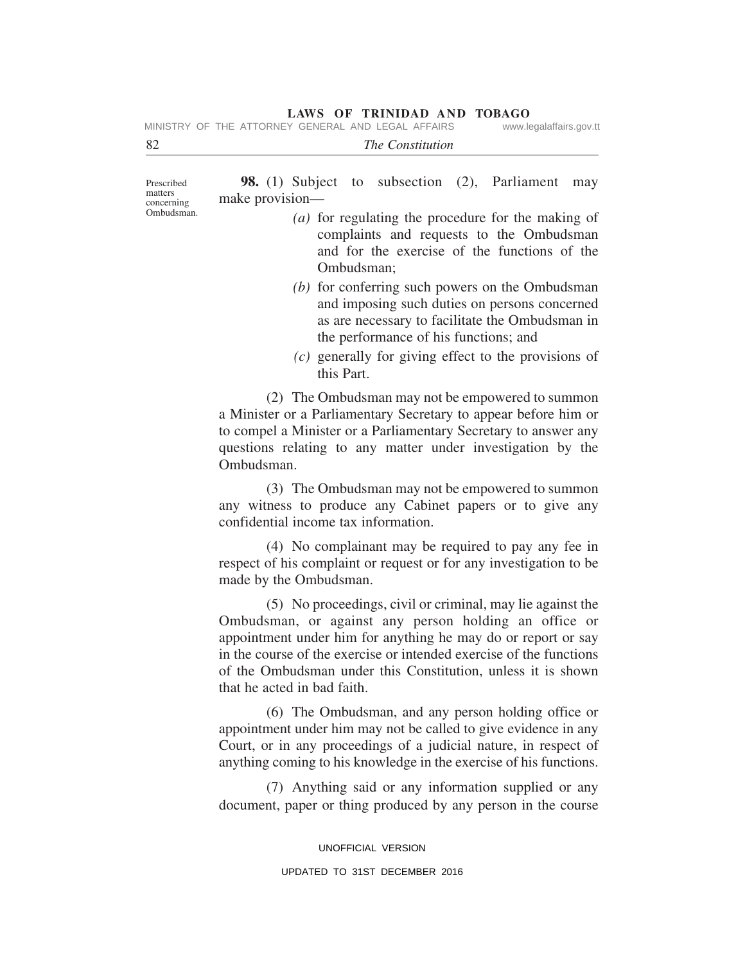| MINISTRY OF THE ATTORNEY GENERAL AND LEGAL AFFAIRS |  |  |  |  |  | www.legalaffairs.gov.tt |
|----------------------------------------------------|--|--|--|--|--|-------------------------|
|----------------------------------------------------|--|--|--|--|--|-------------------------|

| 82                                  | The Constitution                                                                                                                                                                             |  |  |  |  |  |
|-------------------------------------|----------------------------------------------------------------------------------------------------------------------------------------------------------------------------------------------|--|--|--|--|--|
| Prescribed<br>matters<br>concerning | <b>98.</b> (1) Subject to subsection (2), Parliament<br>may<br>make provision—                                                                                                               |  |  |  |  |  |
| Ombudsman.                          | (a) for regulating the procedure for the making of<br>complaints and requests to the Ombudsman<br>and for the exercise of the functions of the<br>Ombudsman;                                 |  |  |  |  |  |
|                                     | (b) for conferring such powers on the Ombudsman<br>and imposing such duties on persons concerned<br>as are necessary to facilitate the Ombudsman in<br>the performance of his functions; and |  |  |  |  |  |
|                                     | $(c)$ generally for giving effect to the provisions of                                                                                                                                       |  |  |  |  |  |

this Part. (2) The Ombudsman may not be empowered to summon a Minister or a Parliamentary Secretary to appear before him or to compel a Minister or a Parliamentary Secretary to answer any questions relating to any matter under investigation by the

(3) The Ombudsman may not be empowered to summon any witness to produce any Cabinet papers or to give any confidential income tax information.

Ombudsman.

(4) No complainant may be required to pay any fee in respect of his complaint or request or for any investigation to be made by the Ombudsman.

(5) No proceedings, civil or criminal, may lie against the Ombudsman, or against any person holding an office or appointment under him for anything he may do or report or say in the course of the exercise or intended exercise of the functions of the Ombudsman under this Constitution, unless it is shown that he acted in bad faith.

(6) The Ombudsman, and any person holding office or appointment under him may not be called to give evidence in any Court, or in any proceedings of a judicial nature, in respect of anything coming to his knowledge in the exercise of his functions.

(7) Anything said or any information supplied or any document, paper or thing produced by any person in the course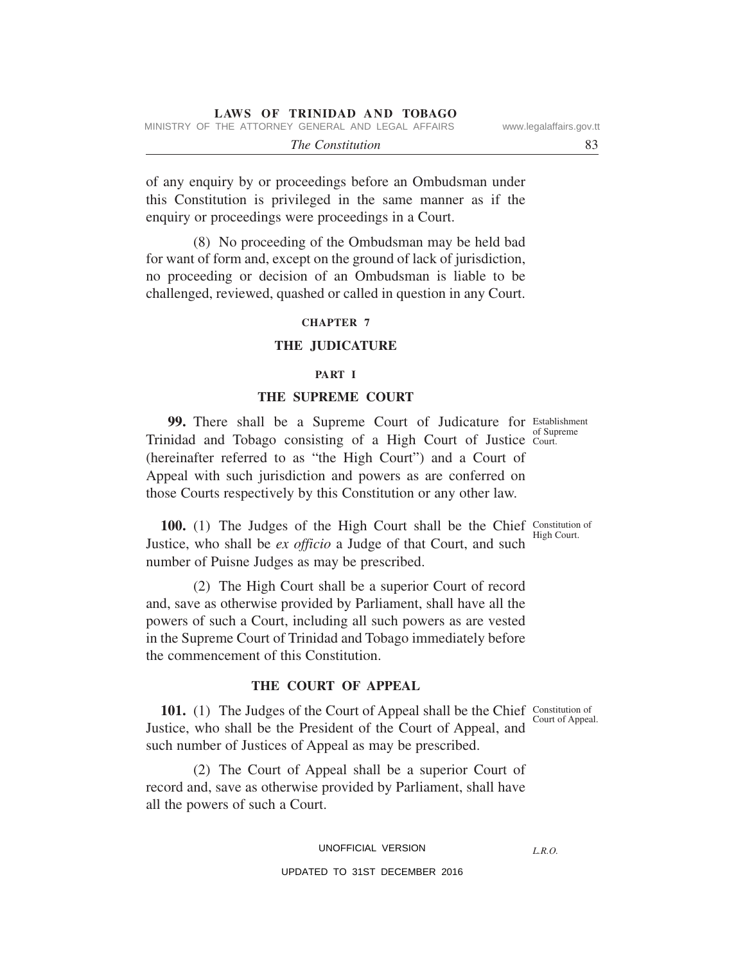*The Constitution* 83

of any enquiry by or proceedings before an Ombudsman under this Constitution is privileged in the same manner as if the enquiry or proceedings were proceedings in a Court.

(8) No proceeding of the Ombudsman may be held bad for want of form and, except on the ground of lack of jurisdiction, no proceeding or decision of an Ombudsman is liable to be challenged, reviewed, quashed or called in question in any Court.

# **CHAPTER 7**

#### **THE JUDICATURE**

# **PART I**

# **THE SUPREME COURT**

**99.** There shall be a Supreme Court of Judicature for Establishment Trinidad and Tobago consisting of a High Court of Justice Court. (hereinafter referred to as "the High Court") and a Court of Appeal with such jurisdiction and powers as are conferred on those Courts respectively by this Constitution or any other law.

100. (1) The Judges of the High Court shall be the Chief Constitution of High Court. Justice, who shall be *ex officio* a Judge of that Court, and such number of Puisne Judges as may be prescribed.

(2) The High Court shall be a superior Court of record and, save as otherwise provided by Parliament, shall have all the powers of such a Court, including all such powers as are vested in the Supreme Court of Trinidad and Tobago immediately before the commencement of this Constitution.

# **THE COURT OF APPEAL**

101. (1) The Judges of the Court of Appeal shall be the Chief Constitution of Justice, who shall be the President of the Court of Appeal, and such number of Justices of Appeal as may be prescribed.

(2) The Court of Appeal shall be a superior Court of record and, save as otherwise provided by Parliament, shall have all the powers of such a Court.

> UNOFFICIAL VERSION UPDATED TO 31ST DECEMBER 2016

of Supreme

Court of Appeal.

*L.R.O.*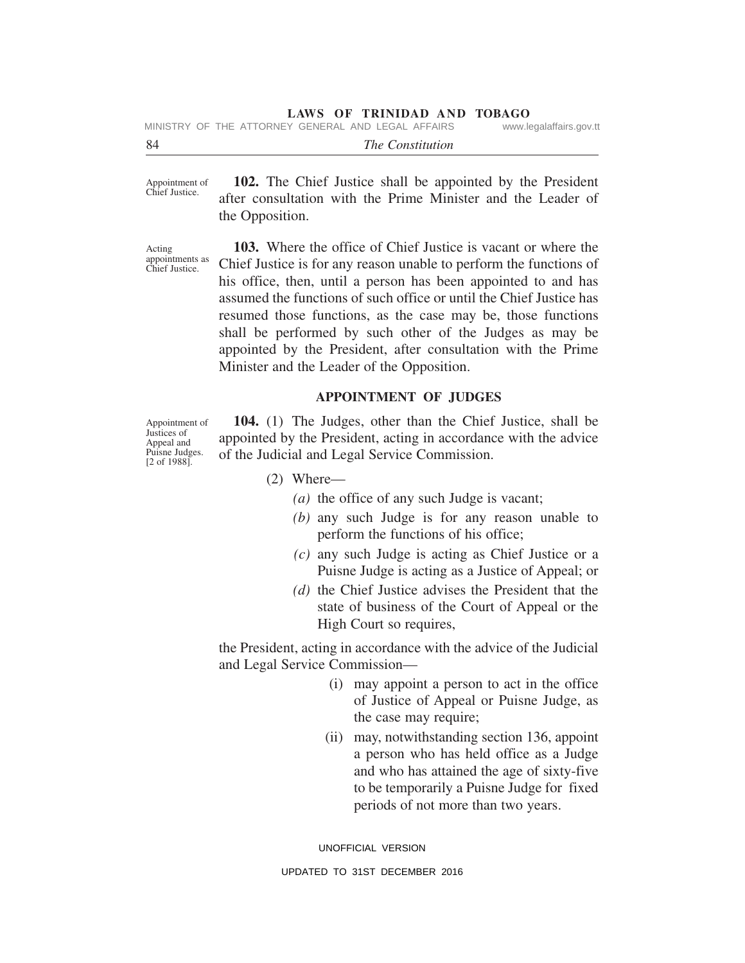MINISTRY OF THE ATTORNEY GENERAL AND LEGAL AFFAIRS www.legalaffairs.gov.tt

84 *The Constitution*

Appointment of Chief Justice. **102.** The Chief Justice shall be appointed by the President after consultation with the Prime Minister and the Leader of the Opposition.

Acting appointments as Chief Justice.

**103.** Where the office of Chief Justice is vacant or where the Chief Justice is for any reason unable to perform the functions of his office, then, until a person has been appointed to and has assumed the functions of such office or until the Chief Justice has resumed those functions, as the case may be, those functions shall be performed by such other of the Judges as may be appointed by the President, after consultation with the Prime Minister and the Leader of the Opposition.

# **APPOINTMENT OF JUDGES**

Appointment of Justices of Appeal and Puisne Judges. [2 of 1988].

**104.** (1) The Judges, other than the Chief Justice, shall be appointed by the President, acting in accordance with the advice of the Judicial and Legal Service Commission.

- (2) Where—
	- *(a)* the office of any such Judge is vacant;
	- *(b)* any such Judge is for any reason unable to perform the functions of his office;
	- *(c)* any such Judge is acting as Chief Justice or a Puisne Judge is acting as a Justice of Appeal; or
	- *(d)* the Chief Justice advises the President that the state of business of the Court of Appeal or the High Court so requires,

the President, acting in accordance with the advice of the Judicial and Legal Service Commission—

- (i) may appoint a person to act in the office of Justice of Appeal or Puisne Judge, as the case may require;
- (ii) may, notwithstanding section 136, appoint a person who has held office as a Judge and who has attained the age of sixty-five to be temporarily a Puisne Judge for fixed periods of not more than two years.

UNOFFICIAL VERSION UPDATED TO 31ST DECEMBER 2016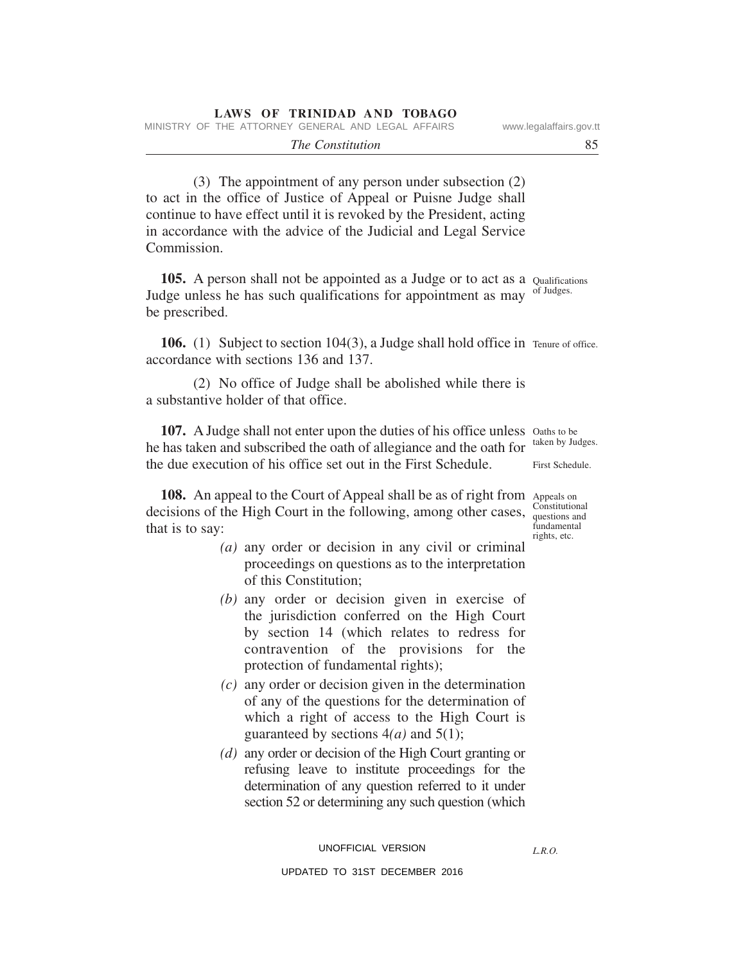MINISTRY OF THE ATTORNEY GENERAL AND LEGAL AFFAIRS www.legalaffairs.gov.tt

*The Constitution* 85

(3) The appointment of any person under subsection (2) to act in the office of Justice of Appeal or Puisne Judge shall continue to have effect until it is revoked by the President, acting in accordance with the advice of the Judicial and Legal Service Commission.

105. A person shall not be appointed as a Judge or to act as a Qualifications Judge unless he has such qualifications for appointment as may of Judges. be prescribed.

106. (1) Subject to section 104(3), a Judge shall hold office in Tenure of office. accordance with sections 136 and 137.

(2) No office of Judge shall be abolished while there is a substantive holder of that office.

107. A Judge shall not enter upon the duties of his office unless Oaths to be taken by Judges. he has taken and subscribed the oath of allegiance and the oath for the due execution of his office set out in the First Schedule.

108. An appeal to the Court of Appeal shall be as of right from Appeals on decisions of the High Court in the following, among other cases, that is to say:

- *(a)* any order or decision in any civil or criminal proceedings on questions as to the interpretation of this Constitution;
- *(b)* any order or decision given in exercise of the jurisdiction conferred on the High Court by section 14 (which relates to redress for contravention of the provisions for the protection of fundamental rights);
- *(c)* any order or decision given in the determination of any of the questions for the determination of which a right of access to the High Court is guaranteed by sections 4*(a)* and 5(1);
- *(d)* any order or decision of the High Court granting or refusing leave to institute proceedings for the determination of any question referred to it under section 52 or determining any such question (which

UNOFFICIAL VERSION

*L.R.O.* 

UPDATED TO 31ST DECEMBER 2016

First Schedule.

**Constitutional** questions and fundamental rights, etc.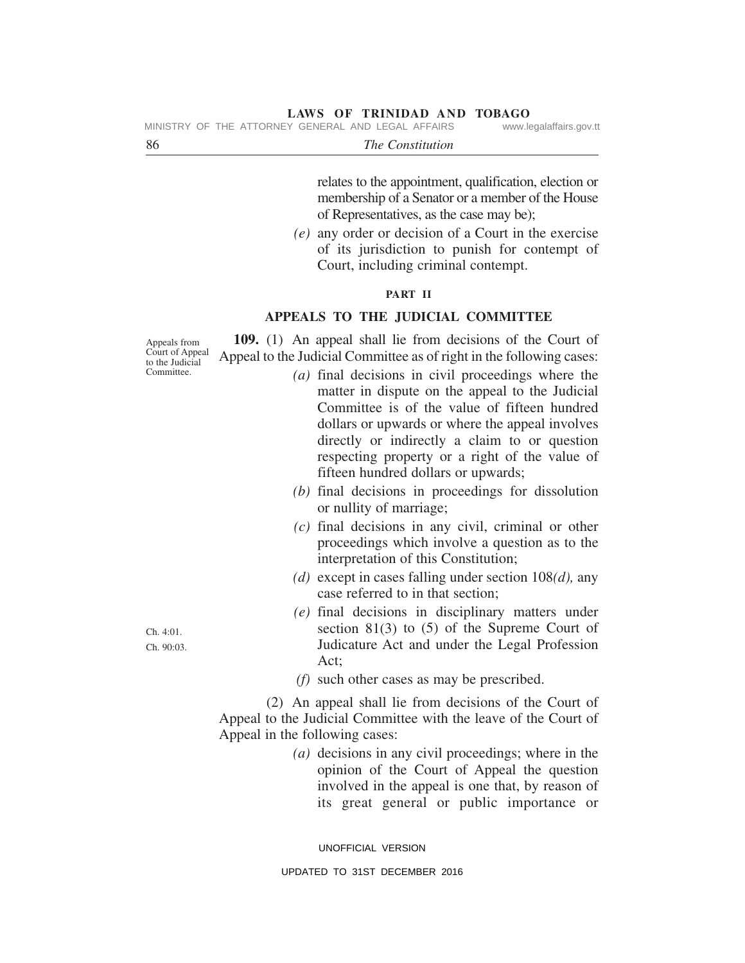#### 86 *The Constitution*

relates to the appointment, qualification, election or membership of a Senator or a member of the House of Representatives, as the case may be);

*(e)* any order or decision of a Court in the exercise of its jurisdiction to punish for contempt of Court, including criminal contempt.

#### **PART II**

# **APPEALS TO THE JUDICIAL COMMITTEE**

Appeals from Court of Appeal to the Judicial Committee.

**109.** (1) An appeal shall lie from decisions of the Court of Appeal to the Judicial Committee as of right in the following cases:

- *(a)* final decisions in civil proceedings where the matter in dispute on the appeal to the Judicial Committee is of the value of fifteen hundred dollars or upwards or where the appeal involves directly or indirectly a claim to or question respecting property or a right of the value of fifteen hundred dollars or upwards;
- *(b)* final decisions in proceedings for dissolution or nullity of marriage;
- *(c)* final decisions in any civil, criminal or other proceedings which involve a question as to the interpretation of this Constitution;
- *(d)* except in cases falling under section 108*(d),* any case referred to in that section;
- *(e)* final decisions in disciplinary matters under section 81(3) to (5) of the Supreme Court of Judicature Act and under the Legal Profession Act;
- *(f)* such other cases as may be prescribed.

(2) An appeal shall lie from decisions of the Court of Appeal to the Judicial Committee with the leave of the Court of Appeal in the following cases:

> *(a)* decisions in any civil proceedings; where in the opinion of the Court of Appeal the question involved in the appeal is one that, by reason of its great general or public importance or

UNOFFICIAL VERSION

Ch. 4:01. Ch. 90:03.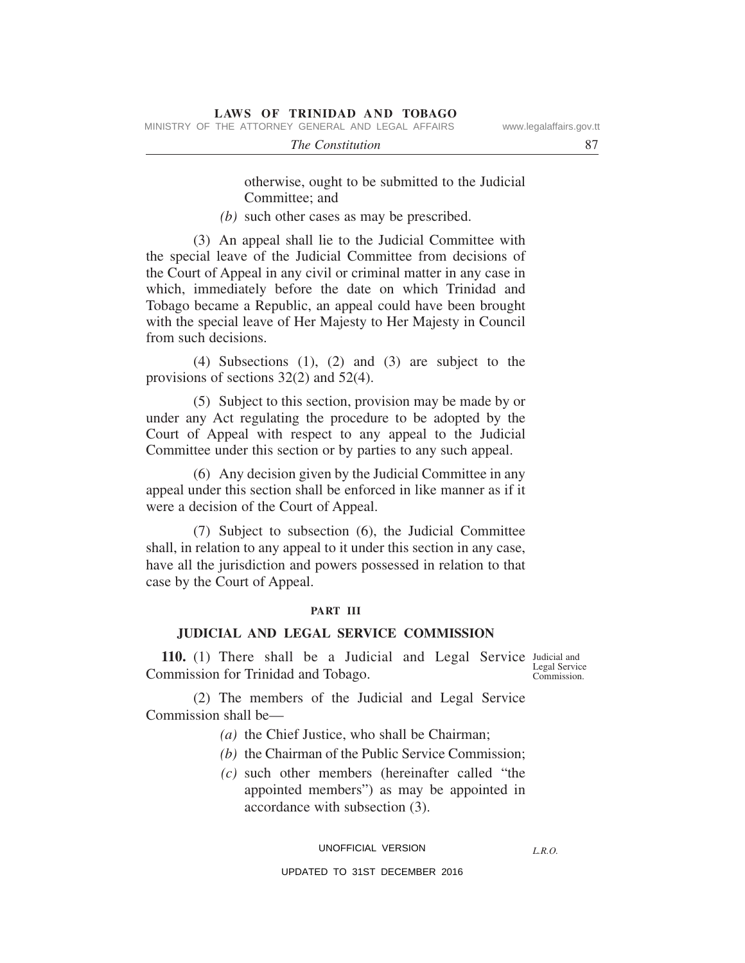otherwise, ought to be submitted to the Judicial Committee; and

*(b)* such other cases as may be prescribed.

(3) An appeal shall lie to the Judicial Committee with the special leave of the Judicial Committee from decisions of the Court of Appeal in any civil or criminal matter in any case in which, immediately before the date on which Trinidad and Tobago became a Republic, an appeal could have been brought with the special leave of Her Majesty to Her Majesty in Council from such decisions.

(4) Subsections (1), (2) and (3) are subject to the provisions of sections 32(2) and 52(4).

(5) Subject to this section, provision may be made by or under any Act regulating the procedure to be adopted by the Court of Appeal with respect to any appeal to the Judicial Committee under this section or by parties to any such appeal.

(6) Any decision given by the Judicial Committee in any appeal under this section shall be enforced in like manner as if it were a decision of the Court of Appeal.

(7) Subject to subsection (6), the Judicial Committee shall, in relation to any appeal to it under this section in any case, have all the jurisdiction and powers possessed in relation to that case by the Court of Appeal.

#### **PART III**

### **JUDICIAL AND LEGAL SERVICE COMMISSION**

110. (1) There shall be a Judicial and Legal Service Judicial and Legal Service Commission. Commission for Trinidad and Tobago.

(2) The members of the Judicial and Legal Service Commission shall be—

- *(a)* the Chief Justice, who shall be Chairman;
- *(b)* the Chairman of the Public Service Commission;
- *(c)* such other members (hereinafter called "the appointed members") as may be appointed in accordance with subsection (3).

#### UNOFFICIAL VERSION

#### *L.R.O.*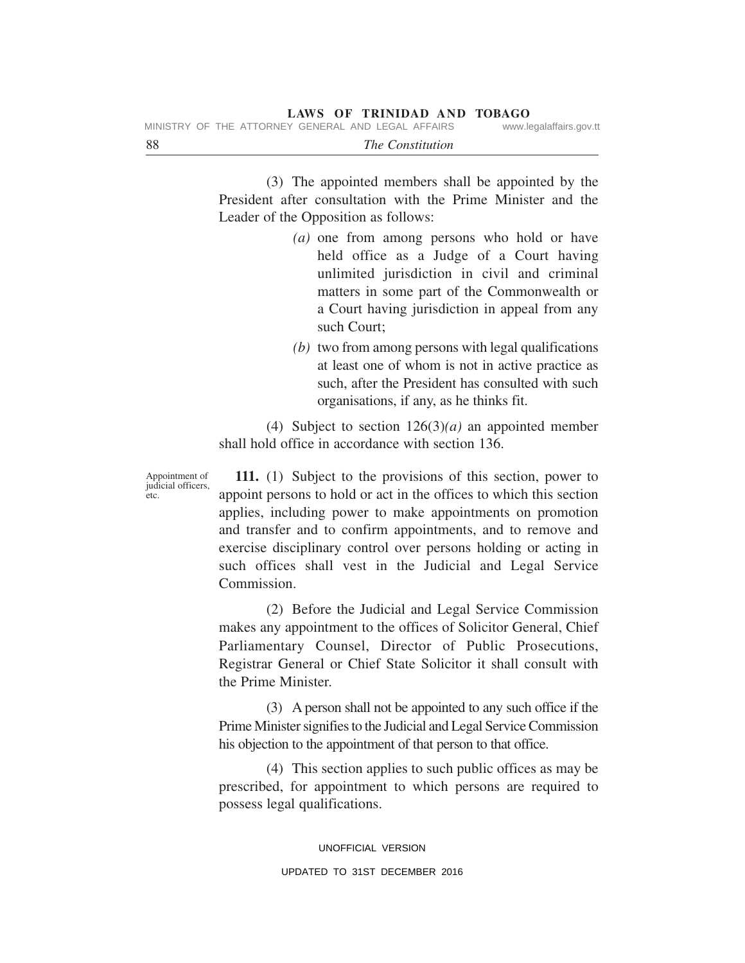| MINISTRY OF THE ATTORNEY GENERAL AND LEGAL AFFAIRS<br>www.legalaffairs.gov.tt |
|-------------------------------------------------------------------------------|
|-------------------------------------------------------------------------------|

88 *The Constitution*

(3) The appointed members shall be appointed by the President after consultation with the Prime Minister and the Leader of the Opposition as follows:

- *(a)* one from among persons who hold or have held office as a Judge of a Court having unlimited jurisdiction in civil and criminal matters in some part of the Commonwealth or a Court having jurisdiction in appeal from any such Court;
- *(b)* two from among persons with legal qualifications at least one of whom is not in active practice as such, after the President has consulted with such organisations, if any, as he thinks fit.

(4) Subject to section 126(3)*(a)* an appointed member shall hold office in accordance with section 136.

Appointment of judicial officers. etc.

**111.** (1) Subject to the provisions of this section, power to appoint persons to hold or act in the offices to which this section applies, including power to make appointments on promotion and transfer and to confirm appointments, and to remove and exercise disciplinary control over persons holding or acting in such offices shall vest in the Judicial and Legal Service Commission.

(2) Before the Judicial and Legal Service Commission makes any appointment to the offices of Solicitor General, Chief Parliamentary Counsel, Director of Public Prosecutions, Registrar General or Chief State Solicitor it shall consult with the Prime Minister.

(3) A person shall not be appointed to any such office if the Prime Minister signifies to the Judicial and Legal Service Commission his objection to the appointment of that person to that office.

(4) This section applies to such public offices as may be prescribed, for appointment to which persons are required to possess legal qualifications.

> UNOFFICIAL VERSION UPDATED TO 31ST DECEMBER 2016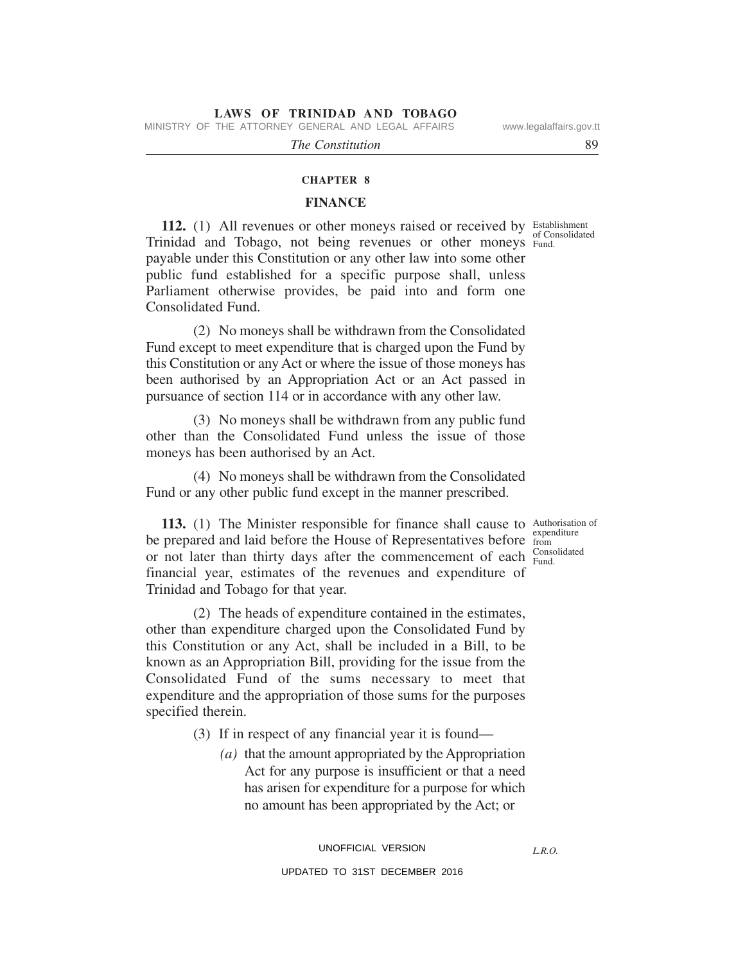MINISTRY OF THE ATTORNEY GENERAL AND LEGAL AFFAIRS www.legalaffairs.gov.tt

*The Constitution* 89

# **CHAPTER 8**

# **FINANCE**

112. (1) All revenues or other moneys raised or received by Establishment Trinidad and Tobago, not being revenues or other moneys Fund. payable under this Constitution or any other law into some other public fund established for a specific purpose shall, unless Parliament otherwise provides, be paid into and form one Consolidated Fund.

(2) No moneys shall be withdrawn from the Consolidated Fund except to meet expenditure that is charged upon the Fund by this Constitution or any Act or where the issue of those moneys has been authorised by an Appropriation Act or an Act passed in pursuance of section 114 or in accordance with any other law.

(3) No moneys shall be withdrawn from any public fund other than the Consolidated Fund unless the issue of those moneys has been authorised by an Act.

(4) No moneys shall be withdrawn from the Consolidated Fund or any other public fund except in the manner prescribed.

113. (1) The Minister responsible for finance shall cause to Authorisation of be prepared and laid before the House of Representatives before  $\frac{exp}{from}$ or not later than thirty days after the commencement of each  $\frac{\text{Cons}}{\text{Fund}}$ . financial year, estimates of the revenues and expenditure of Trinidad and Tobago for that year.

(2) The heads of expenditure contained in the estimates, other than expenditure charged upon the Consolidated Fund by this Constitution or any Act, shall be included in a Bill, to be known as an Appropriation Bill, providing for the issue from the Consolidated Fund of the sums necessary to meet that expenditure and the appropriation of those sums for the purposes specified therein.

- (3) If in respect of any financial year it is found—
	- *(a)* that the amount appropriated by the Appropriation Act for any purpose is insufficient or that a need has arisen for expenditure for a purpose for which no amount has been appropriated by the Act; or

UNOFFICIAL VERSION UPDATED TO 31ST DECEMBER 2016 expenditure Consolidated

*L.R.O.* 

of Consolidated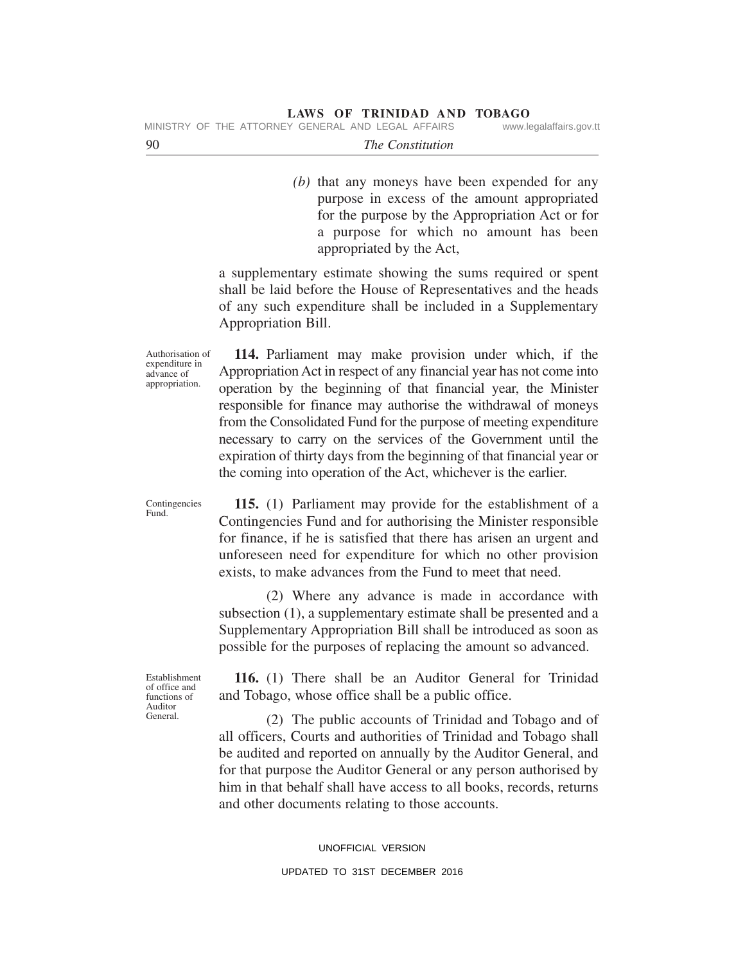*(b)* that any moneys have been expended for any purpose in excess of the amount appropriated for the purpose by the Appropriation Act or for a purpose for which no amount has been appropriated by the Act,

a supplementary estimate showing the sums required or spent shall be laid before the House of Representatives and the heads of any such expenditure shall be included in a Supplementary Appropriation Bill.

Authorisation of expenditure in **114.** Parliament may make provision under which, if the Appropriation Act in respect of any financial year has not come into operation by the beginning of that financial year, the Minister responsible for finance may authorise the withdrawal of moneys from the Consolidated Fund for the purpose of meeting expenditure necessary to carry on the services of the Government until the expiration of thirty days from the beginning of that financial year or the coming into operation of the Act, whichever is the earlier.

Contingencies Fund.

advance of appropriation.

> **115.** (1) Parliament may provide for the establishment of a Contingencies Fund and for authorising the Minister responsible for finance, if he is satisfied that there has arisen an urgent and unforeseen need for expenditure for which no other provision exists, to make advances from the Fund to meet that need.

> (2) Where any advance is made in accordance with subsection (1), a supplementary estimate shall be presented and a Supplementary Appropriation Bill shall be introduced as soon as possible for the purposes of replacing the amount so advanced.

Establishment of office and functions of Auditor General.

**116.** (1) There shall be an Auditor General for Trinidad and Tobago, whose office shall be a public office.

(2) The public accounts of Trinidad and Tobago and of all officers, Courts and authorities of Trinidad and Tobago shall be audited and reported on annually by the Auditor General, and for that purpose the Auditor General or any person authorised by him in that behalf shall have access to all books, records, returns and other documents relating to those accounts.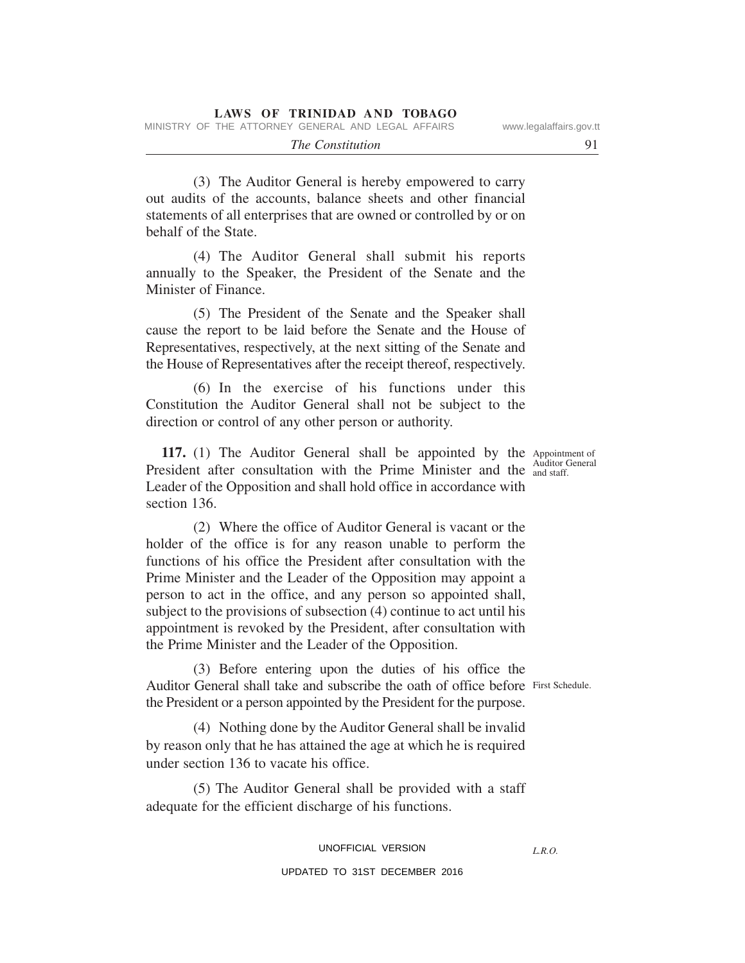MINISTRY OF THE ATTORNEY GENERAL AND LEGAL AFFAIRS www.legalaffairs.gov.tt

*The Constitution* 91

(3) The Auditor General is hereby empowered to carry out audits of the accounts, balance sheets and other financial statements of all enterprises that are owned or controlled by or on behalf of the State.

(4) The Auditor General shall submit his reports annually to the Speaker, the President of the Senate and the Minister of Finance.

(5) The President of the Senate and the Speaker shall cause the report to be laid before the Senate and the House of Representatives, respectively, at the next sitting of the Senate and the House of Representatives after the receipt thereof, respectively.

(6) In the exercise of his functions under this Constitution the Auditor General shall not be subject to the direction or control of any other person or authority.

117. (1) The Auditor General shall be appointed by the Appointment of President after consultation with the Prime Minister and the  $\frac{A_{\text{quad}}}{A_{\text{and}}}\xi$ Leader of the Opposition and shall hold office in accordance with section 136.

(2) Where the office of Auditor General is vacant or the holder of the office is for any reason unable to perform the functions of his office the President after consultation with the Prime Minister and the Leader of the Opposition may appoint a person to act in the office, and any person so appointed shall, subject to the provisions of subsection (4) continue to act until his appointment is revoked by the President, after consultation with the Prime Minister and the Leader of the Opposition.

Auditor General shall take and subscribe the oath of office before First Schedule. (3) Before entering upon the duties of his office the the President or a person appointed by the President for the purpose.

(4) Nothing done by the Auditor General shall be invalid by reason only that he has attained the age at which he is required under section 136 to vacate his office.

(5) The Auditor General shall be provided with a staff adequate for the efficient discharge of his functions.

# UNOFFICIAL VERSION

# UPDATED TO 31ST DECEMBER 2016

Auditor General

*L.R.O.*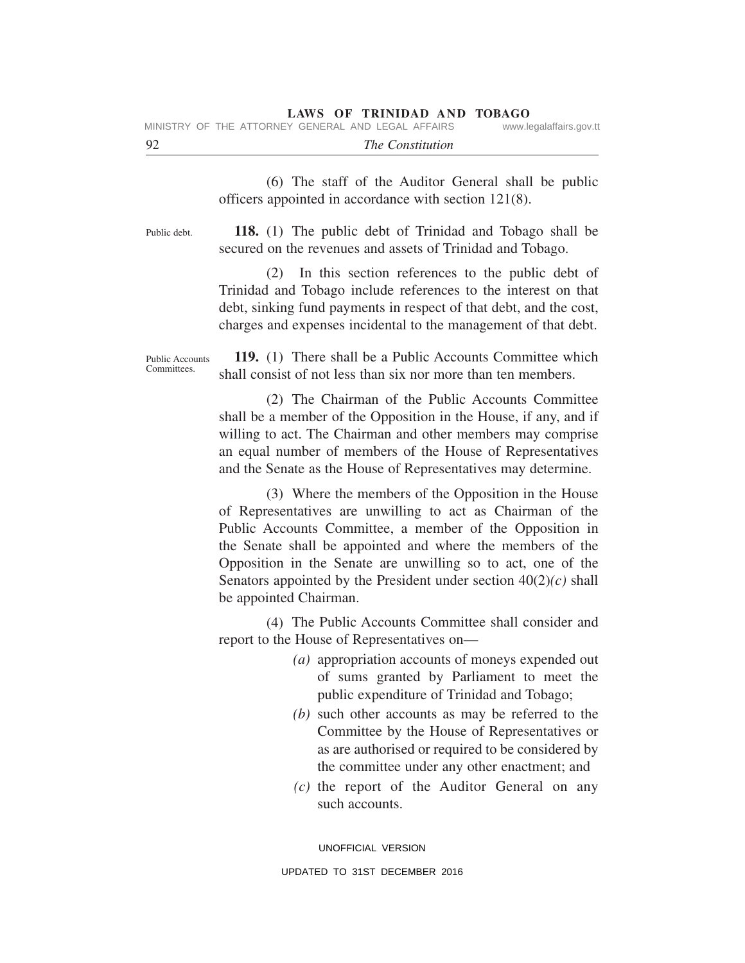**LAWS OF TRINIDAD AND TOBAGO**<br>IY GENERAL AND LEGAL AFFAIRS www.legalaffairs.gov.tt MINISTRY OF THE ATTORNEY GENERAL AND LEGAL AFFAIRS

| -92 | <i>The Constitution</i>                                  |  |  |
|-----|----------------------------------------------------------|--|--|
|     | (6) The staff of the Auditor General shall be public     |  |  |
|     | officers appointed in accordance with section $121(8)$ . |  |  |

**118.** (1) The public debt of Trinidad and Tobago shall be secured on the revenues and assets of Trinidad and Tobago.

(2) In this section references to the public debt of Trinidad and Tobago include references to the interest on that debt, sinking fund payments in respect of that debt, and the cost, charges and expenses incidental to the management of that debt.

Public Accounts Committees.

Public debt.

**119.** (1) There shall be a Public Accounts Committee which shall consist of not less than six nor more than ten members.

(2) The Chairman of the Public Accounts Committee shall be a member of the Opposition in the House, if any, and if willing to act. The Chairman and other members may comprise an equal number of members of the House of Representatives and the Senate as the House of Representatives may determine.

(3) Where the members of the Opposition in the House of Representatives are unwilling to act as Chairman of the Public Accounts Committee, a member of the Opposition in the Senate shall be appointed and where the members of the Opposition in the Senate are unwilling so to act, one of the Senators appointed by the President under section 40(2)*(c)* shall be appointed Chairman.

(4) The Public Accounts Committee shall consider and report to the House of Representatives on—

- *(a)* appropriation accounts of moneys expended out of sums granted by Parliament to meet the public expenditure of Trinidad and Tobago;
- *(b)* such other accounts as may be referred to the Committee by the House of Representatives or as are authorised or required to be considered by the committee under any other enactment; and
- *(c)* the report of the Auditor General on any such accounts.

UNOFFICIAL VERSION UPDATED TO 31ST DECEMBER 2016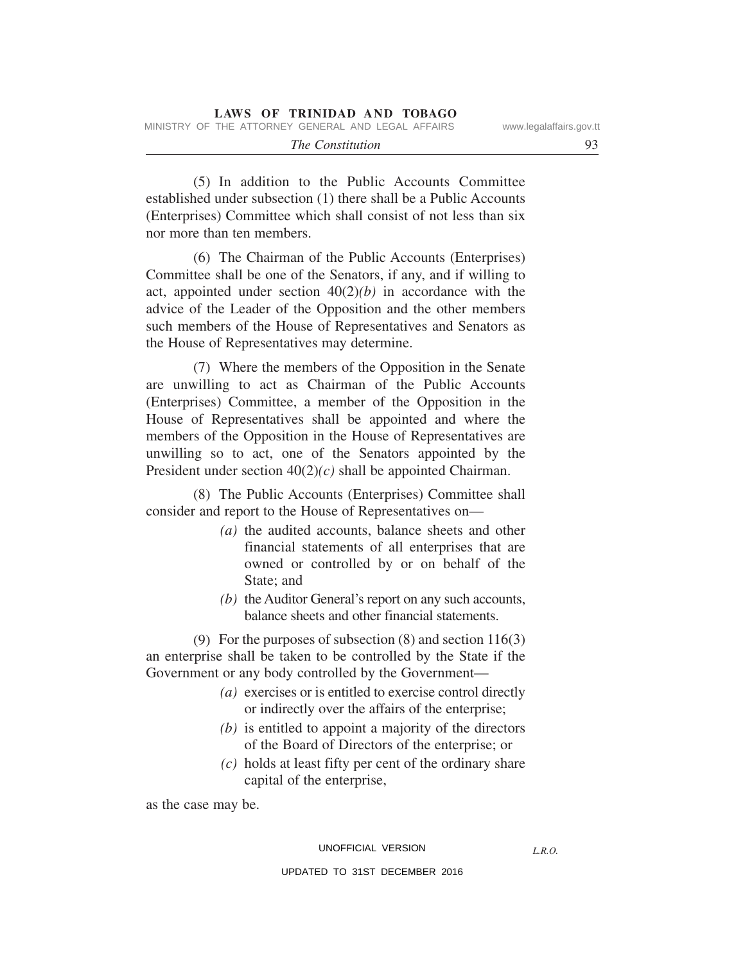(5) In addition to the Public Accounts Committee established under subsection (1) there shall be a Public Accounts (Enterprises) Committee which shall consist of not less than six nor more than ten members.

(6) The Chairman of the Public Accounts (Enterprises) Committee shall be one of the Senators, if any, and if willing to act, appointed under section 40(2)*(b)* in accordance with the advice of the Leader of the Opposition and the other members such members of the House of Representatives and Senators as the House of Representatives may determine.

(7) Where the members of the Opposition in the Senate are unwilling to act as Chairman of the Public Accounts (Enterprises) Committee, a member of the Opposition in the House of Representatives shall be appointed and where the members of the Opposition in the House of Representatives are unwilling so to act, one of the Senators appointed by the President under section 40(2)*(c)* shall be appointed Chairman.

(8) The Public Accounts (Enterprises) Committee shall consider and report to the House of Representatives on—

- *(a)* the audited accounts, balance sheets and other financial statements of all enterprises that are owned or controlled by or on behalf of the State; and
- *(b)* the Auditor General's report on any such accounts, balance sheets and other financial statements.

(9) For the purposes of subsection (8) and section 116(3) an enterprise shall be taken to be controlled by the State if the Government or any body controlled by the Government—

- *(a)* exercises or is entitled to exercise control directly or indirectly over the affairs of the enterprise;
- *(b)* is entitled to appoint a majority of the directors of the Board of Directors of the enterprise; or
- *(c)* holds at least fifty per cent of the ordinary share capital of the enterprise,

as the case may be.

UNOFFICIAL VERSION

*L.R.O.*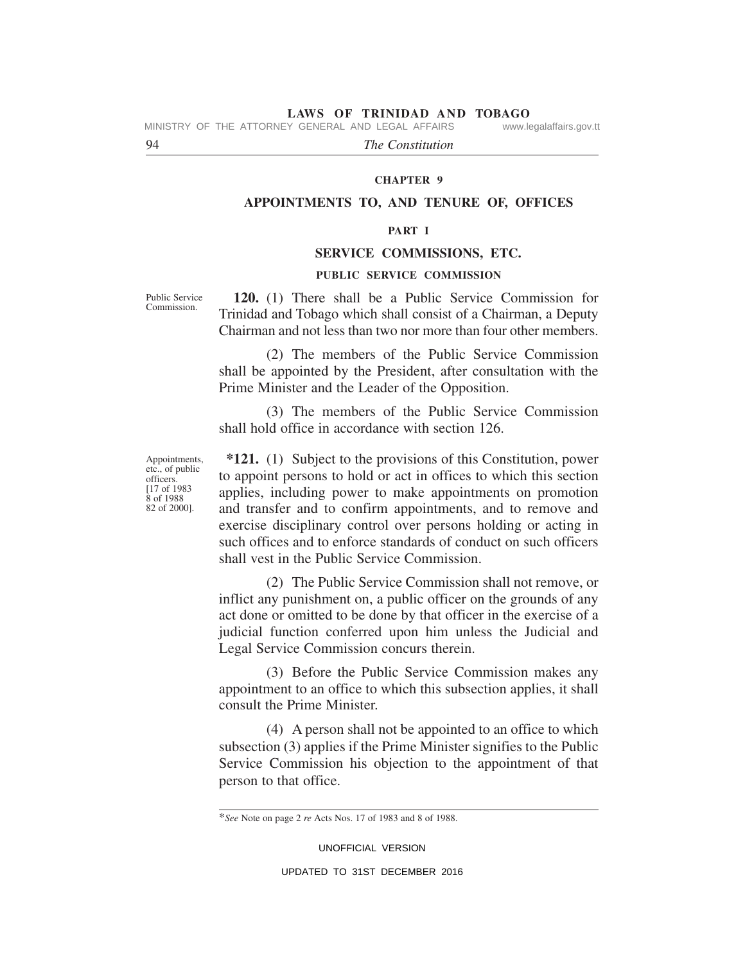MINISTRY OF THE ATTORNEY GENERAL AND LEGAL AFFAIRS www.legalaffairs.gov.tt

94 *The Constitution*

# **CHAPTER 9**

# **APPOINTMENTS TO, AND TENURE OF, OFFICES**

**PART I**

#### **SERVICE COMMISSIONS, ETC.**

# **PUBLIC SERVICE COMMISSION**

Public Service Commission.

**120.** (1) There shall be a Public Service Commission for Trinidad and Tobago which shall consist of a Chairman, a Deputy Chairman and not less than two nor more than four other members.

(2) The members of the Public Service Commission shall be appointed by the President, after consultation with the Prime Minister and the Leader of the Opposition.

(3) The members of the Public Service Commission shall hold office in accordance with section 126.

Appointments, etc., of public officers. [17 of 1983] 8 of 1988 82 of 2000].

**\*121.** (1) Subject to the provisions of this Constitution, power to appoint persons to hold or act in offices to which this section applies, including power to make appointments on promotion and transfer and to confirm appointments, and to remove and exercise disciplinary control over persons holding or acting in such offices and to enforce standards of conduct on such officers shall vest in the Public Service Commission.

(2) The Public Service Commission shall not remove, or inflict any punishment on, a public officer on the grounds of any act done or omitted to be done by that officer in the exercise of a judicial function conferred upon him unless the Judicial and Legal Service Commission concurs therein.

(3) Before the Public Service Commission makes any appointment to an office to which this subsection applies, it shall consult the Prime Minister.

(4) A person shall not be appointed to an office to which subsection (3) applies if the Prime Minister signifies to the Public Service Commission his objection to the appointment of that person to that office.

UNOFFICIAL VERSION UPDATED TO 31ST DECEMBER 2016

<sup>\*</sup>*See* Note on page 2 *re* Acts Nos. 17 of 1983 and 8 of 1988.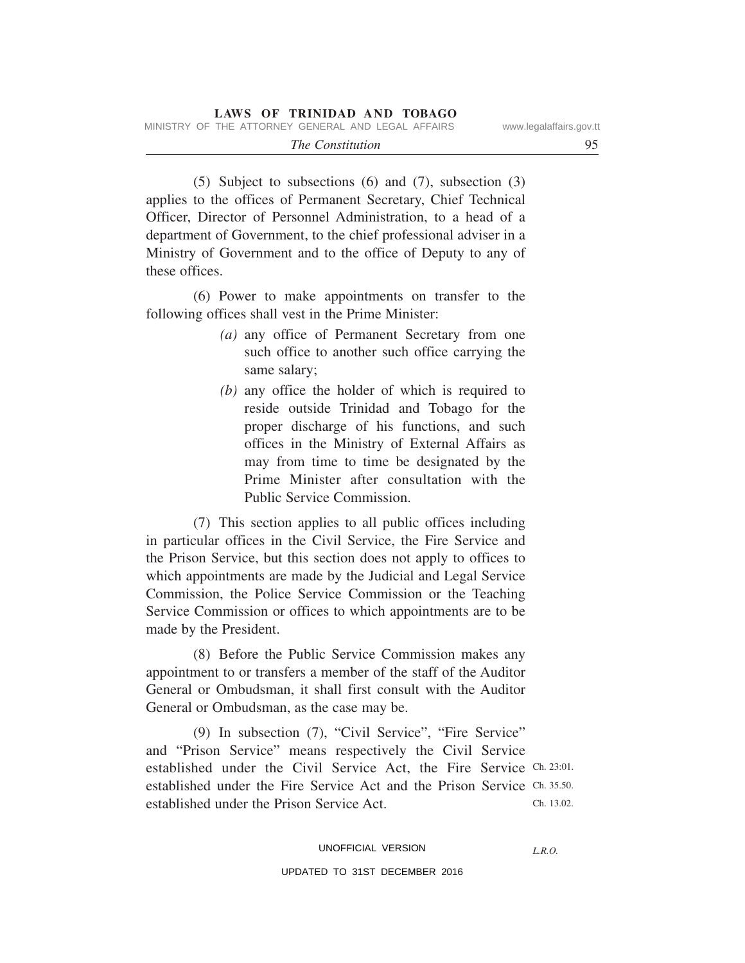(5) Subject to subsections (6) and (7), subsection (3) applies to the offices of Permanent Secretary, Chief Technical Officer, Director of Personnel Administration, to a head of a department of Government, to the chief professional adviser in a Ministry of Government and to the office of Deputy to any of these offices.

(6) Power to make appointments on transfer to the following offices shall vest in the Prime Minister:

- *(a)* any office of Permanent Secretary from one such office to another such office carrying the same salary;
- *(b)* any office the holder of which is required to reside outside Trinidad and Tobago for the proper discharge of his functions, and such offices in the Ministry of External Affairs as may from time to time be designated by the Prime Minister after consultation with the Public Service Commission.

(7) This section applies to all public offices including in particular offices in the Civil Service, the Fire Service and the Prison Service, but this section does not apply to offices to which appointments are made by the Judicial and Legal Service Commission, the Police Service Commission or the Teaching Service Commission or offices to which appointments are to be made by the President.

(8) Before the Public Service Commission makes any appointment to or transfers a member of the staff of the Auditor General or Ombudsman, it shall first consult with the Auditor General or Ombudsman, as the case may be.

established under the Civil Service Act, the Fire Service Ch. 23:01. established under the Fire Service Act and the Prison Service Ch. 35.50. Ch. 13.02. (9) In subsection (7), "Civil Service", "Fire Service" and "Prison Service" means respectively the Civil Service established under the Prison Service Act.

# UNOFFICIAL VERSION

*L.R.O.*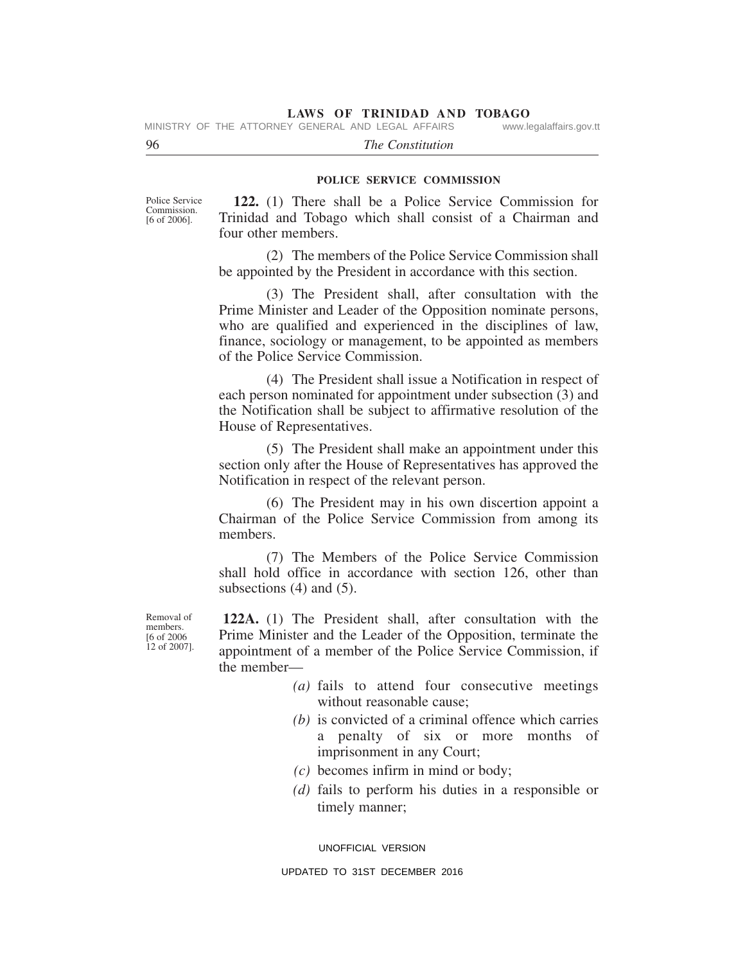MINISTRY OF THE ATTORNEY GENERAL AND LEGAL AFFAIRS www.legalaffairs.gov.tt

# 96 *The Constitution*

# **POLICE SERVICE COMMISSION**

Police Service Commission. [6 of 2006].

**122.** (1) There shall be a Police Service Commission for Trinidad and Tobago which shall consist of a Chairman and four other members.

(2) The members of the Police Service Commission shall be appointed by the President in accordance with this section.

(3) The President shall, after consultation with the Prime Minister and Leader of the Opposition nominate persons, who are qualified and experienced in the disciplines of law, finance, sociology or management, to be appointed as members of the Police Service Commission.

(4) The President shall issue a Notification in respect of each person nominated for appointment under subsection (3) and the Notification shall be subject to affirmative resolution of the House of Representatives.

(5) The President shall make an appointment under this section only after the House of Representatives has approved the Notification in respect of the relevant person.

(6) The President may in his own discertion appoint a Chairman of the Police Service Commission from among its members.

(7) The Members of the Police Service Commission shall hold office in accordance with section 126, other than subsections (4) and (5).

Removal of members. [6 of 2006 12 of 2007].

**122A.** (1) The President shall, after consultation with the Prime Minister and the Leader of the Opposition, terminate the appointment of a member of the Police Service Commission, if the member—

- *(a)* fails to attend four consecutive meetings without reasonable cause;
- *(b)* is convicted of a criminal offence which carries a penalty of six or more months of imprisonment in any Court;
- *(c)* becomes infirm in mind or body;
- *(d)* fails to perform his duties in a responsible or timely manner;

UNOFFICIAL VERSION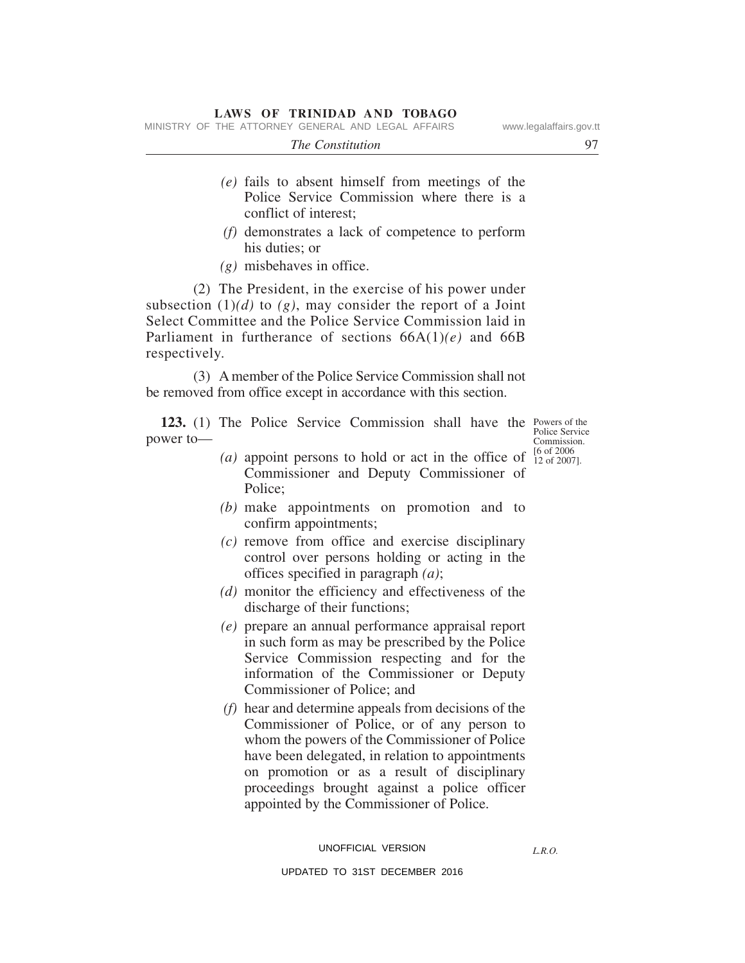

*(g)* misbehaves in office.

(2) The President, in the exercise of his power under subsection  $(1)(d)$  to  $(g)$ , may consider the report of a Joint Select Committee and the Police Service Commission laid in Parliament in furtherance of sections 66A(1)*(e)* and 66B respectively.

(3) A member of the Police Service Commission shall not be removed from office except in accordance with this section.

**123.** (1) The Police Service Commission shall have the Powers of the power to—

Police Service Commission. 12 of 2007].

- (a) appoint persons to hold or act in the office of  $\frac{6662006}{12062007}$ Commissioner and Deputy Commissioner of Police;
- *(b)* make appointments on promotion and to confirm appointments;
- *(c)* remove from office and exercise disciplinary control over persons holding or acting in the offices specified in paragraph *(a)*;
- *(d)* monitor the efficiency and effectiveness of the discharge of their functions;
- *(e)* prepare an annual performance appraisal report in such form as may be prescribed by the Police Service Commission respecting and for the information of the Commissioner or Deputy Commissioner of Police; and
- *(f)* hear and determine appeals from decisions of the Commissioner of Police, or of any person to whom the powers of the Commissioner of Police have been delegated, in relation to appointments on promotion or as a result of disciplinary proceedings brought against a police officer appointed by the Commissioner of Police.

*L.R.O.*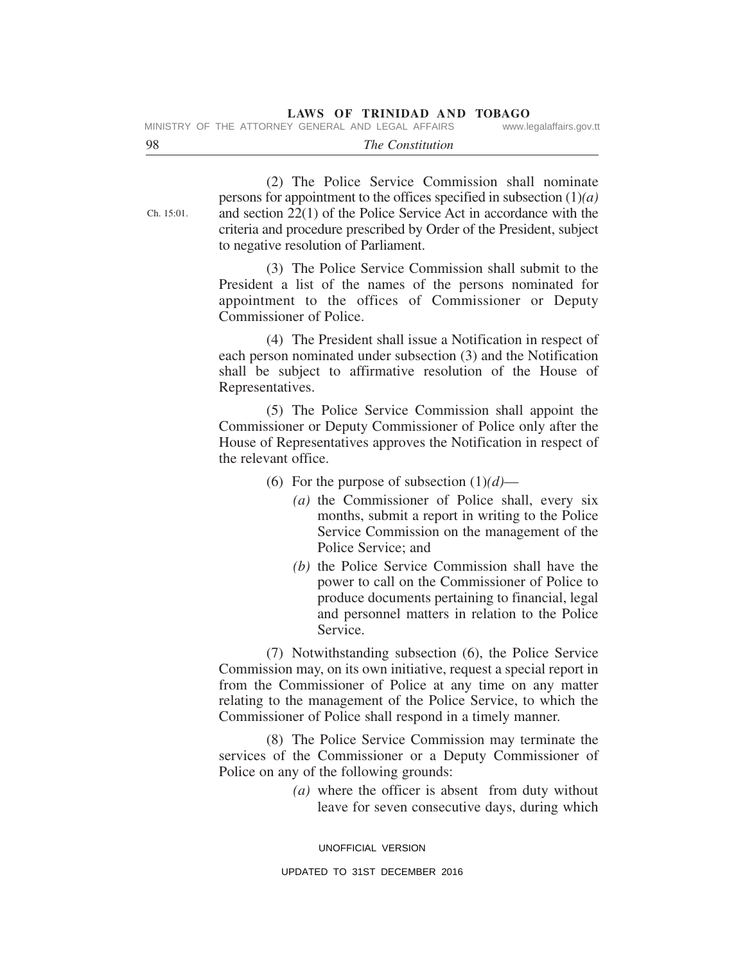MINISTRY OF THE ATTORNEY GENERAL AND LEGAL AFFAIRS www.legalaffairs.gov.tt

98 *The Constitution*

Ch. 15:01.

(2) The Police Service Commission shall nominate persons for appointment to the offices specified in subsection (1)*(a)* and section 22(1) of the Police Service Act in accordance with the criteria and procedure prescribed by Order of the President, subject to negative resolution of Parliament.

(3) The Police Service Commission shall submit to the President a list of the names of the persons nominated for appointment to the offices of Commissioner or Deputy Commissioner of Police.

(4) The President shall issue a Notification in respect of each person nominated under subsection (3) and the Notification shall be subject to affirmative resolution of the House of Representatives.

(5) The Police Service Commission shall appoint the Commissioner or Deputy Commissioner of Police only after the House of Representatives approves the Notification in respect of the relevant office.

- (6) For the purpose of subsection  $(1)(d)$ 
	- *(a)* the Commissioner of Police shall, every six months, submit a report in writing to the Police Service Commission on the management of the Police Service; and
	- *(b)* the Police Service Commission shall have the power to call on the Commissioner of Police to produce documents pertaining to financial, legal and personnel matters in relation to the Police Service.

(7) Notwithstanding subsection (6), the Police Service Commission may, on its own initiative, request a special report in from the Commissioner of Police at any time on any matter relating to the management of the Police Service, to which the Commissioner of Police shall respond in a timely manner.

(8) The Police Service Commission may terminate the services of the Commissioner or a Deputy Commissioner of Police on any of the following grounds:

> *(a)* where the officer is absent from duty without leave for seven consecutive days, during which

UNOFFICIAL VERSION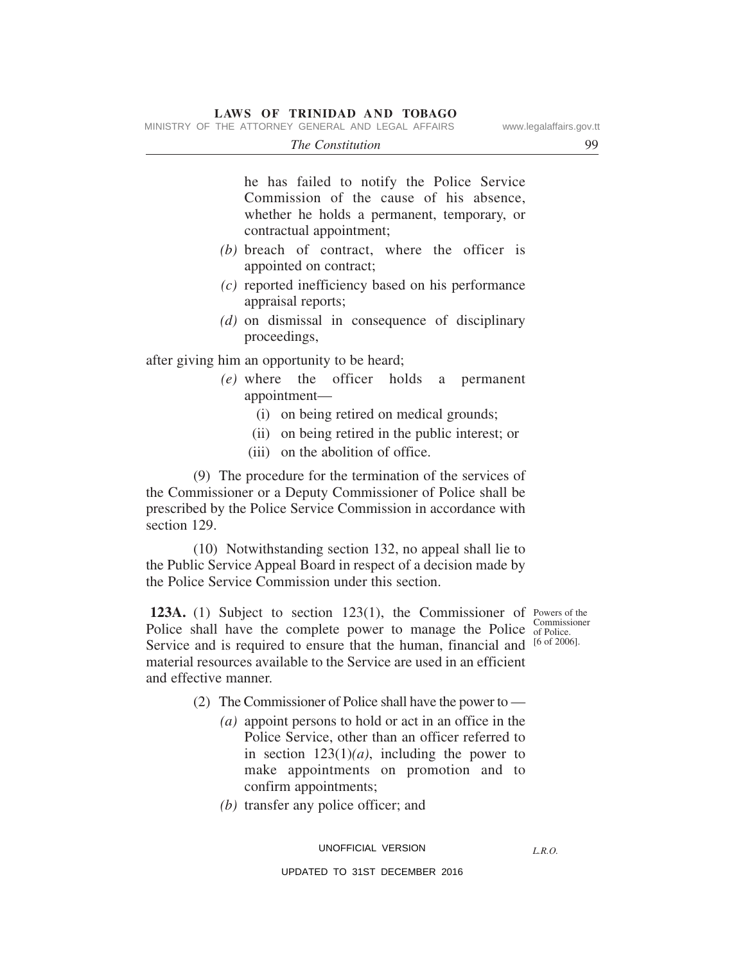MINISTRY OF THE ATTORNEY GENERAL AND LEGAL AFFAIRS www.legalaffairs.gov.tt

| The Constitution                                                                                                                                                                                                                                                                                                                                                                              | 99           |
|-----------------------------------------------------------------------------------------------------------------------------------------------------------------------------------------------------------------------------------------------------------------------------------------------------------------------------------------------------------------------------------------------|--------------|
| he has failed to notify the Police Service<br>Commission of the cause of his absence,<br>whether he holds a permanent, temporary, or<br>contractual appointment;<br>(b) breach of contract, where the officer is<br>appointed on contract;<br>$(c)$ reported inefficiency based on his performance<br>appraisal reports;<br>$(d)$ on dismissal in consequence of disciplinary<br>proceedings, |              |
| after giving him an opportunity to be heard;<br>(e) where the officer holds a permanent<br>appointment-<br>(i) on being retired on medical grounds;<br>(ii) on being retired in the public interest; or<br>(iii) on the abolition of office.                                                                                                                                                  |              |
| (9) The procedure for the termination of the services of<br>the Commissioner or a Deputy Commissioner of Police shall be<br>prescribed by the Police Service Commission in accordance with<br>section 129.                                                                                                                                                                                    |              |
| (10) Notwithstanding section 132, no appeal shall lie to<br>the Public Service Appeal Board in respect of a decision made by<br>the Police Service Commission under this section.                                                                                                                                                                                                             |              |
| 123A. (1) Subject to section 123(1), the Commissioner of Powers of the<br>Police shall have the complete power to manage the Police of Police.                                                                                                                                                                                                                                                | Commissioner |

Service and is required to ensure that the human, financial and <sup>[6 of 2006]</sup> the<br>
<sub>oner</sub> of Police.

(2) The Commissioner of Police shall have the power to —

material resources available to the Service are used in an efficient

and effective manner.

- *(a)* appoint persons to hold or act in an office in the Police Service, other than an officer referred to in section  $123(1)(a)$ , including the power to make appointments on promotion and to confirm appointments;
- *(b)* transfer any police officer; and

*L.R.O.*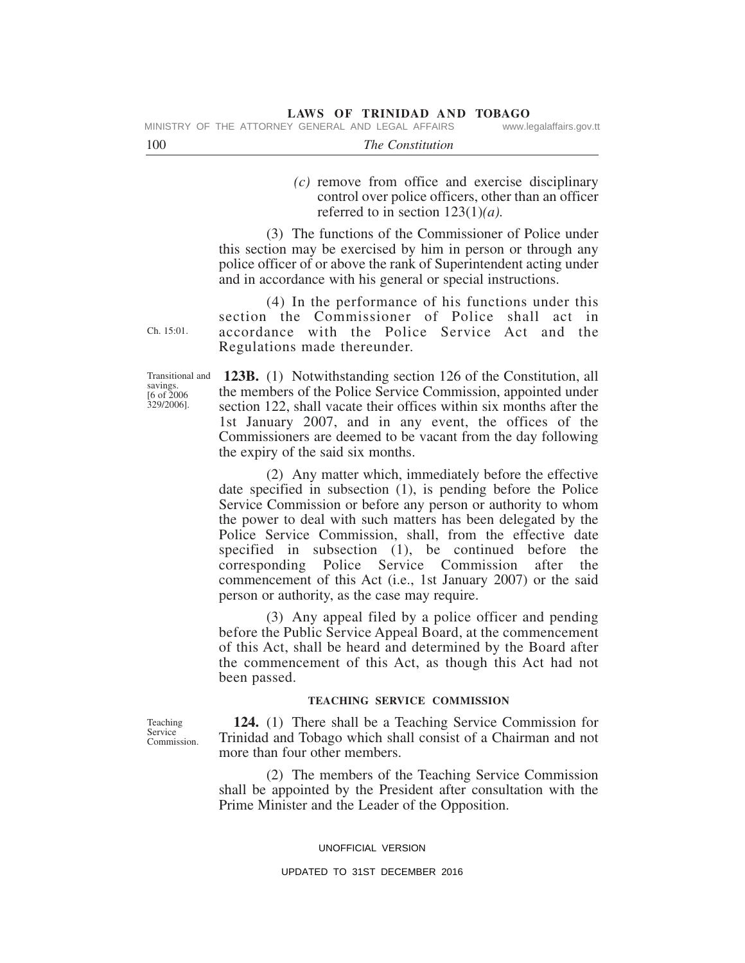MINISTRY OF THE ATTORNEY GENERAL AND LEGAL AFFAIRS

| 100 | The Constitution |
|-----|------------------|
|     |                  |

*(c)* remove from office and exercise disciplinary control over police officers, other than an officer referred to in section 123(1)*(a).*

(3) The functions of the Commissioner of Police under this section may be exercised by him in person or through any police officer of or above the rank of Superintendent acting under and in accordance with his general or special instructions.

(4) In the performance of his functions under this section the Commissioner of Police shall act in accordance with the Police Service Act and the Regulations made thereunder.

**123B.** (1) Notwithstanding section 126 of the Constitution, all the members of the Police Service Commission, appointed under section 122, shall vacate their offices within six months after the 1st January 2007, and in any event, the offices of the Commissioners are deemed to be vacant from the day following the expiry of the said six months.

(2) Any matter which, immediately before the effective date specified in subsection (1), is pending before the Police Service Commission or before any person or authority to whom the power to deal with such matters has been delegated by the Police Service Commission, shall, from the effective date specified in subsection (1), be continued before the corresponding Police Service Commission after the commencement of this Act (i.e., 1st January 2007) or the said person or authority, as the case may require.

(3) Any appeal filed by a police officer and pending before the Public Service Appeal Board, at the commencement of this Act, shall be heard and determined by the Board after the commencement of this Act, as though this Act had not been passed.

#### **TEACHING SERVICE COMMISSION**

**124.** (1) There shall be a Teaching Service Commission for Trinidad and Tobago which shall consist of a Chairman and not more than four other members.

(2) The members of the Teaching Service Commission shall be appointed by the President after consultation with the Prime Minister and the Leader of the Opposition.

#### UNOFFICIAL VERSION

#### UPDATED TO 31ST DECEMBER 2016

Ch. 15:01.

Transitional and savings. [6 of 2006 329/2006].

Teaching **Service** Commission.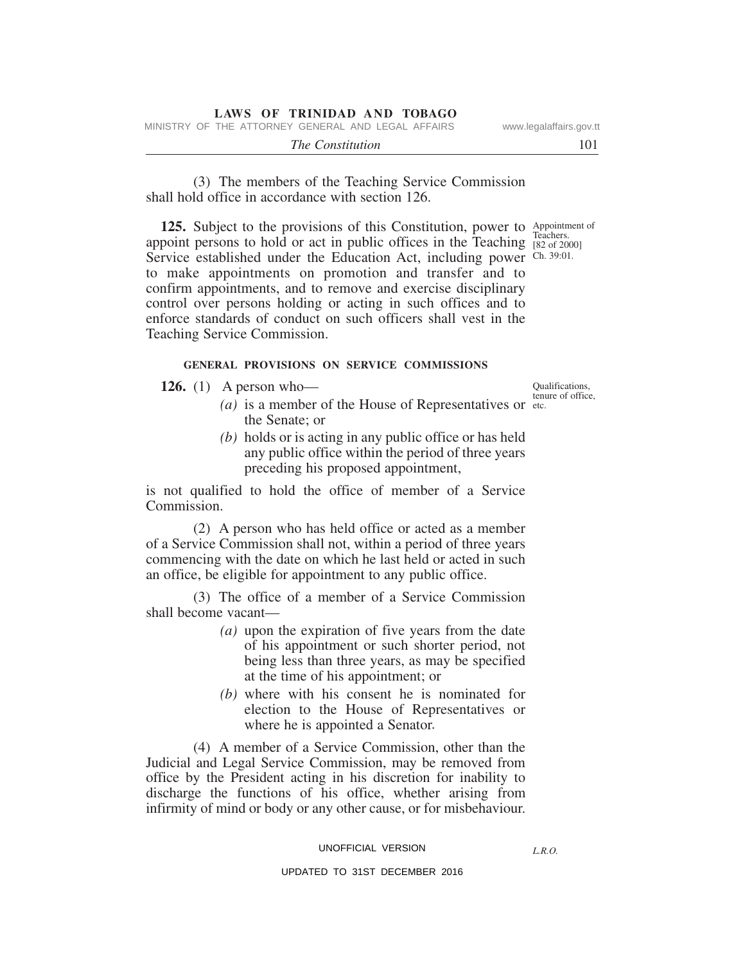MINISTRY OF THE ATTORNEY GENERAL AND LEGAL AFFAIRS www.legalaffairs.gov.tt

*The Constitution* 101

(3) The members of the Teaching Service Commission shall hold office in accordance with section 126.

**125.** Subject to the provisions of this Constitution, power to Appointment of appoint persons to hold or act in public offices in the Teaching  $\frac{1}{82}$  of 2000] Service established under the Education Act, including power Ch. 39:01. to make appointments on promotion and transfer and to confirm appointments, and to remove and exercise disciplinary control over persons holding or acting in such offices and to enforce standards of conduct on such officers shall vest in the Teaching Service Commission. Teachers.

# **GENERAL PROVISIONS ON SERVICE COMMISSIONS**

**126.** (1) A person who—

- $(a)$  is a member of the House of Representatives or  $\frac{d}{dx}$ . the Senate; or
- *(b)* holds or is acting in any public office or has held any public office within the period of three years preceding his proposed appointment,

is not qualified to hold the office of member of a Service Commission.

(2) A person who has held office or acted as a member of a Service Commission shall not, within a period of three years commencing with the date on which he last held or acted in such an office, be eligible for appointment to any public office.

(3) The office of a member of a Service Commission shall become vacant—

- *(a)* upon the expiration of five years from the date of his appointment or such shorter period, not being less than three years, as may be specified at the time of his appointment; or
- *(b)* where with his consent he is nominated for election to the House of Representatives or where he is appointed a Senator.

(4) A member of a Service Commission, other than the Judicial and Legal Service Commission, may be removed from office by the President acting in his discretion for inability to discharge the functions of his office, whether arising from infirmity of mind or body or any other cause, or for misbehaviour.

#### UNOFFICIAL VERSION

#### UPDATED TO 31ST DECEMBER 2016

Qualifications, tenure of office,

*L.R.O.*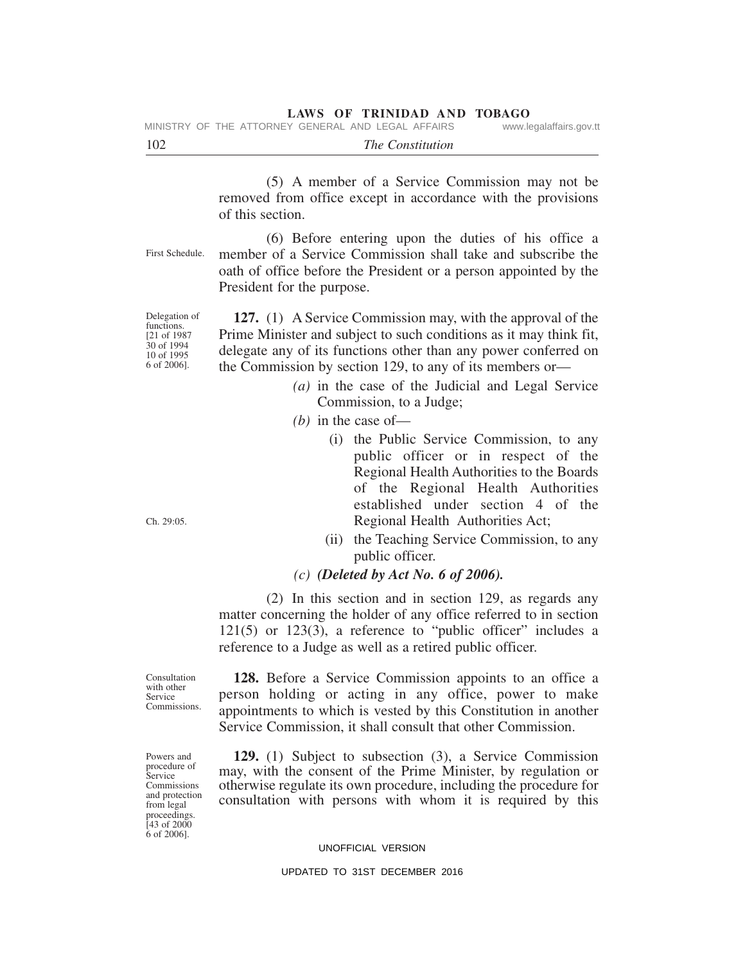| MINISTRY OF THE ATTORNEY GENERAL AND LEGAL AFFAIRS |  |  | www.legalaffairs.gov.tt |
|----------------------------------------------------|--|--|-------------------------|
|----------------------------------------------------|--|--|-------------------------|

| $\sim$ $\sim$<br>----<br>1 ne<br>nsuuuton |
|-------------------------------------------|
|                                           |

(5) A member of a Service Commission may not be removed from office except in accordance with the provisions of this section.

First Schedule.

(6) Before entering upon the duties of his office a member of a Service Commission shall take and subscribe the oath of office before the President or a person appointed by the President for the purpose.

Delegation of functions. [21 of 1987 30 of 1994 10 of 1995 6 of 2006].

Ch. 29:05.

Consultation with other Service Commissions.

Powers and procedure of Service Commissions and protection from legal proceedings.  $[43 \text{ of } 2000]$ 6 of 2006].

**127.** (1) A Service Commission may, with the approval of the Prime Minister and subject to such conditions as it may think fit, delegate any of its functions other than any power conferred on the Commission by section 129, to any of its members or—

- *(a)* in the case of the Judicial and Legal Service Commission, to a Judge;
- *(b)* in the case of—
	- (i) the Public Service Commission, to any public officer or in respect of the Regional Health Authorities to the Boards of the Regional Health Authorities established under section 4 of the Regional Health Authorities Act;
	- (ii) the Teaching Service Commission, to any public officer.

# *(c) (Deleted by Act No. 6 of 2006).*

(2) In this section and in section 129, as regards any matter concerning the holder of any office referred to in section  $121(5)$  or  $123(3)$ , a reference to "public officer" includes a reference to a Judge as well as a retired public officer.

**128.** Before a Service Commission appoints to an office a person holding or acting in any office, power to make appointments to which is vested by this Constitution in another Service Commission, it shall consult that other Commission.

**129.** (1) Subject to subsection (3), a Service Commission may, with the consent of the Prime Minister, by regulation or otherwise regulate its own procedure, including the procedure for consultation with persons with whom it is required by this

#### UNOFFICIAL VERSION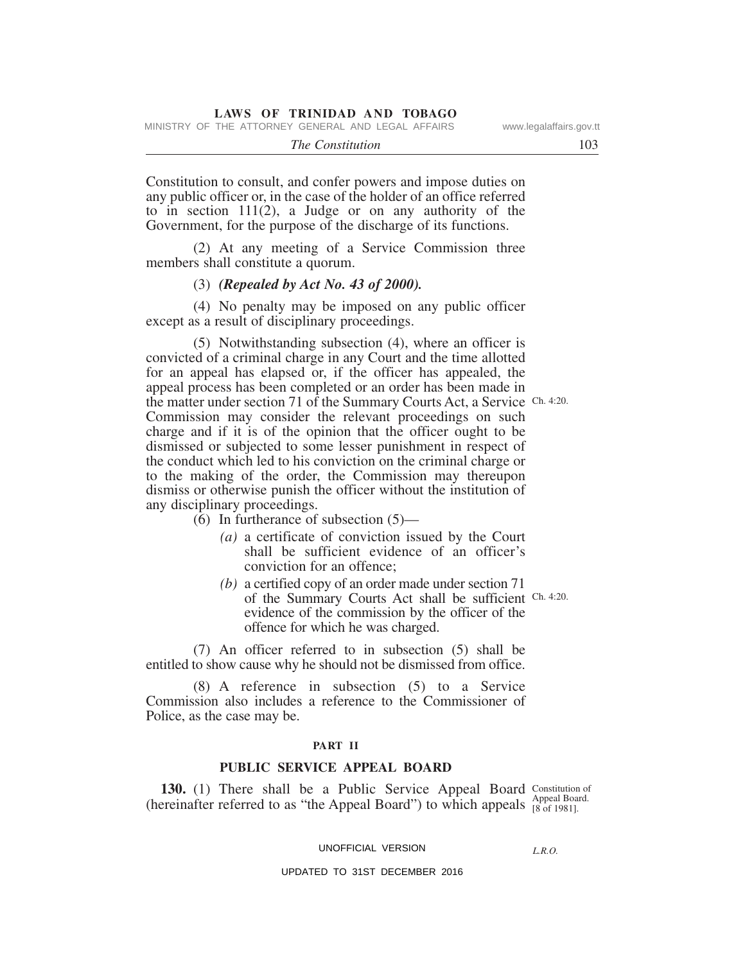MINISTRY OF THE ATTORNEY GENERAL AND LEGAL AFFAIRS www.legalaffairs.gov.tt

*The Constitution* 103

Constitution to consult, and confer powers and impose duties on any public officer or, in the case of the holder of an office referred to in section 111(2), a Judge or on any authority of the Government, for the purpose of the discharge of its functions.

(2) At any meeting of a Service Commission three members shall constitute a quorum.

#### (3) *(Repealed by Act No. 43 of 2000).*

(4) No penalty may be imposed on any public officer except as a result of disciplinary proceedings.

(5) Notwithstanding subsection (4), where an officer is convicted of a criminal charge in any Court and the time allotted for an appeal has elapsed or, if the officer has appealed, the appeal process has been completed or an order has been made in the matter under section 71 of the Summary Courts Act, a Service Ch. 4:20. Commission may consider the relevant proceedings on such charge and if it is of the opinion that the officer ought to be dismissed or subjected to some lesser punishment in respect of the conduct which led to his conviction on the criminal charge or to the making of the order, the Commission may thereupon dismiss or otherwise punish the officer without the institution of any disciplinary proceedings.

(6) In furtherance of subsection (5)—

- *(a)* a certificate of conviction issued by the Court shall be sufficient evidence of an officer's conviction for an offence;
- *(b)* a certified copy of an order made under section 71 of the Summary Courts Act shall be sufficient Ch. 4:20. evidence of the commission by the officer of the offence for which he was charged.

(7) An officer referred to in subsection (5) shall be entitled to show cause why he should not be dismissed from office.

(8) A reference in subsection (5) to a Service Commission also includes a reference to the Commissioner of Police, as the case may be.

#### **PART II**

#### **PUBLIC SERVICE APPEAL BOARD**

130. (1) There shall be a Public Service Appeal Board Constitution of (hereinafter referred to as "the Appeal Board") to which appeals Appeal Board. [8 of 1981].

#### UNOFFICIAL VERSION

*L.R.O.*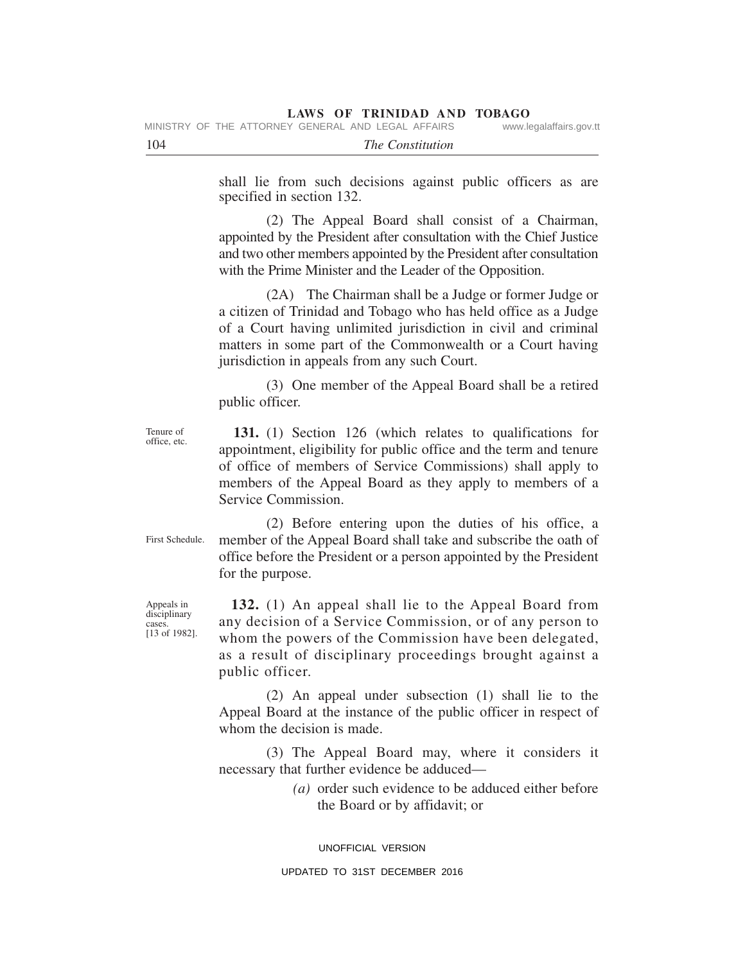MINISTRY OF THE ATTORNEY GENERAL AND LEGAL AFFAIRS www.legalaffairs.gov.tt

# 104 *The Constitution*

shall lie from such decisions against public officers as are specified in section 132.

(2) The Appeal Board shall consist of a Chairman, appointed by the President after consultation with the Chief Justice and two other members appointed by the President after consultation with the Prime Minister and the Leader of the Opposition.

(2A) The Chairman shall be a Judge or former Judge or a citizen of Trinidad and Tobago who has held office as a Judge of a Court having unlimited jurisdiction in civil and criminal matters in some part of the Commonwealth or a Court having jurisdiction in appeals from any such Court.

(3) One member of the Appeal Board shall be a retired public officer.

**131.** (1) Section 126 (which relates to qualifications for appointment, eligibility for public office and the term and tenure of office of members of Service Commissions) shall apply to members of the Appeal Board as they apply to members of a Service Commission.

First Schedule.

Tenure of office, etc.

> (2) Before entering upon the duties of his office, a member of the Appeal Board shall take and subscribe the oath of office before the President or a person appointed by the President for the purpose.

> **132.** (1) An appeal shall lie to the Appeal Board from any decision of a Service Commission, or of any person to whom the powers of the Commission have been delegated, as a result of disciplinary proceedings brought against a public officer.

> (2) An appeal under subsection (1) shall lie to the Appeal Board at the instance of the public officer in respect of whom the decision is made.

> (3) The Appeal Board may, where it considers it necessary that further evidence be adduced—

> > *(a)* order such evidence to be adduced either before the Board or by affidavit; or

UNOFFICIAL VERSION

Appeals in disciplinary cases.

[13 of 1982].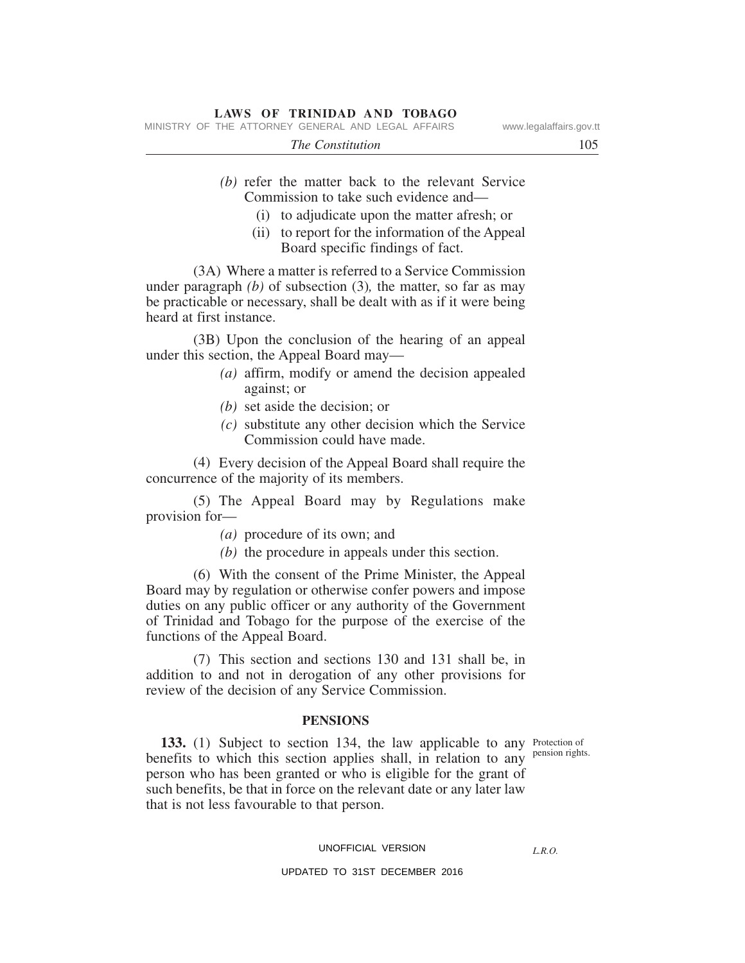|  | <i>The Constitution</i> |  |                                                   |  | 105 |
|--|-------------------------|--|---------------------------------------------------|--|-----|
|  |                         |  |                                                   |  |     |
|  |                         |  | (b) refer the matter back to the relevant Service |  |     |

- Commission to take such evidence and—
	- (i) to adjudicate upon the matter afresh; or
	- (ii) to report for the information of the Appeal Board specific findings of fact.

(3A) Where a matter is referred to a Service Commission under paragraph *(b)* of subsection (3)*,* the matter, so far as may be practicable or necessary, shall be dealt with as if it were being heard at first instance.

(3B) Upon the conclusion of the hearing of an appeal under this section, the Appeal Board may—

- *(a)* affirm, modify or amend the decision appealed against; or
- *(b)* set aside the decision; or
- *(c)* substitute any other decision which the Service Commission could have made.

(4) Every decision of the Appeal Board shall require the concurrence of the majority of its members.

(5) The Appeal Board may by Regulations make provision for—

- *(a)* procedure of its own; and
- *(b)* the procedure in appeals under this section.

(6) With the consent of the Prime Minister, the Appeal Board may by regulation or otherwise confer powers and impose duties on any public officer or any authority of the Government of Trinidad and Tobago for the purpose of the exercise of the functions of the Appeal Board.

(7) This section and sections 130 and 131 shall be, in addition to and not in derogation of any other provisions for review of the decision of any Service Commission.

#### **PENSIONS**

133. (1) Subject to section 134, the law applicable to any Protection of benefits to which this section applies shall, in relation to any pension rights. person who has been granted or who is eligible for the grant of such benefits, be that in force on the relevant date or any later law that is not less favourable to that person.

#### UNOFFICIAL VERSION

*L.R.O.*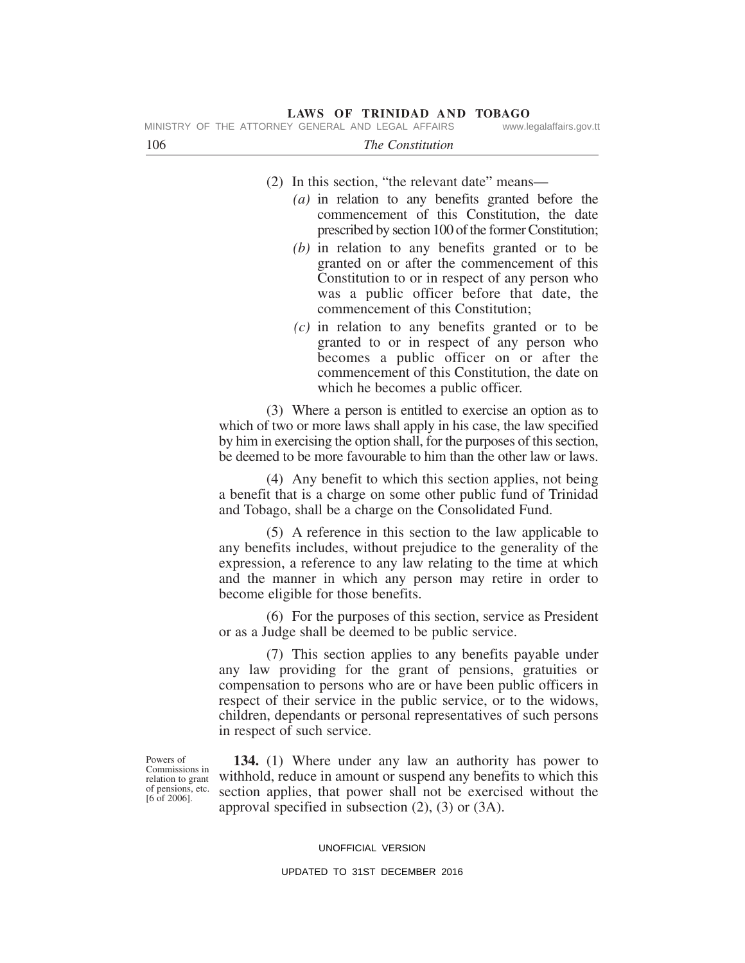| 106                                                                                              | The Constitution                                                                                                                                                                                                                                                                                                                                                                                                                                                                                                                                                                                                                                                                                     |
|--------------------------------------------------------------------------------------------------|------------------------------------------------------------------------------------------------------------------------------------------------------------------------------------------------------------------------------------------------------------------------------------------------------------------------------------------------------------------------------------------------------------------------------------------------------------------------------------------------------------------------------------------------------------------------------------------------------------------------------------------------------------------------------------------------------|
|                                                                                                  | (2) In this section, "the relevant date" means—<br>$(a)$ in relation to any benefits granted before the<br>commencement of this Constitution, the date<br>prescribed by section 100 of the former Constitution;<br>$(b)$ in relation to any benefits granted or to be<br>granted on or after the commencement of this<br>Constitution to or in respect of any person who<br>was a public officer before that date, the<br>commencement of this Constitution;<br>$(c)$ in relation to any benefits granted or to be<br>granted to or in respect of any person who<br>becomes a public officer on or after the<br>commencement of this Constitution, the date on<br>which he becomes a public officer. |
|                                                                                                  | (3) Where a person is entitled to exercise an option as to<br>which of two or more laws shall apply in his case, the law specified<br>by him in exercising the option shall, for the purposes of this section,<br>be deemed to be more favourable to him than the other law or laws.                                                                                                                                                                                                                                                                                                                                                                                                                 |
|                                                                                                  | (4) Any benefit to which this section applies, not being<br>a benefit that is a charge on some other public fund of Trinidad<br>and Tobago, shall be a charge on the Consolidated Fund.                                                                                                                                                                                                                                                                                                                                                                                                                                                                                                              |
|                                                                                                  | (5) A reference in this section to the law applicable to<br>any benefits includes, without prejudice to the generality of the<br>expression, a reference to any law relating to the time at which<br>and the manner in which any person may retire in order to<br>become eligible for those benefits.                                                                                                                                                                                                                                                                                                                                                                                                |
|                                                                                                  | (6) For the purposes of this section, service as President<br>or as a Judge shall be deemed to be public service.                                                                                                                                                                                                                                                                                                                                                                                                                                                                                                                                                                                    |
|                                                                                                  | (7) This section applies to any benefits payable under<br>any law providing for the grant of pensions, gratuities or<br>compensation to persons who are or have been public officers in<br>respect of their service in the public service, or to the widows,<br>children, dependants or personal representatives of such persons<br>in respect of such service.                                                                                                                                                                                                                                                                                                                                      |
| Powers of<br>Commissions in<br>relation to grant<br>of pensions, etc.<br>$[6 \text{ of } 2006].$ | <b>134.</b> (1) Where under any law an authority has power to<br>withhold, reduce in amount or suspend any benefits to which this<br>section applies, that power shall not be exercised without the<br>approval specified in subsection $(2)$ , $(3)$ or $(3A)$ .                                                                                                                                                                                                                                                                                                                                                                                                                                    |
|                                                                                                  | UNOFFICIAL VERSION                                                                                                                                                                                                                                                                                                                                                                                                                                                                                                                                                                                                                                                                                   |
|                                                                                                  | UPDATED TO 31ST DECEMBER 2016                                                                                                                                                                                                                                                                                                                                                                                                                                                                                                                                                                                                                                                                        |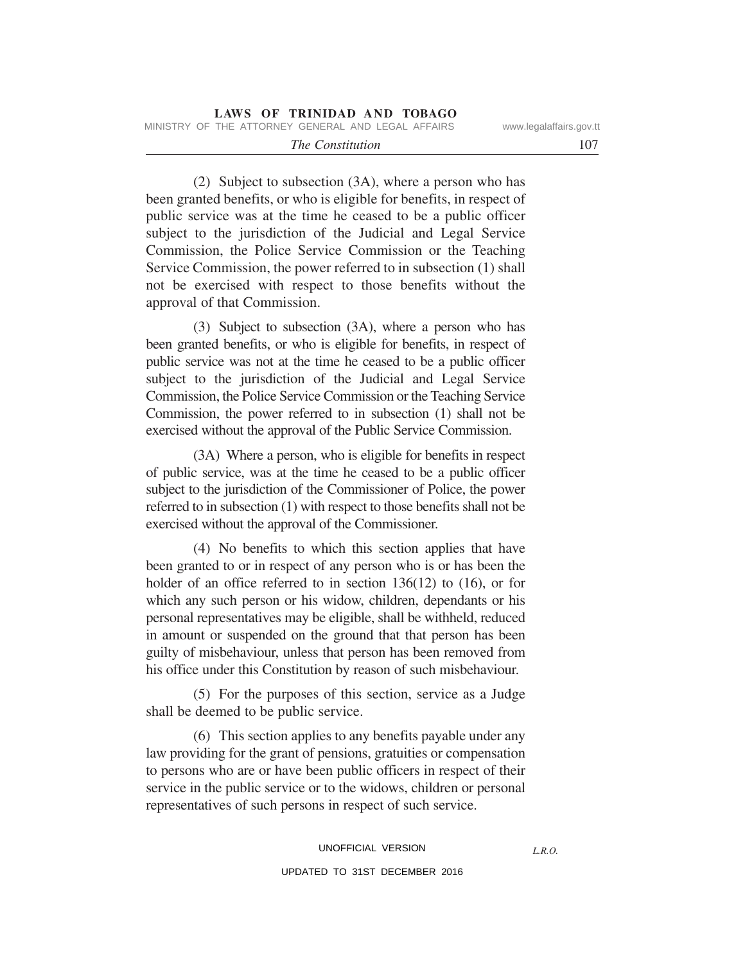MINISTRY OF THE ATTORNEY GENERAL AND LEGAL AFFAIRS www.legalaffairs.gov.tt

*The Constitution* 107

(2) Subject to subsection (3A), where a person who has been granted benefits, or who is eligible for benefits, in respect of public service was at the time he ceased to be a public officer subject to the jurisdiction of the Judicial and Legal Service Commission, the Police Service Commission or the Teaching Service Commission, the power referred to in subsection (1) shall not be exercised with respect to those benefits without the approval of that Commission.

(3) Subject to subsection (3A), where a person who has been granted benefits, or who is eligible for benefits, in respect of public service was not at the time he ceased to be a public officer subject to the jurisdiction of the Judicial and Legal Service Commission, the Police Service Commission or the Teaching Service Commission, the power referred to in subsection (1) shall not be exercised without the approval of the Public Service Commission.

(3A) Where a person, who is eligible for benefits in respect of public service, was at the time he ceased to be a public officer subject to the jurisdiction of the Commissioner of Police, the power referred to in subsection (1) with respect to those benefits shall not be exercised without the approval of the Commissioner.

(4) No benefits to which this section applies that have been granted to or in respect of any person who is or has been the holder of an office referred to in section 136(12) to (16), or for which any such person or his widow, children, dependants or his personal representatives may be eligible, shall be withheld, reduced in amount or suspended on the ground that that person has been guilty of misbehaviour, unless that person has been removed from his office under this Constitution by reason of such misbehaviour.

(5) For the purposes of this section, service as a Judge shall be deemed to be public service.

(6) This section applies to any benefits payable under any law providing for the grant of pensions, gratuities or compensation to persons who are or have been public officers in respect of their service in the public service or to the widows, children or personal representatives of such persons in respect of such service.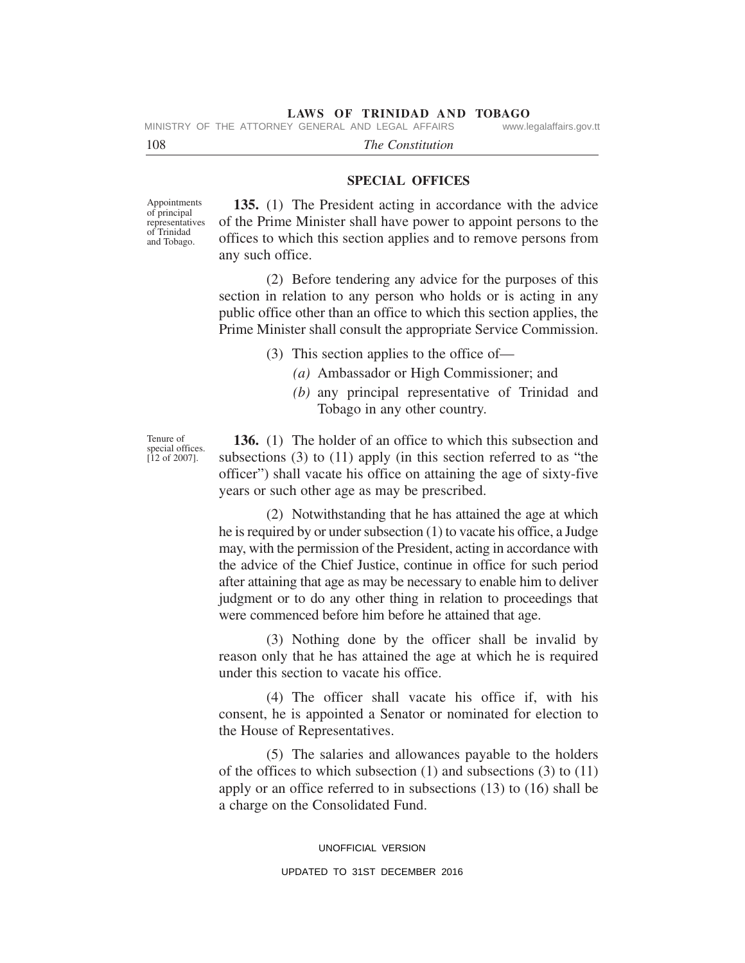MINISTRY OF THE ATTORNEY GENERAL AND LEGAL AFFAIRS www.legalaffairs.gov.tt

108 *The Constitution*

# **SPECIAL OFFICES**

Appointments of principal representatives of Trinidad and Tobago.

**135.** (1) The President acting in accordance with the advice of the Prime Minister shall have power to appoint persons to the offices to which this section applies and to remove persons from any such office.

(2) Before tendering any advice for the purposes of this section in relation to any person who holds or is acting in any public office other than an office to which this section applies, the Prime Minister shall consult the appropriate Service Commission.

- (3) This section applies to the office of—
	- *(a)* Ambassador or High Commissioner; and
	- *(b)* any principal representative of Trinidad and Tobago in any other country.

Tenure of special offices. [12 of 2007].

**136.** (1) The holder of an office to which this subsection and subsections (3) to (11) apply (in this section referred to as "the officer") shall vacate his office on attaining the age of sixty-five years or such other age as may be prescribed.

(2) Notwithstanding that he has attained the age at which he is required by or under subsection (1) to vacate his office, a Judge may, with the permission of the President, acting in accordance with the advice of the Chief Justice, continue in office for such period after attaining that age as may be necessary to enable him to deliver judgment or to do any other thing in relation to proceedings that were commenced before him before he attained that age.

(3) Nothing done by the officer shall be invalid by reason only that he has attained the age at which he is required under this section to vacate his office.

(4) The officer shall vacate his office if, with his consent, he is appointed a Senator or nominated for election to the House of Representatives.

(5) The salaries and allowances payable to the holders of the offices to which subsection  $(1)$  and subsections  $(3)$  to  $(11)$ apply or an office referred to in subsections (13) to (16) shall be a charge on the Consolidated Fund.

#### UNOFFICIAL VERSION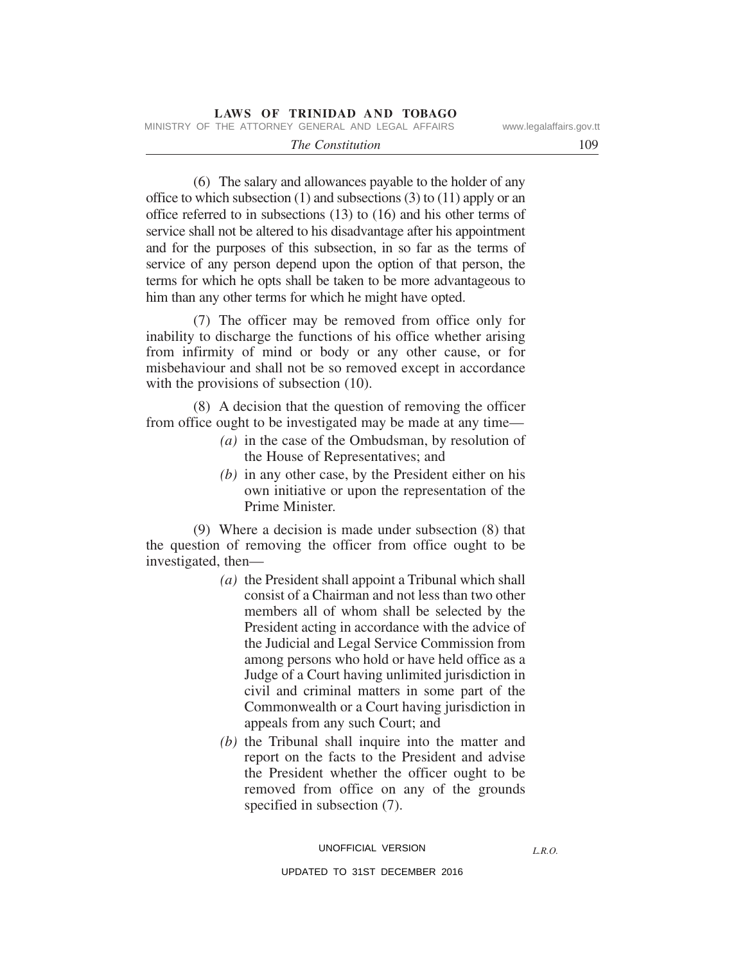MINISTRY OF THE ATTORNEY GENERAL AND LEGAL AFFAIRS www.legalaffairs.gov.tt

*The Constitution* 109

(6) The salary and allowances payable to the holder of any office to which subsection  $(1)$  and subsections  $(3)$  to  $(11)$  apply or an office referred to in subsections (13) to (16) and his other terms of service shall not be altered to his disadvantage after his appointment and for the purposes of this subsection, in so far as the terms of service of any person depend upon the option of that person, the terms for which he opts shall be taken to be more advantageous to him than any other terms for which he might have opted.

(7) The officer may be removed from office only for inability to discharge the functions of his office whether arising from infirmity of mind or body or any other cause, or for misbehaviour and shall not be so removed except in accordance with the provisions of subsection  $(10)$ .

(8) A decision that the question of removing the officer from office ought to be investigated may be made at any time—

- *(a)* in the case of the Ombudsman, by resolution of the House of Representatives; and
- *(b)* in any other case, by the President either on his own initiative or upon the representation of the Prime Minister.

(9) Where a decision is made under subsection (8) that the question of removing the officer from office ought to be investigated, then—

- *(a)* the President shall appoint a Tribunal which shall consist of a Chairman and not less than two other members all of whom shall be selected by the President acting in accordance with the advice of the Judicial and Legal Service Commission from among persons who hold or have held office as a Judge of a Court having unlimited jurisdiction in civil and criminal matters in some part of the Commonwealth or a Court having jurisdiction in appeals from any such Court; and
- *(b)* the Tribunal shall inquire into the matter and report on the facts to the President and advise the President whether the officer ought to be removed from office on any of the grounds specified in subsection (7).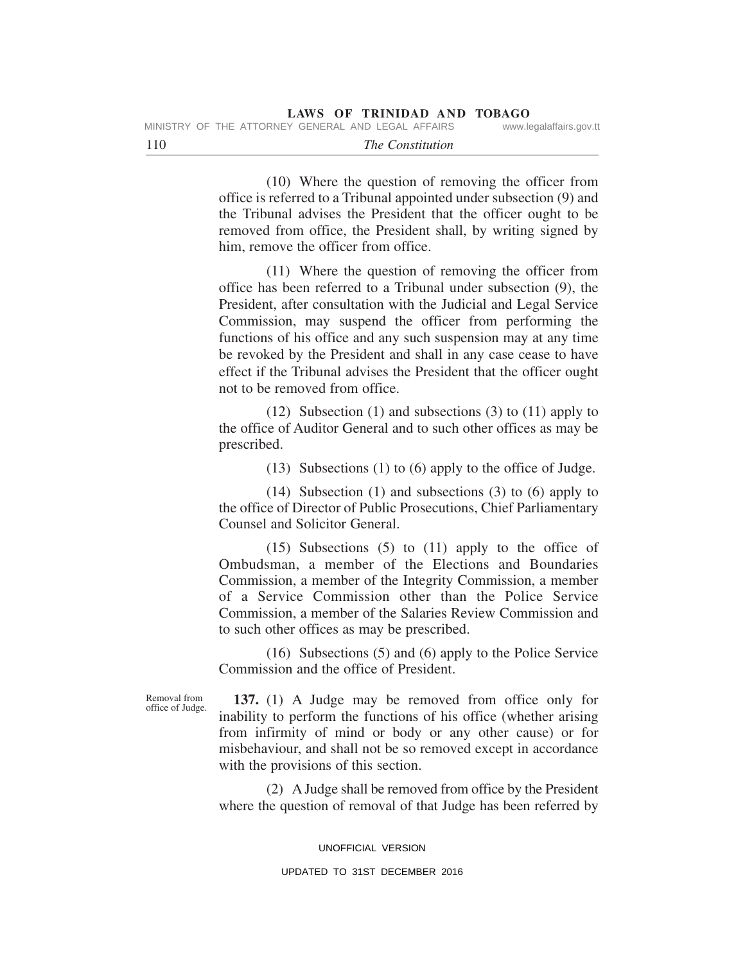MINISTRY OF THE ATTORNEY GENERAL AND LEGAL AFFAIRS www.legalaffairs.gov.tt

(10) Where the question of removing the officer from office is referred to a Tribunal appointed under subsection (9) and the Tribunal advises the President that the officer ought to be removed from office, the President shall, by writing signed by him, remove the officer from office.

(11) Where the question of removing the officer from office has been referred to a Tribunal under subsection (9), the President, after consultation with the Judicial and Legal Service Commission, may suspend the officer from performing the functions of his office and any such suspension may at any time be revoked by the President and shall in any case cease to have effect if the Tribunal advises the President that the officer ought not to be removed from office.

(12) Subsection (1) and subsections (3) to (11) apply to the office of Auditor General and to such other offices as may be prescribed.

(13) Subsections (1) to (6) apply to the office of Judge.

(14) Subsection (1) and subsections (3) to (6) apply to the office of Director of Public Prosecutions, Chief Parliamentary Counsel and Solicitor General.

(15) Subsections (5) to (11) apply to the office of Ombudsman, a member of the Elections and Boundaries Commission, a member of the Integrity Commission, a member of a Service Commission other than the Police Service Commission, a member of the Salaries Review Commission and to such other offices as may be prescribed.

(16) Subsections (5) and (6) apply to the Police Service Commission and the office of President.

Removal from office of Judge.

**137.** (1) A Judge may be removed from office only for inability to perform the functions of his office (whether arising from infirmity of mind or body or any other cause) or for misbehaviour, and shall not be so removed except in accordance with the provisions of this section.

(2) A Judge shall be removed from office by the President where the question of removal of that Judge has been referred by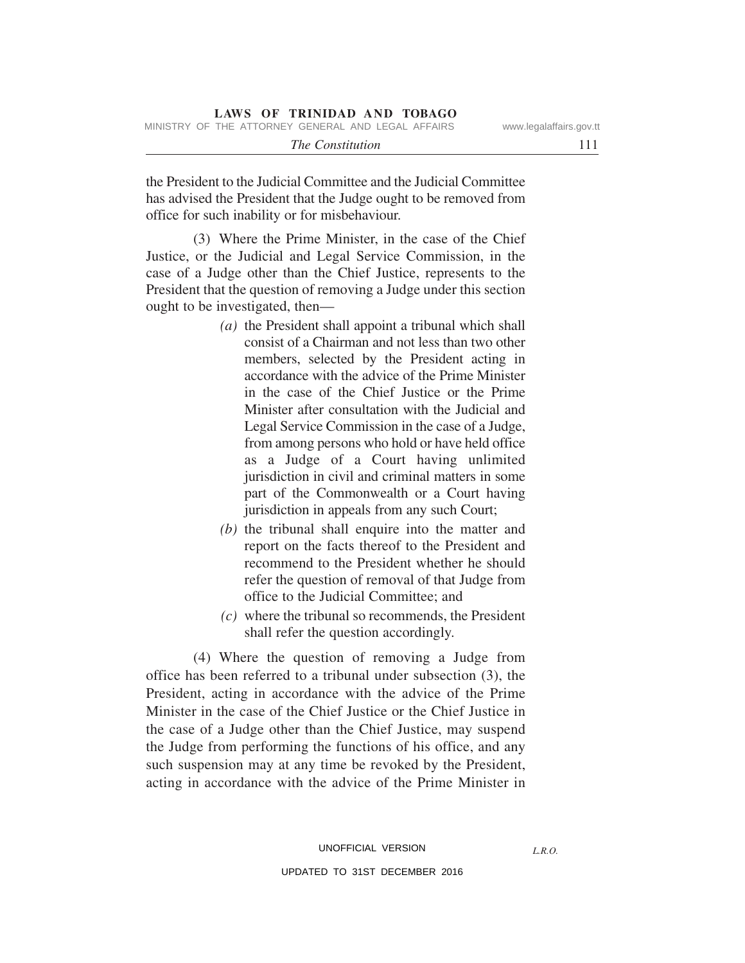MINISTRY OF THE ATTORNEY GENERAL AND LEGAL AFFAIRS www.legalaffairs.gov.tt

*The Constitution* 111

the President to the Judicial Committee and the Judicial Committee has advised the President that the Judge ought to be removed from office for such inability or for misbehaviour.

(3) Where the Prime Minister, in the case of the Chief Justice, or the Judicial and Legal Service Commission, in the case of a Judge other than the Chief Justice, represents to the President that the question of removing a Judge under this section ought to be investigated, then—

- *(a)* the President shall appoint a tribunal which shall consist of a Chairman and not less than two other members, selected by the President acting in accordance with the advice of the Prime Minister in the case of the Chief Justice or the Prime Minister after consultation with the Judicial and Legal Service Commission in the case of a Judge, from among persons who hold or have held office as a Judge of a Court having unlimited jurisdiction in civil and criminal matters in some part of the Commonwealth or a Court having jurisdiction in appeals from any such Court;
- *(b)* the tribunal shall enquire into the matter and report on the facts thereof to the President and recommend to the President whether he should refer the question of removal of that Judge from office to the Judicial Committee; and
- *(c)* where the tribunal so recommends, the President shall refer the question accordingly.

(4) Where the question of removing a Judge from office has been referred to a tribunal under subsection (3), the President, acting in accordance with the advice of the Prime Minister in the case of the Chief Justice or the Chief Justice in the case of a Judge other than the Chief Justice, may suspend the Judge from performing the functions of his office, and any such suspension may at any time be revoked by the President, acting in accordance with the advice of the Prime Minister in

*L.R.O.*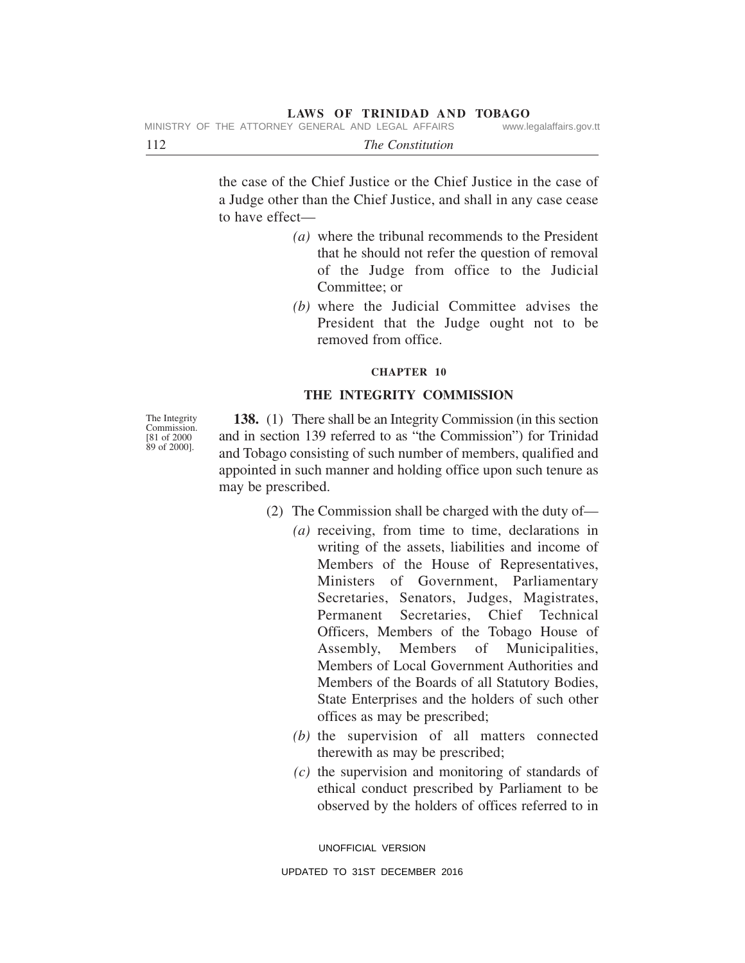|--|

| 11C | The Constitution |
|-----|------------------|
|     |                  |

the case of the Chief Justice or the Chief Justice in the case of a Judge other than the Chief Justice, and shall in any case cease to have effect—

- *(a)* where the tribunal recommends to the President that he should not refer the question of removal of the Judge from office to the Judicial Committee; or
- *(b)* where the Judicial Committee advises the President that the Judge ought not to be removed from office.

#### **CHAPTER 10**

## **THE INTEGRITY COMMISSION**

The Integrity Commission. [81 of 2000 89 of 2000].

**138.** (1) There shall be an Integrity Commission (in this section and in section 139 referred to as "the Commission") for Trinidad and Tobago consisting of such number of members, qualified and appointed in such manner and holding office upon such tenure as may be prescribed.

- (2) The Commission shall be charged with the duty of—
	- *(a)* receiving, from time to time, declarations in writing of the assets, liabilities and income of Members of the House of Representatives, Ministers of Government, Parliamentary Secretaries, Senators, Judges, Magistrates, Permanent Secretaries, Chief Technical Officers, Members of the Tobago House of Assembly, Members of Municipalities, Members of Local Government Authorities and Members of the Boards of all Statutory Bodies, State Enterprises and the holders of such other offices as may be prescribed;
	- *(b)* the supervision of all matters connected therewith as may be prescribed;
	- *(c)* the supervision and monitoring of standards of ethical conduct prescribed by Parliament to be observed by the holders of offices referred to in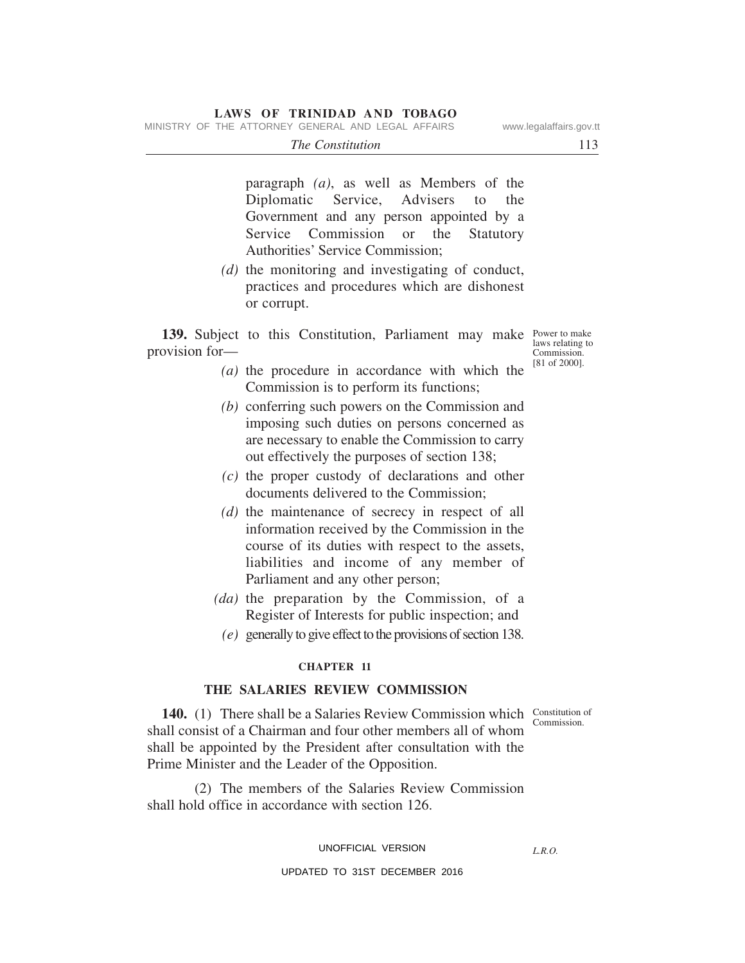MINISTRY OF THE ATTORNEY GENERAL AND LEGAL AFFAIRS www.legalaffairs.gov.tt

|                | OF THE ATTONNET OFNEMAL AND LEOAL AFFAING                                                                                                                                                                                                                                                                                                                                                                                                                    | www.iogaianano.gov.u                                              |
|----------------|--------------------------------------------------------------------------------------------------------------------------------------------------------------------------------------------------------------------------------------------------------------------------------------------------------------------------------------------------------------------------------------------------------------------------------------------------------------|-------------------------------------------------------------------|
|                | The Constitution                                                                                                                                                                                                                                                                                                                                                                                                                                             | 113                                                               |
|                | paragraph $(a)$ , as well as Members of the<br>Diplomatic Service, Advisers to<br>the<br>Government and any person appointed by a<br>Service Commission or the<br>Statutory<br>Authorities' Service Commission;<br>(d) the monitoring and investigating of conduct,<br>practices and procedures which are dishonest<br>or corrupt.                                                                                                                           |                                                                   |
| provision for- | 139. Subject to this Constitution, Parliament may make<br>(a) the procedure in accordance with which the<br>Commission is to perform its functions;<br>$(b)$ conferring such powers on the Commission and<br>imposing such duties on persons concerned as<br>are necessary to enable the Commission to carry<br>out effectively the purposes of section 138;<br>$(c)$ the proper custody of declarations and other<br>documents delivered to the Commission; | Power to make<br>laws relating to<br>Commission.<br>[81 of 2000]. |
|                | (d) the maintenance of secrecy in respect of all                                                                                                                                                                                                                                                                                                                                                                                                             |                                                                   |

- information received by the Commission in the course of its duties with respect to the assets, liabilities and income of any member of Parliament and any other person;
- *(da)* the preparation by the Commission, of a Register of Interests for public inspection; and
- *(e)* generally to give effect to the provisions of section 138.

## **CHAPTER 11**

## **THE SALARIES REVIEW COMMISSION**

Commission.

140. (1) There shall be a Salaries Review Commission which Constitution of shall consist of a Chairman and four other members all of whom shall be appointed by the President after consultation with the Prime Minister and the Leader of the Opposition.

(2) The members of the Salaries Review Commission shall hold office in accordance with section 126.

UNOFFICIAL VERSION

*L.R.O.* 

#### UPDATED TO 31ST DECEMBER 2016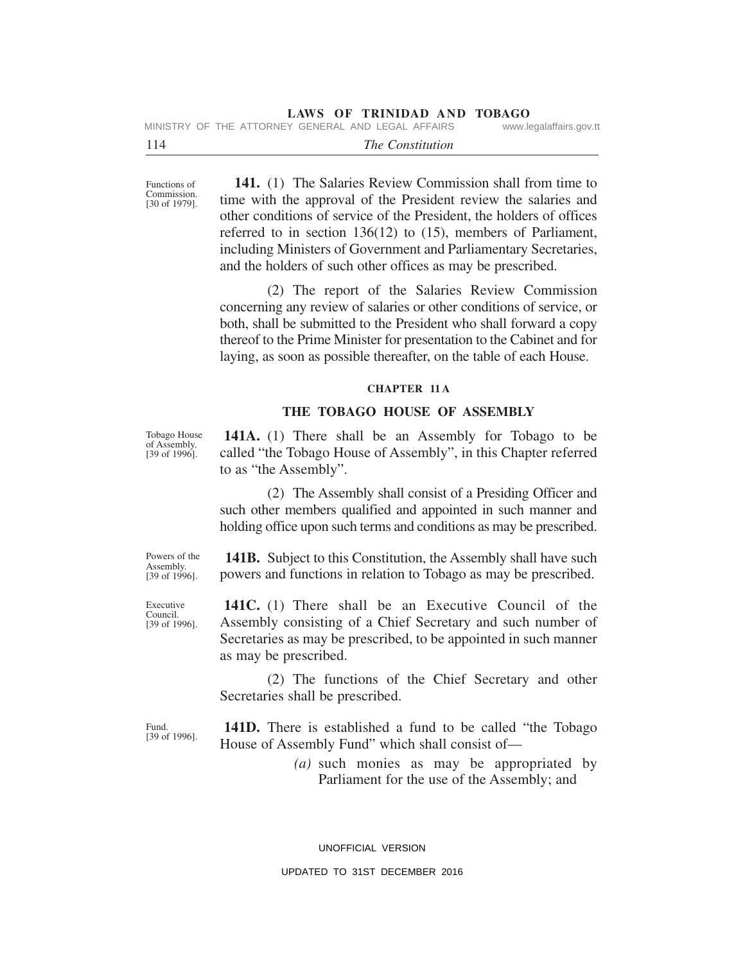MINISTRY OF THE ATTORNEY GENERAL AND LEGAL AFFAIRS www.legalaffairs.gov.tt

114 *The Constitution*

Functions of Commission. [30 of 1979].

**141.** (1) The Salaries Review Commission shall from time to time with the approval of the President review the salaries and other conditions of service of the President, the holders of offices referred to in section 136(12) to (15), members of Parliament, including Ministers of Government and Parliamentary Secretaries, and the holders of such other offices as may be prescribed.

(2) The report of the Salaries Review Commission concerning any review of salaries or other conditions of service, or both, shall be submitted to the President who shall forward a copy thereof to the Prime Minister for presentation to the Cabinet and for laying, as soon as possible thereafter, on the table of each House.

## **CHAPTER 11 A**

## **THE TOBAGO HOUSE OF ASSEMBLY**

Tobago House of Assembly. [39 of 1996].

**141A.** (1) There shall be an Assembly for Tobago to be called "the Tobago House of Assembly", in this Chapter referred to as "the Assembly".

(2) The Assembly shall consist of a Presiding Officer and such other members qualified and appointed in such manner and holding office upon such terms and conditions as may be prescribed.

**141B.** Subject to this Constitution, the Assembly shall have such powers and functions in relation to Tobago as may be prescribed. Powers of the Assembly.  $[39$  of  $1996]$ .

as may be prescribed.

Executive Council. [39 of 1996].

**141C.** (1) There shall be an Executive Council of the Assembly consisting of a Chief Secretary and such number of Secretaries as may be prescribed, to be appointed in such manner

(2) The functions of the Chief Secretary and other Secretaries shall be prescribed.

Fund. [39 of 1996].

**141D.** There is established a fund to be called "the Tobago House of Assembly Fund" which shall consist of—

> *(a)* such monies as may be appropriated by Parliament for the use of the Assembly; and

UNOFFICIAL VERSION

UPDATED TO 31ST DECEMBER 2016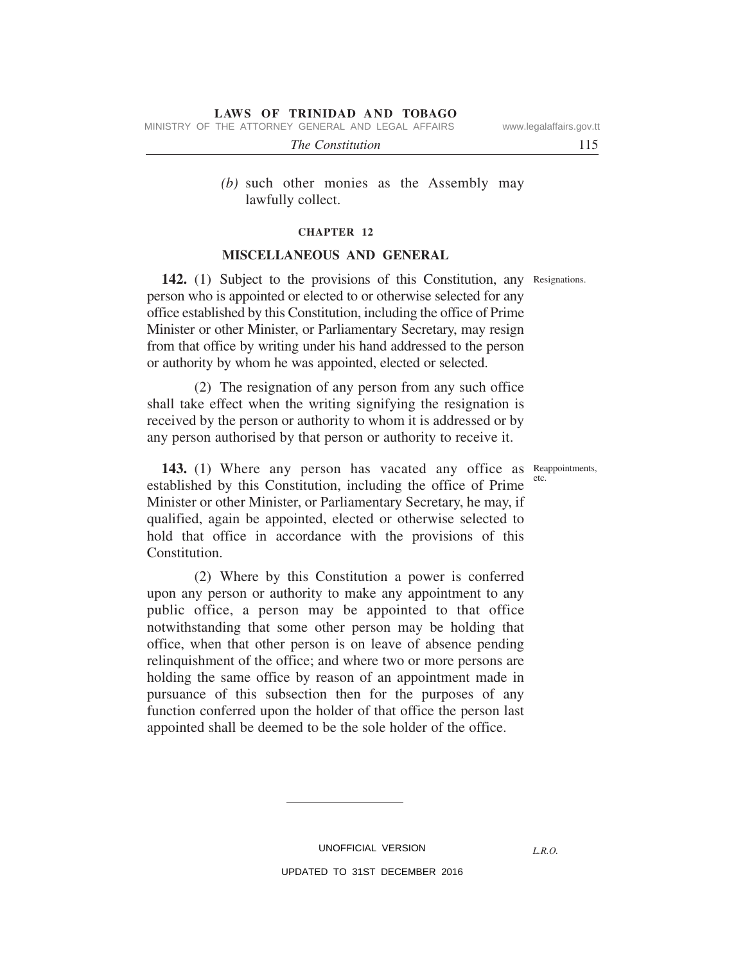MINISTRY OF THE ATTORNEY GENERAL AND LEGAL AFFAIRS www.legalaffairs.gov.tt

*The Constitution* 115

## *(b)* such other monies as the Assembly may lawfully collect.

#### **CHAPTER 12**

## **MISCELLANEOUS AND GENERAL**

142. (1) Subject to the provisions of this Constitution, any Resignations. person who is appointed or elected to or otherwise selected for any office established by this Constitution, including the office of Prime Minister or other Minister, or Parliamentary Secretary, may resign from that office by writing under his hand addressed to the person or authority by whom he was appointed, elected or selected.

(2) The resignation of any person from any such office shall take effect when the writing signifying the resignation is received by the person or authority to whom it is addressed or by any person authorised by that person or authority to receive it.

143. (1) Where any person has vacated any office as Reappointments, established by this Constitution, including the office of Prime Minister or other Minister, or Parliamentary Secretary, he may, if qualified, again be appointed, elected or otherwise selected to hold that office in accordance with the provisions of this Constitution.

(2) Where by this Constitution a power is conferred upon any person or authority to make any appointment to any public office, a person may be appointed to that office notwithstanding that some other person may be holding that office, when that other person is on leave of absence pending relinquishment of the office; and where two or more persons are holding the same office by reason of an appointment made in pursuance of this subsection then for the purposes of any function conferred upon the holder of that office the person last appointed shall be deemed to be the sole holder of the office.

etc.

*L.R.O.*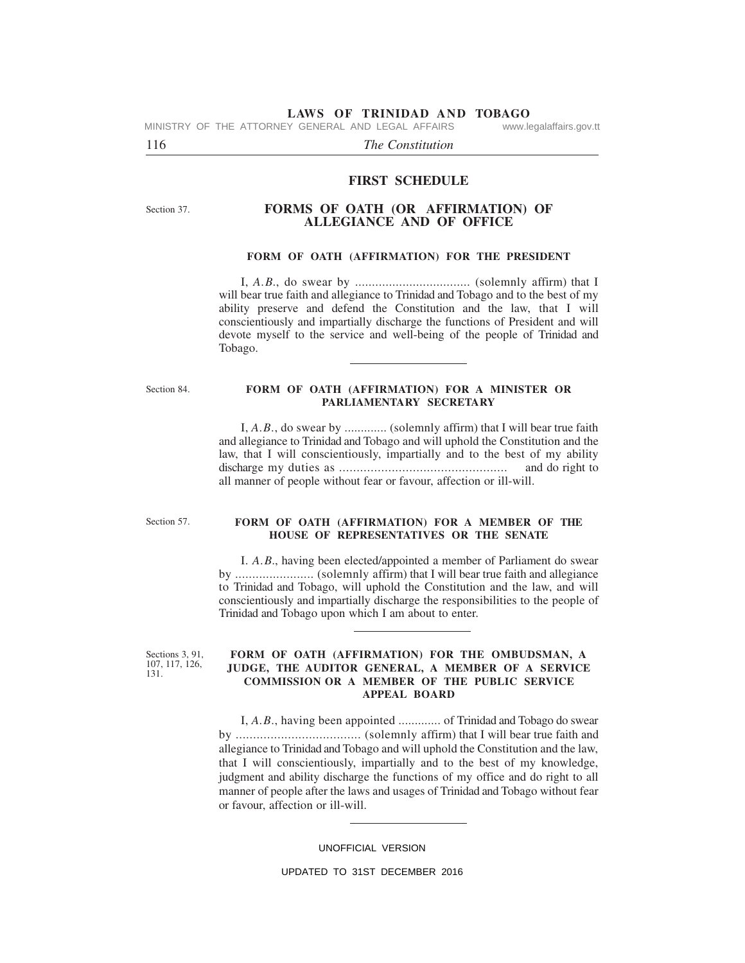MINISTRY OF THE ATTORNEY GENERAL AND LEGAL AFFAIRS www.legalaffairs.gov.tt

116 *The Constitution*

## **FIRST SCHEDULE**

Section 37.

### **FORMS OF OATH (OR AFFIRMATION) OF ALLEGIANCE AND OF OFFICE**

#### **FORM OF OATH (AFFIRMATION) FOR THE PRESIDENT**

I, *A.B*., do swear by .................................. (solemnly affirm) that I will bear true faith and allegiance to Trinidad and Tobago and to the best of my ability preserve and defend the Constitution and the law, that I will conscientiously and impartially discharge the functions of President and will devote myself to the service and well-being of the people of Trinidad and Tobago.

Section 84.

#### **FORM OF OATH (AFFIRMATION) FOR A MINISTER OR PARLIAMENTARY SECRETARY**

I, *A.B.*, do swear by ............. (solemnly affirm) that I will bear true faith and allegiance to Trinidad and Tobago and will uphold the Constitution and the law, that I will conscientiously, impartially and to the best of my ability discharge my duties as ................................................ and do right to all manner of people without fear or favour, affection or ill-will.

Section 57.

#### **FORM OF OATH (AFFIRMATION) FOR A MEMBER OF THE HOUSE OF REPRESENTATIVES OR THE SENATE**

I. *A.B*., having been elected/appointed a member of Parliament do swear by ....................... (solemnly affirm) that I will bear true faith and allegiance to Trinidad and Tobago, will uphold the Constitution and the law, and will conscientiously and impartially discharge the responsibilities to the people of Trinidad and Tobago upon which I am about to enter.

Sections 3, 91, 107, 117, 126, 131.

#### **FORM OF OATH (AFFIRMATION) FOR THE OMBUDSMAN, A JUDGE, THE AUDITOR GENERAL, A MEMBER OF A SERVICE COMMISSION OR A MEMBER OF THE PUBLIC SERVICE APPEAL BOARD**

I, *A.B.*, having been appointed ............. of Trinidad and Tobago do swear by .................................... (solemnly affirm) that I will bear true faith and allegiance to Trinidad and Tobago and will uphold the Constitution and the law, that I will conscientiously, impartially and to the best of my knowledge, judgment and ability discharge the functions of my office and do right to all manner of people after the laws and usages of Trinidad and Tobago without fear or favour, affection or ill-will.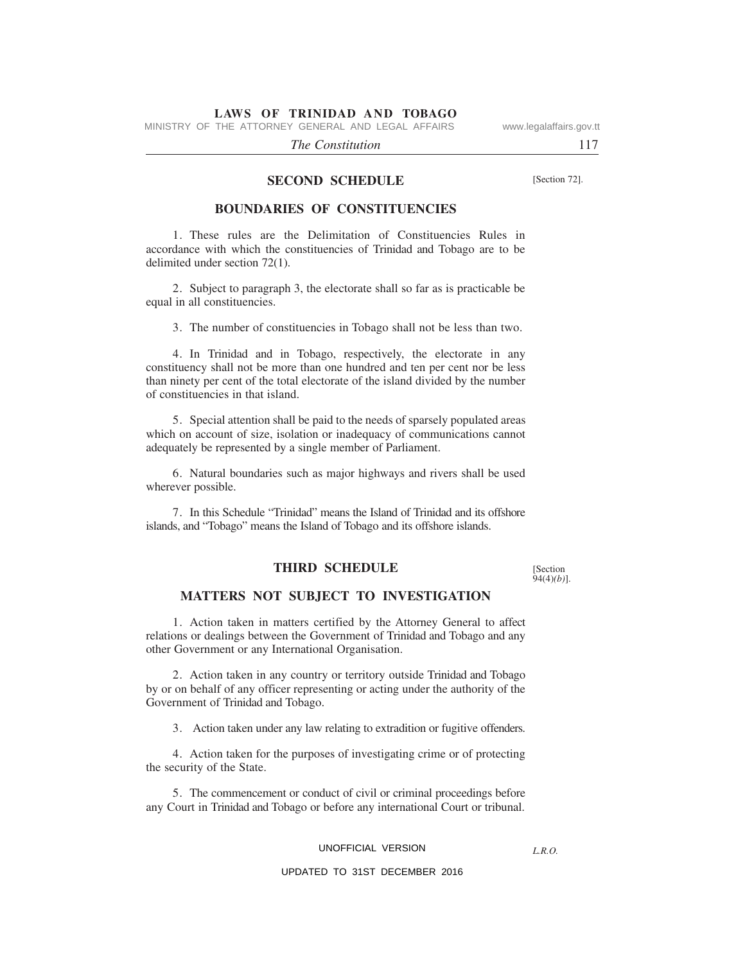MINISTRY OF THE ATTORNEY GENERAL AND LEGAL AFFAIRS www.legalaffairs.gov.tt

*The Constitution* 117

**SECOND SCHEDULE**

## **BOUNDARIES OF CONSTITUENCIES**

1. These rules are the Delimitation of Constituencies Rules in accordance with which the constituencies of Trinidad and Tobago are to be delimited under section 72(1).

2. Subject to paragraph 3, the electorate shall so far as is practicable be equal in all constituencies.

3. The number of constituencies in Tobago shall not be less than two.

4. In Trinidad and in Tobago, respectively, the electorate in any constituency shall not be more than one hundred and ten per cent nor be less than ninety per cent of the total electorate of the island divided by the number of constituencies in that island.

5. Special attention shall be paid to the needs of sparsely populated areas which on account of size, isolation or inadequacy of communications cannot adequately be represented by a single member of Parliament.

6. Natural boundaries such as major highways and rivers shall be used wherever possible.

7. In this Schedule "Trinidad" means the Island of Trinidad and its offshore islands, and "Tobago" means the Island of Tobago and its offshore islands.

#### **THIRD SCHEDULE**

[Section] 94(4)*(b)*].

*L.R.O.* 

## **MATTERS NOT SUBJECT TO INVESTIGATION**

1. Action taken in matters certified by the Attorney General to affect relations or dealings between the Government of Trinidad and Tobago and any other Government or any International Organisation.

2. Action taken in any country or territory outside Trinidad and Tobago by or on behalf of any officer representing or acting under the authority of the Government of Trinidad and Tobago.

3. Action taken under any law relating to extradition or fugitive offenders.

4. Action taken for the purposes of investigating crime or of protecting the security of the State.

5. The commencement or conduct of civil or criminal proceedings before any Court in Trinidad and Tobago or before any international Court or tribunal.

#### UNOFFICIAL VERSION

#### UPDATED TO 31ST DECEMBER 2016

[Section 72].